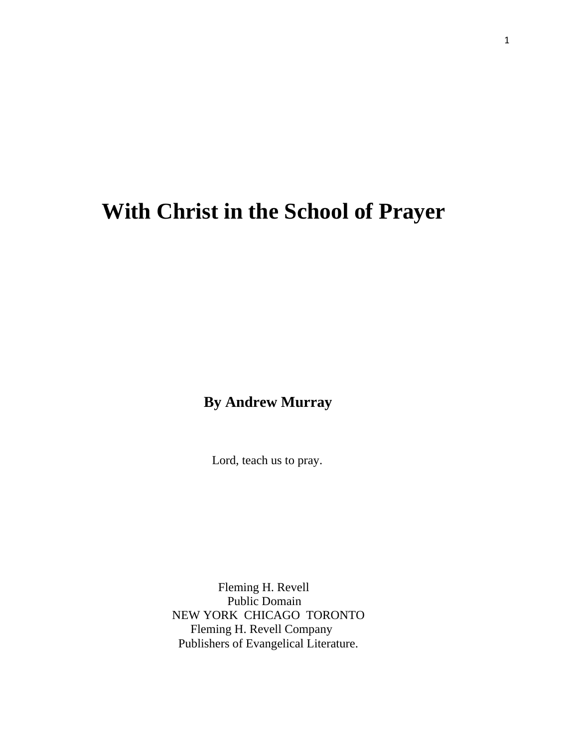# **With Christ in the School of Prayer**

 **By Andrew Murray** 

Lord, teach us to pray.

 Fleming H. Revell Public Domain NEW YORK CHICAGO TORONTO Fleming H. Revell Company Publishers of Evangelical Literature.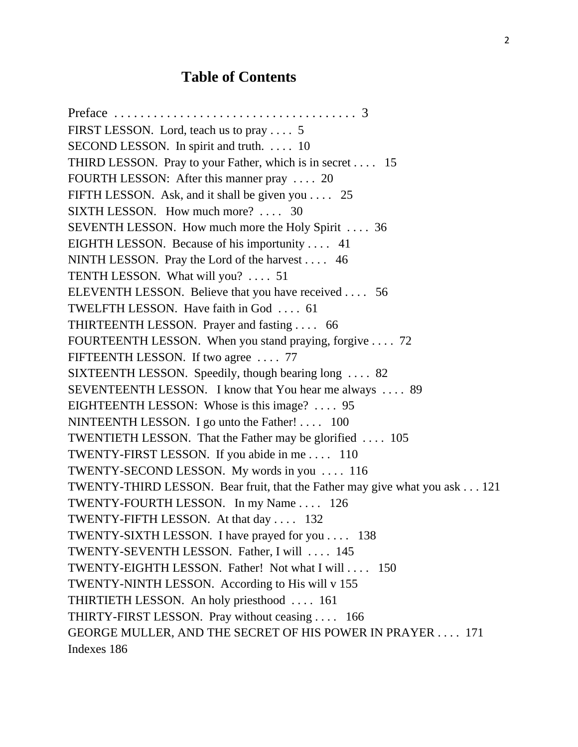# **Table of Contents**

Preface . . . . . . . . . . . . . . . . . . . . . . . . . . . . . . . . . . . . . 3 FIRST LESSON. Lord, teach us to pray  $\dots$  5 SECOND LESSON. In spirit and truth. .... 10 THIRD LESSON. Pray to your Father, which is in secret . . . . 15 FOURTH LESSON: After this manner pray . . . . 20 FIFTH LESSON. Ask, and it shall be given you  $\dots$  25 SIXTH LESSON. How much more? .... 30 SEVENTH LESSON. How much more the Holy Spirit . . . . 36 EIGHTH LESSON. Because of his importunity . . . . 41 NINTH LESSON. Pray the Lord of the harvest . . . . 46 TENTH LESSON. What will you? .... 51 ELEVENTH LESSON. Believe that you have received . . . . 56 TWELFTH LESSON. Have faith in God . . . . 61 THIRTEENTH LESSON. Prayer and fasting . . . . 66 FOURTEENTH LESSON. When you stand praying, forgive .... 72 FIFTEENTH LESSON. If two agree .... 77 SIXTEENTH LESSON. Speedily, though bearing long . . . . 82 SEVENTEENTH LESSON. I know that You hear me always . . . . 89 EIGHTEENTH LESSON: Whose is this image? . . . . 95 NINTEENTH LESSON. I go unto the Father! . . . . 100 TWENTIETH LESSON. That the Father may be glorified . . . . 105 TWENTY-FIRST LESSON. If you abide in me . . . . 110 TWENTY-SECOND LESSON. My words in you . . . . 116 TWENTY-THIRD LESSON. Bear fruit, that the Father may give what you ask . . . 121 TWENTY-FOURTH LESSON. In my Name . . . . 126 TWENTY-FIFTH LESSON. At that day . . . . 132 TWENTY-SIXTH LESSON. I have prayed for you . . . . 138 TWENTY-SEVENTH LESSON. Father, I will . . . . 145 TWENTY-EIGHTH LESSON. Father! Not what I will . . . . 150 TWENTY-NINTH LESSON. According to His will v 155 THIRTIETH LESSON. An holy priesthood . . . . 161 THIRTY-FIRST LESSON. Pray without ceasing . . . . 166 GEORGE MULLER, AND THE SECRET OF HIS POWER IN PRAYER . . . . 171 Indexes 186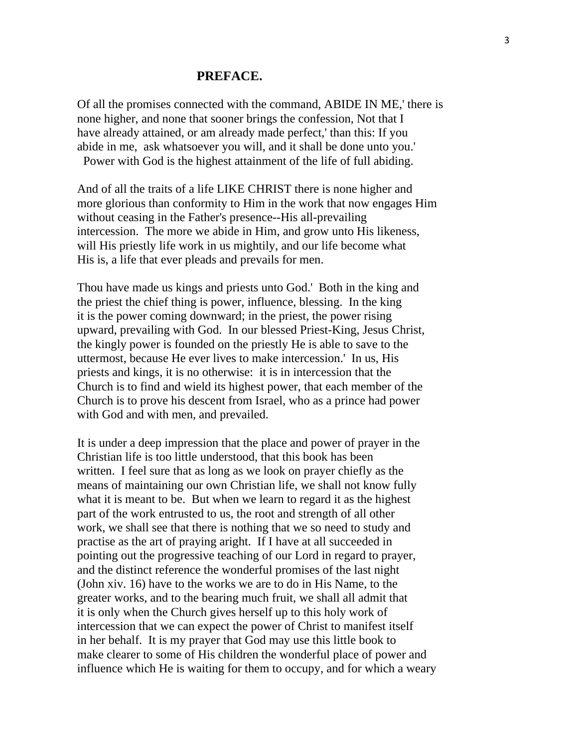#### **PREFACE.**

 Of all the promises connected with the command, ABIDE IN ME,' there is none higher, and none that sooner brings the confession, Not that I have already attained, or am already made perfect,' than this: If you abide in me, ask whatsoever you will, and it shall be done unto you.' Power with God is the highest attainment of the life of full abiding.

 And of all the traits of a life LIKE CHRIST there is none higher and more glorious than conformity to Him in the work that now engages Him without ceasing in the Father's presence--His all-prevailing intercession. The more we abide in Him, and grow unto His likeness, will His priestly life work in us mightily, and our life become what His is, a life that ever pleads and prevails for men.

 Thou have made us kings and priests unto God.' Both in the king and the priest the chief thing is power, influence, blessing. In the king it is the power coming downward; in the priest, the power rising upward, prevailing with God. In our blessed Priest-King, Jesus Christ, the kingly power is founded on the priestly He is able to save to the uttermost, because He ever lives to make intercession.' In us, His priests and kings, it is no otherwise: it is in intercession that the Church is to find and wield its highest power, that each member of the Church is to prove his descent from Israel, who as a prince had power with God and with men, and prevailed.

 It is under a deep impression that the place and power of prayer in the Christian life is too little understood, that this book has been written. I feel sure that as long as we look on prayer chiefly as the means of maintaining our own Christian life, we shall not know fully what it is meant to be. But when we learn to regard it as the highest part of the work entrusted to us, the root and strength of all other work, we shall see that there is nothing that we so need to study and practise as the art of praying aright. If I have at all succeeded in pointing out the progressive teaching of our Lord in regard to prayer, and the distinct reference the wonderful promises of the last night (John xiv. 16) have to the works we are to do in His Name, to the greater works, and to the bearing much fruit, we shall all admit that it is only when the Church gives herself up to this holy work of intercession that we can expect the power of Christ to manifest itself in her behalf. It is my prayer that God may use this little book to make clearer to some of His children the wonderful place of power and influence which He is waiting for them to occupy, and for which a weary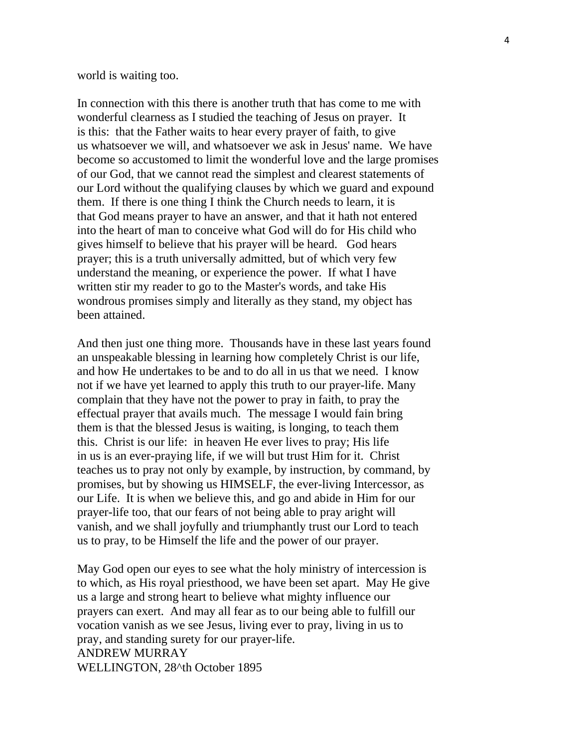world is waiting too.

 In connection with this there is another truth that has come to me with wonderful clearness as I studied the teaching of Jesus on prayer. It is this: that the Father waits to hear every prayer of faith, to give us whatsoever we will, and whatsoever we ask in Jesus' name. We have become so accustomed to limit the wonderful love and the large promises of our God, that we cannot read the simplest and clearest statements of our Lord without the qualifying clauses by which we guard and expound them. If there is one thing I think the Church needs to learn, it is that God means prayer to have an answer, and that it hath not entered into the heart of man to conceive what God will do for His child who gives himself to believe that his prayer will be heard. God hears prayer; this is a truth universally admitted, but of which very few understand the meaning, or experience the power. If what I have written stir my reader to go to the Master's words, and take His wondrous promises simply and literally as they stand, my object has been attained.

 And then just one thing more. Thousands have in these last years found an unspeakable blessing in learning how completely Christ is our life, and how He undertakes to be and to do all in us that we need. I know not if we have yet learned to apply this truth to our prayer-life. Many complain that they have not the power to pray in faith, to pray the effectual prayer that avails much. The message I would fain bring them is that the blessed Jesus is waiting, is longing, to teach them this. Christ is our life: in heaven He ever lives to pray; His life in us is an ever-praying life, if we will but trust Him for it. Christ teaches us to pray not only by example, by instruction, by command, by promises, but by showing us HIMSELF, the ever-living Intercessor, as our Life. It is when we believe this, and go and abide in Him for our prayer-life too, that our fears of not being able to pray aright will vanish, and we shall joyfully and triumphantly trust our Lord to teach us to pray, to be Himself the life and the power of our prayer.

 May God open our eyes to see what the holy ministry of intercession is to which, as His royal priesthood, we have been set apart. May He give us a large and strong heart to believe what mighty influence our prayers can exert. And may all fear as to our being able to fulfill our vocation vanish as we see Jesus, living ever to pray, living in us to pray, and standing surety for our prayer-life. ANDREW MURRAY WELLINGTON, 28^th October 1895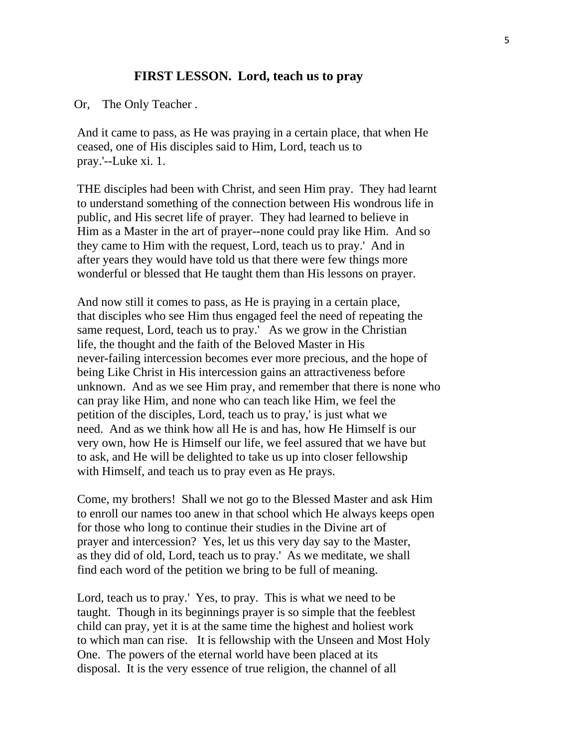#### **FIRST LESSON. Lord, teach us to pray**

Or, The Only Teacher .

 And it came to pass, as He was praying in a certain place, that when He ceased, one of His disciples said to Him, Lord, teach us to pray.'--Luke xi. 1.

 THE disciples had been with Christ, and seen Him pray. They had learnt to understand something of the connection between His wondrous life in public, and His secret life of prayer. They had learned to believe in Him as a Master in the art of prayer--none could pray like Him. And so they came to Him with the request, Lord, teach us to pray.' And in after years they would have told us that there were few things more wonderful or blessed that He taught them than His lessons on prayer.

 And now still it comes to pass, as He is praying in a certain place, that disciples who see Him thus engaged feel the need of repeating the same request, Lord, teach us to pray.' As we grow in the Christian life, the thought and the faith of the Beloved Master in His never-failing intercession becomes ever more precious, and the hope of being Like Christ in His intercession gains an attractiveness before unknown. And as we see Him pray, and remember that there is none who can pray like Him, and none who can teach like Him, we feel the petition of the disciples, Lord, teach us to pray,' is just what we need. And as we think how all He is and has, how He Himself is our very own, how He is Himself our life, we feel assured that we have but to ask, and He will be delighted to take us up into closer fellowship with Himself, and teach us to pray even as He prays.

 Come, my brothers! Shall we not go to the Blessed Master and ask Him to enroll our names too anew in that school which He always keeps open for those who long to continue their studies in the Divine art of prayer and intercession? Yes, let us this very day say to the Master, as they did of old, Lord, teach us to pray.' As we meditate, we shall find each word of the petition we bring to be full of meaning.

 Lord, teach us to pray.' Yes, to pray. This is what we need to be taught. Though in its beginnings prayer is so simple that the feeblest child can pray, yet it is at the same time the highest and holiest work to which man can rise. It is fellowship with the Unseen and Most Holy One. The powers of the eternal world have been placed at its disposal. It is the very essence of true religion, the channel of all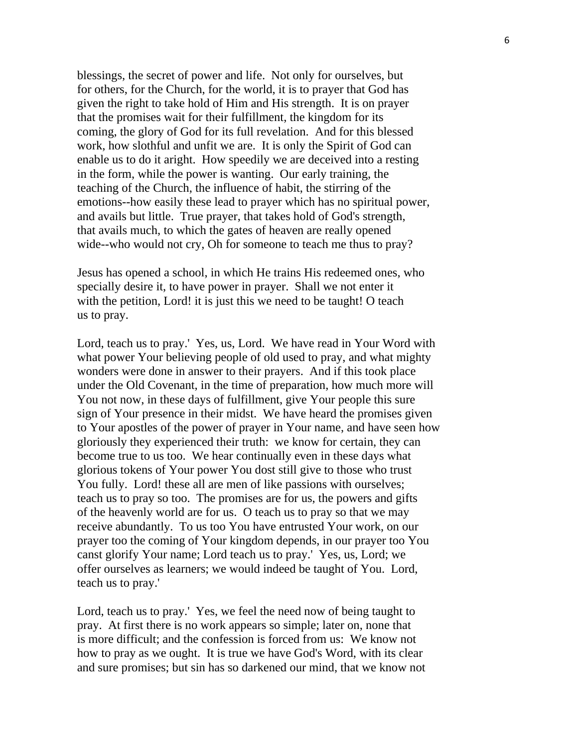blessings, the secret of power and life. Not only for ourselves, but for others, for the Church, for the world, it is to prayer that God has given the right to take hold of Him and His strength. It is on prayer that the promises wait for their fulfillment, the kingdom for its coming, the glory of God for its full revelation. And for this blessed work, how slothful and unfit we are. It is only the Spirit of God can enable us to do it aright. How speedily we are deceived into a resting in the form, while the power is wanting. Our early training, the teaching of the Church, the influence of habit, the stirring of the emotions--how easily these lead to prayer which has no spiritual power, and avails but little. True prayer, that takes hold of God's strength, that avails much, to which the gates of heaven are really opened wide--who would not cry, Oh for someone to teach me thus to pray?

 Jesus has opened a school, in which He trains His redeemed ones, who specially desire it, to have power in prayer. Shall we not enter it with the petition, Lord! it is just this we need to be taught! O teach us to pray.

 Lord, teach us to pray.' Yes, us, Lord. We have read in Your Word with what power Your believing people of old used to pray, and what mighty wonders were done in answer to their prayers. And if this took place under the Old Covenant, in the time of preparation, how much more will You not now, in these days of fulfillment, give Your people this sure sign of Your presence in their midst. We have heard the promises given to Your apostles of the power of prayer in Your name, and have seen how gloriously they experienced their truth: we know for certain, they can become true to us too. We hear continually even in these days what glorious tokens of Your power You dost still give to those who trust You fully. Lord! these all are men of like passions with ourselves; teach us to pray so too. The promises are for us, the powers and gifts of the heavenly world are for us. O teach us to pray so that we may receive abundantly. To us too You have entrusted Your work, on our prayer too the coming of Your kingdom depends, in our prayer too You canst glorify Your name; Lord teach us to pray.' Yes, us, Lord; we offer ourselves as learners; we would indeed be taught of You. Lord, teach us to pray.'

 Lord, teach us to pray.' Yes, we feel the need now of being taught to pray. At first there is no work appears so simple; later on, none that is more difficult; and the confession is forced from us: We know not how to pray as we ought. It is true we have God's Word, with its clear and sure promises; but sin has so darkened our mind, that we know not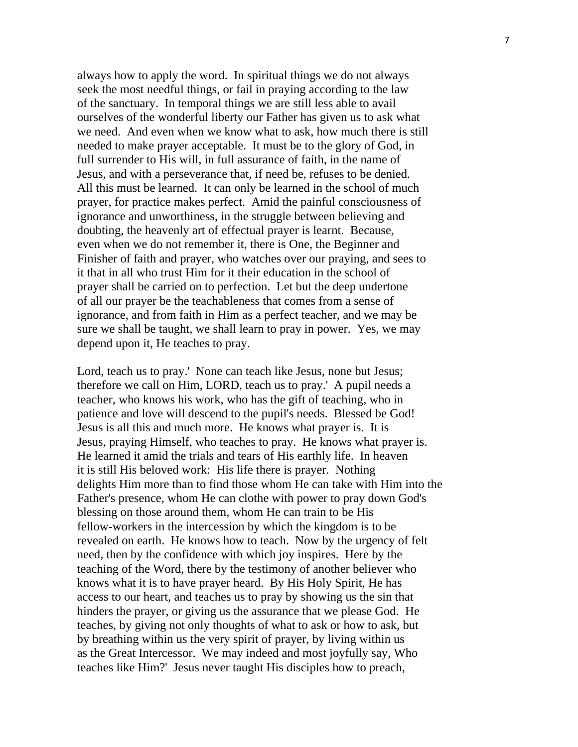always how to apply the word. In spiritual things we do not always seek the most needful things, or fail in praying according to the law of the sanctuary. In temporal things we are still less able to avail ourselves of the wonderful liberty our Father has given us to ask what we need. And even when we know what to ask, how much there is still needed to make prayer acceptable. It must be to the glory of God, in full surrender to His will, in full assurance of faith, in the name of Jesus, and with a perseverance that, if need be, refuses to be denied. All this must be learned. It can only be learned in the school of much prayer, for practice makes perfect. Amid the painful consciousness of ignorance and unworthiness, in the struggle between believing and doubting, the heavenly art of effectual prayer is learnt. Because, even when we do not remember it, there is One, the Beginner and Finisher of faith and prayer, who watches over our praying, and sees to it that in all who trust Him for it their education in the school of prayer shall be carried on to perfection. Let but the deep undertone of all our prayer be the teachableness that comes from a sense of ignorance, and from faith in Him as a perfect teacher, and we may be sure we shall be taught, we shall learn to pray in power. Yes, we may depend upon it, He teaches to pray.

Lord, teach us to pray.' None can teach like Jesus, none but Jesus; therefore we call on Him, LORD, teach us to pray.' A pupil needs a teacher, who knows his work, who has the gift of teaching, who in patience and love will descend to the pupil's needs. Blessed be God! Jesus is all this and much more. He knows what prayer is. It is Jesus, praying Himself, who teaches to pray. He knows what prayer is. He learned it amid the trials and tears of His earthly life. In heaven it is still His beloved work: His life there is prayer. Nothing delights Him more than to find those whom He can take with Him into the Father's presence, whom He can clothe with power to pray down God's blessing on those around them, whom He can train to be His fellow-workers in the intercession by which the kingdom is to be revealed on earth. He knows how to teach. Now by the urgency of felt need, then by the confidence with which joy inspires. Here by the teaching of the Word, there by the testimony of another believer who knows what it is to have prayer heard. By His Holy Spirit, He has access to our heart, and teaches us to pray by showing us the sin that hinders the prayer, or giving us the assurance that we please God. He teaches, by giving not only thoughts of what to ask or how to ask, but by breathing within us the very spirit of prayer, by living within us as the Great Intercessor. We may indeed and most joyfully say, Who teaches like Him?' Jesus never taught His disciples how to preach,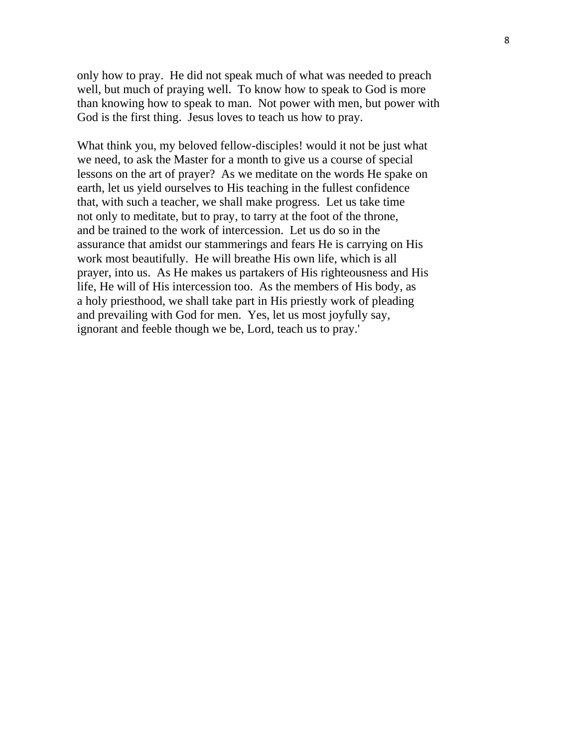only how to pray. He did not speak much of what was needed to preach well, but much of praying well. To know how to speak to God is more than knowing how to speak to man. Not power with men, but power with God is the first thing. Jesus loves to teach us how to pray.

 What think you, my beloved fellow-disciples! would it not be just what we need, to ask the Master for a month to give us a course of special lessons on the art of prayer? As we meditate on the words He spake on earth, let us yield ourselves to His teaching in the fullest confidence that, with such a teacher, we shall make progress. Let us take time not only to meditate, but to pray, to tarry at the foot of the throne, and be trained to the work of intercession. Let us do so in the assurance that amidst our stammerings and fears He is carrying on His work most beautifully. He will breathe His own life, which is all prayer, into us. As He makes us partakers of His righteousness and His life, He will of His intercession too. As the members of His body, as a holy priesthood, we shall take part in His priestly work of pleading and prevailing with God for men. Yes, let us most joyfully say, ignorant and feeble though we be, Lord, teach us to pray.'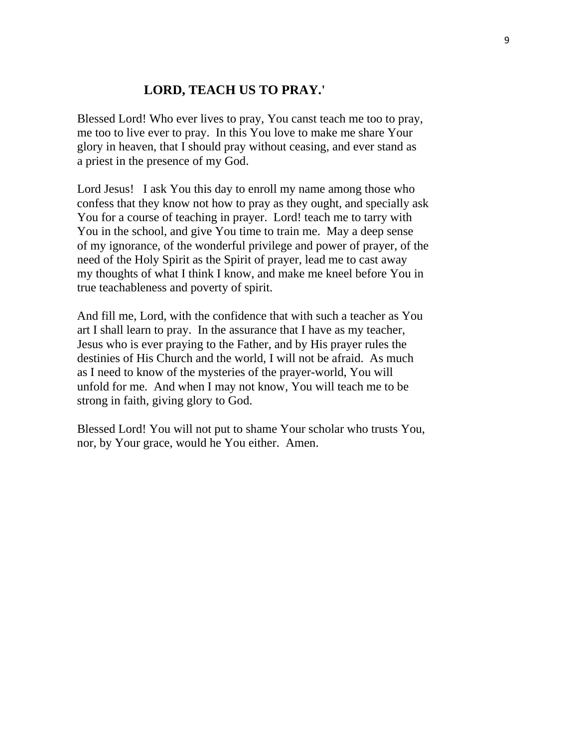## **LORD, TEACH US TO PRAY.'**

 Blessed Lord! Who ever lives to pray, You canst teach me too to pray, me too to live ever to pray. In this You love to make me share Your glory in heaven, that I should pray without ceasing, and ever stand as a priest in the presence of my God.

 Lord Jesus! I ask You this day to enroll my name among those who confess that they know not how to pray as they ought, and specially ask You for a course of teaching in prayer. Lord! teach me to tarry with You in the school, and give You time to train me. May a deep sense of my ignorance, of the wonderful privilege and power of prayer, of the need of the Holy Spirit as the Spirit of prayer, lead me to cast away my thoughts of what I think I know, and make me kneel before You in true teachableness and poverty of spirit.

 And fill me, Lord, with the confidence that with such a teacher as You art I shall learn to pray. In the assurance that I have as my teacher, Jesus who is ever praying to the Father, and by His prayer rules the destinies of His Church and the world, I will not be afraid. As much as I need to know of the mysteries of the prayer-world, You will unfold for me. And when I may not know, You will teach me to be strong in faith, giving glory to God.

 Blessed Lord! You will not put to shame Your scholar who trusts You, nor, by Your grace, would he You either. Amen.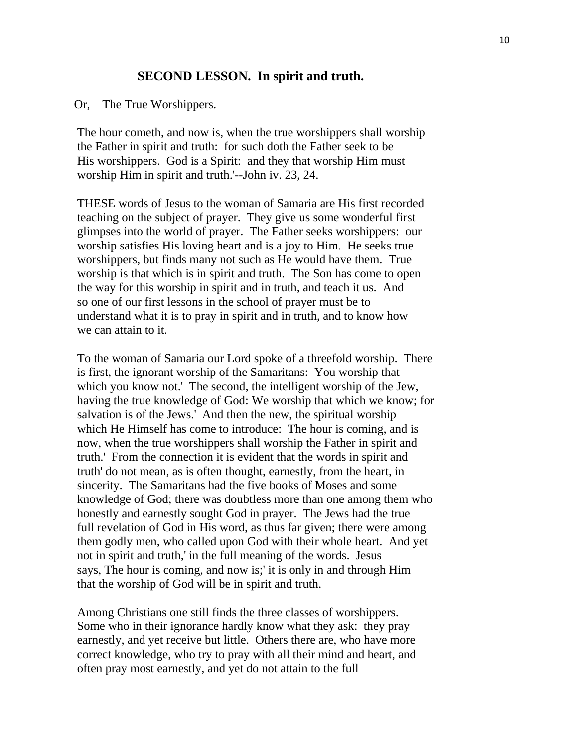## **SECOND LESSON. In spirit and truth.**

Or, The True Worshippers.

 The hour cometh, and now is, when the true worshippers shall worship the Father in spirit and truth: for such doth the Father seek to be His worshippers. God is a Spirit: and they that worship Him must worship Him in spirit and truth.'--John iv. 23, 24.

 THESE words of Jesus to the woman of Samaria are His first recorded teaching on the subject of prayer. They give us some wonderful first glimpses into the world of prayer. The Father seeks worshippers: our worship satisfies His loving heart and is a joy to Him. He seeks true worshippers, but finds many not such as He would have them. True worship is that which is in spirit and truth. The Son has come to open the way for this worship in spirit and in truth, and teach it us. And so one of our first lessons in the school of prayer must be to understand what it is to pray in spirit and in truth, and to know how we can attain to it.

 To the woman of Samaria our Lord spoke of a threefold worship. There is first, the ignorant worship of the Samaritans: You worship that which you know not.' The second, the intelligent worship of the Jew, having the true knowledge of God: We worship that which we know; for salvation is of the Jews.' And then the new, the spiritual worship which He Himself has come to introduce: The hour is coming, and is now, when the true worshippers shall worship the Father in spirit and truth.' From the connection it is evident that the words in spirit and truth' do not mean, as is often thought, earnestly, from the heart, in sincerity. The Samaritans had the five books of Moses and some knowledge of God; there was doubtless more than one among them who honestly and earnestly sought God in prayer. The Jews had the true full revelation of God in His word, as thus far given; there were among them godly men, who called upon God with their whole heart. And yet not in spirit and truth,' in the full meaning of the words. Jesus says, The hour is coming, and now is;' it is only in and through Him that the worship of God will be in spirit and truth.

 Among Christians one still finds the three classes of worshippers. Some who in their ignorance hardly know what they ask: they pray earnestly, and yet receive but little. Others there are, who have more correct knowledge, who try to pray with all their mind and heart, and often pray most earnestly, and yet do not attain to the full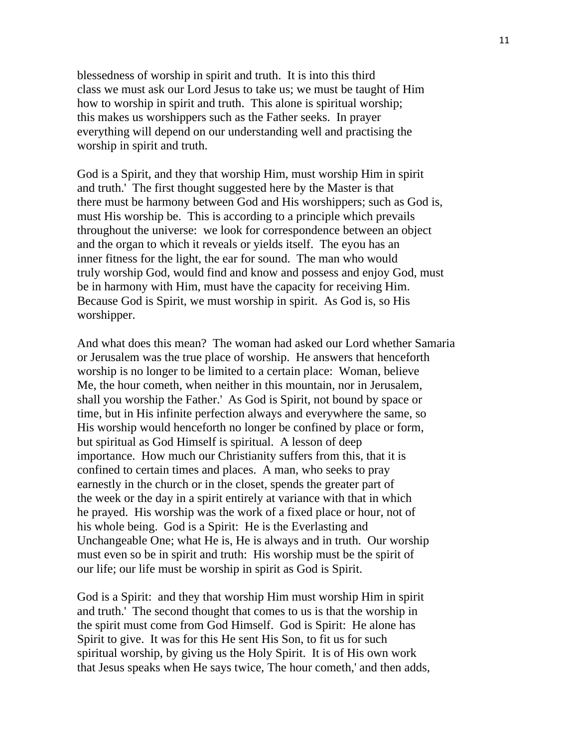blessedness of worship in spirit and truth. It is into this third class we must ask our Lord Jesus to take us; we must be taught of Him how to worship in spirit and truth. This alone is spiritual worship; this makes us worshippers such as the Father seeks. In prayer everything will depend on our understanding well and practising the worship in spirit and truth.

 God is a Spirit, and they that worship Him, must worship Him in spirit and truth.' The first thought suggested here by the Master is that there must be harmony between God and His worshippers; such as God is, must His worship be. This is according to a principle which prevails throughout the universe: we look for correspondence between an object and the organ to which it reveals or yields itself. The eyou has an inner fitness for the light, the ear for sound. The man who would truly worship God, would find and know and possess and enjoy God, must be in harmony with Him, must have the capacity for receiving Him. Because God is Spirit, we must worship in spirit. As God is, so His worshipper.

 And what does this mean? The woman had asked our Lord whether Samaria or Jerusalem was the true place of worship. He answers that henceforth worship is no longer to be limited to a certain place: Woman, believe Me, the hour cometh, when neither in this mountain, nor in Jerusalem, shall you worship the Father.' As God is Spirit, not bound by space or time, but in His infinite perfection always and everywhere the same, so His worship would henceforth no longer be confined by place or form, but spiritual as God Himself is spiritual. A lesson of deep importance. How much our Christianity suffers from this, that it is confined to certain times and places. A man, who seeks to pray earnestly in the church or in the closet, spends the greater part of the week or the day in a spirit entirely at variance with that in which he prayed. His worship was the work of a fixed place or hour, not of his whole being. God is a Spirit: He is the Everlasting and Unchangeable One; what He is, He is always and in truth. Our worship must even so be in spirit and truth: His worship must be the spirit of our life; our life must be worship in spirit as God is Spirit.

 God is a Spirit: and they that worship Him must worship Him in spirit and truth.' The second thought that comes to us is that the worship in the spirit must come from God Himself. God is Spirit: He alone has Spirit to give. It was for this He sent His Son, to fit us for such spiritual worship, by giving us the Holy Spirit. It is of His own work that Jesus speaks when He says twice, The hour cometh,' and then adds,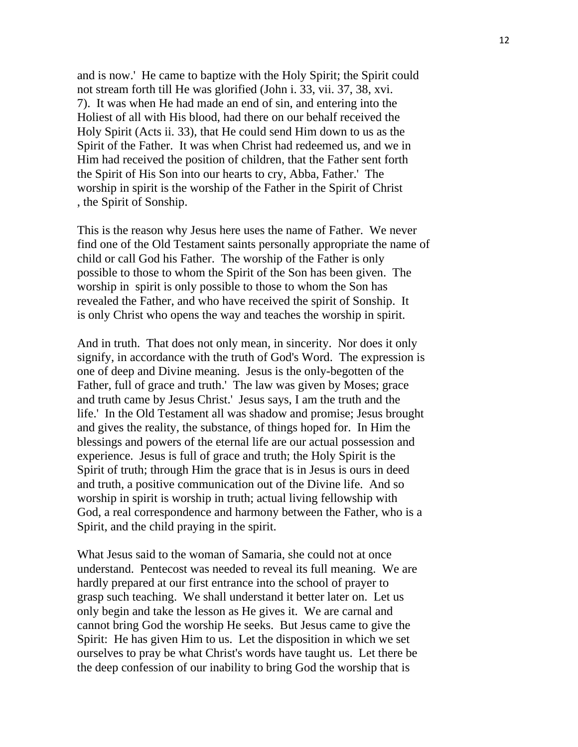and is now.' He came to baptize with the Holy Spirit; the Spirit could not stream forth till He was glorified (John i. 33, vii. 37, 38, xvi. 7). It was when He had made an end of sin, and entering into the Holiest of all with His blood, had there on our behalf received the Holy Spirit (Acts ii. 33), that He could send Him down to us as the Spirit of the Father. It was when Christ had redeemed us, and we in Him had received the position of children, that the Father sent forth the Spirit of His Son into our hearts to cry, Abba, Father.' The worship in spirit is the worship of the Father in the Spirit of Christ , the Spirit of Sonship.

 This is the reason why Jesus here uses the name of Father. We never find one of the Old Testament saints personally appropriate the name of child or call God his Father. The worship of the Father is only possible to those to whom the Spirit of the Son has been given. The worship in spirit is only possible to those to whom the Son has revealed the Father, and who have received the spirit of Sonship. It is only Christ who opens the way and teaches the worship in spirit.

 And in truth. That does not only mean, in sincerity. Nor does it only signify, in accordance with the truth of God's Word. The expression is one of deep and Divine meaning. Jesus is the only-begotten of the Father, full of grace and truth.' The law was given by Moses; grace and truth came by Jesus Christ.' Jesus says, I am the truth and the life.' In the Old Testament all was shadow and promise; Jesus brought and gives the reality, the substance, of things hoped for. In Him the blessings and powers of the eternal life are our actual possession and experience. Jesus is full of grace and truth; the Holy Spirit is the Spirit of truth; through Him the grace that is in Jesus is ours in deed and truth, a positive communication out of the Divine life. And so worship in spirit is worship in truth; actual living fellowship with God, a real correspondence and harmony between the Father, who is a Spirit, and the child praying in the spirit.

 What Jesus said to the woman of Samaria, she could not at once understand. Pentecost was needed to reveal its full meaning. We are hardly prepared at our first entrance into the school of prayer to grasp such teaching. We shall understand it better later on. Let us only begin and take the lesson as He gives it. We are carnal and cannot bring God the worship He seeks. But Jesus came to give the Spirit: He has given Him to us. Let the disposition in which we set ourselves to pray be what Christ's words have taught us. Let there be the deep confession of our inability to bring God the worship that is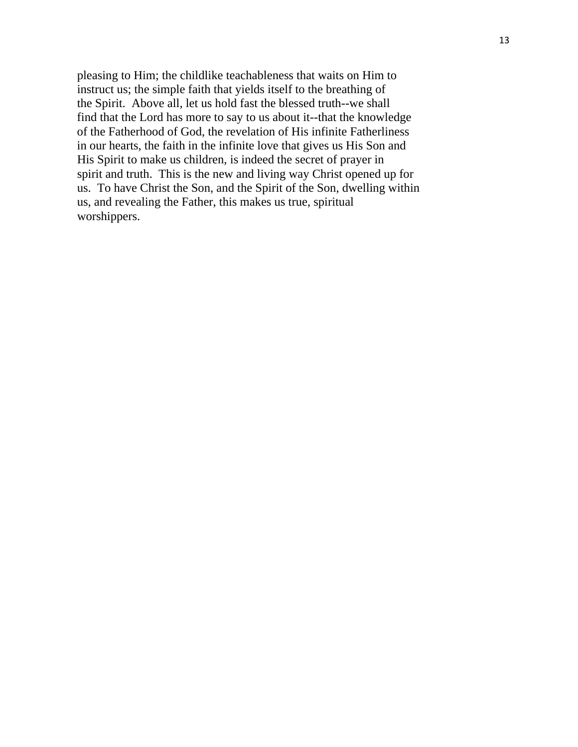pleasing to Him; the childlike teachableness that waits on Him to instruct us; the simple faith that yields itself to the breathing of the Spirit. Above all, let us hold fast the blessed truth--we shall find that the Lord has more to say to us about it--that the knowledge of the Fatherhood of God, the revelation of His infinite Fatherliness in our hearts, the faith in the infinite love that gives us His Son and His Spirit to make us children, is indeed the secret of prayer in spirit and truth. This is the new and living way Christ opened up for us. To have Christ the Son, and the Spirit of the Son, dwelling within us, and revealing the Father, this makes us true, spiritual worshippers.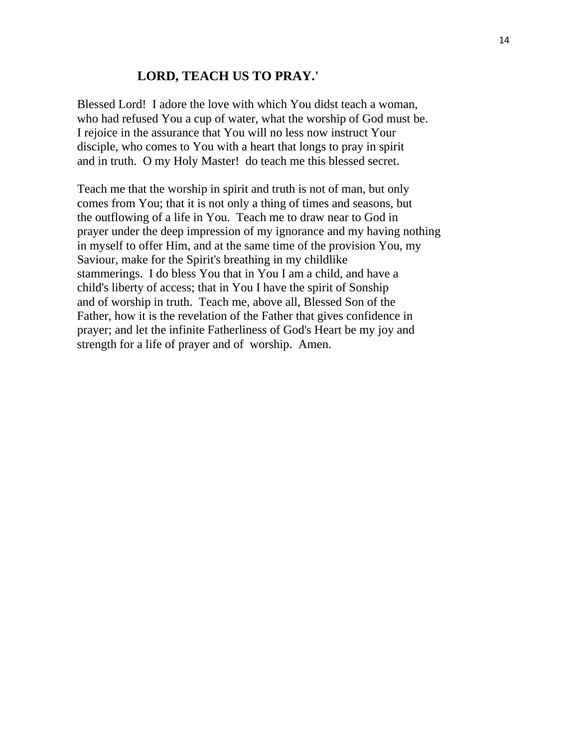## **LORD, TEACH US TO PRAY.'**

 Blessed Lord! I adore the love with which You didst teach a woman, who had refused You a cup of water, what the worship of God must be. I rejoice in the assurance that You will no less now instruct Your disciple, who comes to You with a heart that longs to pray in spirit and in truth. O my Holy Master! do teach me this blessed secret.

 Teach me that the worship in spirit and truth is not of man, but only comes from You; that it is not only a thing of times and seasons, but the outflowing of a life in You. Teach me to draw near to God in prayer under the deep impression of my ignorance and my having nothing in myself to offer Him, and at the same time of the provision You, my Saviour, make for the Spirit's breathing in my childlike stammerings. I do bless You that in You I am a child, and have a child's liberty of access; that in You I have the spirit of Sonship and of worship in truth. Teach me, above all, Blessed Son of the Father, how it is the revelation of the Father that gives confidence in prayer; and let the infinite Fatherliness of God's Heart be my joy and strength for a life of prayer and of worship. Amen.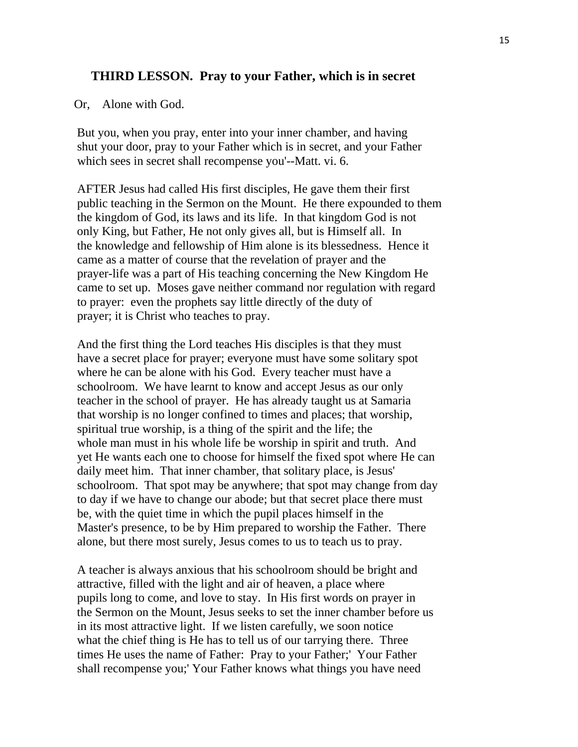## **THIRD LESSON. Pray to your Father, which is in secret**

Or, Alone with God.

 But you, when you pray, enter into your inner chamber, and having shut your door, pray to your Father which is in secret, and your Father which sees in secret shall recompense you'--Matt. vi. 6.

 AFTER Jesus had called His first disciples, He gave them their first public teaching in the Sermon on the Mount. He there expounded to them the kingdom of God, its laws and its life. In that kingdom God is not only King, but Father, He not only gives all, but is Himself all. In the knowledge and fellowship of Him alone is its blessedness. Hence it came as a matter of course that the revelation of prayer and the prayer-life was a part of His teaching concerning the New Kingdom He came to set up. Moses gave neither command nor regulation with regard to prayer: even the prophets say little directly of the duty of prayer; it is Christ who teaches to pray.

 And the first thing the Lord teaches His disciples is that they must have a secret place for prayer; everyone must have some solitary spot where he can be alone with his God. Every teacher must have a schoolroom. We have learnt to know and accept Jesus as our only teacher in the school of prayer. He has already taught us at Samaria that worship is no longer confined to times and places; that worship, spiritual true worship, is a thing of the spirit and the life; the whole man must in his whole life be worship in spirit and truth. And yet He wants each one to choose for himself the fixed spot where He can daily meet him. That inner chamber, that solitary place, is Jesus' schoolroom. That spot may be anywhere; that spot may change from day to day if we have to change our abode; but that secret place there must be, with the quiet time in which the pupil places himself in the Master's presence, to be by Him prepared to worship the Father. There alone, but there most surely, Jesus comes to us to teach us to pray.

 A teacher is always anxious that his schoolroom should be bright and attractive, filled with the light and air of heaven, a place where pupils long to come, and love to stay. In His first words on prayer in the Sermon on the Mount, Jesus seeks to set the inner chamber before us in its most attractive light. If we listen carefully, we soon notice what the chief thing is He has to tell us of our tarrying there. Three times He uses the name of Father: Pray to your Father;' Your Father shall recompense you;' Your Father knows what things you have need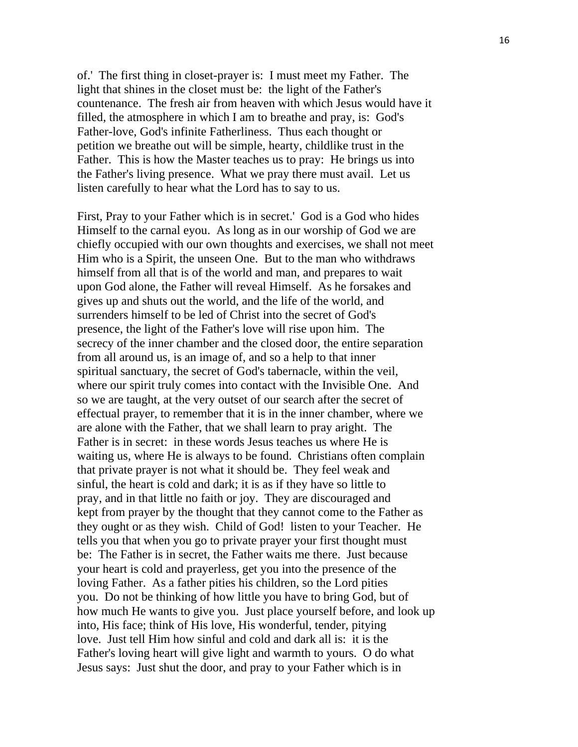of.' The first thing in closet-prayer is: I must meet my Father. The light that shines in the closet must be: the light of the Father's countenance. The fresh air from heaven with which Jesus would have it filled, the atmosphere in which I am to breathe and pray, is: God's Father-love, God's infinite Fatherliness. Thus each thought or petition we breathe out will be simple, hearty, childlike trust in the Father. This is how the Master teaches us to pray: He brings us into the Father's living presence. What we pray there must avail. Let us listen carefully to hear what the Lord has to say to us.

 First, Pray to your Father which is in secret.' God is a God who hides Himself to the carnal eyou. As long as in our worship of God we are chiefly occupied with our own thoughts and exercises, we shall not meet Him who is a Spirit, the unseen One. But to the man who withdraws himself from all that is of the world and man, and prepares to wait upon God alone, the Father will reveal Himself. As he forsakes and gives up and shuts out the world, and the life of the world, and surrenders himself to be led of Christ into the secret of God's presence, the light of the Father's love will rise upon him. The secrecy of the inner chamber and the closed door, the entire separation from all around us, is an image of, and so a help to that inner spiritual sanctuary, the secret of God's tabernacle, within the veil, where our spirit truly comes into contact with the Invisible One. And so we are taught, at the very outset of our search after the secret of effectual prayer, to remember that it is in the inner chamber, where we are alone with the Father, that we shall learn to pray aright. The Father is in secret: in these words Jesus teaches us where He is waiting us, where He is always to be found. Christians often complain that private prayer is not what it should be. They feel weak and sinful, the heart is cold and dark; it is as if they have so little to pray, and in that little no faith or joy. They are discouraged and kept from prayer by the thought that they cannot come to the Father as they ought or as they wish. Child of God! listen to your Teacher. He tells you that when you go to private prayer your first thought must be: The Father is in secret, the Father waits me there. Just because your heart is cold and prayerless, get you into the presence of the loving Father. As a father pities his children, so the Lord pities you. Do not be thinking of how little you have to bring God, but of how much He wants to give you. Just place yourself before, and look up into, His face; think of His love, His wonderful, tender, pitying love. Just tell Him how sinful and cold and dark all is: it is the Father's loving heart will give light and warmth to yours. O do what Jesus says: Just shut the door, and pray to your Father which is in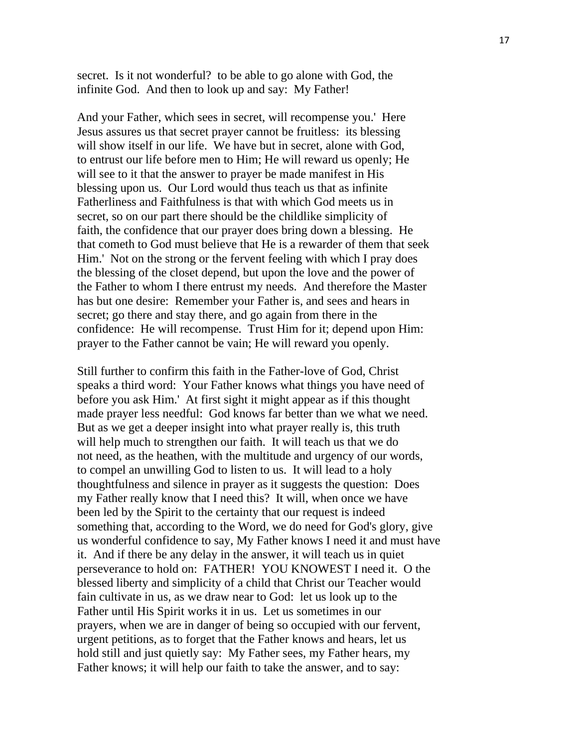secret. Is it not wonderful? to be able to go alone with God, the infinite God. And then to look up and say: My Father!

 And your Father, which sees in secret, will recompense you.' Here Jesus assures us that secret prayer cannot be fruitless: its blessing will show itself in our life. We have but in secret, alone with God, to entrust our life before men to Him; He will reward us openly; He will see to it that the answer to prayer be made manifest in His blessing upon us. Our Lord would thus teach us that as infinite Fatherliness and Faithfulness is that with which God meets us in secret, so on our part there should be the childlike simplicity of faith, the confidence that our prayer does bring down a blessing. He that cometh to God must believe that He is a rewarder of them that seek Him.' Not on the strong or the fervent feeling with which I pray does the blessing of the closet depend, but upon the love and the power of the Father to whom I there entrust my needs. And therefore the Master has but one desire: Remember your Father is, and sees and hears in secret; go there and stay there, and go again from there in the confidence: He will recompense. Trust Him for it; depend upon Him: prayer to the Father cannot be vain; He will reward you openly.

 Still further to confirm this faith in the Father-love of God, Christ speaks a third word: Your Father knows what things you have need of before you ask Him.' At first sight it might appear as if this thought made prayer less needful: God knows far better than we what we need. But as we get a deeper insight into what prayer really is, this truth will help much to strengthen our faith. It will teach us that we do not need, as the heathen, with the multitude and urgency of our words, to compel an unwilling God to listen to us. It will lead to a holy thoughtfulness and silence in prayer as it suggests the question: Does my Father really know that I need this? It will, when once we have been led by the Spirit to the certainty that our request is indeed something that, according to the Word, we do need for God's glory, give us wonderful confidence to say, My Father knows I need it and must have it. And if there be any delay in the answer, it will teach us in quiet perseverance to hold on: FATHER! YOU KNOWEST I need it. O the blessed liberty and simplicity of a child that Christ our Teacher would fain cultivate in us, as we draw near to God: let us look up to the Father until His Spirit works it in us. Let us sometimes in our prayers, when we are in danger of being so occupied with our fervent, urgent petitions, as to forget that the Father knows and hears, let us hold still and just quietly say: My Father sees, my Father hears, my Father knows; it will help our faith to take the answer, and to say: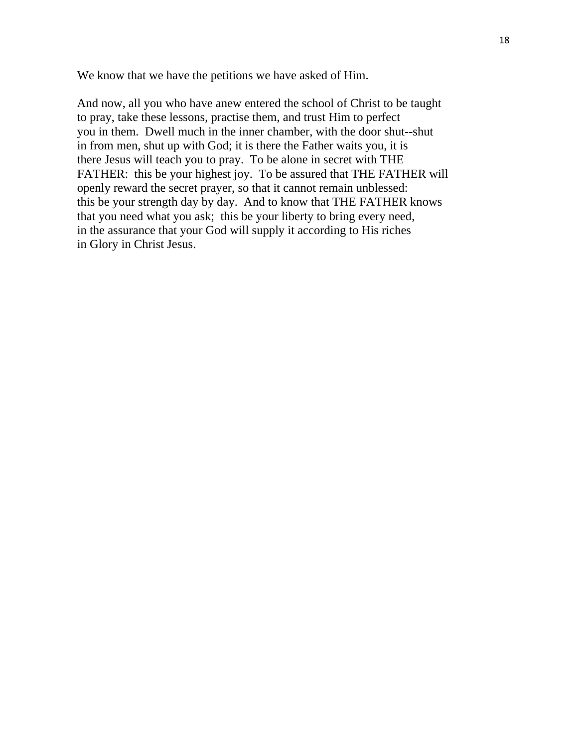We know that we have the petitions we have asked of Him.

 And now, all you who have anew entered the school of Christ to be taught to pray, take these lessons, practise them, and trust Him to perfect you in them. Dwell much in the inner chamber, with the door shut--shut in from men, shut up with God; it is there the Father waits you, it is there Jesus will teach you to pray. To be alone in secret with THE FATHER: this be your highest joy. To be assured that THE FATHER will openly reward the secret prayer, so that it cannot remain unblessed: this be your strength day by day. And to know that THE FATHER knows that you need what you ask; this be your liberty to bring every need, in the assurance that your God will supply it according to His riches in Glory in Christ Jesus.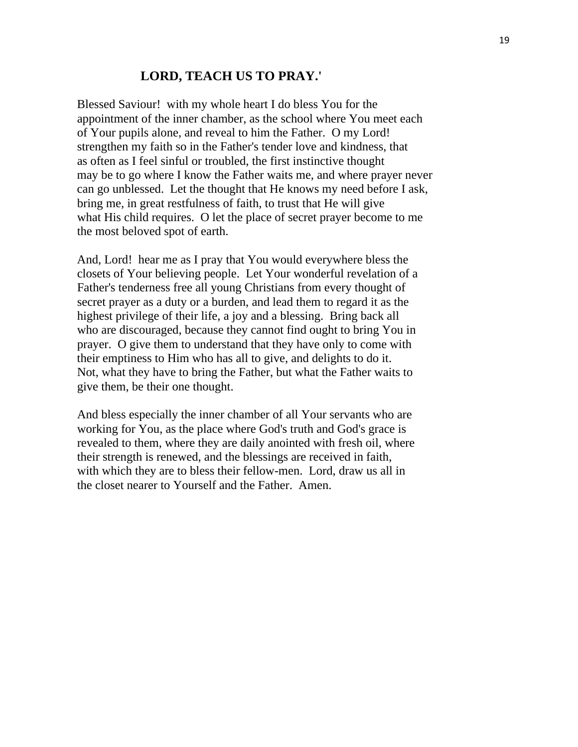## **LORD, TEACH US TO PRAY.'**

 Blessed Saviour! with my whole heart I do bless You for the appointment of the inner chamber, as the school where You meet each of Your pupils alone, and reveal to him the Father. O my Lord! strengthen my faith so in the Father's tender love and kindness, that as often as I feel sinful or troubled, the first instinctive thought may be to go where I know the Father waits me, and where prayer never can go unblessed. Let the thought that He knows my need before I ask, bring me, in great restfulness of faith, to trust that He will give what His child requires. O let the place of secret prayer become to me the most beloved spot of earth.

 And, Lord! hear me as I pray that You would everywhere bless the closets of Your believing people. Let Your wonderful revelation of a Father's tenderness free all young Christians from every thought of secret prayer as a duty or a burden, and lead them to regard it as the highest privilege of their life, a joy and a blessing. Bring back all who are discouraged, because they cannot find ought to bring You in prayer. O give them to understand that they have only to come with their emptiness to Him who has all to give, and delights to do it. Not, what they have to bring the Father, but what the Father waits to give them, be their one thought.

 And bless especially the inner chamber of all Your servants who are working for You, as the place where God's truth and God's grace is revealed to them, where they are daily anointed with fresh oil, where their strength is renewed, and the blessings are received in faith, with which they are to bless their fellow-men. Lord, draw us all in the closet nearer to Yourself and the Father. Amen.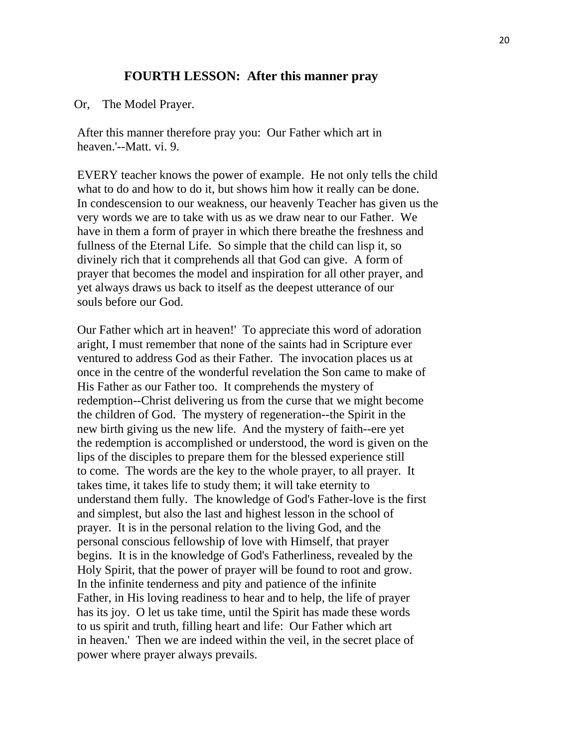#### **FOURTH LESSON: After this manner pray**

Or, The Model Prayer.

 After this manner therefore pray you: Our Father which art in heaven.'--Matt. vi. 9.

 EVERY teacher knows the power of example. He not only tells the child what to do and how to do it, but shows him how it really can be done. In condescension to our weakness, our heavenly Teacher has given us the very words we are to take with us as we draw near to our Father. We have in them a form of prayer in which there breathe the freshness and fullness of the Eternal Life. So simple that the child can lisp it, so divinely rich that it comprehends all that God can give. A form of prayer that becomes the model and inspiration for all other prayer, and yet always draws us back to itself as the deepest utterance of our souls before our God.

 Our Father which art in heaven!' To appreciate this word of adoration aright, I must remember that none of the saints had in Scripture ever ventured to address God as their Father. The invocation places us at once in the centre of the wonderful revelation the Son came to make of His Father as our Father too. It comprehends the mystery of redemption--Christ delivering us from the curse that we might become the children of God. The mystery of regeneration--the Spirit in the new birth giving us the new life. And the mystery of faith--ere yet the redemption is accomplished or understood, the word is given on the lips of the disciples to prepare them for the blessed experience still to come. The words are the key to the whole prayer, to all prayer. It takes time, it takes life to study them; it will take eternity to understand them fully. The knowledge of God's Father-love is the first and simplest, but also the last and highest lesson in the school of prayer. It is in the personal relation to the living God, and the personal conscious fellowship of love with Himself, that prayer begins. It is in the knowledge of God's Fatherliness, revealed by the Holy Spirit, that the power of prayer will be found to root and grow. In the infinite tenderness and pity and patience of the infinite Father, in His loving readiness to hear and to help, the life of prayer has its joy. O let us take time, until the Spirit has made these words to us spirit and truth, filling heart and life: Our Father which art in heaven.' Then we are indeed within the veil, in the secret place of power where prayer always prevails.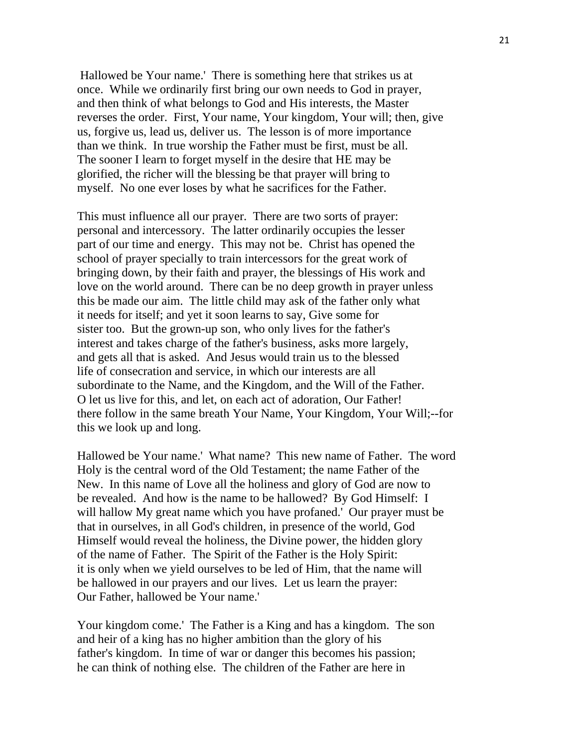Hallowed be Your name.' There is something here that strikes us at once. While we ordinarily first bring our own needs to God in prayer, and then think of what belongs to God and His interests, the Master reverses the order. First, Your name, Your kingdom, Your will; then, give us, forgive us, lead us, deliver us. The lesson is of more importance than we think. In true worship the Father must be first, must be all. The sooner I learn to forget myself in the desire that HE may be glorified, the richer will the blessing be that prayer will bring to myself. No one ever loses by what he sacrifices for the Father.

 This must influence all our prayer. There are two sorts of prayer: personal and intercessory. The latter ordinarily occupies the lesser part of our time and energy. This may not be. Christ has opened the school of prayer specially to train intercessors for the great work of bringing down, by their faith and prayer, the blessings of His work and love on the world around. There can be no deep growth in prayer unless this be made our aim. The little child may ask of the father only what it needs for itself; and yet it soon learns to say, Give some for sister too. But the grown-up son, who only lives for the father's interest and takes charge of the father's business, asks more largely, and gets all that is asked. And Jesus would train us to the blessed life of consecration and service, in which our interests are all subordinate to the Name, and the Kingdom, and the Will of the Father. O let us live for this, and let, on each act of adoration, Our Father! there follow in the same breath Your Name, Your Kingdom, Your Will;--for this we look up and long.

 Hallowed be Your name.' What name? This new name of Father. The word Holy is the central word of the Old Testament; the name Father of the New. In this name of Love all the holiness and glory of God are now to be revealed. And how is the name to be hallowed? By God Himself: I will hallow My great name which you have profaned.' Our prayer must be that in ourselves, in all God's children, in presence of the world, God Himself would reveal the holiness, the Divine power, the hidden glory of the name of Father. The Spirit of the Father is the Holy Spirit: it is only when we yield ourselves to be led of Him, that the name will be hallowed in our prayers and our lives. Let us learn the prayer: Our Father, hallowed be Your name.'

 Your kingdom come.' The Father is a King and has a kingdom. The son and heir of a king has no higher ambition than the glory of his father's kingdom. In time of war or danger this becomes his passion; he can think of nothing else. The children of the Father are here in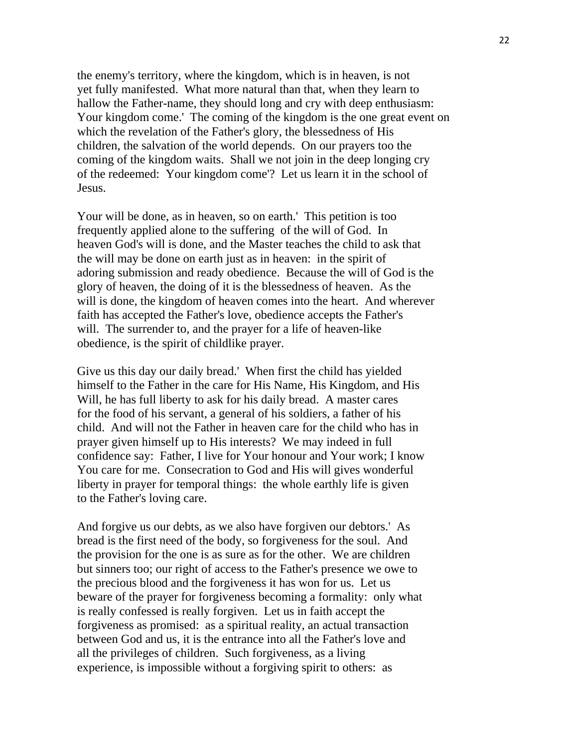the enemy's territory, where the kingdom, which is in heaven, is not yet fully manifested. What more natural than that, when they learn to hallow the Father-name, they should long and cry with deep enthusiasm: Your kingdom come.' The coming of the kingdom is the one great event on which the revelation of the Father's glory, the blessedness of His children, the salvation of the world depends. On our prayers too the coming of the kingdom waits. Shall we not join in the deep longing cry of the redeemed: Your kingdom come'? Let us learn it in the school of Jesus.

 Your will be done, as in heaven, so on earth.' This petition is too frequently applied alone to the suffering of the will of God. In heaven God's will is done, and the Master teaches the child to ask that the will may be done on earth just as in heaven: in the spirit of adoring submission and ready obedience. Because the will of God is the glory of heaven, the doing of it is the blessedness of heaven. As the will is done, the kingdom of heaven comes into the heart. And wherever faith has accepted the Father's love, obedience accepts the Father's will. The surrender to, and the prayer for a life of heaven-like obedience, is the spirit of childlike prayer.

 Give us this day our daily bread.' When first the child has yielded himself to the Father in the care for His Name, His Kingdom, and His Will, he has full liberty to ask for his daily bread. A master cares for the food of his servant, a general of his soldiers, a father of his child. And will not the Father in heaven care for the child who has in prayer given himself up to His interests? We may indeed in full confidence say: Father, I live for Your honour and Your work; I know You care for me. Consecration to God and His will gives wonderful liberty in prayer for temporal things: the whole earthly life is given to the Father's loving care.

 And forgive us our debts, as we also have forgiven our debtors.' As bread is the first need of the body, so forgiveness for the soul. And the provision for the one is as sure as for the other. We are children but sinners too; our right of access to the Father's presence we owe to the precious blood and the forgiveness it has won for us. Let us beware of the prayer for forgiveness becoming a formality: only what is really confessed is really forgiven. Let us in faith accept the forgiveness as promised: as a spiritual reality, an actual transaction between God and us, it is the entrance into all the Father's love and all the privileges of children. Such forgiveness, as a living experience, is impossible without a forgiving spirit to others: as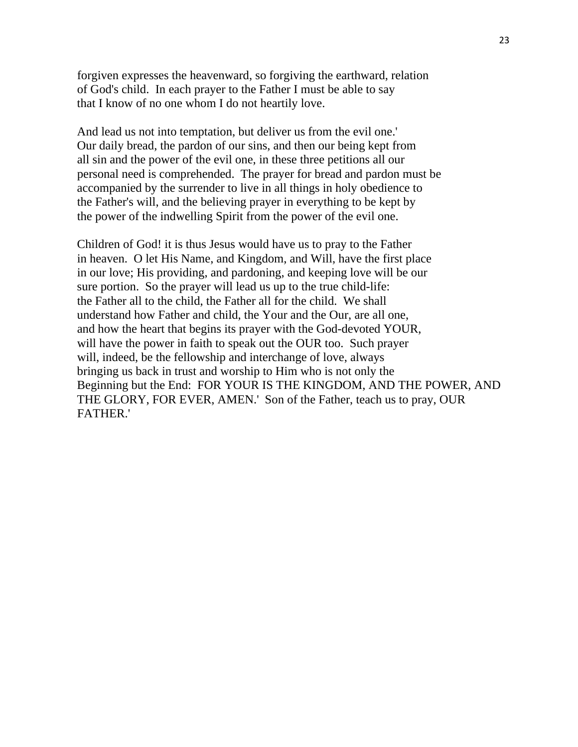forgiven expresses the heavenward, so forgiving the earthward, relation of God's child. In each prayer to the Father I must be able to say that I know of no one whom I do not heartily love.

 And lead us not into temptation, but deliver us from the evil one.' Our daily bread, the pardon of our sins, and then our being kept from all sin and the power of the evil one, in these three petitions all our personal need is comprehended. The prayer for bread and pardon must be accompanied by the surrender to live in all things in holy obedience to the Father's will, and the believing prayer in everything to be kept by the power of the indwelling Spirit from the power of the evil one.

 Children of God! it is thus Jesus would have us to pray to the Father in heaven. O let His Name, and Kingdom, and Will, have the first place in our love; His providing, and pardoning, and keeping love will be our sure portion. So the prayer will lead us up to the true child-life: the Father all to the child, the Father all for the child. We shall understand how Father and child, the Your and the Our, are all one, and how the heart that begins its prayer with the God-devoted YOUR, will have the power in faith to speak out the OUR too. Such prayer will, indeed, be the fellowship and interchange of love, always bringing us back in trust and worship to Him who is not only the Beginning but the End: FOR YOUR IS THE KINGDOM, AND THE POWER, AND THE GLORY, FOR EVER, AMEN.' Son of the Father, teach us to pray, OUR FATHER.'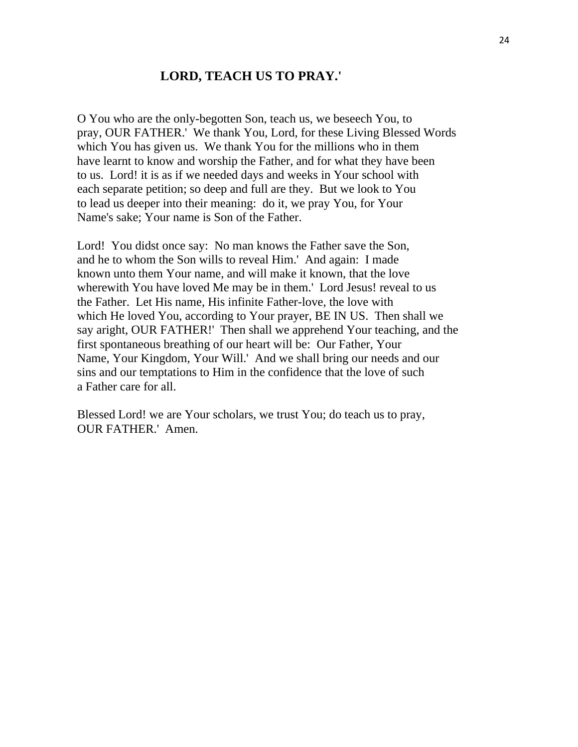## **LORD, TEACH US TO PRAY.'**

 O You who are the only-begotten Son, teach us, we beseech You, to pray, OUR FATHER.' We thank You, Lord, for these Living Blessed Words which You has given us. We thank You for the millions who in them have learnt to know and worship the Father, and for what they have been to us. Lord! it is as if we needed days and weeks in Your school with each separate petition; so deep and full are they. But we look to You to lead us deeper into their meaning: do it, we pray You, for Your Name's sake; Your name is Son of the Father.

 Lord! You didst once say: No man knows the Father save the Son, and he to whom the Son wills to reveal Him.' And again: I made known unto them Your name, and will make it known, that the love wherewith You have loved Me may be in them.' Lord Jesus! reveal to us the Father. Let His name, His infinite Father-love, the love with which He loved You, according to Your prayer, BE IN US. Then shall we say aright, OUR FATHER!' Then shall we apprehend Your teaching, and the first spontaneous breathing of our heart will be: Our Father, Your Name, Your Kingdom, Your Will.' And we shall bring our needs and our sins and our temptations to Him in the confidence that the love of such a Father care for all.

 Blessed Lord! we are Your scholars, we trust You; do teach us to pray, OUR FATHER.' Amen.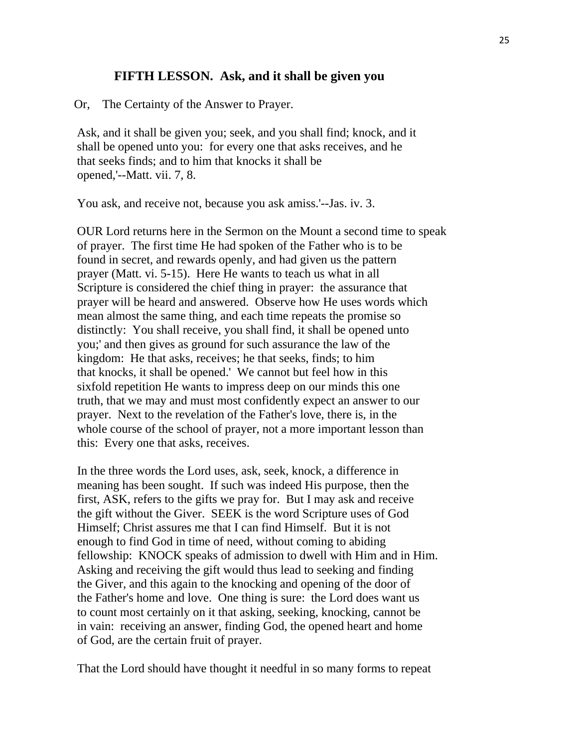## **FIFTH LESSON. Ask, and it shall be given you**

Or, The Certainty of the Answer to Prayer.

 Ask, and it shall be given you; seek, and you shall find; knock, and it shall be opened unto you: for every one that asks receives, and he that seeks finds; and to him that knocks it shall be opened,'--Matt. vii. 7, 8.

You ask, and receive not, because you ask amiss.'--Jas. iv. 3.

 OUR Lord returns here in the Sermon on the Mount a second time to speak of prayer. The first time He had spoken of the Father who is to be found in secret, and rewards openly, and had given us the pattern prayer (Matt. vi. 5-15). Here He wants to teach us what in all Scripture is considered the chief thing in prayer: the assurance that prayer will be heard and answered. Observe how He uses words which mean almost the same thing, and each time repeats the promise so distinctly: You shall receive, you shall find, it shall be opened unto you;' and then gives as ground for such assurance the law of the kingdom: He that asks, receives; he that seeks, finds; to him that knocks, it shall be opened.' We cannot but feel how in this sixfold repetition He wants to impress deep on our minds this one truth, that we may and must most confidently expect an answer to our prayer. Next to the revelation of the Father's love, there is, in the whole course of the school of prayer, not a more important lesson than this: Every one that asks, receives.

 In the three words the Lord uses, ask, seek, knock, a difference in meaning has been sought. If such was indeed His purpose, then the first, ASK, refers to the gifts we pray for. But I may ask and receive the gift without the Giver. SEEK is the word Scripture uses of God Himself; Christ assures me that I can find Himself. But it is not enough to find God in time of need, without coming to abiding fellowship: KNOCK speaks of admission to dwell with Him and in Him. Asking and receiving the gift would thus lead to seeking and finding the Giver, and this again to the knocking and opening of the door of the Father's home and love. One thing is sure: the Lord does want us to count most certainly on it that asking, seeking, knocking, cannot be in vain: receiving an answer, finding God, the opened heart and home of God, are the certain fruit of prayer.

That the Lord should have thought it needful in so many forms to repeat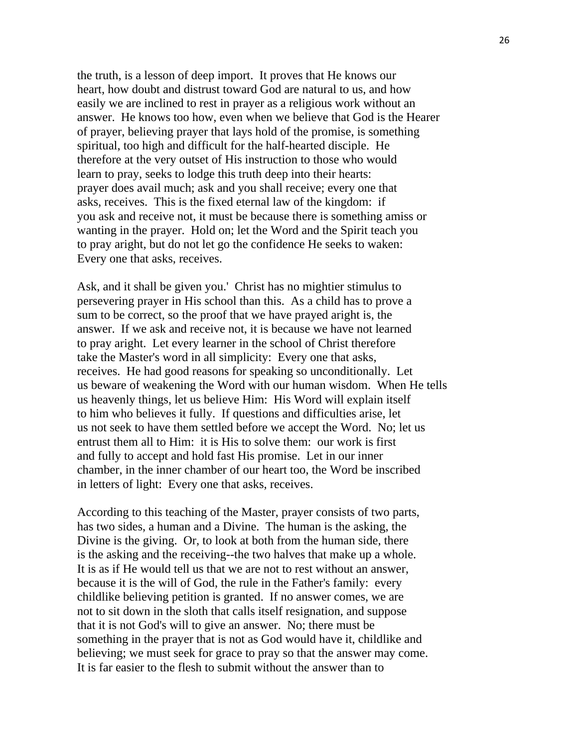the truth, is a lesson of deep import. It proves that He knows our heart, how doubt and distrust toward God are natural to us, and how easily we are inclined to rest in prayer as a religious work without an answer. He knows too how, even when we believe that God is the Hearer of prayer, believing prayer that lays hold of the promise, is something spiritual, too high and difficult for the half-hearted disciple. He therefore at the very outset of His instruction to those who would learn to pray, seeks to lodge this truth deep into their hearts: prayer does avail much; ask and you shall receive; every one that asks, receives. This is the fixed eternal law of the kingdom: if you ask and receive not, it must be because there is something amiss or wanting in the prayer. Hold on; let the Word and the Spirit teach you to pray aright, but do not let go the confidence He seeks to waken: Every one that asks, receives.

 Ask, and it shall be given you.' Christ has no mightier stimulus to persevering prayer in His school than this. As a child has to prove a sum to be correct, so the proof that we have prayed aright is, the answer. If we ask and receive not, it is because we have not learned to pray aright. Let every learner in the school of Christ therefore take the Master's word in all simplicity: Every one that asks, receives. He had good reasons for speaking so unconditionally. Let us beware of weakening the Word with our human wisdom. When He tells us heavenly things, let us believe Him: His Word will explain itself to him who believes it fully. If questions and difficulties arise, let us not seek to have them settled before we accept the Word. No; let us entrust them all to Him: it is His to solve them: our work is first and fully to accept and hold fast His promise. Let in our inner chamber, in the inner chamber of our heart too, the Word be inscribed in letters of light: Every one that asks, receives.

 According to this teaching of the Master, prayer consists of two parts, has two sides, a human and a Divine. The human is the asking, the Divine is the giving. Or, to look at both from the human side, there is the asking and the receiving--the two halves that make up a whole. It is as if He would tell us that we are not to rest without an answer, because it is the will of God, the rule in the Father's family: every childlike believing petition is granted. If no answer comes, we are not to sit down in the sloth that calls itself resignation, and suppose that it is not God's will to give an answer. No; there must be something in the prayer that is not as God would have it, childlike and believing; we must seek for grace to pray so that the answer may come. It is far easier to the flesh to submit without the answer than to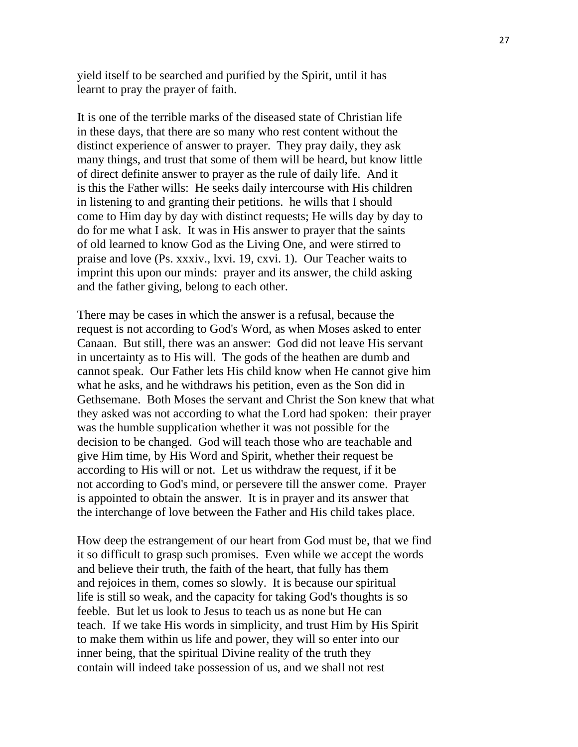yield itself to be searched and purified by the Spirit, until it has learnt to pray the prayer of faith.

 It is one of the terrible marks of the diseased state of Christian life in these days, that there are so many who rest content without the distinct experience of answer to prayer. They pray daily, they ask many things, and trust that some of them will be heard, but know little of direct definite answer to prayer as the rule of daily life. And it is this the Father wills: He seeks daily intercourse with His children in listening to and granting their petitions. he wills that I should come to Him day by day with distinct requests; He wills day by day to do for me what I ask. It was in His answer to prayer that the saints of old learned to know God as the Living One, and were stirred to praise and love (Ps. xxxiv., lxvi. 19, cxvi. 1). Our Teacher waits to imprint this upon our minds: prayer and its answer, the child asking and the father giving, belong to each other.

 There may be cases in which the answer is a refusal, because the request is not according to God's Word, as when Moses asked to enter Canaan. But still, there was an answer: God did not leave His servant in uncertainty as to His will. The gods of the heathen are dumb and cannot speak. Our Father lets His child know when He cannot give him what he asks, and he withdraws his petition, even as the Son did in Gethsemane. Both Moses the servant and Christ the Son knew that what they asked was not according to what the Lord had spoken: their prayer was the humble supplication whether it was not possible for the decision to be changed. God will teach those who are teachable and give Him time, by His Word and Spirit, whether their request be according to His will or not. Let us withdraw the request, if it be not according to God's mind, or persevere till the answer come. Prayer is appointed to obtain the answer. It is in prayer and its answer that the interchange of love between the Father and His child takes place.

 How deep the estrangement of our heart from God must be, that we find it so difficult to grasp such promises. Even while we accept the words and believe their truth, the faith of the heart, that fully has them and rejoices in them, comes so slowly. It is because our spiritual life is still so weak, and the capacity for taking God's thoughts is so feeble. But let us look to Jesus to teach us as none but He can teach. If we take His words in simplicity, and trust Him by His Spirit to make them within us life and power, they will so enter into our inner being, that the spiritual Divine reality of the truth they contain will indeed take possession of us, and we shall not rest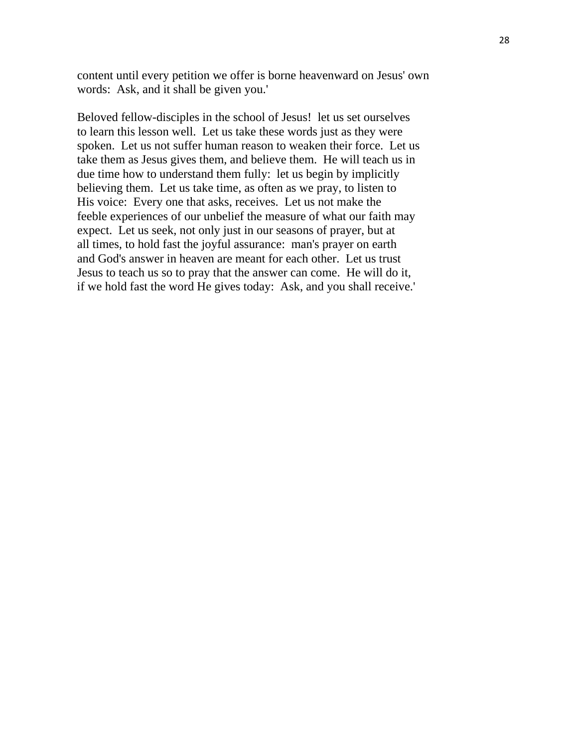content until every petition we offer is borne heavenward on Jesus' own words: Ask, and it shall be given you.'

 Beloved fellow-disciples in the school of Jesus! let us set ourselves to learn this lesson well. Let us take these words just as they were spoken. Let us not suffer human reason to weaken their force. Let us take them as Jesus gives them, and believe them. He will teach us in due time how to understand them fully: let us begin by implicitly believing them. Let us take time, as often as we pray, to listen to His voice: Every one that asks, receives. Let us not make the feeble experiences of our unbelief the measure of what our faith may expect. Let us seek, not only just in our seasons of prayer, but at all times, to hold fast the joyful assurance: man's prayer on earth and God's answer in heaven are meant for each other. Let us trust Jesus to teach us so to pray that the answer can come. He will do it, if we hold fast the word He gives today: Ask, and you shall receive.'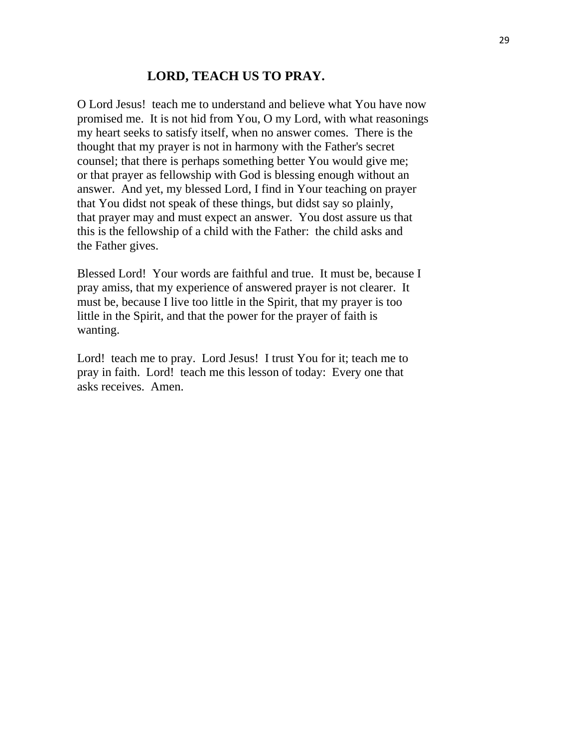## **LORD, TEACH US TO PRAY.**

 O Lord Jesus! teach me to understand and believe what You have now promised me. It is not hid from You, O my Lord, with what reasonings my heart seeks to satisfy itself, when no answer comes. There is the thought that my prayer is not in harmony with the Father's secret counsel; that there is perhaps something better You would give me; or that prayer as fellowship with God is blessing enough without an answer. And yet, my blessed Lord, I find in Your teaching on prayer that You didst not speak of these things, but didst say so plainly, that prayer may and must expect an answer. You dost assure us that this is the fellowship of a child with the Father: the child asks and the Father gives.

 Blessed Lord! Your words are faithful and true. It must be, because I pray amiss, that my experience of answered prayer is not clearer. It must be, because I live too little in the Spirit, that my prayer is too little in the Spirit, and that the power for the prayer of faith is wanting.

Lord! teach me to pray. Lord Jesus! I trust You for it; teach me to pray in faith. Lord! teach me this lesson of today: Every one that asks receives. Amen.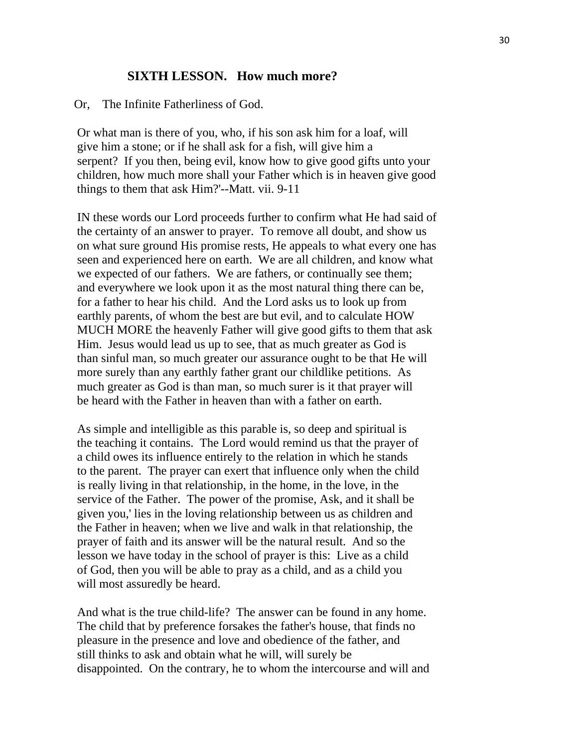#### **SIXTH LESSON. How much more?**

Or, The Infinite Fatherliness of God.

 Or what man is there of you, who, if his son ask him for a loaf, will give him a stone; or if he shall ask for a fish, will give him a serpent? If you then, being evil, know how to give good gifts unto your children, how much more shall your Father which is in heaven give good things to them that ask Him?'--Matt. vii. 9-11

 IN these words our Lord proceeds further to confirm what He had said of the certainty of an answer to prayer. To remove all doubt, and show us on what sure ground His promise rests, He appeals to what every one has seen and experienced here on earth. We are all children, and know what we expected of our fathers. We are fathers, or continually see them; and everywhere we look upon it as the most natural thing there can be, for a father to hear his child. And the Lord asks us to look up from earthly parents, of whom the best are but evil, and to calculate HOW MUCH MORE the heavenly Father will give good gifts to them that ask Him. Jesus would lead us up to see, that as much greater as God is than sinful man, so much greater our assurance ought to be that He will more surely than any earthly father grant our childlike petitions. As much greater as God is than man, so much surer is it that prayer will be heard with the Father in heaven than with a father on earth.

 As simple and intelligible as this parable is, so deep and spiritual is the teaching it contains. The Lord would remind us that the prayer of a child owes its influence entirely to the relation in which he stands to the parent. The prayer can exert that influence only when the child is really living in that relationship, in the home, in the love, in the service of the Father. The power of the promise, Ask, and it shall be given you,' lies in the loving relationship between us as children and the Father in heaven; when we live and walk in that relationship, the prayer of faith and its answer will be the natural result. And so the lesson we have today in the school of prayer is this: Live as a child of God, then you will be able to pray as a child, and as a child you will most assuredly be heard.

 And what is the true child-life? The answer can be found in any home. The child that by preference forsakes the father's house, that finds no pleasure in the presence and love and obedience of the father, and still thinks to ask and obtain what he will, will surely be disappointed. On the contrary, he to whom the intercourse and will and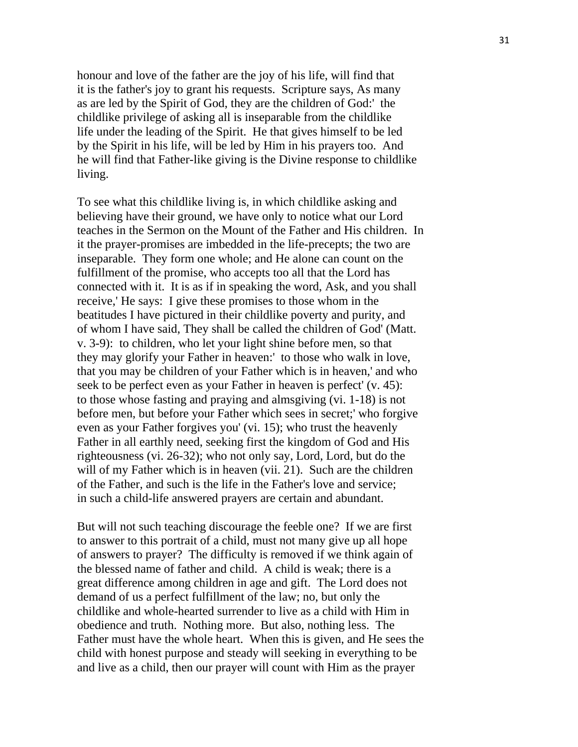honour and love of the father are the joy of his life, will find that it is the father's joy to grant his requests. Scripture says, As many as are led by the Spirit of God, they are the children of God:' the childlike privilege of asking all is inseparable from the childlike life under the leading of the Spirit. He that gives himself to be led by the Spirit in his life, will be led by Him in his prayers too. And he will find that Father-like giving is the Divine response to childlike living.

 To see what this childlike living is, in which childlike asking and believing have their ground, we have only to notice what our Lord teaches in the Sermon on the Mount of the Father and His children. In it the prayer-promises are imbedded in the life-precepts; the two are inseparable. They form one whole; and He alone can count on the fulfillment of the promise, who accepts too all that the Lord has connected with it. It is as if in speaking the word, Ask, and you shall receive,' He says: I give these promises to those whom in the beatitudes I have pictured in their childlike poverty and purity, and of whom I have said, They shall be called the children of God' (Matt. v. 3-9): to children, who let your light shine before men, so that they may glorify your Father in heaven:' to those who walk in love, that you may be children of your Father which is in heaven,' and who seek to be perfect even as your Father in heaven is perfect' (v. 45): to those whose fasting and praying and almsgiving (vi. 1-18) is not before men, but before your Father which sees in secret;' who forgive even as your Father forgives you' (vi. 15); who trust the heavenly Father in all earthly need, seeking first the kingdom of God and His righteousness (vi. 26-32); who not only say, Lord, Lord, but do the will of my Father which is in heaven (vii. 21). Such are the children of the Father, and such is the life in the Father's love and service; in such a child-life answered prayers are certain and abundant.

 But will not such teaching discourage the feeble one? If we are first to answer to this portrait of a child, must not many give up all hope of answers to prayer? The difficulty is removed if we think again of the blessed name of father and child. A child is weak; there is a great difference among children in age and gift. The Lord does not demand of us a perfect fulfillment of the law; no, but only the childlike and whole-hearted surrender to live as a child with Him in obedience and truth. Nothing more. But also, nothing less. The Father must have the whole heart. When this is given, and He sees the child with honest purpose and steady will seeking in everything to be and live as a child, then our prayer will count with Him as the prayer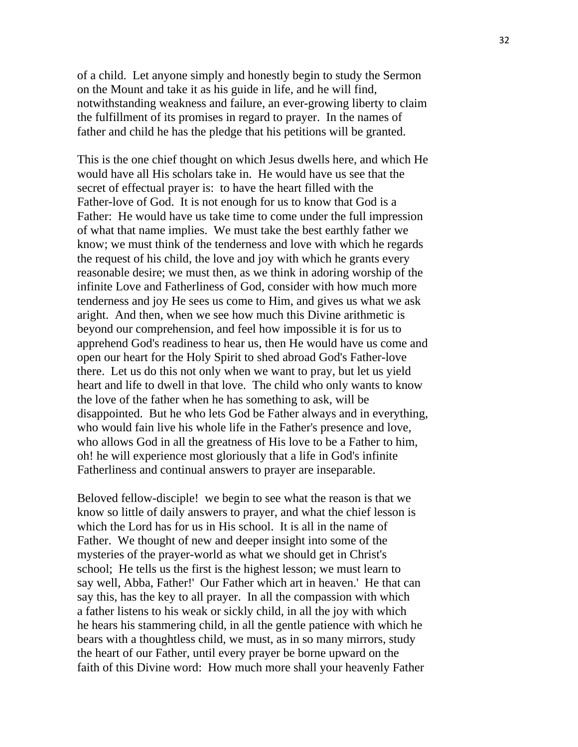of a child. Let anyone simply and honestly begin to study the Sermon on the Mount and take it as his guide in life, and he will find, notwithstanding weakness and failure, an ever-growing liberty to claim the fulfillment of its promises in regard to prayer. In the names of father and child he has the pledge that his petitions will be granted.

 This is the one chief thought on which Jesus dwells here, and which He would have all His scholars take in. He would have us see that the secret of effectual prayer is: to have the heart filled with the Father-love of God. It is not enough for us to know that God is a Father: He would have us take time to come under the full impression of what that name implies. We must take the best earthly father we know; we must think of the tenderness and love with which he regards the request of his child, the love and joy with which he grants every reasonable desire; we must then, as we think in adoring worship of the infinite Love and Fatherliness of God, consider with how much more tenderness and joy He sees us come to Him, and gives us what we ask aright. And then, when we see how much this Divine arithmetic is beyond our comprehension, and feel how impossible it is for us to apprehend God's readiness to hear us, then He would have us come and open our heart for the Holy Spirit to shed abroad God's Father-love there. Let us do this not only when we want to pray, but let us yield heart and life to dwell in that love. The child who only wants to know the love of the father when he has something to ask, will be disappointed. But he who lets God be Father always and in everything, who would fain live his whole life in the Father's presence and love, who allows God in all the greatness of His love to be a Father to him, oh! he will experience most gloriously that a life in God's infinite Fatherliness and continual answers to prayer are inseparable.

 Beloved fellow-disciple! we begin to see what the reason is that we know so little of daily answers to prayer, and what the chief lesson is which the Lord has for us in His school. It is all in the name of Father. We thought of new and deeper insight into some of the mysteries of the prayer-world as what we should get in Christ's school; He tells us the first is the highest lesson; we must learn to say well, Abba, Father!' Our Father which art in heaven.' He that can say this, has the key to all prayer. In all the compassion with which a father listens to his weak or sickly child, in all the joy with which he hears his stammering child, in all the gentle patience with which he bears with a thoughtless child, we must, as in so many mirrors, study the heart of our Father, until every prayer be borne upward on the faith of this Divine word: How much more shall your heavenly Father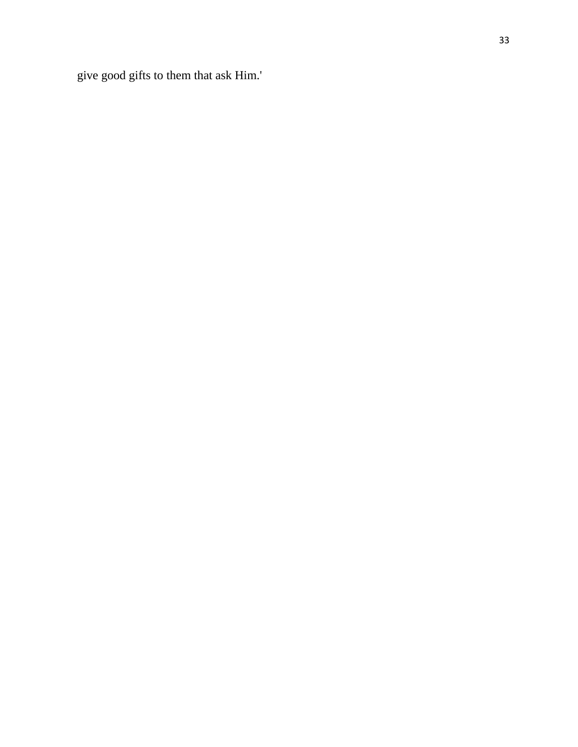give good gifts to them that ask Him.'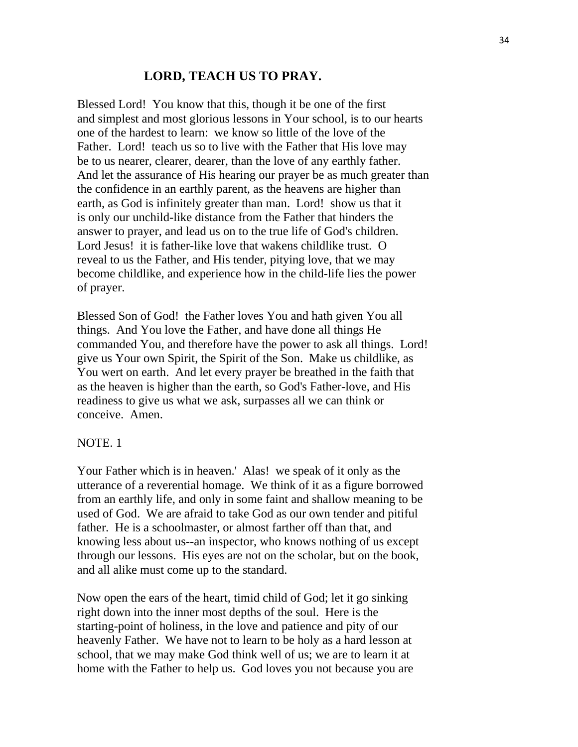## **LORD, TEACH US TO PRAY.**

 Blessed Lord! You know that this, though it be one of the first and simplest and most glorious lessons in Your school, is to our hearts one of the hardest to learn: we know so little of the love of the Father. Lord! teach us so to live with the Father that His love may be to us nearer, clearer, dearer, than the love of any earthly father. And let the assurance of His hearing our prayer be as much greater than the confidence in an earthly parent, as the heavens are higher than earth, as God is infinitely greater than man. Lord! show us that it is only our unchild-like distance from the Father that hinders the answer to prayer, and lead us on to the true life of God's children. Lord Jesus! it is father-like love that wakens childlike trust. O reveal to us the Father, and His tender, pitying love, that we may become childlike, and experience how in the child-life lies the power of prayer.

 Blessed Son of God! the Father loves You and hath given You all things. And You love the Father, and have done all things He commanded You, and therefore have the power to ask all things. Lord! give us Your own Spirit, the Spirit of the Son. Make us childlike, as You wert on earth. And let every prayer be breathed in the faith that as the heaven is higher than the earth, so God's Father-love, and His readiness to give us what we ask, surpasses all we can think or conceive. Amen.

#### NOTE. 1

 Your Father which is in heaven.' Alas! we speak of it only as the utterance of a reverential homage. We think of it as a figure borrowed from an earthly life, and only in some faint and shallow meaning to be used of God. We are afraid to take God as our own tender and pitiful father. He is a schoolmaster, or almost farther off than that, and knowing less about us--an inspector, who knows nothing of us except through our lessons. His eyes are not on the scholar, but on the book, and all alike must come up to the standard.

 Now open the ears of the heart, timid child of God; let it go sinking right down into the inner most depths of the soul. Here is the starting-point of holiness, in the love and patience and pity of our heavenly Father. We have not to learn to be holy as a hard lesson at school, that we may make God think well of us; we are to learn it at home with the Father to help us. God loves you not because you are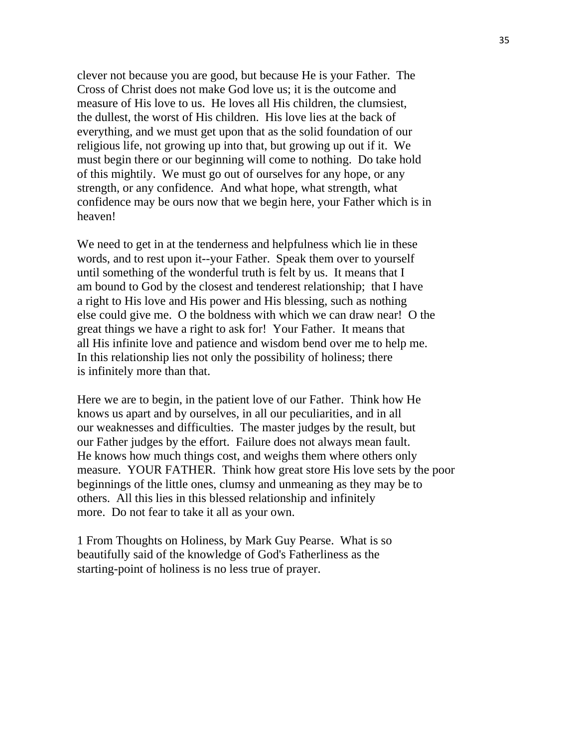clever not because you are good, but because He is your Father. The Cross of Christ does not make God love us; it is the outcome and measure of His love to us. He loves all His children, the clumsiest, the dullest, the worst of His children. His love lies at the back of everything, and we must get upon that as the solid foundation of our religious life, not growing up into that, but growing up out if it. We must begin there or our beginning will come to nothing. Do take hold of this mightily. We must go out of ourselves for any hope, or any strength, or any confidence. And what hope, what strength, what confidence may be ours now that we begin here, your Father which is in heaven!

 We need to get in at the tenderness and helpfulness which lie in these words, and to rest upon it--your Father. Speak them over to yourself until something of the wonderful truth is felt by us. It means that I am bound to God by the closest and tenderest relationship; that I have a right to His love and His power and His blessing, such as nothing else could give me. O the boldness with which we can draw near! O the great things we have a right to ask for! Your Father. It means that all His infinite love and patience and wisdom bend over me to help me. In this relationship lies not only the possibility of holiness; there is infinitely more than that.

 Here we are to begin, in the patient love of our Father. Think how He knows us apart and by ourselves, in all our peculiarities, and in all our weaknesses and difficulties. The master judges by the result, but our Father judges by the effort. Failure does not always mean fault. He knows how much things cost, and weighs them where others only measure. YOUR FATHER. Think how great store His love sets by the poor beginnings of the little ones, clumsy and unmeaning as they may be to others. All this lies in this blessed relationship and infinitely more. Do not fear to take it all as your own.

 1 From Thoughts on Holiness, by Mark Guy Pearse. What is so beautifully said of the knowledge of God's Fatherliness as the starting-point of holiness is no less true of prayer.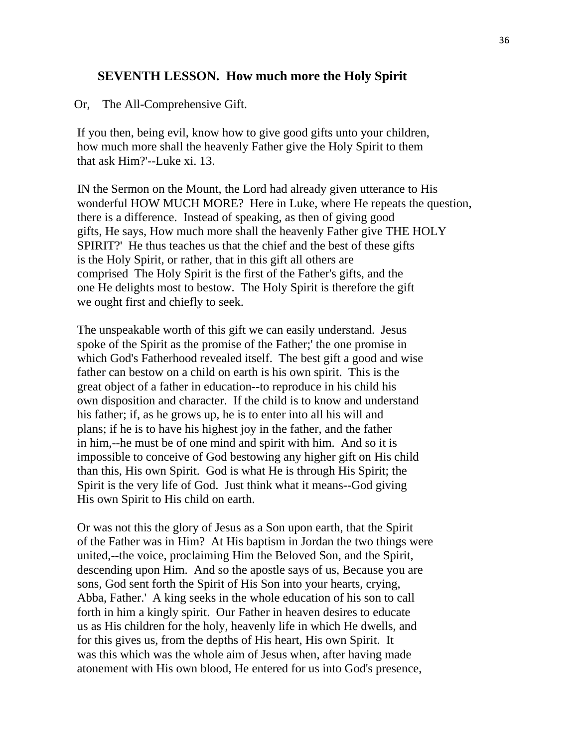## **SEVENTH LESSON. How much more the Holy Spirit**

Or, The All-Comprehensive Gift.

 If you then, being evil, know how to give good gifts unto your children, how much more shall the heavenly Father give the Holy Spirit to them that ask Him?'--Luke xi. 13.

 IN the Sermon on the Mount, the Lord had already given utterance to His wonderful HOW MUCH MORE? Here in Luke, where He repeats the question, there is a difference. Instead of speaking, as then of giving good gifts, He says, How much more shall the heavenly Father give THE HOLY SPIRIT?' He thus teaches us that the chief and the best of these gifts is the Holy Spirit, or rather, that in this gift all others are comprised The Holy Spirit is the first of the Father's gifts, and the one He delights most to bestow. The Holy Spirit is therefore the gift we ought first and chiefly to seek.

 The unspeakable worth of this gift we can easily understand. Jesus spoke of the Spirit as the promise of the Father;' the one promise in which God's Fatherhood revealed itself. The best gift a good and wise father can bestow on a child on earth is his own spirit. This is the great object of a father in education--to reproduce in his child his own disposition and character. If the child is to know and understand his father; if, as he grows up, he is to enter into all his will and plans; if he is to have his highest joy in the father, and the father in him,--he must be of one mind and spirit with him. And so it is impossible to conceive of God bestowing any higher gift on His child than this, His own Spirit. God is what He is through His Spirit; the Spirit is the very life of God. Just think what it means--God giving His own Spirit to His child on earth.

 Or was not this the glory of Jesus as a Son upon earth, that the Spirit of the Father was in Him? At His baptism in Jordan the two things were united,--the voice, proclaiming Him the Beloved Son, and the Spirit, descending upon Him. And so the apostle says of us, Because you are sons, God sent forth the Spirit of His Son into your hearts, crying, Abba, Father.' A king seeks in the whole education of his son to call forth in him a kingly spirit. Our Father in heaven desires to educate us as His children for the holy, heavenly life in which He dwells, and for this gives us, from the depths of His heart, His own Spirit. It was this which was the whole aim of Jesus when, after having made atonement with His own blood, He entered for us into God's presence,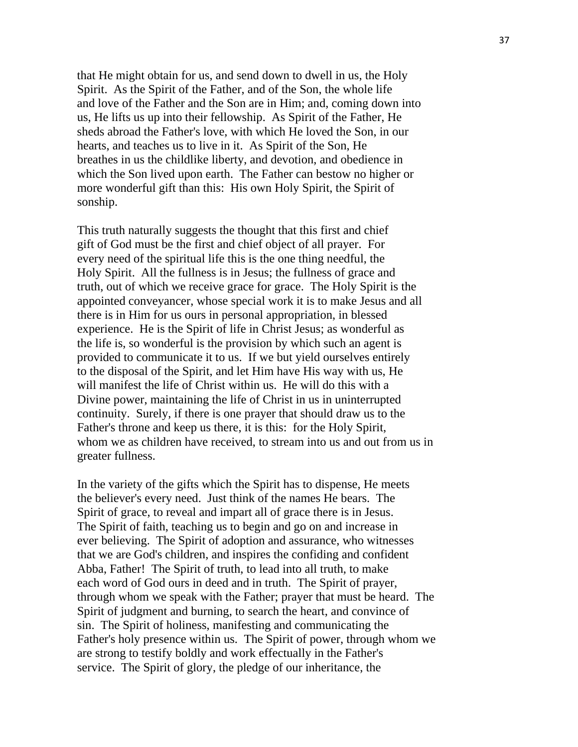that He might obtain for us, and send down to dwell in us, the Holy Spirit. As the Spirit of the Father, and of the Son, the whole life and love of the Father and the Son are in Him; and, coming down into us, He lifts us up into their fellowship. As Spirit of the Father, He sheds abroad the Father's love, with which He loved the Son, in our hearts, and teaches us to live in it. As Spirit of the Son, He breathes in us the childlike liberty, and devotion, and obedience in which the Son lived upon earth. The Father can bestow no higher or more wonderful gift than this: His own Holy Spirit, the Spirit of sonship.

 This truth naturally suggests the thought that this first and chief gift of God must be the first and chief object of all prayer. For every need of the spiritual life this is the one thing needful, the Holy Spirit. All the fullness is in Jesus; the fullness of grace and truth, out of which we receive grace for grace. The Holy Spirit is the appointed conveyancer, whose special work it is to make Jesus and all there is in Him for us ours in personal appropriation, in blessed experience. He is the Spirit of life in Christ Jesus; as wonderful as the life is, so wonderful is the provision by which such an agent is provided to communicate it to us. If we but yield ourselves entirely to the disposal of the Spirit, and let Him have His way with us, He will manifest the life of Christ within us. He will do this with a Divine power, maintaining the life of Christ in us in uninterrupted continuity. Surely, if there is one prayer that should draw us to the Father's throne and keep us there, it is this: for the Holy Spirit, whom we as children have received, to stream into us and out from us in greater fullness.

 In the variety of the gifts which the Spirit has to dispense, He meets the believer's every need. Just think of the names He bears. The Spirit of grace, to reveal and impart all of grace there is in Jesus. The Spirit of faith, teaching us to begin and go on and increase in ever believing. The Spirit of adoption and assurance, who witnesses that we are God's children, and inspires the confiding and confident Abba, Father! The Spirit of truth, to lead into all truth, to make each word of God ours in deed and in truth. The Spirit of prayer, through whom we speak with the Father; prayer that must be heard. The Spirit of judgment and burning, to search the heart, and convince of sin. The Spirit of holiness, manifesting and communicating the Father's holy presence within us. The Spirit of power, through whom we are strong to testify boldly and work effectually in the Father's service. The Spirit of glory, the pledge of our inheritance, the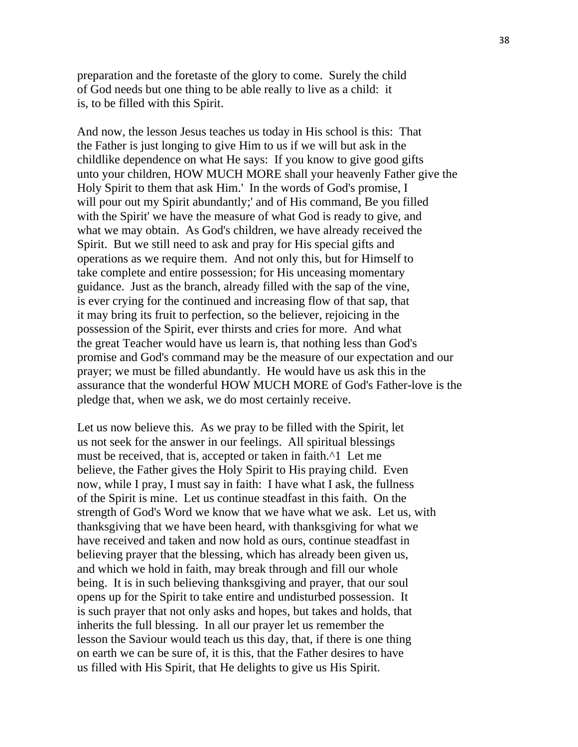preparation and the foretaste of the glory to come. Surely the child of God needs but one thing to be able really to live as a child: it is, to be filled with this Spirit.

 And now, the lesson Jesus teaches us today in His school is this: That the Father is just longing to give Him to us if we will but ask in the childlike dependence on what He says: If you know to give good gifts unto your children, HOW MUCH MORE shall your heavenly Father give the Holy Spirit to them that ask Him.' In the words of God's promise, I will pour out my Spirit abundantly;' and of His command, Be you filled with the Spirit' we have the measure of what God is ready to give, and what we may obtain. As God's children, we have already received the Spirit. But we still need to ask and pray for His special gifts and operations as we require them. And not only this, but for Himself to take complete and entire possession; for His unceasing momentary guidance. Just as the branch, already filled with the sap of the vine, is ever crying for the continued and increasing flow of that sap, that it may bring its fruit to perfection, so the believer, rejoicing in the possession of the Spirit, ever thirsts and cries for more. And what the great Teacher would have us learn is, that nothing less than God's promise and God's command may be the measure of our expectation and our prayer; we must be filled abundantly. He would have us ask this in the assurance that the wonderful HOW MUCH MORE of God's Father-love is the pledge that, when we ask, we do most certainly receive.

 Let us now believe this. As we pray to be filled with the Spirit, let us not seek for the answer in our feelings. All spiritual blessings must be received, that is, accepted or taken in faith.^1 Let me believe, the Father gives the Holy Spirit to His praying child. Even now, while I pray, I must say in faith: I have what I ask, the fullness of the Spirit is mine. Let us continue steadfast in this faith. On the strength of God's Word we know that we have what we ask. Let us, with thanksgiving that we have been heard, with thanksgiving for what we have received and taken and now hold as ours, continue steadfast in believing prayer that the blessing, which has already been given us, and which we hold in faith, may break through and fill our whole being. It is in such believing thanksgiving and prayer, that our soul opens up for the Spirit to take entire and undisturbed possession. It is such prayer that not only asks and hopes, but takes and holds, that inherits the full blessing. In all our prayer let us remember the lesson the Saviour would teach us this day, that, if there is one thing on earth we can be sure of, it is this, that the Father desires to have us filled with His Spirit, that He delights to give us His Spirit.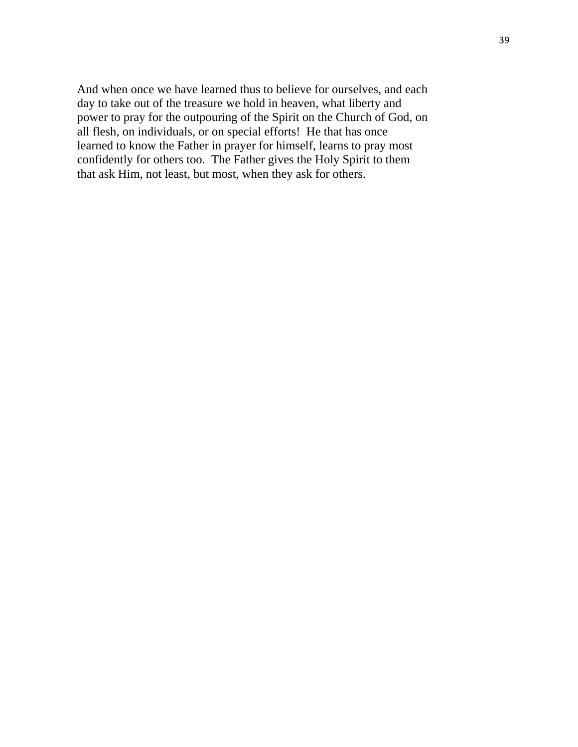And when once we have learned thus to believe for ourselves, and each day to take out of the treasure we hold in heaven, what liberty and power to pray for the outpouring of the Spirit on the Church of God, on all flesh, on individuals, or on special efforts! He that has once learned to know the Father in prayer for himself, learns to pray most confidently for others too. The Father gives the Holy Spirit to them that ask Him, not least, but most, when they ask for others.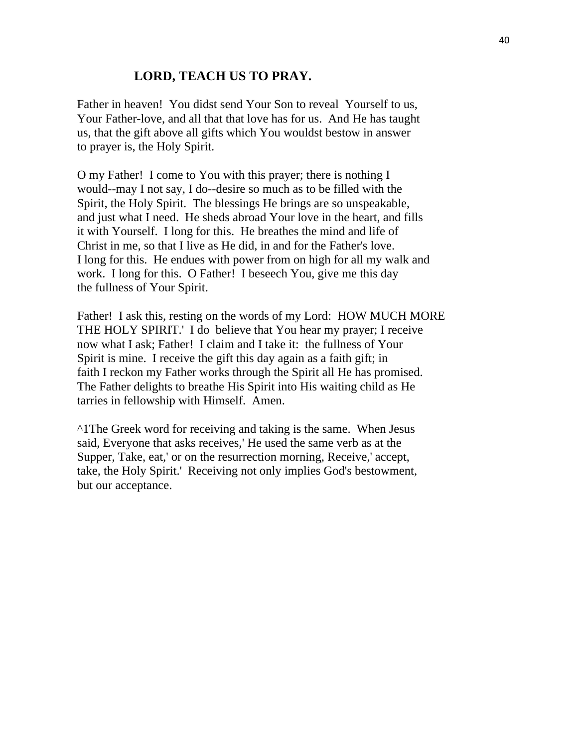# **LORD, TEACH US TO PRAY.**

 Father in heaven! You didst send Your Son to reveal Yourself to us, Your Father-love, and all that that love has for us. And He has taught us, that the gift above all gifts which You wouldst bestow in answer to prayer is, the Holy Spirit.

 O my Father! I come to You with this prayer; there is nothing I would--may I not say, I do--desire so much as to be filled with the Spirit, the Holy Spirit. The blessings He brings are so unspeakable, and just what I need. He sheds abroad Your love in the heart, and fills it with Yourself. I long for this. He breathes the mind and life of Christ in me, so that I live as He did, in and for the Father's love. I long for this. He endues with power from on high for all my walk and work. I long for this. O Father! I beseech You, give me this day the fullness of Your Spirit.

 Father! I ask this, resting on the words of my Lord: HOW MUCH MORE THE HOLY SPIRIT.' I do believe that You hear my prayer; I receive now what I ask; Father! I claim and I take it: the fullness of Your Spirit is mine. I receive the gift this day again as a faith gift; in faith I reckon my Father works through the Spirit all He has promised. The Father delights to breathe His Spirit into His waiting child as He tarries in fellowship with Himself. Amen.

 ^1The Greek word for receiving and taking is the same. When Jesus said, Everyone that asks receives,' He used the same verb as at the Supper, Take, eat,' or on the resurrection morning, Receive,' accept, take, the Holy Spirit.' Receiving not only implies God's bestowment, but our acceptance.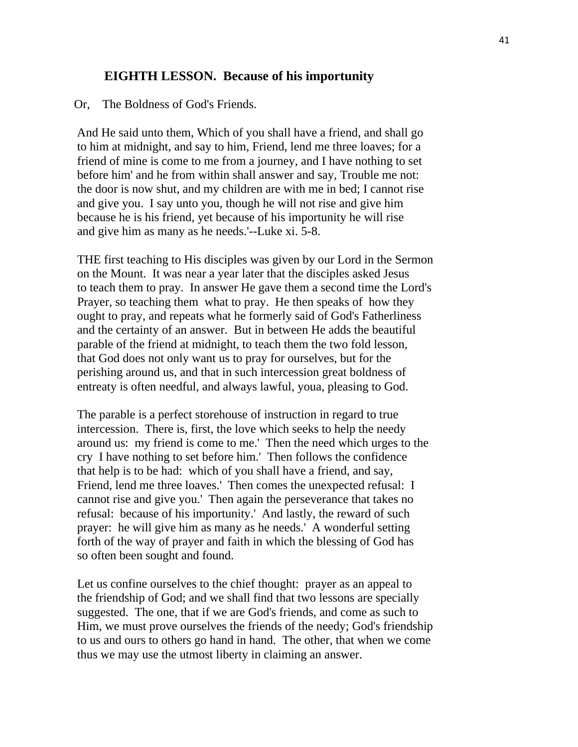## **EIGHTH LESSON. Because of his importunity**

Or, The Boldness of God's Friends.

 And He said unto them, Which of you shall have a friend, and shall go to him at midnight, and say to him, Friend, lend me three loaves; for a friend of mine is come to me from a journey, and I have nothing to set before him' and he from within shall answer and say, Trouble me not: the door is now shut, and my children are with me in bed; I cannot rise and give you. I say unto you, though he will not rise and give him because he is his friend, yet because of his importunity he will rise and give him as many as he needs.'--Luke xi. 5-8.

 THE first teaching to His disciples was given by our Lord in the Sermon on the Mount. It was near a year later that the disciples asked Jesus to teach them to pray. In answer He gave them a second time the Lord's Prayer, so teaching them what to pray. He then speaks of how they ought to pray, and repeats what he formerly said of God's Fatherliness and the certainty of an answer. But in between He adds the beautiful parable of the friend at midnight, to teach them the two fold lesson, that God does not only want us to pray for ourselves, but for the perishing around us, and that in such intercession great boldness of entreaty is often needful, and always lawful, youa, pleasing to God.

 The parable is a perfect storehouse of instruction in regard to true intercession. There is, first, the love which seeks to help the needy around us: my friend is come to me.' Then the need which urges to the cry I have nothing to set before him.' Then follows the confidence that help is to be had: which of you shall have a friend, and say, Friend, lend me three loaves.' Then comes the unexpected refusal: I cannot rise and give you.' Then again the perseverance that takes no refusal: because of his importunity.' And lastly, the reward of such prayer: he will give him as many as he needs.' A wonderful setting forth of the way of prayer and faith in which the blessing of God has so often been sought and found.

 Let us confine ourselves to the chief thought: prayer as an appeal to the friendship of God; and we shall find that two lessons are specially suggested. The one, that if we are God's friends, and come as such to Him, we must prove ourselves the friends of the needy; God's friendship to us and ours to others go hand in hand. The other, that when we come thus we may use the utmost liberty in claiming an answer.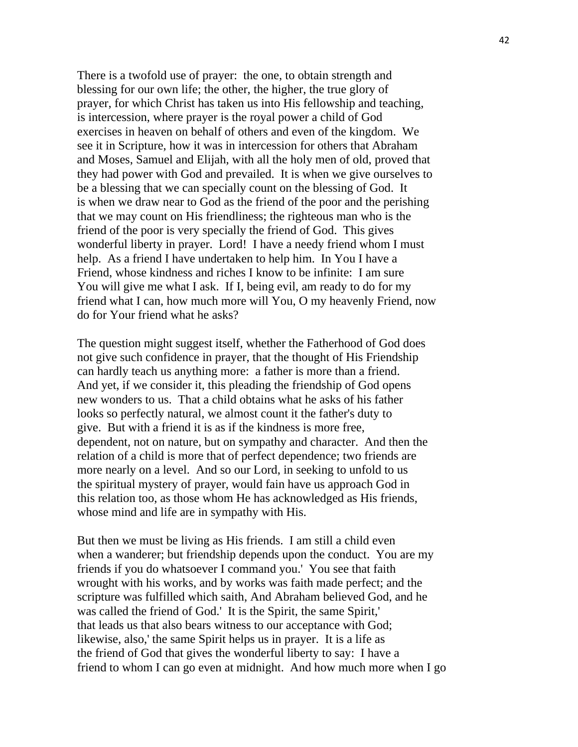There is a twofold use of prayer: the one, to obtain strength and blessing for our own life; the other, the higher, the true glory of prayer, for which Christ has taken us into His fellowship and teaching, is intercession, where prayer is the royal power a child of God exercises in heaven on behalf of others and even of the kingdom. We see it in Scripture, how it was in intercession for others that Abraham and Moses, Samuel and Elijah, with all the holy men of old, proved that they had power with God and prevailed. It is when we give ourselves to be a blessing that we can specially count on the blessing of God. It is when we draw near to God as the friend of the poor and the perishing that we may count on His friendliness; the righteous man who is the friend of the poor is very specially the friend of God. This gives wonderful liberty in prayer. Lord! I have a needy friend whom I must help. As a friend I have undertaken to help him. In You I have a Friend, whose kindness and riches I know to be infinite: I am sure You will give me what I ask. If I, being evil, am ready to do for my friend what I can, how much more will You, O my heavenly Friend, now do for Your friend what he asks?

 The question might suggest itself, whether the Fatherhood of God does not give such confidence in prayer, that the thought of His Friendship can hardly teach us anything more: a father is more than a friend. And yet, if we consider it, this pleading the friendship of God opens new wonders to us. That a child obtains what he asks of his father looks so perfectly natural, we almost count it the father's duty to give. But with a friend it is as if the kindness is more free, dependent, not on nature, but on sympathy and character. And then the relation of a child is more that of perfect dependence; two friends are more nearly on a level. And so our Lord, in seeking to unfold to us the spiritual mystery of prayer, would fain have us approach God in this relation too, as those whom He has acknowledged as His friends, whose mind and life are in sympathy with His.

 But then we must be living as His friends. I am still a child even when a wanderer; but friendship depends upon the conduct. You are my friends if you do whatsoever I command you.' You see that faith wrought with his works, and by works was faith made perfect; and the scripture was fulfilled which saith, And Abraham believed God, and he was called the friend of God.' It is the Spirit, the same Spirit,' that leads us that also bears witness to our acceptance with God; likewise, also,' the same Spirit helps us in prayer. It is a life as the friend of God that gives the wonderful liberty to say: I have a friend to whom I can go even at midnight. And how much more when I go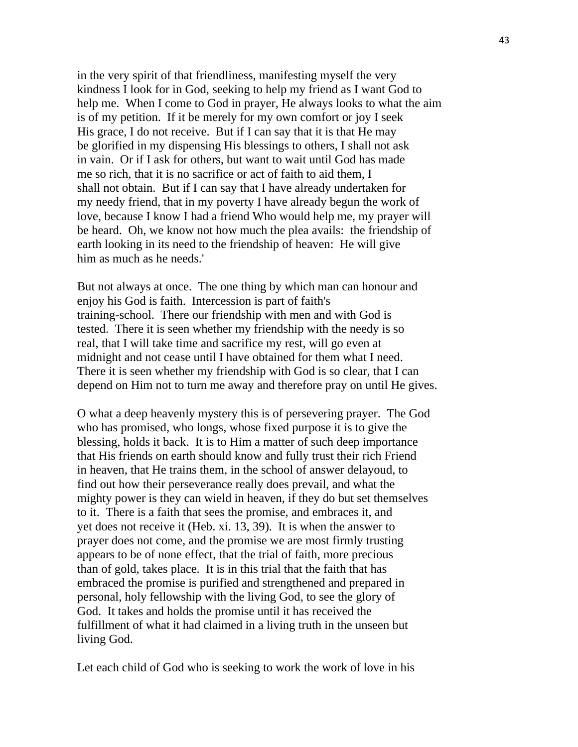in the very spirit of that friendliness, manifesting myself the very kindness I look for in God, seeking to help my friend as I want God to help me. When I come to God in prayer, He always looks to what the aim is of my petition. If it be merely for my own comfort or joy I seek His grace, I do not receive. But if I can say that it is that He may be glorified in my dispensing His blessings to others, I shall not ask in vain. Or if I ask for others, but want to wait until God has made me so rich, that it is no sacrifice or act of faith to aid them, I shall not obtain. But if I can say that I have already undertaken for my needy friend, that in my poverty I have already begun the work of love, because I know I had a friend Who would help me, my prayer will be heard. Oh, we know not how much the plea avails: the friendship of earth looking in its need to the friendship of heaven: He will give him as much as he needs.'

 But not always at once. The one thing by which man can honour and enjoy his God is faith. Intercession is part of faith's training-school. There our friendship with men and with God is tested. There it is seen whether my friendship with the needy is so real, that I will take time and sacrifice my rest, will go even at midnight and not cease until I have obtained for them what I need. There it is seen whether my friendship with God is so clear, that I can depend on Him not to turn me away and therefore pray on until He gives.

 O what a deep heavenly mystery this is of persevering prayer. The God who has promised, who longs, whose fixed purpose it is to give the blessing, holds it back. It is to Him a matter of such deep importance that His friends on earth should know and fully trust their rich Friend in heaven, that He trains them, in the school of answer delayoud, to find out how their perseverance really does prevail, and what the mighty power is they can wield in heaven, if they do but set themselves to it. There is a faith that sees the promise, and embraces it, and yet does not receive it (Heb. xi. 13, 39). It is when the answer to prayer does not come, and the promise we are most firmly trusting appears to be of none effect, that the trial of faith, more precious than of gold, takes place. It is in this trial that the faith that has embraced the promise is purified and strengthened and prepared in personal, holy fellowship with the living God, to see the glory of God. It takes and holds the promise until it has received the fulfillment of what it had claimed in a living truth in the unseen but living God.

Let each child of God who is seeking to work the work of love in his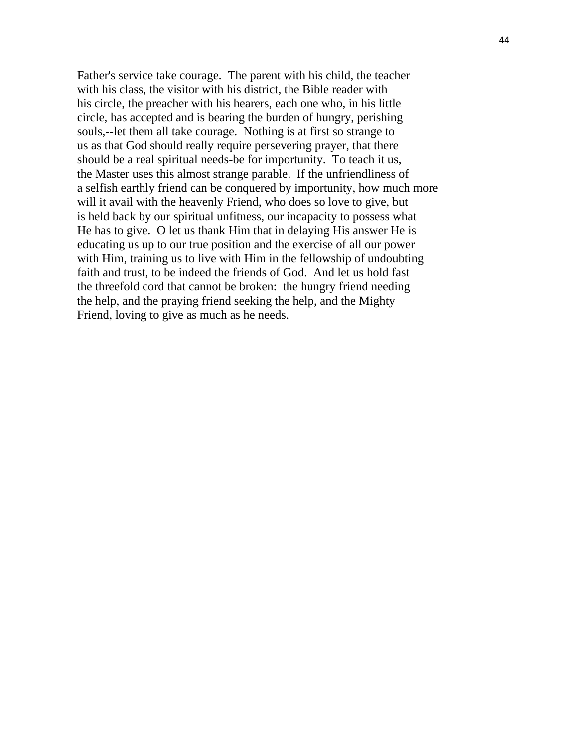Father's service take courage. The parent with his child, the teacher with his class, the visitor with his district, the Bible reader with his circle, the preacher with his hearers, each one who, in his little circle, has accepted and is bearing the burden of hungry, perishing souls,--let them all take courage. Nothing is at first so strange to us as that God should really require persevering prayer, that there should be a real spiritual needs-be for importunity. To teach it us, the Master uses this almost strange parable. If the unfriendliness of a selfish earthly friend can be conquered by importunity, how much more will it avail with the heavenly Friend, who does so love to give, but is held back by our spiritual unfitness, our incapacity to possess what He has to give. O let us thank Him that in delaying His answer He is educating us up to our true position and the exercise of all our power with Him, training us to live with Him in the fellowship of undoubting faith and trust, to be indeed the friends of God. And let us hold fast the threefold cord that cannot be broken: the hungry friend needing the help, and the praying friend seeking the help, and the Mighty Friend, loving to give as much as he needs.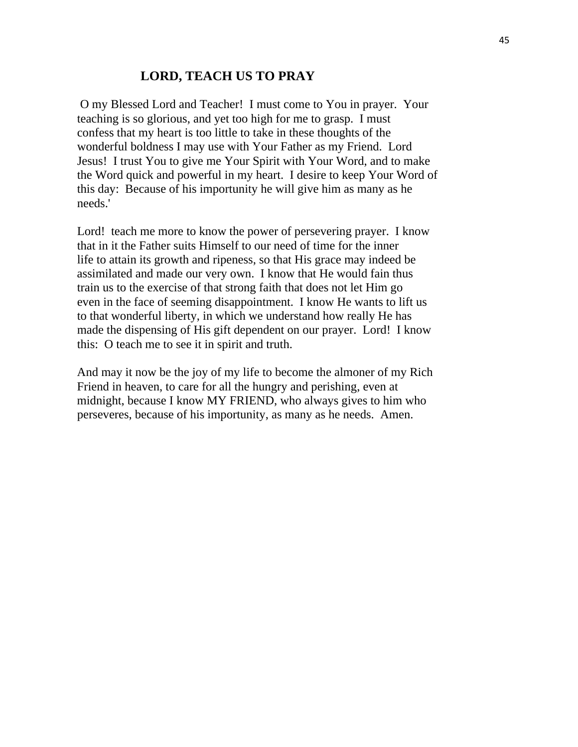## **LORD, TEACH US TO PRAY**

 O my Blessed Lord and Teacher! I must come to You in prayer. Your teaching is so glorious, and yet too high for me to grasp. I must confess that my heart is too little to take in these thoughts of the wonderful boldness I may use with Your Father as my Friend. Lord Jesus! I trust You to give me Your Spirit with Your Word, and to make the Word quick and powerful in my heart. I desire to keep Your Word of this day: Because of his importunity he will give him as many as he needs.'

 Lord! teach me more to know the power of persevering prayer. I know that in it the Father suits Himself to our need of time for the inner life to attain its growth and ripeness, so that His grace may indeed be assimilated and made our very own. I know that He would fain thus train us to the exercise of that strong faith that does not let Him go even in the face of seeming disappointment. I know He wants to lift us to that wonderful liberty, in which we understand how really He has made the dispensing of His gift dependent on our prayer. Lord! I know this: O teach me to see it in spirit and truth.

 And may it now be the joy of my life to become the almoner of my Rich Friend in heaven, to care for all the hungry and perishing, even at midnight, because I know MY FRIEND, who always gives to him who perseveres, because of his importunity, as many as he needs. Amen.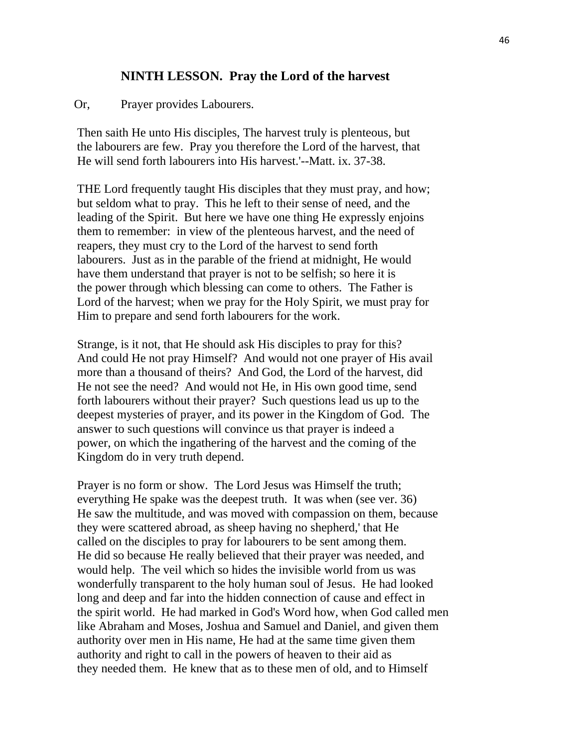# **NINTH LESSON. Pray the Lord of the harvest**

Or, Prayer provides Labourers.

 Then saith He unto His disciples, The harvest truly is plenteous, but the labourers are few. Pray you therefore the Lord of the harvest, that He will send forth labourers into His harvest.'--Matt. ix. 37-38.

 THE Lord frequently taught His disciples that they must pray, and how; but seldom what to pray. This he left to their sense of need, and the leading of the Spirit. But here we have one thing He expressly enjoins them to remember: in view of the plenteous harvest, and the need of reapers, they must cry to the Lord of the harvest to send forth labourers. Just as in the parable of the friend at midnight, He would have them understand that prayer is not to be selfish; so here it is the power through which blessing can come to others. The Father is Lord of the harvest; when we pray for the Holy Spirit, we must pray for Him to prepare and send forth labourers for the work.

 Strange, is it not, that He should ask His disciples to pray for this? And could He not pray Himself? And would not one prayer of His avail more than a thousand of theirs? And God, the Lord of the harvest, did He not see the need? And would not He, in His own good time, send forth labourers without their prayer? Such questions lead us up to the deepest mysteries of prayer, and its power in the Kingdom of God. The answer to such questions will convince us that prayer is indeed a power, on which the ingathering of the harvest and the coming of the Kingdom do in very truth depend.

 Prayer is no form or show. The Lord Jesus was Himself the truth; everything He spake was the deepest truth. It was when (see ver. 36) He saw the multitude, and was moved with compassion on them, because they were scattered abroad, as sheep having no shepherd,' that He called on the disciples to pray for labourers to be sent among them. He did so because He really believed that their prayer was needed, and would help. The veil which so hides the invisible world from us was wonderfully transparent to the holy human soul of Jesus. He had looked long and deep and far into the hidden connection of cause and effect in the spirit world. He had marked in God's Word how, when God called men like Abraham and Moses, Joshua and Samuel and Daniel, and given them authority over men in His name, He had at the same time given them authority and right to call in the powers of heaven to their aid as they needed them. He knew that as to these men of old, and to Himself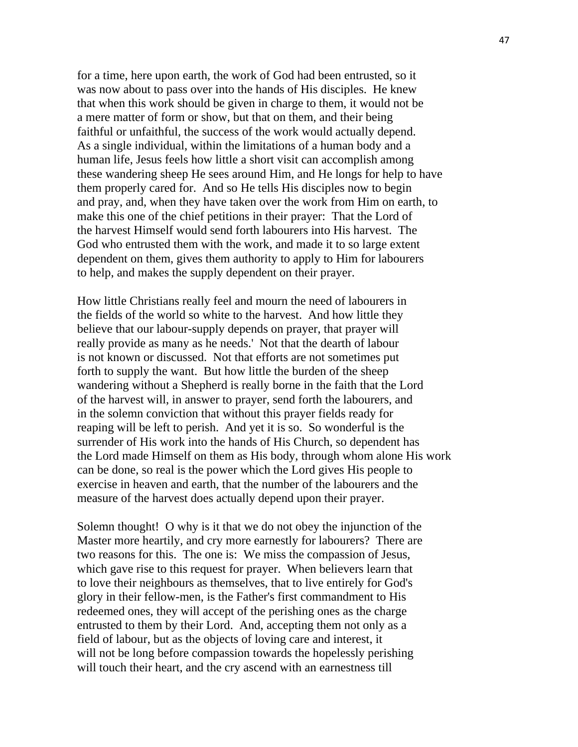for a time, here upon earth, the work of God had been entrusted, so it was now about to pass over into the hands of His disciples. He knew that when this work should be given in charge to them, it would not be a mere matter of form or show, but that on them, and their being faithful or unfaithful, the success of the work would actually depend. As a single individual, within the limitations of a human body and a human life, Jesus feels how little a short visit can accomplish among these wandering sheep He sees around Him, and He longs for help to have them properly cared for. And so He tells His disciples now to begin and pray, and, when they have taken over the work from Him on earth, to make this one of the chief petitions in their prayer: That the Lord of the harvest Himself would send forth labourers into His harvest. The God who entrusted them with the work, and made it to so large extent dependent on them, gives them authority to apply to Him for labourers to help, and makes the supply dependent on their prayer.

 How little Christians really feel and mourn the need of labourers in the fields of the world so white to the harvest. And how little they believe that our labour-supply depends on prayer, that prayer will really provide as many as he needs.' Not that the dearth of labour is not known or discussed. Not that efforts are not sometimes put forth to supply the want. But how little the burden of the sheep wandering without a Shepherd is really borne in the faith that the Lord of the harvest will, in answer to prayer, send forth the labourers, and in the solemn conviction that without this prayer fields ready for reaping will be left to perish. And yet it is so. So wonderful is the surrender of His work into the hands of His Church, so dependent has the Lord made Himself on them as His body, through whom alone His work can be done, so real is the power which the Lord gives His people to exercise in heaven and earth, that the number of the labourers and the measure of the harvest does actually depend upon their prayer.

 Solemn thought! O why is it that we do not obey the injunction of the Master more heartily, and cry more earnestly for labourers? There are two reasons for this. The one is: We miss the compassion of Jesus, which gave rise to this request for prayer. When believers learn that to love their neighbours as themselves, that to live entirely for God's glory in their fellow-men, is the Father's first commandment to His redeemed ones, they will accept of the perishing ones as the charge entrusted to them by their Lord. And, accepting them not only as a field of labour, but as the objects of loving care and interest, it will not be long before compassion towards the hopelessly perishing will touch their heart, and the cry ascend with an earnestness till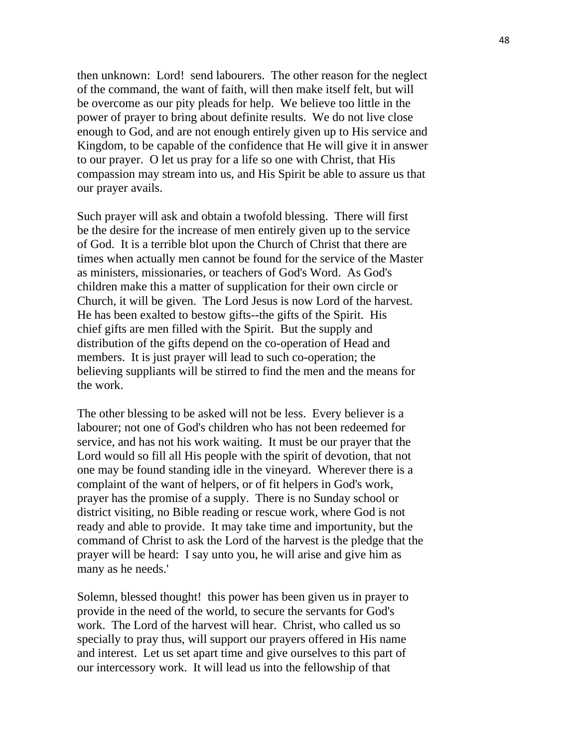then unknown: Lord! send labourers. The other reason for the neglect of the command, the want of faith, will then make itself felt, but will be overcome as our pity pleads for help. We believe too little in the power of prayer to bring about definite results. We do not live close enough to God, and are not enough entirely given up to His service and Kingdom, to be capable of the confidence that He will give it in answer to our prayer. O let us pray for a life so one with Christ, that His compassion may stream into us, and His Spirit be able to assure us that our prayer avails.

 Such prayer will ask and obtain a twofold blessing. There will first be the desire for the increase of men entirely given up to the service of God. It is a terrible blot upon the Church of Christ that there are times when actually men cannot be found for the service of the Master as ministers, missionaries, or teachers of God's Word. As God's children make this a matter of supplication for their own circle or Church, it will be given. The Lord Jesus is now Lord of the harvest. He has been exalted to bestow gifts--the gifts of the Spirit. His chief gifts are men filled with the Spirit. But the supply and distribution of the gifts depend on the co-operation of Head and members. It is just prayer will lead to such co-operation; the believing suppliants will be stirred to find the men and the means for the work.

 The other blessing to be asked will not be less. Every believer is a labourer; not one of God's children who has not been redeemed for service, and has not his work waiting. It must be our prayer that the Lord would so fill all His people with the spirit of devotion, that not one may be found standing idle in the vineyard. Wherever there is a complaint of the want of helpers, or of fit helpers in God's work, prayer has the promise of a supply. There is no Sunday school or district visiting, no Bible reading or rescue work, where God is not ready and able to provide. It may take time and importunity, but the command of Christ to ask the Lord of the harvest is the pledge that the prayer will be heard: I say unto you, he will arise and give him as many as he needs.'

 Solemn, blessed thought! this power has been given us in prayer to provide in the need of the world, to secure the servants for God's work. The Lord of the harvest will hear. Christ, who called us so specially to pray thus, will support our prayers offered in His name and interest. Let us set apart time and give ourselves to this part of our intercessory work. It will lead us into the fellowship of that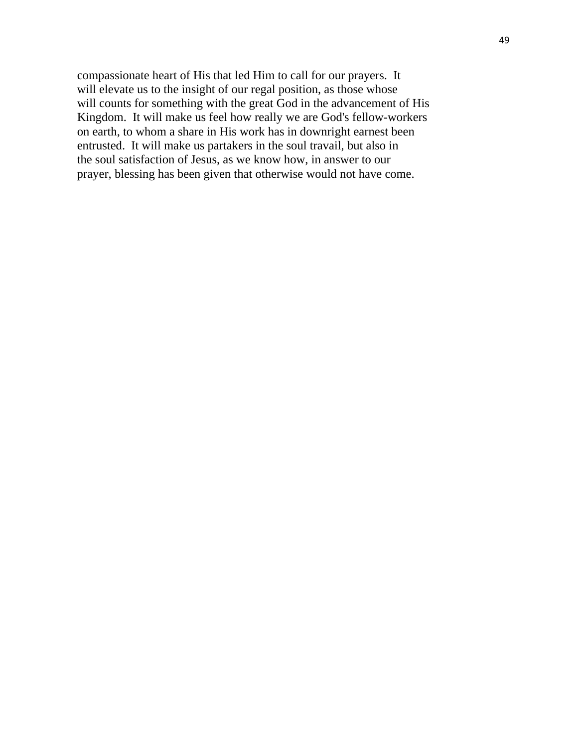compassionate heart of His that led Him to call for our prayers. It will elevate us to the insight of our regal position, as those whose will counts for something with the great God in the advancement of His Kingdom. It will make us feel how really we are God's fellow-workers on earth, to whom a share in His work has in downright earnest been entrusted. It will make us partakers in the soul travail, but also in the soul satisfaction of Jesus, as we know how, in answer to our prayer, blessing has been given that otherwise would not have come.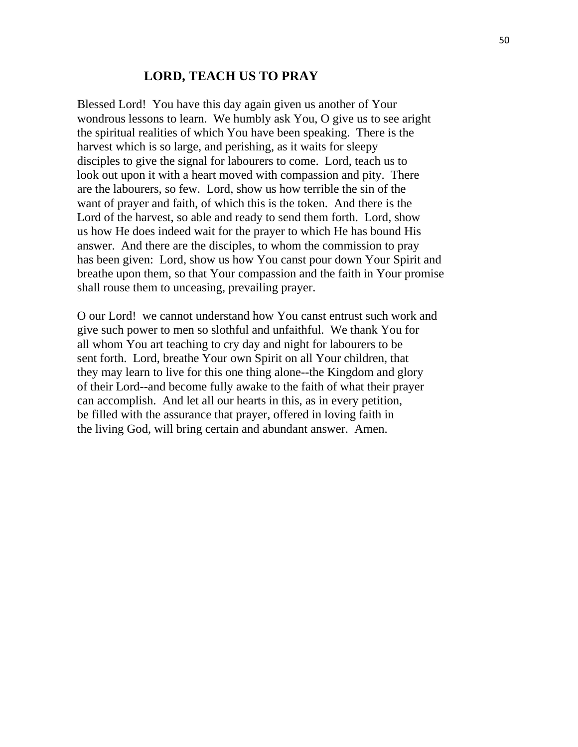#### **LORD, TEACH US TO PRAY**

 Blessed Lord! You have this day again given us another of Your wondrous lessons to learn. We humbly ask You, O give us to see aright the spiritual realities of which You have been speaking. There is the harvest which is so large, and perishing, as it waits for sleepy disciples to give the signal for labourers to come. Lord, teach us to look out upon it with a heart moved with compassion and pity. There are the labourers, so few. Lord, show us how terrible the sin of the want of prayer and faith, of which this is the token. And there is the Lord of the harvest, so able and ready to send them forth. Lord, show us how He does indeed wait for the prayer to which He has bound His answer. And there are the disciples, to whom the commission to pray has been given: Lord, show us how You canst pour down Your Spirit and breathe upon them, so that Your compassion and the faith in Your promise shall rouse them to unceasing, prevailing prayer.

 O our Lord! we cannot understand how You canst entrust such work and give such power to men so slothful and unfaithful. We thank You for all whom You art teaching to cry day and night for labourers to be sent forth. Lord, breathe Your own Spirit on all Your children, that they may learn to live for this one thing alone--the Kingdom and glory of their Lord--and become fully awake to the faith of what their prayer can accomplish. And let all our hearts in this, as in every petition, be filled with the assurance that prayer, offered in loving faith in the living God, will bring certain and abundant answer. Amen.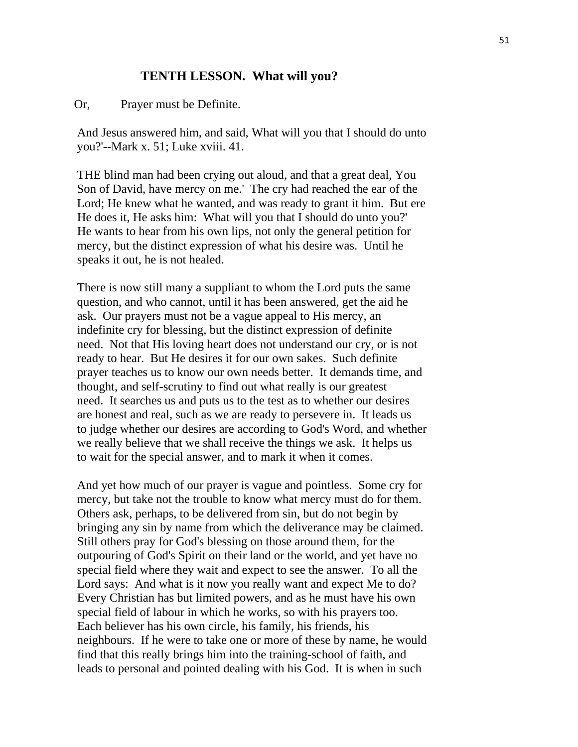#### **TENTH LESSON. What will you?**

Or, Prayer must be Definite.

 And Jesus answered him, and said, What will you that I should do unto you?'--Mark x. 51; Luke xviii. 41.

 THE blind man had been crying out aloud, and that a great deal, You Son of David, have mercy on me.' The cry had reached the ear of the Lord; He knew what he wanted, and was ready to grant it him. But ere He does it, He asks him: What will you that I should do unto you?' He wants to hear from his own lips, not only the general petition for mercy, but the distinct expression of what his desire was. Until he speaks it out, he is not healed.

 There is now still many a suppliant to whom the Lord puts the same question, and who cannot, until it has been answered, get the aid he ask. Our prayers must not be a vague appeal to His mercy, an indefinite cry for blessing, but the distinct expression of definite need. Not that His loving heart does not understand our cry, or is not ready to hear. But He desires it for our own sakes. Such definite prayer teaches us to know our own needs better. It demands time, and thought, and self-scrutiny to find out what really is our greatest need. It searches us and puts us to the test as to whether our desires are honest and real, such as we are ready to persevere in. It leads us to judge whether our desires are according to God's Word, and whether we really believe that we shall receive the things we ask. It helps us to wait for the special answer, and to mark it when it comes.

 And yet how much of our prayer is vague and pointless. Some cry for mercy, but take not the trouble to know what mercy must do for them. Others ask, perhaps, to be delivered from sin, but do not begin by bringing any sin by name from which the deliverance may be claimed. Still others pray for God's blessing on those around them, for the outpouring of God's Spirit on their land or the world, and yet have no special field where they wait and expect to see the answer. To all the Lord says: And what is it now you really want and expect Me to do? Every Christian has but limited powers, and as he must have his own special field of labour in which he works, so with his prayers too. Each believer has his own circle, his family, his friends, his neighbours. If he were to take one or more of these by name, he would find that this really brings him into the training-school of faith, and leads to personal and pointed dealing with his God. It is when in such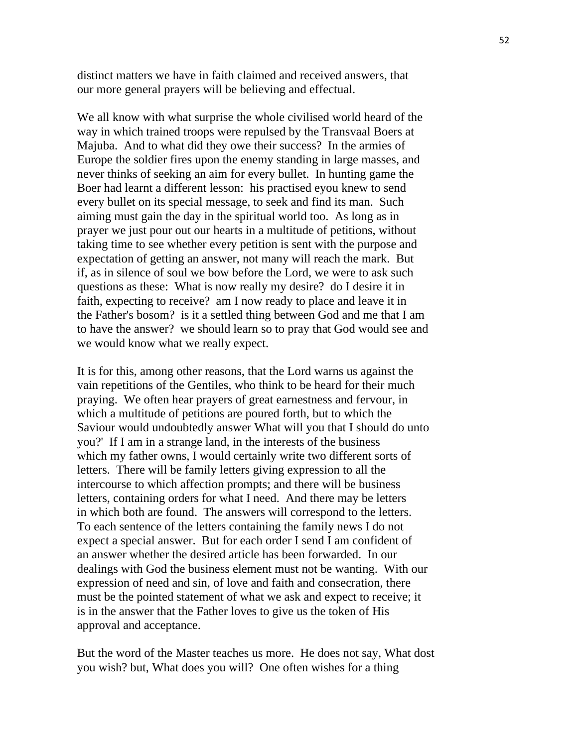distinct matters we have in faith claimed and received answers, that our more general prayers will be believing and effectual.

 We all know with what surprise the whole civilised world heard of the way in which trained troops were repulsed by the Transvaal Boers at Majuba. And to what did they owe their success? In the armies of Europe the soldier fires upon the enemy standing in large masses, and never thinks of seeking an aim for every bullet. In hunting game the Boer had learnt a different lesson: his practised eyou knew to send every bullet on its special message, to seek and find its man. Such aiming must gain the day in the spiritual world too. As long as in prayer we just pour out our hearts in a multitude of petitions, without taking time to see whether every petition is sent with the purpose and expectation of getting an answer, not many will reach the mark. But if, as in silence of soul we bow before the Lord, we were to ask such questions as these: What is now really my desire? do I desire it in faith, expecting to receive? am I now ready to place and leave it in the Father's bosom? is it a settled thing between God and me that I am to have the answer? we should learn so to pray that God would see and we would know what we really expect.

 It is for this, among other reasons, that the Lord warns us against the vain repetitions of the Gentiles, who think to be heard for their much praying. We often hear prayers of great earnestness and fervour, in which a multitude of petitions are poured forth, but to which the Saviour would undoubtedly answer What will you that I should do unto you?' If I am in a strange land, in the interests of the business which my father owns, I would certainly write two different sorts of letters. There will be family letters giving expression to all the intercourse to which affection prompts; and there will be business letters, containing orders for what I need. And there may be letters in which both are found. The answers will correspond to the letters. To each sentence of the letters containing the family news I do not expect a special answer. But for each order I send I am confident of an answer whether the desired article has been forwarded. In our dealings with God the business element must not be wanting. With our expression of need and sin, of love and faith and consecration, there must be the pointed statement of what we ask and expect to receive; it is in the answer that the Father loves to give us the token of His approval and acceptance.

 But the word of the Master teaches us more. He does not say, What dost you wish? but, What does you will? One often wishes for a thing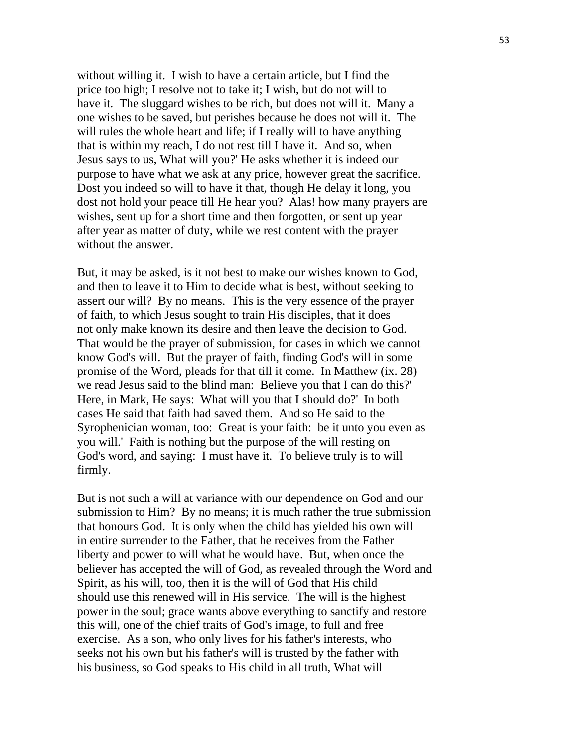without willing it. I wish to have a certain article, but I find the price too high; I resolve not to take it; I wish, but do not will to have it. The sluggard wishes to be rich, but does not will it. Many a one wishes to be saved, but perishes because he does not will it. The will rules the whole heart and life; if I really will to have anything that is within my reach, I do not rest till I have it. And so, when Jesus says to us, What will you?' He asks whether it is indeed our purpose to have what we ask at any price, however great the sacrifice. Dost you indeed so will to have it that, though He delay it long, you dost not hold your peace till He hear you? Alas! how many prayers are wishes, sent up for a short time and then forgotten, or sent up year after year as matter of duty, while we rest content with the prayer without the answer.

 But, it may be asked, is it not best to make our wishes known to God, and then to leave it to Him to decide what is best, without seeking to assert our will? By no means. This is the very essence of the prayer of faith, to which Jesus sought to train His disciples, that it does not only make known its desire and then leave the decision to God. That would be the prayer of submission, for cases in which we cannot know God's will. But the prayer of faith, finding God's will in some promise of the Word, pleads for that till it come. In Matthew (ix. 28) we read Jesus said to the blind man: Believe you that I can do this?' Here, in Mark, He says: What will you that I should do?' In both cases He said that faith had saved them. And so He said to the Syrophenician woman, too: Great is your faith: be it unto you even as you will.' Faith is nothing but the purpose of the will resting on God's word, and saying: I must have it. To believe truly is to will firmly.

 But is not such a will at variance with our dependence on God and our submission to Him? By no means; it is much rather the true submission that honours God. It is only when the child has yielded his own will in entire surrender to the Father, that he receives from the Father liberty and power to will what he would have. But, when once the believer has accepted the will of God, as revealed through the Word and Spirit, as his will, too, then it is the will of God that His child should use this renewed will in His service. The will is the highest power in the soul; grace wants above everything to sanctify and restore this will, one of the chief traits of God's image, to full and free exercise. As a son, who only lives for his father's interests, who seeks not his own but his father's will is trusted by the father with his business, so God speaks to His child in all truth, What will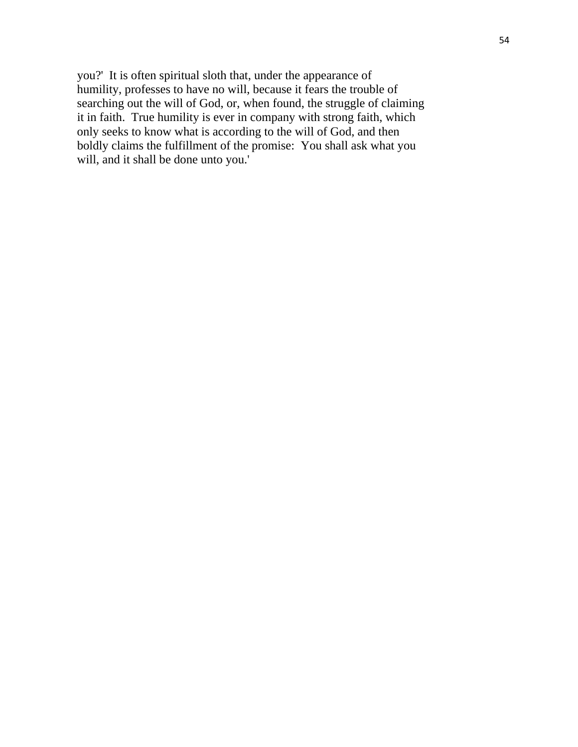you?' It is often spiritual sloth that, under the appearance of humility, professes to have no will, because it fears the trouble of searching out the will of God, or, when found, the struggle of claiming it in faith. True humility is ever in company with strong faith, which only seeks to know what is according to the will of God, and then boldly claims the fulfillment of the promise: You shall ask what you will, and it shall be done unto you.'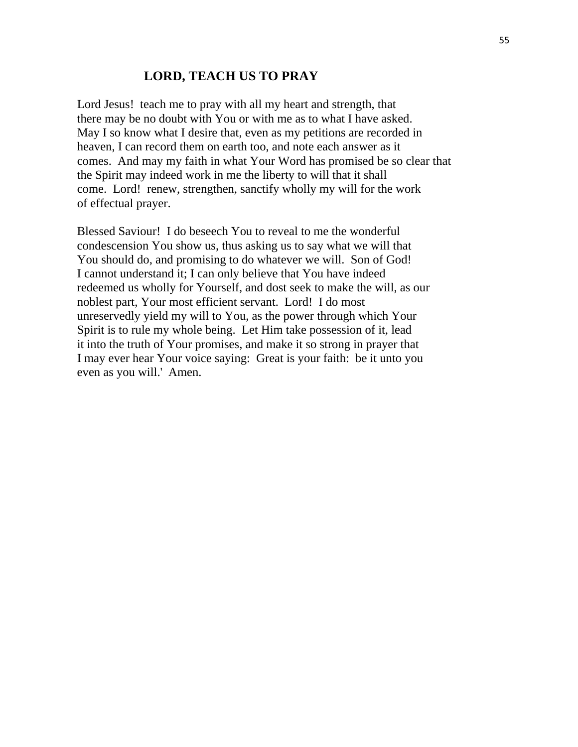# **LORD, TEACH US TO PRAY**

 Lord Jesus! teach me to pray with all my heart and strength, that there may be no doubt with You or with me as to what I have asked. May I so know what I desire that, even as my petitions are recorded in heaven, I can record them on earth too, and note each answer as it comes. And may my faith in what Your Word has promised be so clear that the Spirit may indeed work in me the liberty to will that it shall come. Lord! renew, strengthen, sanctify wholly my will for the work of effectual prayer.

 Blessed Saviour! I do beseech You to reveal to me the wonderful condescension You show us, thus asking us to say what we will that You should do, and promising to do whatever we will. Son of God! I cannot understand it; I can only believe that You have indeed redeemed us wholly for Yourself, and dost seek to make the will, as our noblest part, Your most efficient servant. Lord! I do most unreservedly yield my will to You, as the power through which Your Spirit is to rule my whole being. Let Him take possession of it, lead it into the truth of Your promises, and make it so strong in prayer that I may ever hear Your voice saying: Great is your faith: be it unto you even as you will.' Amen.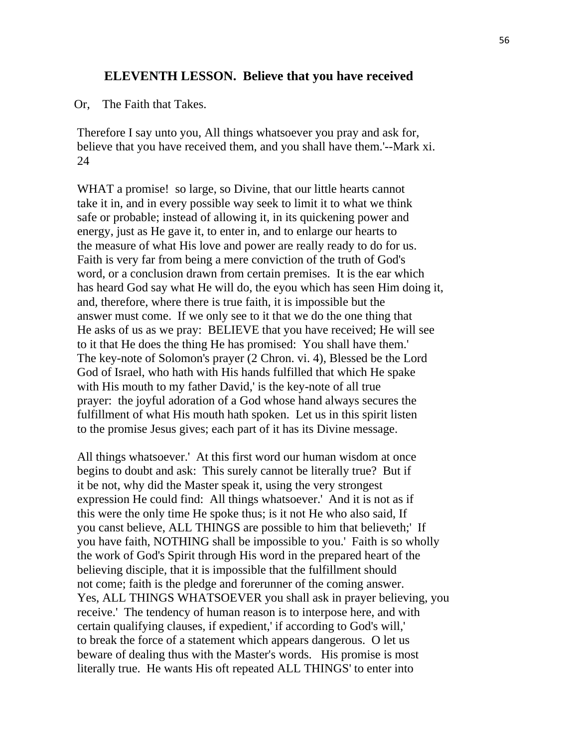## **ELEVENTH LESSON. Believe that you have received**

Or, The Faith that Takes.

 Therefore I say unto you, All things whatsoever you pray and ask for, believe that you have received them, and you shall have them.'--Mark xi. 24

WHAT a promise! so large, so Divine, that our little hearts cannot take it in, and in every possible way seek to limit it to what we think safe or probable; instead of allowing it, in its quickening power and energy, just as He gave it, to enter in, and to enlarge our hearts to the measure of what His love and power are really ready to do for us. Faith is very far from being a mere conviction of the truth of God's word, or a conclusion drawn from certain premises. It is the ear which has heard God say what He will do, the eyou which has seen Him doing it, and, therefore, where there is true faith, it is impossible but the answer must come. If we only see to it that we do the one thing that He asks of us as we pray: BELIEVE that you have received; He will see to it that He does the thing He has promised: You shall have them.' The key-note of Solomon's prayer (2 Chron. vi. 4), Blessed be the Lord God of Israel, who hath with His hands fulfilled that which He spake with His mouth to my father David, is the key-note of all true prayer: the joyful adoration of a God whose hand always secures the fulfillment of what His mouth hath spoken. Let us in this spirit listen to the promise Jesus gives; each part of it has its Divine message.

 All things whatsoever.' At this first word our human wisdom at once begins to doubt and ask: This surely cannot be literally true? But if it be not, why did the Master speak it, using the very strongest expression He could find: All things whatsoever.' And it is not as if this were the only time He spoke thus; is it not He who also said, If you canst believe, ALL THINGS are possible to him that believeth;' If you have faith, NOTHING shall be impossible to you.' Faith is so wholly the work of God's Spirit through His word in the prepared heart of the believing disciple, that it is impossible that the fulfillment should not come; faith is the pledge and forerunner of the coming answer. Yes, ALL THINGS WHATSOEVER you shall ask in prayer believing, you receive.' The tendency of human reason is to interpose here, and with certain qualifying clauses, if expedient,' if according to God's will,' to break the force of a statement which appears dangerous. O let us beware of dealing thus with the Master's words. His promise is most literally true. He wants His oft repeated ALL THINGS' to enter into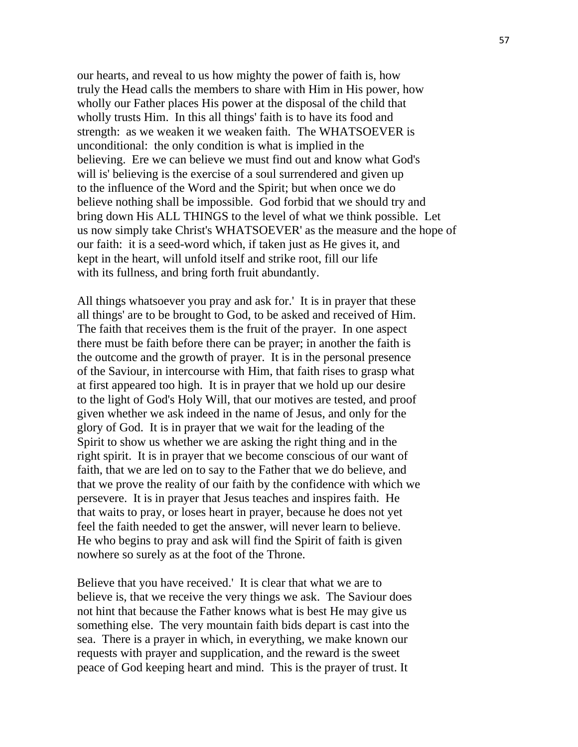our hearts, and reveal to us how mighty the power of faith is, how truly the Head calls the members to share with Him in His power, how wholly our Father places His power at the disposal of the child that wholly trusts Him. In this all things' faith is to have its food and strength: as we weaken it we weaken faith. The WHATSOEVER is unconditional: the only condition is what is implied in the believing. Ere we can believe we must find out and know what God's will is' believing is the exercise of a soul surrendered and given up to the influence of the Word and the Spirit; but when once we do believe nothing shall be impossible. God forbid that we should try and bring down His ALL THINGS to the level of what we think possible. Let us now simply take Christ's WHATSOEVER' as the measure and the hope of our faith: it is a seed-word which, if taken just as He gives it, and kept in the heart, will unfold itself and strike root, fill our life with its fullness, and bring forth fruit abundantly.

 All things whatsoever you pray and ask for.' It is in prayer that these all things' are to be brought to God, to be asked and received of Him. The faith that receives them is the fruit of the prayer. In one aspect there must be faith before there can be prayer; in another the faith is the outcome and the growth of prayer. It is in the personal presence of the Saviour, in intercourse with Him, that faith rises to grasp what at first appeared too high. It is in prayer that we hold up our desire to the light of God's Holy Will, that our motives are tested, and proof given whether we ask indeed in the name of Jesus, and only for the glory of God. It is in prayer that we wait for the leading of the Spirit to show us whether we are asking the right thing and in the right spirit. It is in prayer that we become conscious of our want of faith, that we are led on to say to the Father that we do believe, and that we prove the reality of our faith by the confidence with which we persevere. It is in prayer that Jesus teaches and inspires faith. He that waits to pray, or loses heart in prayer, because he does not yet feel the faith needed to get the answer, will never learn to believe. He who begins to pray and ask will find the Spirit of faith is given nowhere so surely as at the foot of the Throne.

 Believe that you have received.' It is clear that what we are to believe is, that we receive the very things we ask. The Saviour does not hint that because the Father knows what is best He may give us something else. The very mountain faith bids depart is cast into the sea. There is a prayer in which, in everything, we make known our requests with prayer and supplication, and the reward is the sweet peace of God keeping heart and mind. This is the prayer of trust. It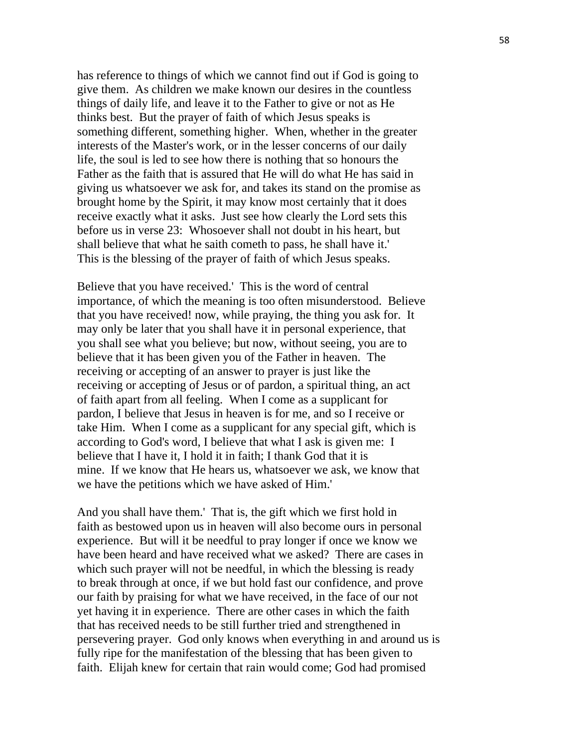has reference to things of which we cannot find out if God is going to give them. As children we make known our desires in the countless things of daily life, and leave it to the Father to give or not as He thinks best. But the prayer of faith of which Jesus speaks is something different, something higher. When, whether in the greater interests of the Master's work, or in the lesser concerns of our daily life, the soul is led to see how there is nothing that so honours the Father as the faith that is assured that He will do what He has said in giving us whatsoever we ask for, and takes its stand on the promise as brought home by the Spirit, it may know most certainly that it does receive exactly what it asks. Just see how clearly the Lord sets this before us in verse 23: Whosoever shall not doubt in his heart, but shall believe that what he saith cometh to pass, he shall have it.' This is the blessing of the prayer of faith of which Jesus speaks.

 Believe that you have received.' This is the word of central importance, of which the meaning is too often misunderstood. Believe that you have received! now, while praying, the thing you ask for. It may only be later that you shall have it in personal experience, that you shall see what you believe; but now, without seeing, you are to believe that it has been given you of the Father in heaven. The receiving or accepting of an answer to prayer is just like the receiving or accepting of Jesus or of pardon, a spiritual thing, an act of faith apart from all feeling. When I come as a supplicant for pardon, I believe that Jesus in heaven is for me, and so I receive or take Him. When I come as a supplicant for any special gift, which is according to God's word, I believe that what I ask is given me: I believe that I have it, I hold it in faith; I thank God that it is mine. If we know that He hears us, whatsoever we ask, we know that we have the petitions which we have asked of Him.'

 And you shall have them.' That is, the gift which we first hold in faith as bestowed upon us in heaven will also become ours in personal experience. But will it be needful to pray longer if once we know we have been heard and have received what we asked? There are cases in which such prayer will not be needful, in which the blessing is ready to break through at once, if we but hold fast our confidence, and prove our faith by praising for what we have received, in the face of our not yet having it in experience. There are other cases in which the faith that has received needs to be still further tried and strengthened in persevering prayer. God only knows when everything in and around us is fully ripe for the manifestation of the blessing that has been given to faith. Elijah knew for certain that rain would come; God had promised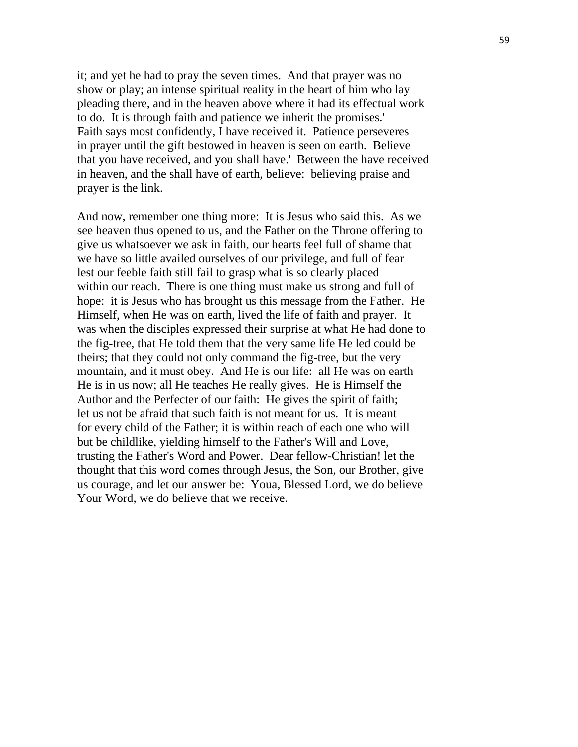it; and yet he had to pray the seven times. And that prayer was no show or play; an intense spiritual reality in the heart of him who lay pleading there, and in the heaven above where it had its effectual work to do. It is through faith and patience we inherit the promises.' Faith says most confidently, I have received it. Patience perseveres in prayer until the gift bestowed in heaven is seen on earth. Believe that you have received, and you shall have.' Between the have received in heaven, and the shall have of earth, believe: believing praise and prayer is the link.

 And now, remember one thing more: It is Jesus who said this. As we see heaven thus opened to us, and the Father on the Throne offering to give us whatsoever we ask in faith, our hearts feel full of shame that we have so little availed ourselves of our privilege, and full of fear lest our feeble faith still fail to grasp what is so clearly placed within our reach. There is one thing must make us strong and full of hope: it is Jesus who has brought us this message from the Father. He Himself, when He was on earth, lived the life of faith and prayer. It was when the disciples expressed their surprise at what He had done to the fig-tree, that He told them that the very same life He led could be theirs; that they could not only command the fig-tree, but the very mountain, and it must obey. And He is our life: all He was on earth He is in us now; all He teaches He really gives. He is Himself the Author and the Perfecter of our faith: He gives the spirit of faith; let us not be afraid that such faith is not meant for us. It is meant for every child of the Father; it is within reach of each one who will but be childlike, yielding himself to the Father's Will and Love, trusting the Father's Word and Power. Dear fellow-Christian! let the thought that this word comes through Jesus, the Son, our Brother, give us courage, and let our answer be: Youa, Blessed Lord, we do believe Your Word, we do believe that we receive.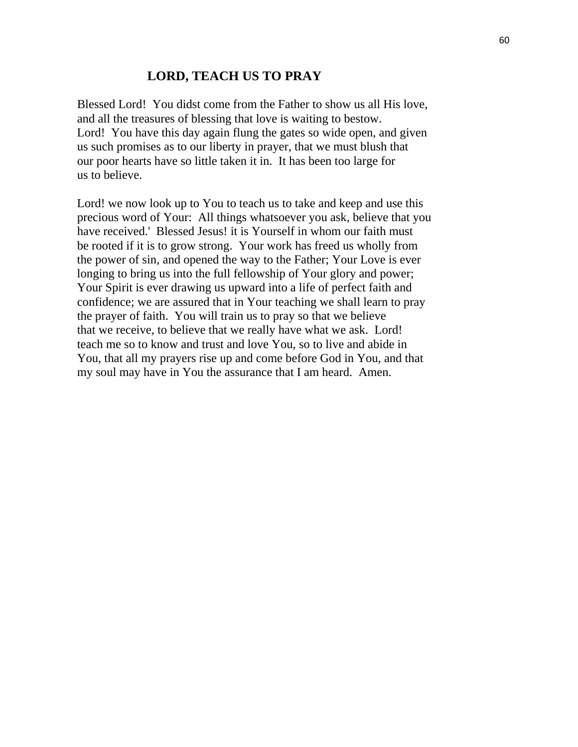# **LORD, TEACH US TO PRAY**

 Blessed Lord! You didst come from the Father to show us all His love, and all the treasures of blessing that love is waiting to bestow. Lord! You have this day again flung the gates so wide open, and given us such promises as to our liberty in prayer, that we must blush that our poor hearts have so little taken it in. It has been too large for us to believe.

 Lord! we now look up to You to teach us to take and keep and use this precious word of Your: All things whatsoever you ask, believe that you have received.' Blessed Jesus! it is Yourself in whom our faith must be rooted if it is to grow strong. Your work has freed us wholly from the power of sin, and opened the way to the Father; Your Love is ever longing to bring us into the full fellowship of Your glory and power; Your Spirit is ever drawing us upward into a life of perfect faith and confidence; we are assured that in Your teaching we shall learn to pray the prayer of faith. You will train us to pray so that we believe that we receive, to believe that we really have what we ask. Lord! teach me so to know and trust and love You, so to live and abide in You, that all my prayers rise up and come before God in You, and that my soul may have in You the assurance that I am heard. Amen.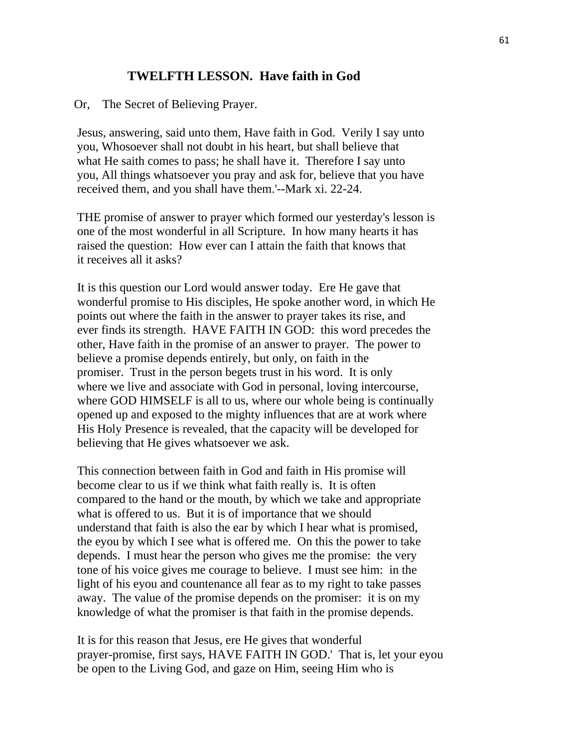# **TWELFTH LESSON. Have faith in God**

Or, The Secret of Believing Prayer.

 Jesus, answering, said unto them, Have faith in God. Verily I say unto you, Whosoever shall not doubt in his heart, but shall believe that what He saith comes to pass; he shall have it. Therefore I say unto you, All things whatsoever you pray and ask for, believe that you have received them, and you shall have them.'--Mark xi. 22-24.

 THE promise of answer to prayer which formed our yesterday's lesson is one of the most wonderful in all Scripture. In how many hearts it has raised the question: How ever can I attain the faith that knows that it receives all it asks?

 It is this question our Lord would answer today. Ere He gave that wonderful promise to His disciples, He spoke another word, in which He points out where the faith in the answer to prayer takes its rise, and ever finds its strength. HAVE FAITH IN GOD: this word precedes the other, Have faith in the promise of an answer to prayer. The power to believe a promise depends entirely, but only, on faith in the promiser. Trust in the person begets trust in his word. It is only where we live and associate with God in personal, loving intercourse, where GOD HIMSELF is all to us, where our whole being is continually opened up and exposed to the mighty influences that are at work where His Holy Presence is revealed, that the capacity will be developed for believing that He gives whatsoever we ask.

 This connection between faith in God and faith in His promise will become clear to us if we think what faith really is. It is often compared to the hand or the mouth, by which we take and appropriate what is offered to us. But it is of importance that we should understand that faith is also the ear by which I hear what is promised, the eyou by which I see what is offered me. On this the power to take depends. I must hear the person who gives me the promise: the very tone of his voice gives me courage to believe. I must see him: in the light of his eyou and countenance all fear as to my right to take passes away. The value of the promise depends on the promiser: it is on my knowledge of what the promiser is that faith in the promise depends.

 It is for this reason that Jesus, ere He gives that wonderful prayer-promise, first says, HAVE FAITH IN GOD.' That is, let your eyou be open to the Living God, and gaze on Him, seeing Him who is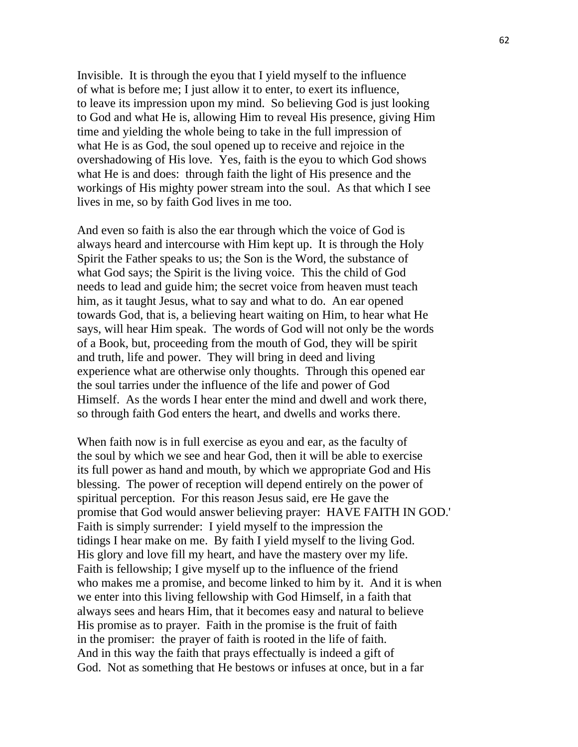Invisible. It is through the eyou that I yield myself to the influence of what is before me; I just allow it to enter, to exert its influence, to leave its impression upon my mind. So believing God is just looking to God and what He is, allowing Him to reveal His presence, giving Him time and yielding the whole being to take in the full impression of what He is as God, the soul opened up to receive and rejoice in the overshadowing of His love. Yes, faith is the eyou to which God shows what He is and does: through faith the light of His presence and the workings of His mighty power stream into the soul. As that which I see lives in me, so by faith God lives in me too.

 And even so faith is also the ear through which the voice of God is always heard and intercourse with Him kept up. It is through the Holy Spirit the Father speaks to us; the Son is the Word, the substance of what God says; the Spirit is the living voice. This the child of God needs to lead and guide him; the secret voice from heaven must teach him, as it taught Jesus, what to say and what to do. An ear opened towards God, that is, a believing heart waiting on Him, to hear what He says, will hear Him speak. The words of God will not only be the words of a Book, but, proceeding from the mouth of God, they will be spirit and truth, life and power. They will bring in deed and living experience what are otherwise only thoughts. Through this opened ear the soul tarries under the influence of the life and power of God Himself. As the words I hear enter the mind and dwell and work there, so through faith God enters the heart, and dwells and works there.

 When faith now is in full exercise as eyou and ear, as the faculty of the soul by which we see and hear God, then it will be able to exercise its full power as hand and mouth, by which we appropriate God and His blessing. The power of reception will depend entirely on the power of spiritual perception. For this reason Jesus said, ere He gave the promise that God would answer believing prayer: HAVE FAITH IN GOD.' Faith is simply surrender: I yield myself to the impression the tidings I hear make on me. By faith I yield myself to the living God. His glory and love fill my heart, and have the mastery over my life. Faith is fellowship; I give myself up to the influence of the friend who makes me a promise, and become linked to him by it. And it is when we enter into this living fellowship with God Himself, in a faith that always sees and hears Him, that it becomes easy and natural to believe His promise as to prayer. Faith in the promise is the fruit of faith in the promiser: the prayer of faith is rooted in the life of faith. And in this way the faith that prays effectually is indeed a gift of God. Not as something that He bestows or infuses at once, but in a far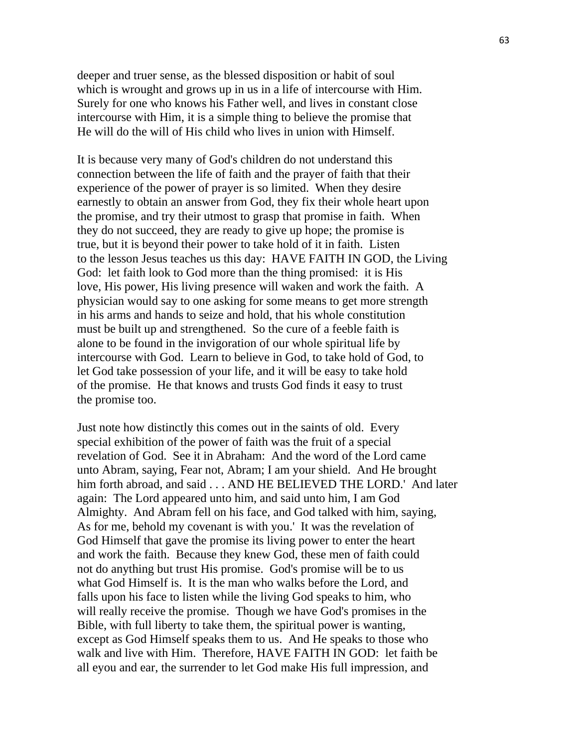deeper and truer sense, as the blessed disposition or habit of soul which is wrought and grows up in us in a life of intercourse with Him. Surely for one who knows his Father well, and lives in constant close intercourse with Him, it is a simple thing to believe the promise that He will do the will of His child who lives in union with Himself.

 It is because very many of God's children do not understand this connection between the life of faith and the prayer of faith that their experience of the power of prayer is so limited. When they desire earnestly to obtain an answer from God, they fix their whole heart upon the promise, and try their utmost to grasp that promise in faith. When they do not succeed, they are ready to give up hope; the promise is true, but it is beyond their power to take hold of it in faith. Listen to the lesson Jesus teaches us this day: HAVE FAITH IN GOD, the Living God: let faith look to God more than the thing promised: it is His love, His power, His living presence will waken and work the faith. A physician would say to one asking for some means to get more strength in his arms and hands to seize and hold, that his whole constitution must be built up and strengthened. So the cure of a feeble faith is alone to be found in the invigoration of our whole spiritual life by intercourse with God. Learn to believe in God, to take hold of God, to let God take possession of your life, and it will be easy to take hold of the promise. He that knows and trusts God finds it easy to trust the promise too.

 Just note how distinctly this comes out in the saints of old. Every special exhibition of the power of faith was the fruit of a special revelation of God. See it in Abraham: And the word of the Lord came unto Abram, saying, Fear not, Abram; I am your shield. And He brought him forth abroad, and said . . . AND HE BELIEVED THE LORD.' And later again: The Lord appeared unto him, and said unto him, I am God Almighty. And Abram fell on his face, and God talked with him, saying, As for me, behold my covenant is with you.' It was the revelation of God Himself that gave the promise its living power to enter the heart and work the faith. Because they knew God, these men of faith could not do anything but trust His promise. God's promise will be to us what God Himself is. It is the man who walks before the Lord, and falls upon his face to listen while the living God speaks to him, who will really receive the promise. Though we have God's promises in the Bible, with full liberty to take them, the spiritual power is wanting, except as God Himself speaks them to us. And He speaks to those who walk and live with Him. Therefore, HAVE FAITH IN GOD: let faith be all eyou and ear, the surrender to let God make His full impression, and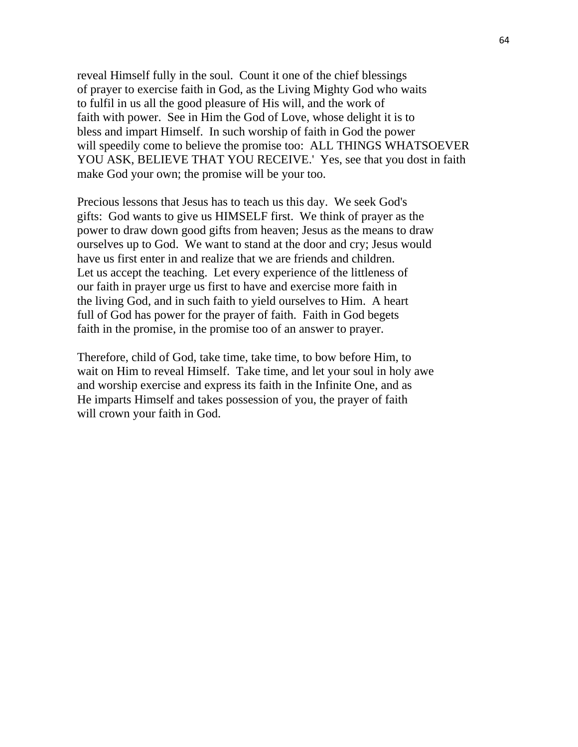reveal Himself fully in the soul. Count it one of the chief blessings of prayer to exercise faith in God, as the Living Mighty God who waits to fulfil in us all the good pleasure of His will, and the work of faith with power. See in Him the God of Love, whose delight it is to bless and impart Himself. In such worship of faith in God the power will speedily come to believe the promise too: ALL THINGS WHATSOEVER YOU ASK, BELIEVE THAT YOU RECEIVE.' Yes, see that you dost in faith make God your own; the promise will be your too.

 Precious lessons that Jesus has to teach us this day. We seek God's gifts: God wants to give us HIMSELF first. We think of prayer as the power to draw down good gifts from heaven; Jesus as the means to draw ourselves up to God. We want to stand at the door and cry; Jesus would have us first enter in and realize that we are friends and children. Let us accept the teaching. Let every experience of the littleness of our faith in prayer urge us first to have and exercise more faith in the living God, and in such faith to yield ourselves to Him. A heart full of God has power for the prayer of faith. Faith in God begets faith in the promise, in the promise too of an answer to prayer.

 Therefore, child of God, take time, take time, to bow before Him, to wait on Him to reveal Himself. Take time, and let your soul in holy awe and worship exercise and express its faith in the Infinite One, and as He imparts Himself and takes possession of you, the prayer of faith will crown your faith in God.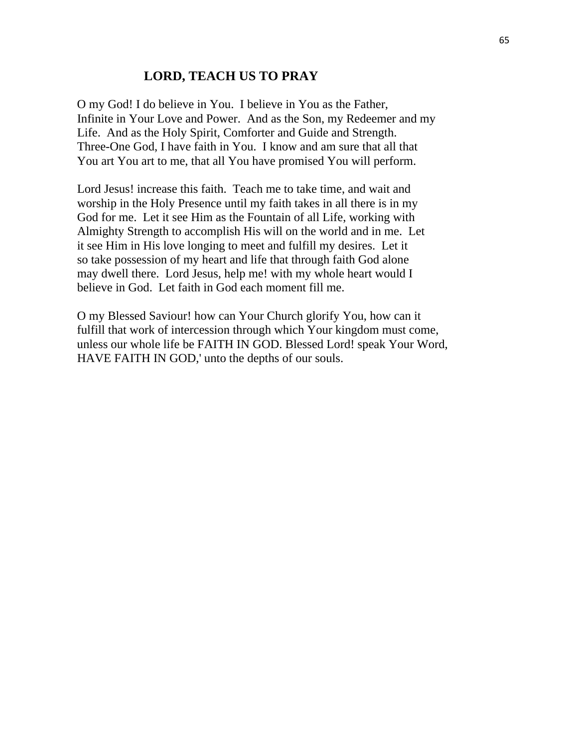## **LORD, TEACH US TO PRAY**

 O my God! I do believe in You. I believe in You as the Father, Infinite in Your Love and Power. And as the Son, my Redeemer and my Life. And as the Holy Spirit, Comforter and Guide and Strength. Three-One God, I have faith in You. I know and am sure that all that You art You art to me, that all You have promised You will perform.

 Lord Jesus! increase this faith. Teach me to take time, and wait and worship in the Holy Presence until my faith takes in all there is in my God for me. Let it see Him as the Fountain of all Life, working with Almighty Strength to accomplish His will on the world and in me. Let it see Him in His love longing to meet and fulfill my desires. Let it so take possession of my heart and life that through faith God alone may dwell there. Lord Jesus, help me! with my whole heart would I believe in God. Let faith in God each moment fill me.

 O my Blessed Saviour! how can Your Church glorify You, how can it fulfill that work of intercession through which Your kingdom must come, unless our whole life be FAITH IN GOD. Blessed Lord! speak Your Word, HAVE FAITH IN GOD,' unto the depths of our souls.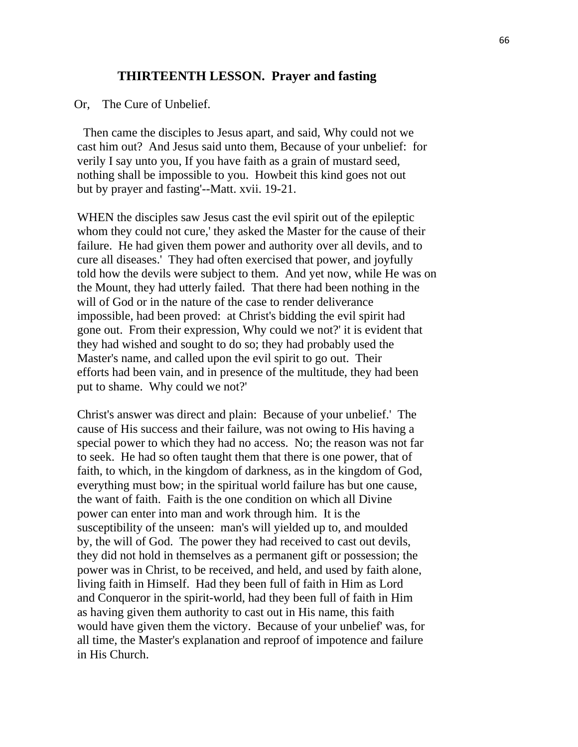#### **THIRTEENTH LESSON. Prayer and fasting**

Or, The Cure of Unbelief.

 Then came the disciples to Jesus apart, and said, Why could not we cast him out? And Jesus said unto them, Because of your unbelief: for verily I say unto you, If you have faith as a grain of mustard seed, nothing shall be impossible to you. Howbeit this kind goes not out but by prayer and fasting'--Matt. xvii. 19-21.

 WHEN the disciples saw Jesus cast the evil spirit out of the epileptic whom they could not cure,' they asked the Master for the cause of their failure. He had given them power and authority over all devils, and to cure all diseases.' They had often exercised that power, and joyfully told how the devils were subject to them. And yet now, while He was on the Mount, they had utterly failed. That there had been nothing in the will of God or in the nature of the case to render deliverance impossible, had been proved: at Christ's bidding the evil spirit had gone out. From their expression, Why could we not?' it is evident that they had wished and sought to do so; they had probably used the Master's name, and called upon the evil spirit to go out. Their efforts had been vain, and in presence of the multitude, they had been put to shame. Why could we not?'

 Christ's answer was direct and plain: Because of your unbelief.' The cause of His success and their failure, was not owing to His having a special power to which they had no access. No; the reason was not far to seek. He had so often taught them that there is one power, that of faith, to which, in the kingdom of darkness, as in the kingdom of God, everything must bow; in the spiritual world failure has but one cause, the want of faith. Faith is the one condition on which all Divine power can enter into man and work through him. It is the susceptibility of the unseen: man's will yielded up to, and moulded by, the will of God. The power they had received to cast out devils, they did not hold in themselves as a permanent gift or possession; the power was in Christ, to be received, and held, and used by faith alone, living faith in Himself. Had they been full of faith in Him as Lord and Conqueror in the spirit-world, had they been full of faith in Him as having given them authority to cast out in His name, this faith would have given them the victory. Because of your unbelief' was, for all time, the Master's explanation and reproof of impotence and failure in His Church.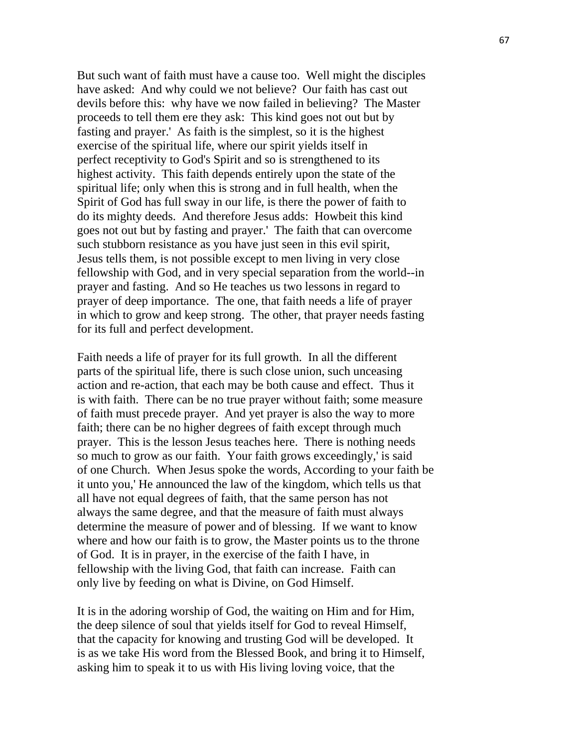But such want of faith must have a cause too. Well might the disciples have asked: And why could we not believe? Our faith has cast out devils before this: why have we now failed in believing? The Master proceeds to tell them ere they ask: This kind goes not out but by fasting and prayer.' As faith is the simplest, so it is the highest exercise of the spiritual life, where our spirit yields itself in perfect receptivity to God's Spirit and so is strengthened to its highest activity. This faith depends entirely upon the state of the spiritual life; only when this is strong and in full health, when the Spirit of God has full sway in our life, is there the power of faith to do its mighty deeds. And therefore Jesus adds: Howbeit this kind goes not out but by fasting and prayer.' The faith that can overcome such stubborn resistance as you have just seen in this evil spirit, Jesus tells them, is not possible except to men living in very close fellowship with God, and in very special separation from the world--in prayer and fasting. And so He teaches us two lessons in regard to prayer of deep importance. The one, that faith needs a life of prayer in which to grow and keep strong. The other, that prayer needs fasting for its full and perfect development.

 Faith needs a life of prayer for its full growth. In all the different parts of the spiritual life, there is such close union, such unceasing action and re-action, that each may be both cause and effect. Thus it is with faith. There can be no true prayer without faith; some measure of faith must precede prayer. And yet prayer is also the way to more faith; there can be no higher degrees of faith except through much prayer. This is the lesson Jesus teaches here. There is nothing needs so much to grow as our faith. Your faith grows exceedingly,' is said of one Church. When Jesus spoke the words, According to your faith be it unto you,' He announced the law of the kingdom, which tells us that all have not equal degrees of faith, that the same person has not always the same degree, and that the measure of faith must always determine the measure of power and of blessing. If we want to know where and how our faith is to grow, the Master points us to the throne of God. It is in prayer, in the exercise of the faith I have, in fellowship with the living God, that faith can increase. Faith can only live by feeding on what is Divine, on God Himself.

 It is in the adoring worship of God, the waiting on Him and for Him, the deep silence of soul that yields itself for God to reveal Himself, that the capacity for knowing and trusting God will be developed. It is as we take His word from the Blessed Book, and bring it to Himself, asking him to speak it to us with His living loving voice, that the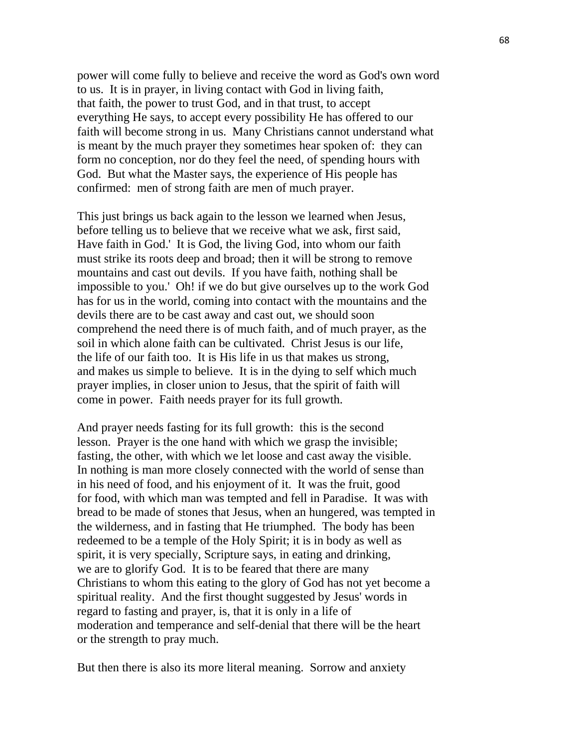power will come fully to believe and receive the word as God's own word to us. It is in prayer, in living contact with God in living faith, that faith, the power to trust God, and in that trust, to accept everything He says, to accept every possibility He has offered to our faith will become strong in us. Many Christians cannot understand what is meant by the much prayer they sometimes hear spoken of: they can form no conception, nor do they feel the need, of spending hours with God. But what the Master says, the experience of His people has confirmed: men of strong faith are men of much prayer.

 This just brings us back again to the lesson we learned when Jesus, before telling us to believe that we receive what we ask, first said, Have faith in God.' It is God, the living God, into whom our faith must strike its roots deep and broad; then it will be strong to remove mountains and cast out devils. If you have faith, nothing shall be impossible to you.' Oh! if we do but give ourselves up to the work God has for us in the world, coming into contact with the mountains and the devils there are to be cast away and cast out, we should soon comprehend the need there is of much faith, and of much prayer, as the soil in which alone faith can be cultivated. Christ Jesus is our life, the life of our faith too. It is His life in us that makes us strong, and makes us simple to believe. It is in the dying to self which much prayer implies, in closer union to Jesus, that the spirit of faith will come in power. Faith needs prayer for its full growth.

 And prayer needs fasting for its full growth: this is the second lesson. Prayer is the one hand with which we grasp the invisible; fasting, the other, with which we let loose and cast away the visible. In nothing is man more closely connected with the world of sense than in his need of food, and his enjoyment of it. It was the fruit, good for food, with which man was tempted and fell in Paradise. It was with bread to be made of stones that Jesus, when an hungered, was tempted in the wilderness, and in fasting that He triumphed. The body has been redeemed to be a temple of the Holy Spirit; it is in body as well as spirit, it is very specially, Scripture says, in eating and drinking, we are to glorify God. It is to be feared that there are many Christians to whom this eating to the glory of God has not yet become a spiritual reality. And the first thought suggested by Jesus' words in regard to fasting and prayer, is, that it is only in a life of moderation and temperance and self-denial that there will be the heart or the strength to pray much.

But then there is also its more literal meaning. Sorrow and anxiety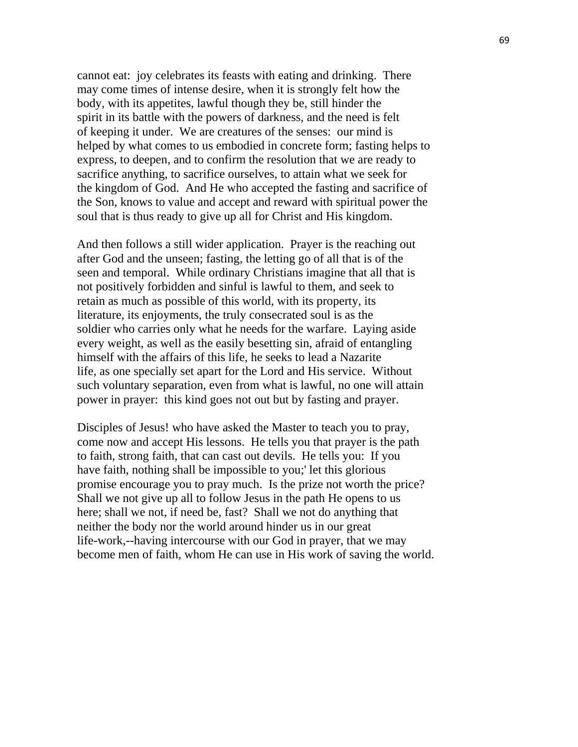cannot eat: joy celebrates its feasts with eating and drinking. There may come times of intense desire, when it is strongly felt how the body, with its appetites, lawful though they be, still hinder the spirit in its battle with the powers of darkness, and the need is felt of keeping it under. We are creatures of the senses: our mind is helped by what comes to us embodied in concrete form; fasting helps to express, to deepen, and to confirm the resolution that we are ready to sacrifice anything, to sacrifice ourselves, to attain what we seek for the kingdom of God. And He who accepted the fasting and sacrifice of the Son, knows to value and accept and reward with spiritual power the soul that is thus ready to give up all for Christ and His kingdom.

 And then follows a still wider application. Prayer is the reaching out after God and the unseen; fasting, the letting go of all that is of the seen and temporal. While ordinary Christians imagine that all that is not positively forbidden and sinful is lawful to them, and seek to retain as much as possible of this world, with its property, its literature, its enjoyments, the truly consecrated soul is as the soldier who carries only what he needs for the warfare. Laying aside every weight, as well as the easily besetting sin, afraid of entangling himself with the affairs of this life, he seeks to lead a Nazarite life, as one specially set apart for the Lord and His service. Without such voluntary separation, even from what is lawful, no one will attain power in prayer: this kind goes not out but by fasting and prayer.

 Disciples of Jesus! who have asked the Master to teach you to pray, come now and accept His lessons. He tells you that prayer is the path to faith, strong faith, that can cast out devils. He tells you: If you have faith, nothing shall be impossible to you;' let this glorious promise encourage you to pray much. Is the prize not worth the price? Shall we not give up all to follow Jesus in the path He opens to us here; shall we not, if need be, fast? Shall we not do anything that neither the body nor the world around hinder us in our great life-work,--having intercourse with our God in prayer, that we may become men of faith, whom He can use in His work of saving the world.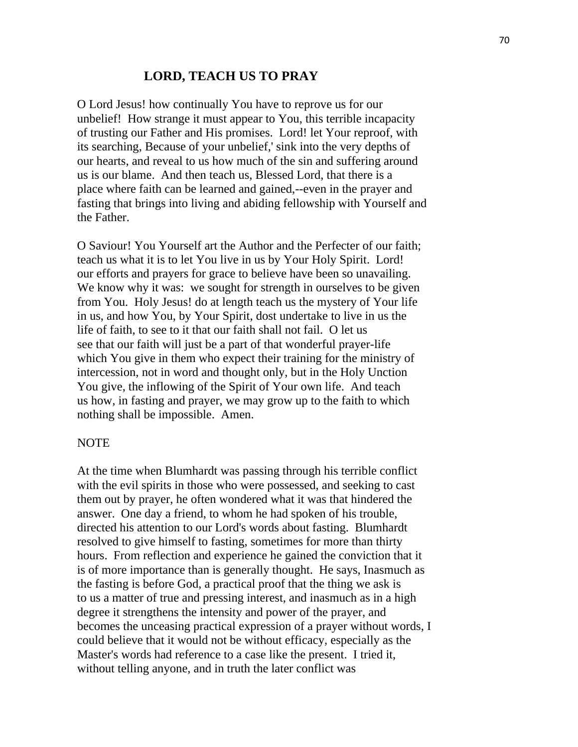## **LORD, TEACH US TO PRAY**

 O Lord Jesus! how continually You have to reprove us for our unbelief! How strange it must appear to You, this terrible incapacity of trusting our Father and His promises. Lord! let Your reproof, with its searching, Because of your unbelief,' sink into the very depths of our hearts, and reveal to us how much of the sin and suffering around us is our blame. And then teach us, Blessed Lord, that there is a place where faith can be learned and gained,--even in the prayer and fasting that brings into living and abiding fellowship with Yourself and the Father.

 O Saviour! You Yourself art the Author and the Perfecter of our faith; teach us what it is to let You live in us by Your Holy Spirit. Lord! our efforts and prayers for grace to believe have been so unavailing. We know why it was: we sought for strength in ourselves to be given from You. Holy Jesus! do at length teach us the mystery of Your life in us, and how You, by Your Spirit, dost undertake to live in us the life of faith, to see to it that our faith shall not fail. O let us see that our faith will just be a part of that wonderful prayer-life which You give in them who expect their training for the ministry of intercession, not in word and thought only, but in the Holy Unction You give, the inflowing of the Spirit of Your own life. And teach us how, in fasting and prayer, we may grow up to the faith to which nothing shall be impossible. Amen.

#### **NOTE**

 At the time when Blumhardt was passing through his terrible conflict with the evil spirits in those who were possessed, and seeking to cast them out by prayer, he often wondered what it was that hindered the answer. One day a friend, to whom he had spoken of his trouble, directed his attention to our Lord's words about fasting. Blumhardt resolved to give himself to fasting, sometimes for more than thirty hours. From reflection and experience he gained the conviction that it is of more importance than is generally thought. He says, Inasmuch as the fasting is before God, a practical proof that the thing we ask is to us a matter of true and pressing interest, and inasmuch as in a high degree it strengthens the intensity and power of the prayer, and becomes the unceasing practical expression of a prayer without words, I could believe that it would not be without efficacy, especially as the Master's words had reference to a case like the present. I tried it, without telling anyone, and in truth the later conflict was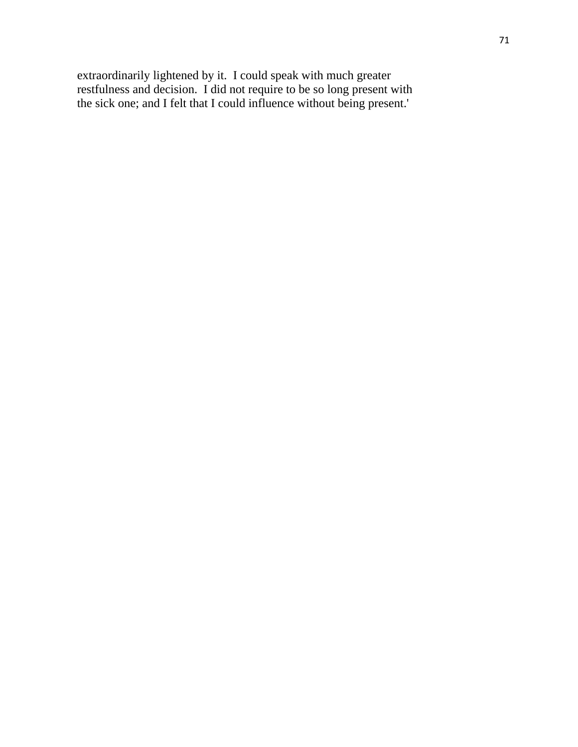extraordinarily lightened by it. I could speak with much greater restfulness and decision. I did not require to be so long present with the sick one; and I felt that I could influence without being present.'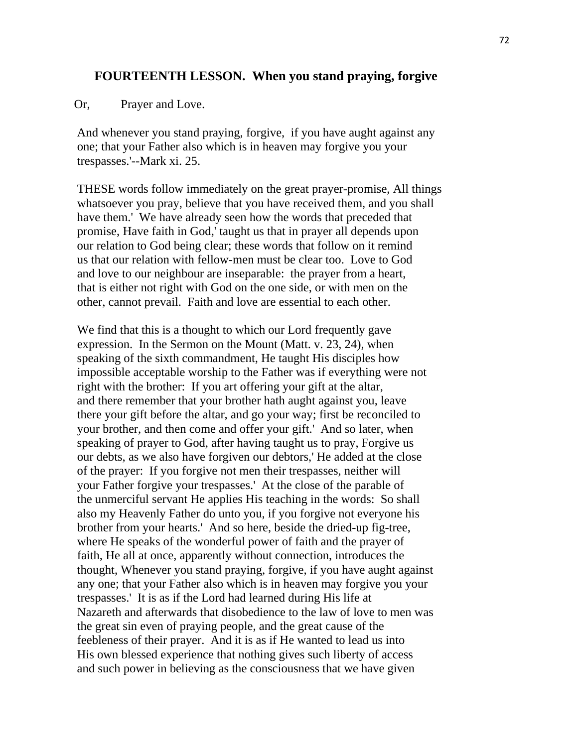#### **FOURTEENTH LESSON. When you stand praying, forgive**

Or, Prayer and Love.

 And whenever you stand praying, forgive, if you have aught against any one; that your Father also which is in heaven may forgive you your trespasses.'--Mark xi. 25.

 THESE words follow immediately on the great prayer-promise, All things whatsoever you pray, believe that you have received them, and you shall have them.' We have already seen how the words that preceded that promise, Have faith in God,' taught us that in prayer all depends upon our relation to God being clear; these words that follow on it remind us that our relation with fellow-men must be clear too. Love to God and love to our neighbour are inseparable: the prayer from a heart, that is either not right with God on the one side, or with men on the other, cannot prevail. Faith and love are essential to each other.

 We find that this is a thought to which our Lord frequently gave expression. In the Sermon on the Mount (Matt. v. 23, 24), when speaking of the sixth commandment, He taught His disciples how impossible acceptable worship to the Father was if everything were not right with the brother: If you art offering your gift at the altar, and there remember that your brother hath aught against you, leave there your gift before the altar, and go your way; first be reconciled to your brother, and then come and offer your gift.' And so later, when speaking of prayer to God, after having taught us to pray, Forgive us our debts, as we also have forgiven our debtors,' He added at the close of the prayer: If you forgive not men their trespasses, neither will your Father forgive your trespasses.' At the close of the parable of the unmerciful servant He applies His teaching in the words: So shall also my Heavenly Father do unto you, if you forgive not everyone his brother from your hearts.' And so here, beside the dried-up fig-tree, where He speaks of the wonderful power of faith and the prayer of faith, He all at once, apparently without connection, introduces the thought, Whenever you stand praying, forgive, if you have aught against any one; that your Father also which is in heaven may forgive you your trespasses.' It is as if the Lord had learned during His life at Nazareth and afterwards that disobedience to the law of love to men was the great sin even of praying people, and the great cause of the feebleness of their prayer. And it is as if He wanted to lead us into His own blessed experience that nothing gives such liberty of access and such power in believing as the consciousness that we have given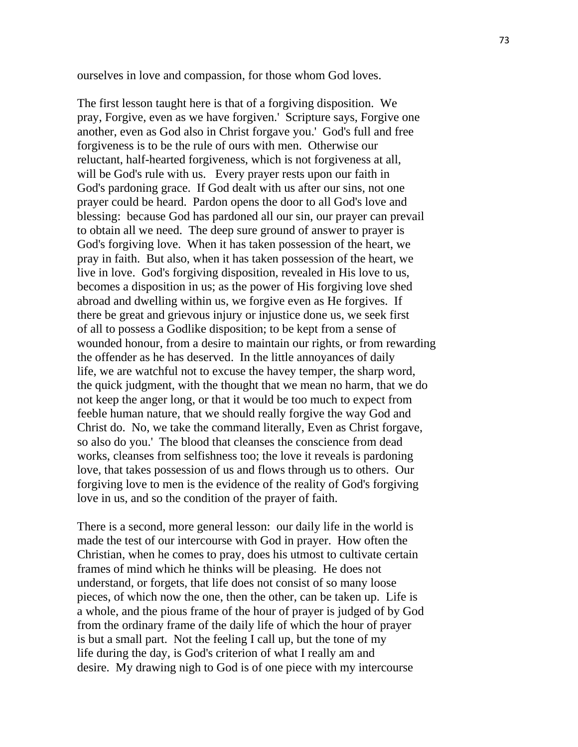ourselves in love and compassion, for those whom God loves.

 The first lesson taught here is that of a forgiving disposition. We pray, Forgive, even as we have forgiven.' Scripture says, Forgive one another, even as God also in Christ forgave you.' God's full and free forgiveness is to be the rule of ours with men. Otherwise our reluctant, half-hearted forgiveness, which is not forgiveness at all, will be God's rule with us. Every prayer rests upon our faith in God's pardoning grace. If God dealt with us after our sins, not one prayer could be heard. Pardon opens the door to all God's love and blessing: because God has pardoned all our sin, our prayer can prevail to obtain all we need. The deep sure ground of answer to prayer is God's forgiving love. When it has taken possession of the heart, we pray in faith. But also, when it has taken possession of the heart, we live in love. God's forgiving disposition, revealed in His love to us, becomes a disposition in us; as the power of His forgiving love shed abroad and dwelling within us, we forgive even as He forgives. If there be great and grievous injury or injustice done us, we seek first of all to possess a Godlike disposition; to be kept from a sense of wounded honour, from a desire to maintain our rights, or from rewarding the offender as he has deserved. In the little annoyances of daily life, we are watchful not to excuse the havey temper, the sharp word, the quick judgment, with the thought that we mean no harm, that we do not keep the anger long, or that it would be too much to expect from feeble human nature, that we should really forgive the way God and Christ do. No, we take the command literally, Even as Christ forgave, so also do you.' The blood that cleanses the conscience from dead works, cleanses from selfishness too; the love it reveals is pardoning love, that takes possession of us and flows through us to others. Our forgiving love to men is the evidence of the reality of God's forgiving love in us, and so the condition of the prayer of faith.

 There is a second, more general lesson: our daily life in the world is made the test of our intercourse with God in prayer. How often the Christian, when he comes to pray, does his utmost to cultivate certain frames of mind which he thinks will be pleasing. He does not understand, or forgets, that life does not consist of so many loose pieces, of which now the one, then the other, can be taken up. Life is a whole, and the pious frame of the hour of prayer is judged of by God from the ordinary frame of the daily life of which the hour of prayer is but a small part. Not the feeling I call up, but the tone of my life during the day, is God's criterion of what I really am and desire. My drawing nigh to God is of one piece with my intercourse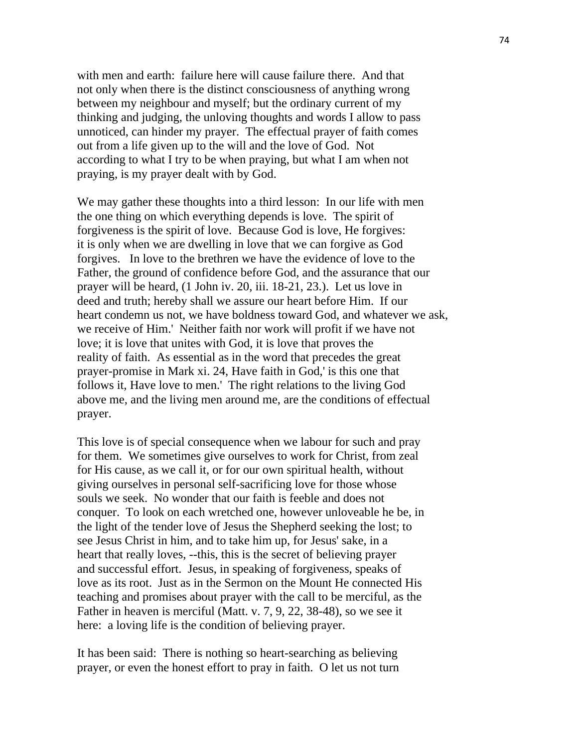with men and earth: failure here will cause failure there. And that not only when there is the distinct consciousness of anything wrong between my neighbour and myself; but the ordinary current of my thinking and judging, the unloving thoughts and words I allow to pass unnoticed, can hinder my prayer. The effectual prayer of faith comes out from a life given up to the will and the love of God. Not according to what I try to be when praying, but what I am when not praying, is my prayer dealt with by God.

 We may gather these thoughts into a third lesson: In our life with men the one thing on which everything depends is love. The spirit of forgiveness is the spirit of love. Because God is love, He forgives: it is only when we are dwelling in love that we can forgive as God forgives. In love to the brethren we have the evidence of love to the Father, the ground of confidence before God, and the assurance that our prayer will be heard, (1 John iv. 20, iii. 18-21, 23.). Let us love in deed and truth; hereby shall we assure our heart before Him. If our heart condemn us not, we have boldness toward God, and whatever we ask, we receive of Him.' Neither faith nor work will profit if we have not love; it is love that unites with God, it is love that proves the reality of faith. As essential as in the word that precedes the great prayer-promise in Mark xi. 24, Have faith in God,' is this one that follows it, Have love to men.' The right relations to the living God above me, and the living men around me, are the conditions of effectual prayer.

 This love is of special consequence when we labour for such and pray for them. We sometimes give ourselves to work for Christ, from zeal for His cause, as we call it, or for our own spiritual health, without giving ourselves in personal self-sacrificing love for those whose souls we seek. No wonder that our faith is feeble and does not conquer. To look on each wretched one, however unloveable he be, in the light of the tender love of Jesus the Shepherd seeking the lost; to see Jesus Christ in him, and to take him up, for Jesus' sake, in a heart that really loves, --this, this is the secret of believing prayer and successful effort. Jesus, in speaking of forgiveness, speaks of love as its root. Just as in the Sermon on the Mount He connected His teaching and promises about prayer with the call to be merciful, as the Father in heaven is merciful (Matt. v. 7, 9, 22, 38-48), so we see it here: a loving life is the condition of believing prayer.

 It has been said: There is nothing so heart-searching as believing prayer, or even the honest effort to pray in faith. O let us not turn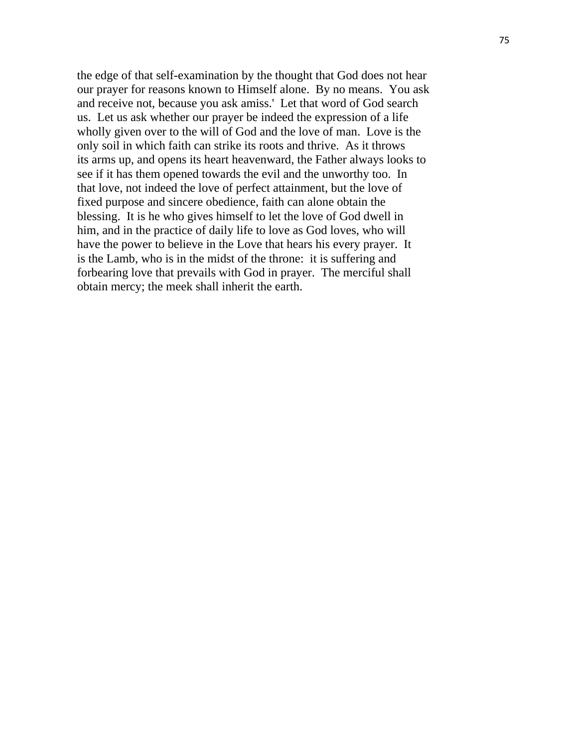the edge of that self-examination by the thought that God does not hear our prayer for reasons known to Himself alone. By no means. You ask and receive not, because you ask amiss.' Let that word of God search us. Let us ask whether our prayer be indeed the expression of a life wholly given over to the will of God and the love of man. Love is the only soil in which faith can strike its roots and thrive. As it throws its arms up, and opens its heart heavenward, the Father always looks to see if it has them opened towards the evil and the unworthy too. In that love, not indeed the love of perfect attainment, but the love of fixed purpose and sincere obedience, faith can alone obtain the blessing. It is he who gives himself to let the love of God dwell in him, and in the practice of daily life to love as God loves, who will have the power to believe in the Love that hears his every prayer. It is the Lamb, who is in the midst of the throne: it is suffering and forbearing love that prevails with God in prayer. The merciful shall obtain mercy; the meek shall inherit the earth.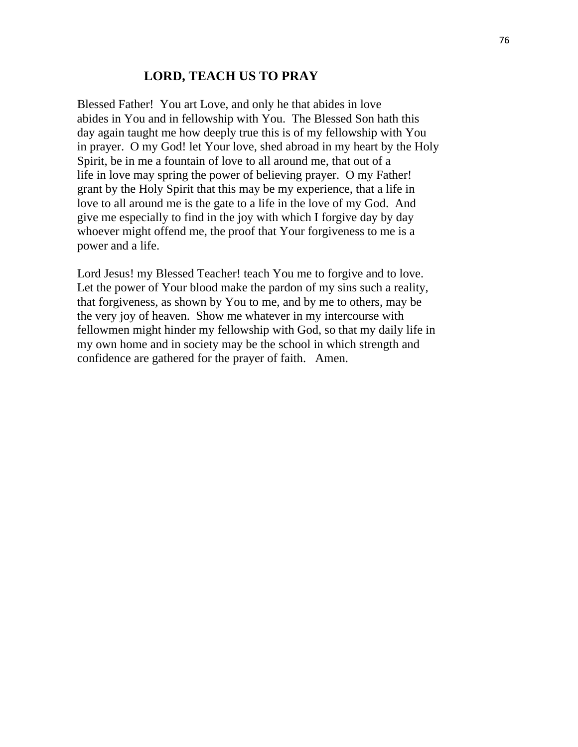### **LORD, TEACH US TO PRAY**

 Blessed Father! You art Love, and only he that abides in love abides in You and in fellowship with You. The Blessed Son hath this day again taught me how deeply true this is of my fellowship with You in prayer. O my God! let Your love, shed abroad in my heart by the Holy Spirit, be in me a fountain of love to all around me, that out of a life in love may spring the power of believing prayer. O my Father! grant by the Holy Spirit that this may be my experience, that a life in love to all around me is the gate to a life in the love of my God. And give me especially to find in the joy with which I forgive day by day whoever might offend me, the proof that Your forgiveness to me is a power and a life.

 Lord Jesus! my Blessed Teacher! teach You me to forgive and to love. Let the power of Your blood make the pardon of my sins such a reality, that forgiveness, as shown by You to me, and by me to others, may be the very joy of heaven. Show me whatever in my intercourse with fellowmen might hinder my fellowship with God, so that my daily life in my own home and in society may be the school in which strength and confidence are gathered for the prayer of faith. Amen.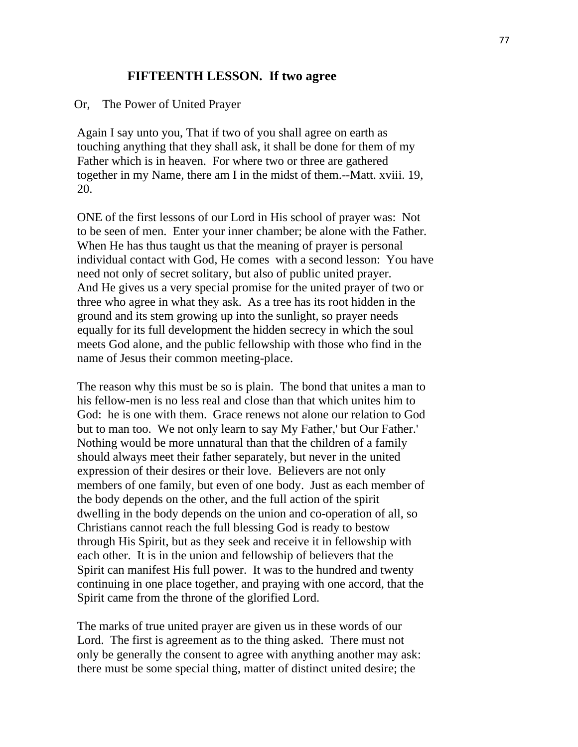#### **FIFTEENTH LESSON. If two agree**

#### Or, The Power of United Prayer

 Again I say unto you, That if two of you shall agree on earth as touching anything that they shall ask, it shall be done for them of my Father which is in heaven. For where two or three are gathered together in my Name, there am I in the midst of them.--Matt. xviii. 19, 20.

 ONE of the first lessons of our Lord in His school of prayer was: Not to be seen of men. Enter your inner chamber; be alone with the Father. When He has thus taught us that the meaning of prayer is personal individual contact with God, He comes with a second lesson: You have need not only of secret solitary, but also of public united prayer. And He gives us a very special promise for the united prayer of two or three who agree in what they ask. As a tree has its root hidden in the ground and its stem growing up into the sunlight, so prayer needs equally for its full development the hidden secrecy in which the soul meets God alone, and the public fellowship with those who find in the name of Jesus their common meeting-place.

 The reason why this must be so is plain. The bond that unites a man to his fellow-men is no less real and close than that which unites him to God: he is one with them. Grace renews not alone our relation to God but to man too. We not only learn to say My Father,' but Our Father.' Nothing would be more unnatural than that the children of a family should always meet their father separately, but never in the united expression of their desires or their love. Believers are not only members of one family, but even of one body. Just as each member of the body depends on the other, and the full action of the spirit dwelling in the body depends on the union and co-operation of all, so Christians cannot reach the full blessing God is ready to bestow through His Spirit, but as they seek and receive it in fellowship with each other. It is in the union and fellowship of believers that the Spirit can manifest His full power. It was to the hundred and twenty continuing in one place together, and praying with one accord, that the Spirit came from the throne of the glorified Lord.

 The marks of true united prayer are given us in these words of our Lord. The first is agreement as to the thing asked. There must not only be generally the consent to agree with anything another may ask: there must be some special thing, matter of distinct united desire; the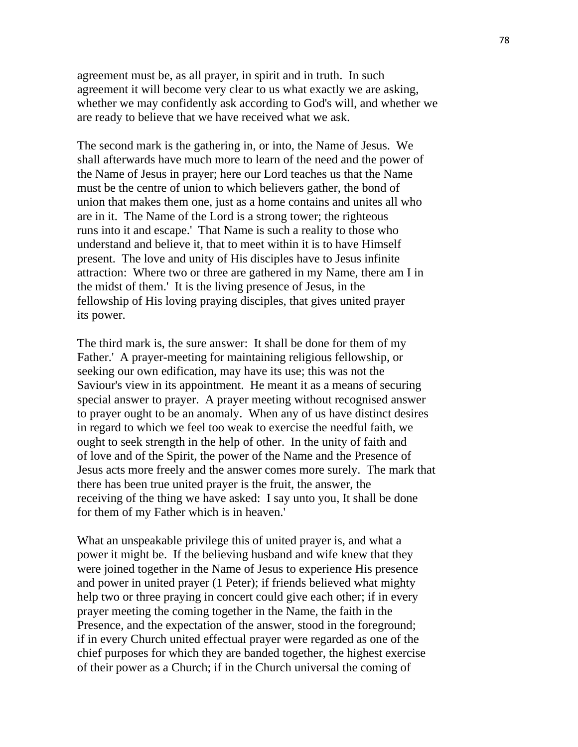agreement must be, as all prayer, in spirit and in truth. In such agreement it will become very clear to us what exactly we are asking, whether we may confidently ask according to God's will, and whether we are ready to believe that we have received what we ask.

 The second mark is the gathering in, or into, the Name of Jesus. We shall afterwards have much more to learn of the need and the power of the Name of Jesus in prayer; here our Lord teaches us that the Name must be the centre of union to which believers gather, the bond of union that makes them one, just as a home contains and unites all who are in it. The Name of the Lord is a strong tower; the righteous runs into it and escape.' That Name is such a reality to those who understand and believe it, that to meet within it is to have Himself present. The love and unity of His disciples have to Jesus infinite attraction: Where two or three are gathered in my Name, there am I in the midst of them.' It is the living presence of Jesus, in the fellowship of His loving praying disciples, that gives united prayer its power.

 The third mark is, the sure answer: It shall be done for them of my Father.' A prayer-meeting for maintaining religious fellowship, or seeking our own edification, may have its use; this was not the Saviour's view in its appointment. He meant it as a means of securing special answer to prayer. A prayer meeting without recognised answer to prayer ought to be an anomaly. When any of us have distinct desires in regard to which we feel too weak to exercise the needful faith, we ought to seek strength in the help of other. In the unity of faith and of love and of the Spirit, the power of the Name and the Presence of Jesus acts more freely and the answer comes more surely. The mark that there has been true united prayer is the fruit, the answer, the receiving of the thing we have asked: I say unto you, It shall be done for them of my Father which is in heaven.'

 What an unspeakable privilege this of united prayer is, and what a power it might be. If the believing husband and wife knew that they were joined together in the Name of Jesus to experience His presence and power in united prayer (1 Peter); if friends believed what mighty help two or three praying in concert could give each other; if in every prayer meeting the coming together in the Name, the faith in the Presence, and the expectation of the answer, stood in the foreground; if in every Church united effectual prayer were regarded as one of the chief purposes for which they are banded together, the highest exercise of their power as a Church; if in the Church universal the coming of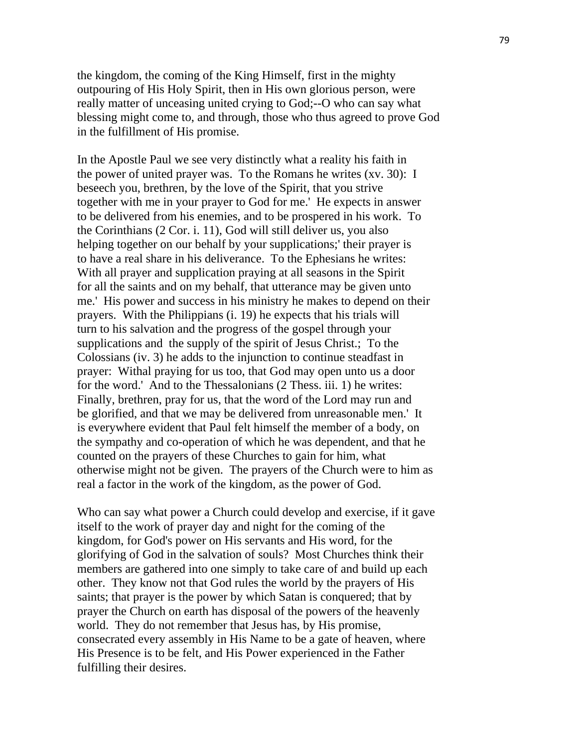the kingdom, the coming of the King Himself, first in the mighty outpouring of His Holy Spirit, then in His own glorious person, were really matter of unceasing united crying to God;--O who can say what blessing might come to, and through, those who thus agreed to prove God in the fulfillment of His promise.

 In the Apostle Paul we see very distinctly what a reality his faith in the power of united prayer was. To the Romans he writes (xv. 30): I beseech you, brethren, by the love of the Spirit, that you strive together with me in your prayer to God for me.' He expects in answer to be delivered from his enemies, and to be prospered in his work. To the Corinthians (2 Cor. i. 11), God will still deliver us, you also helping together on our behalf by your supplications;' their prayer is to have a real share in his deliverance. To the Ephesians he writes: With all prayer and supplication praying at all seasons in the Spirit for all the saints and on my behalf, that utterance may be given unto me.' His power and success in his ministry he makes to depend on their prayers. With the Philippians (i. 19) he expects that his trials will turn to his salvation and the progress of the gospel through your supplications and the supply of the spirit of Jesus Christ.; To the Colossians (iv. 3) he adds to the injunction to continue steadfast in prayer: Withal praying for us too, that God may open unto us a door for the word.' And to the Thessalonians (2 Thess. iii. 1) he writes: Finally, brethren, pray for us, that the word of the Lord may run and be glorified, and that we may be delivered from unreasonable men.' It is everywhere evident that Paul felt himself the member of a body, on the sympathy and co-operation of which he was dependent, and that he counted on the prayers of these Churches to gain for him, what otherwise might not be given. The prayers of the Church were to him as real a factor in the work of the kingdom, as the power of God.

 Who can say what power a Church could develop and exercise, if it gave itself to the work of prayer day and night for the coming of the kingdom, for God's power on His servants and His word, for the glorifying of God in the salvation of souls? Most Churches think their members are gathered into one simply to take care of and build up each other. They know not that God rules the world by the prayers of His saints; that prayer is the power by which Satan is conquered; that by prayer the Church on earth has disposal of the powers of the heavenly world. They do not remember that Jesus has, by His promise, consecrated every assembly in His Name to be a gate of heaven, where His Presence is to be felt, and His Power experienced in the Father fulfilling their desires.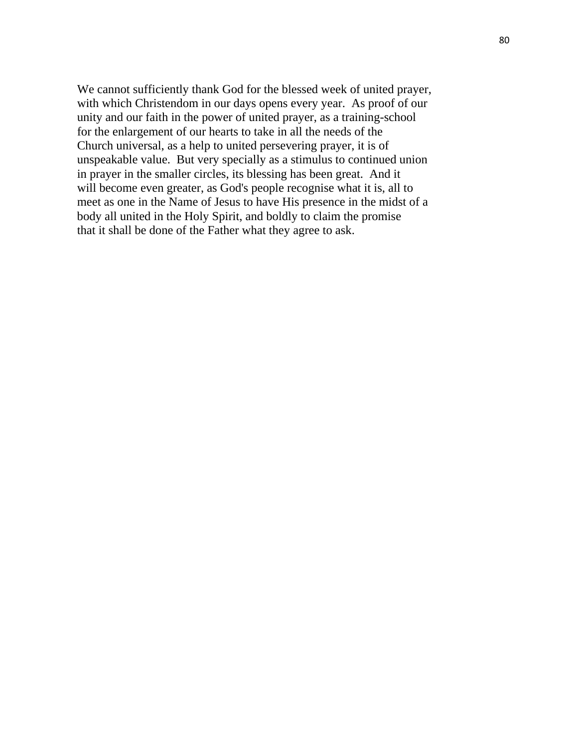We cannot sufficiently thank God for the blessed week of united prayer, with which Christendom in our days opens every year. As proof of our unity and our faith in the power of united prayer, as a training-school for the enlargement of our hearts to take in all the needs of the Church universal, as a help to united persevering prayer, it is of unspeakable value. But very specially as a stimulus to continued union in prayer in the smaller circles, its blessing has been great. And it will become even greater, as God's people recognise what it is, all to meet as one in the Name of Jesus to have His presence in the midst of a body all united in the Holy Spirit, and boldly to claim the promise that it shall be done of the Father what they agree to ask.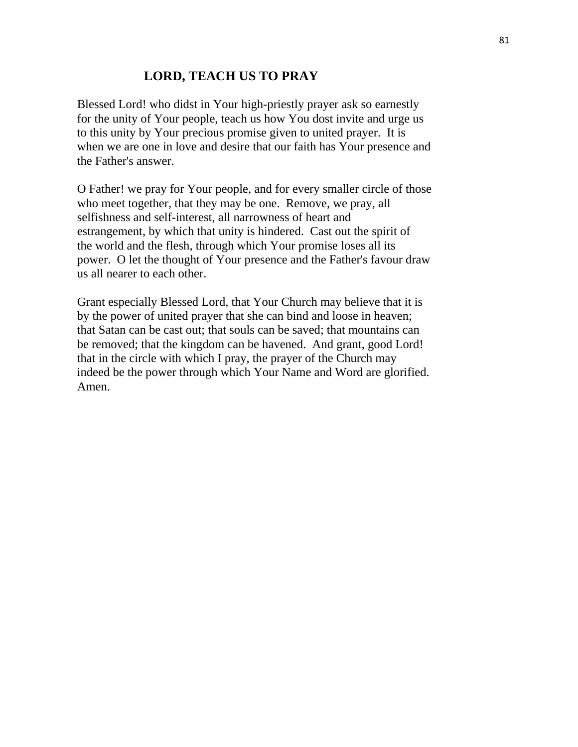# **LORD, TEACH US TO PRAY**

 Blessed Lord! who didst in Your high-priestly prayer ask so earnestly for the unity of Your people, teach us how You dost invite and urge us to this unity by Your precious promise given to united prayer. It is when we are one in love and desire that our faith has Your presence and the Father's answer.

 O Father! we pray for Your people, and for every smaller circle of those who meet together, that they may be one. Remove, we pray, all selfishness and self-interest, all narrowness of heart and estrangement, by which that unity is hindered. Cast out the spirit of the world and the flesh, through which Your promise loses all its power. O let the thought of Your presence and the Father's favour draw us all nearer to each other.

 Grant especially Blessed Lord, that Your Church may believe that it is by the power of united prayer that she can bind and loose in heaven; that Satan can be cast out; that souls can be saved; that mountains can be removed; that the kingdom can be havened. And grant, good Lord! that in the circle with which I pray, the prayer of the Church may indeed be the power through which Your Name and Word are glorified. Amen.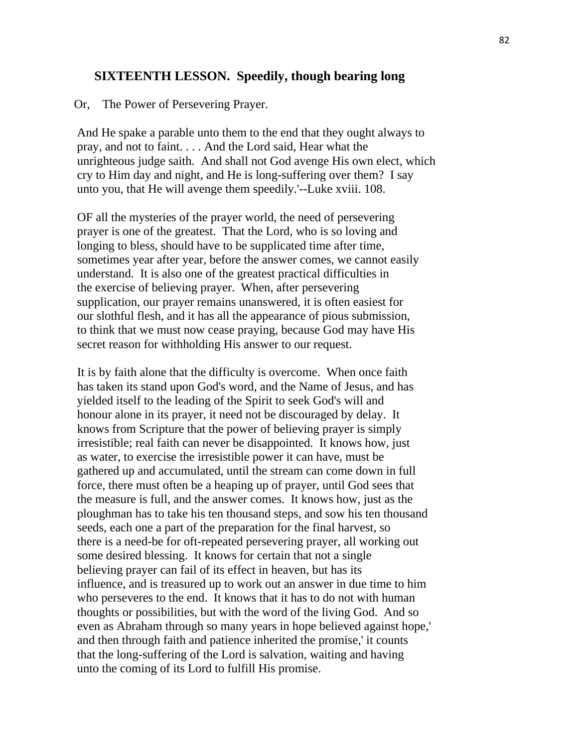### **SIXTEENTH LESSON. Speedily, though bearing long**

Or, The Power of Persevering Prayer.

 And He spake a parable unto them to the end that they ought always to pray, and not to faint. . . . And the Lord said, Hear what the unrighteous judge saith. And shall not God avenge His own elect, which cry to Him day and night, and He is long-suffering over them? I say unto you, that He will avenge them speedily.'--Luke xviii. 108.

 OF all the mysteries of the prayer world, the need of persevering prayer is one of the greatest. That the Lord, who is so loving and longing to bless, should have to be supplicated time after time, sometimes year after year, before the answer comes, we cannot easily understand. It is also one of the greatest practical difficulties in the exercise of believing prayer. When, after persevering supplication, our prayer remains unanswered, it is often easiest for our slothful flesh, and it has all the appearance of pious submission, to think that we must now cease praying, because God may have His secret reason for withholding His answer to our request.

 It is by faith alone that the difficulty is overcome. When once faith has taken its stand upon God's word, and the Name of Jesus, and has yielded itself to the leading of the Spirit to seek God's will and honour alone in its prayer, it need not be discouraged by delay. It knows from Scripture that the power of believing prayer is simply irresistible; real faith can never be disappointed. It knows how, just as water, to exercise the irresistible power it can have, must be gathered up and accumulated, until the stream can come down in full force, there must often be a heaping up of prayer, until God sees that the measure is full, and the answer comes. It knows how, just as the ploughman has to take his ten thousand steps, and sow his ten thousand seeds, each one a part of the preparation for the final harvest, so there is a need-be for oft-repeated persevering prayer, all working out some desired blessing. It knows for certain that not a single believing prayer can fail of its effect in heaven, but has its influence, and is treasured up to work out an answer in due time to him who perseveres to the end. It knows that it has to do not with human thoughts or possibilities, but with the word of the living God. And so even as Abraham through so many years in hope believed against hope,' and then through faith and patience inherited the promise,' it counts that the long-suffering of the Lord is salvation, waiting and having unto the coming of its Lord to fulfill His promise.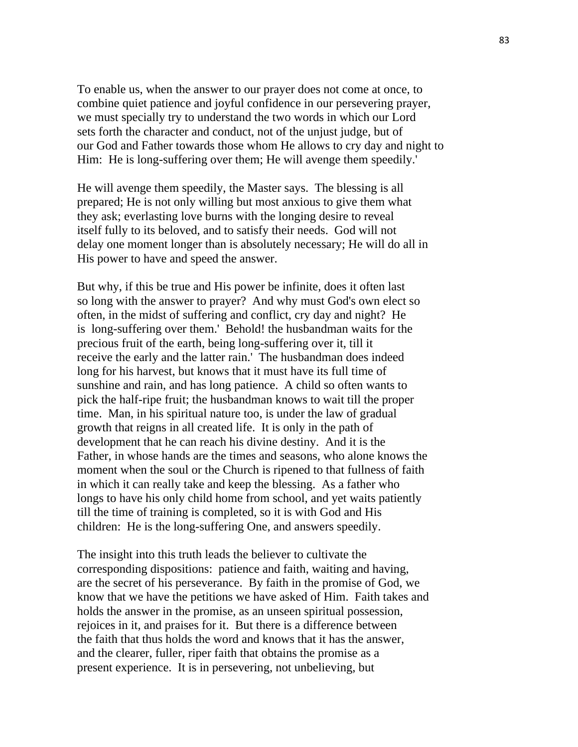To enable us, when the answer to our prayer does not come at once, to combine quiet patience and joyful confidence in our persevering prayer, we must specially try to understand the two words in which our Lord sets forth the character and conduct, not of the unjust judge, but of our God and Father towards those whom He allows to cry day and night to Him: He is long-suffering over them; He will avenge them speedily.'

 He will avenge them speedily, the Master says. The blessing is all prepared; He is not only willing but most anxious to give them what they ask; everlasting love burns with the longing desire to reveal itself fully to its beloved, and to satisfy their needs. God will not delay one moment longer than is absolutely necessary; He will do all in His power to have and speed the answer.

 But why, if this be true and His power be infinite, does it often last so long with the answer to prayer? And why must God's own elect so often, in the midst of suffering and conflict, cry day and night? He is long-suffering over them.' Behold! the husbandman waits for the precious fruit of the earth, being long-suffering over it, till it receive the early and the latter rain.' The husbandman does indeed long for his harvest, but knows that it must have its full time of sunshine and rain, and has long patience. A child so often wants to pick the half-ripe fruit; the husbandman knows to wait till the proper time. Man, in his spiritual nature too, is under the law of gradual growth that reigns in all created life. It is only in the path of development that he can reach his divine destiny. And it is the Father, in whose hands are the times and seasons, who alone knows the moment when the soul or the Church is ripened to that fullness of faith in which it can really take and keep the blessing. As a father who longs to have his only child home from school, and yet waits patiently till the time of training is completed, so it is with God and His children: He is the long-suffering One, and answers speedily.

 The insight into this truth leads the believer to cultivate the corresponding dispositions: patience and faith, waiting and having, are the secret of his perseverance. By faith in the promise of God, we know that we have the petitions we have asked of Him. Faith takes and holds the answer in the promise, as an unseen spiritual possession, rejoices in it, and praises for it. But there is a difference between the faith that thus holds the word and knows that it has the answer, and the clearer, fuller, riper faith that obtains the promise as a present experience. It is in persevering, not unbelieving, but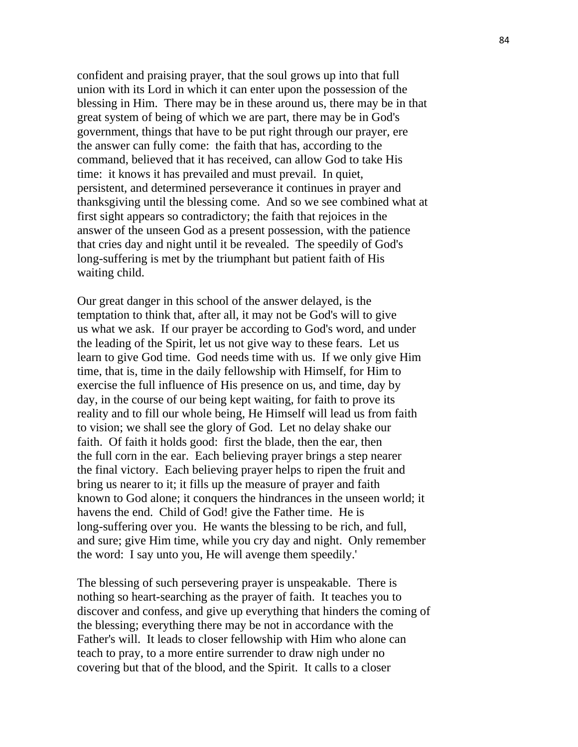confident and praising prayer, that the soul grows up into that full union with its Lord in which it can enter upon the possession of the blessing in Him. There may be in these around us, there may be in that great system of being of which we are part, there may be in God's government, things that have to be put right through our prayer, ere the answer can fully come: the faith that has, according to the command, believed that it has received, can allow God to take His time: it knows it has prevailed and must prevail. In quiet, persistent, and determined perseverance it continues in prayer and thanksgiving until the blessing come. And so we see combined what at first sight appears so contradictory; the faith that rejoices in the answer of the unseen God as a present possession, with the patience that cries day and night until it be revealed. The speedily of God's long-suffering is met by the triumphant but patient faith of His waiting child.

 Our great danger in this school of the answer delayed, is the temptation to think that, after all, it may not be God's will to give us what we ask. If our prayer be according to God's word, and under the leading of the Spirit, let us not give way to these fears. Let us learn to give God time. God needs time with us. If we only give Him time, that is, time in the daily fellowship with Himself, for Him to exercise the full influence of His presence on us, and time, day by day, in the course of our being kept waiting, for faith to prove its reality and to fill our whole being, He Himself will lead us from faith to vision; we shall see the glory of God. Let no delay shake our faith. Of faith it holds good: first the blade, then the ear, then the full corn in the ear. Each believing prayer brings a step nearer the final victory. Each believing prayer helps to ripen the fruit and bring us nearer to it; it fills up the measure of prayer and faith known to God alone; it conquers the hindrances in the unseen world; it havens the end. Child of God! give the Father time. He is long-suffering over you. He wants the blessing to be rich, and full, and sure; give Him time, while you cry day and night. Only remember the word: I say unto you, He will avenge them speedily.'

 The blessing of such persevering prayer is unspeakable. There is nothing so heart-searching as the prayer of faith. It teaches you to discover and confess, and give up everything that hinders the coming of the blessing; everything there may be not in accordance with the Father's will. It leads to closer fellowship with Him who alone can teach to pray, to a more entire surrender to draw nigh under no covering but that of the blood, and the Spirit. It calls to a closer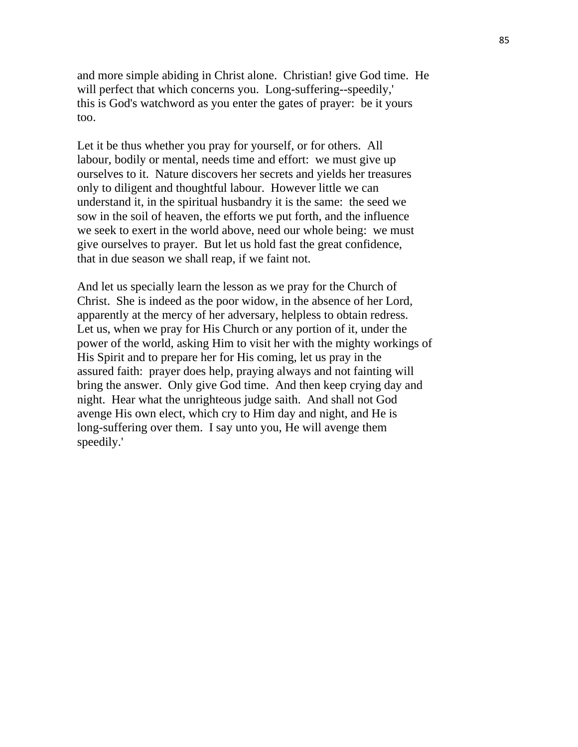and more simple abiding in Christ alone. Christian! give God time. He will perfect that which concerns you. Long-suffering--speedily,' this is God's watchword as you enter the gates of prayer: be it yours too.

 Let it be thus whether you pray for yourself, or for others. All labour, bodily or mental, needs time and effort: we must give up ourselves to it. Nature discovers her secrets and yields her treasures only to diligent and thoughtful labour. However little we can understand it, in the spiritual husbandry it is the same: the seed we sow in the soil of heaven, the efforts we put forth, and the influence we seek to exert in the world above, need our whole being: we must give ourselves to prayer. But let us hold fast the great confidence, that in due season we shall reap, if we faint not.

 And let us specially learn the lesson as we pray for the Church of Christ. She is indeed as the poor widow, in the absence of her Lord, apparently at the mercy of her adversary, helpless to obtain redress. Let us, when we pray for His Church or any portion of it, under the power of the world, asking Him to visit her with the mighty workings of His Spirit and to prepare her for His coming, let us pray in the assured faith: prayer does help, praying always and not fainting will bring the answer. Only give God time. And then keep crying day and night. Hear what the unrighteous judge saith. And shall not God avenge His own elect, which cry to Him day and night, and He is long-suffering over them. I say unto you, He will avenge them speedily.'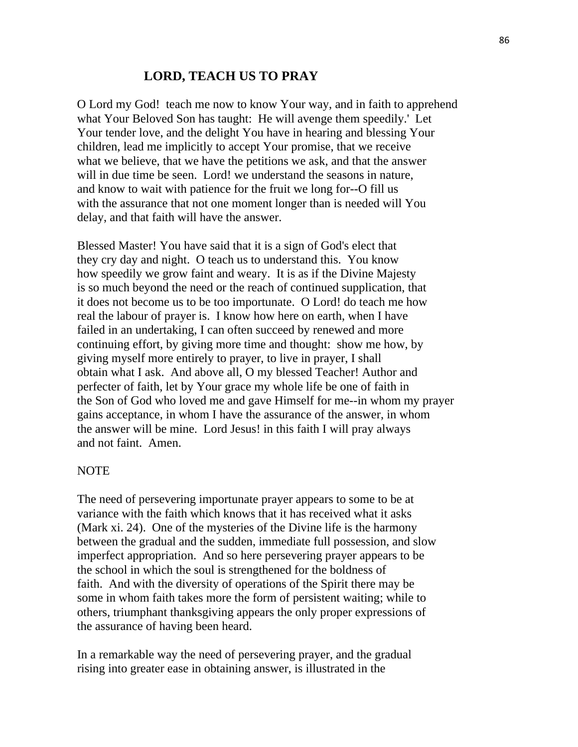## **LORD, TEACH US TO PRAY**

 O Lord my God! teach me now to know Your way, and in faith to apprehend what Your Beloved Son has taught: He will avenge them speedily.' Let Your tender love, and the delight You have in hearing and blessing Your children, lead me implicitly to accept Your promise, that we receive what we believe, that we have the petitions we ask, and that the answer will in due time be seen. Lord! we understand the seasons in nature, and know to wait with patience for the fruit we long for--O fill us with the assurance that not one moment longer than is needed will You delay, and that faith will have the answer.

 Blessed Master! You have said that it is a sign of God's elect that they cry day and night. O teach us to understand this. You know how speedily we grow faint and weary. It is as if the Divine Majesty is so much beyond the need or the reach of continued supplication, that it does not become us to be too importunate. O Lord! do teach me how real the labour of prayer is. I know how here on earth, when I have failed in an undertaking, I can often succeed by renewed and more continuing effort, by giving more time and thought: show me how, by giving myself more entirely to prayer, to live in prayer, I shall obtain what I ask. And above all, O my blessed Teacher! Author and perfecter of faith, let by Your grace my whole life be one of faith in the Son of God who loved me and gave Himself for me--in whom my prayer gains acceptance, in whom I have the assurance of the answer, in whom the answer will be mine. Lord Jesus! in this faith I will pray always and not faint. Amen.

#### NOTE

 The need of persevering importunate prayer appears to some to be at variance with the faith which knows that it has received what it asks (Mark xi. 24). One of the mysteries of the Divine life is the harmony between the gradual and the sudden, immediate full possession, and slow imperfect appropriation. And so here persevering prayer appears to be the school in which the soul is strengthened for the boldness of faith. And with the diversity of operations of the Spirit there may be some in whom faith takes more the form of persistent waiting; while to others, triumphant thanksgiving appears the only proper expressions of the assurance of having been heard.

 In a remarkable way the need of persevering prayer, and the gradual rising into greater ease in obtaining answer, is illustrated in the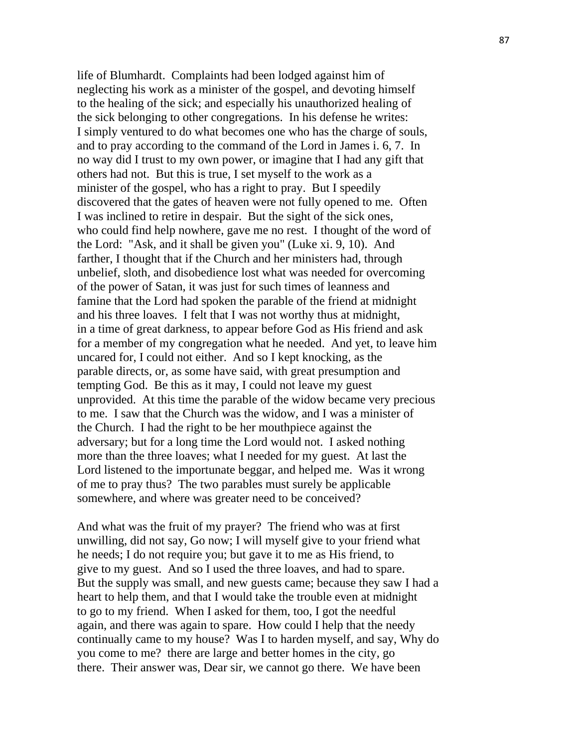life of Blumhardt. Complaints had been lodged against him of neglecting his work as a minister of the gospel, and devoting himself to the healing of the sick; and especially his unauthorized healing of the sick belonging to other congregations. In his defense he writes: I simply ventured to do what becomes one who has the charge of souls, and to pray according to the command of the Lord in James i. 6, 7. In no way did I trust to my own power, or imagine that I had any gift that others had not. But this is true, I set myself to the work as a minister of the gospel, who has a right to pray. But I speedily discovered that the gates of heaven were not fully opened to me. Often I was inclined to retire in despair. But the sight of the sick ones, who could find help nowhere, gave me no rest. I thought of the word of the Lord: "Ask, and it shall be given you" (Luke xi. 9, 10). And farther, I thought that if the Church and her ministers had, through unbelief, sloth, and disobedience lost what was needed for overcoming of the power of Satan, it was just for such times of leanness and famine that the Lord had spoken the parable of the friend at midnight and his three loaves. I felt that I was not worthy thus at midnight, in a time of great darkness, to appear before God as His friend and ask for a member of my congregation what he needed. And yet, to leave him uncared for, I could not either. And so I kept knocking, as the parable directs, or, as some have said, with great presumption and tempting God. Be this as it may, I could not leave my guest unprovided. At this time the parable of the widow became very precious to me. I saw that the Church was the widow, and I was a minister of the Church. I had the right to be her mouthpiece against the adversary; but for a long time the Lord would not. I asked nothing more than the three loaves; what I needed for my guest. At last the Lord listened to the importunate beggar, and helped me. Was it wrong of me to pray thus? The two parables must surely be applicable somewhere, and where was greater need to be conceived?

 And what was the fruit of my prayer? The friend who was at first unwilling, did not say, Go now; I will myself give to your friend what he needs; I do not require you; but gave it to me as His friend, to give to my guest. And so I used the three loaves, and had to spare. But the supply was small, and new guests came; because they saw I had a heart to help them, and that I would take the trouble even at midnight to go to my friend. When I asked for them, too, I got the needful again, and there was again to spare. How could I help that the needy continually came to my house? Was I to harden myself, and say, Why do you come to me? there are large and better homes in the city, go there. Their answer was, Dear sir, we cannot go there. We have been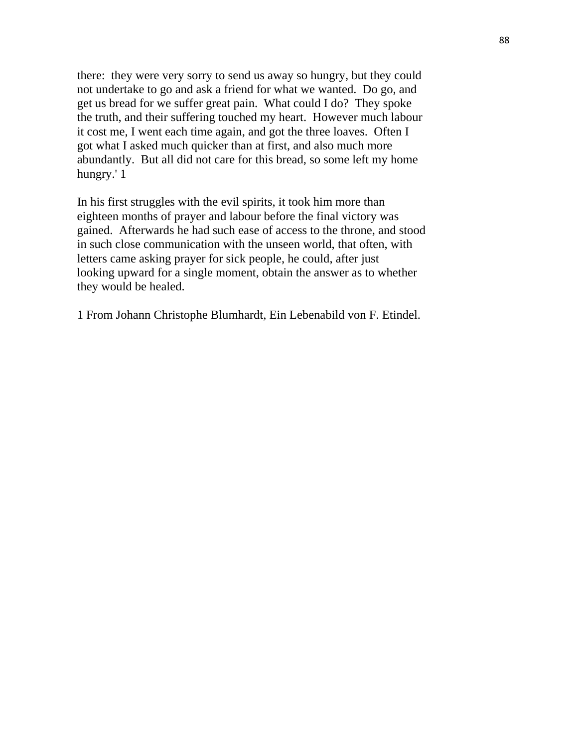there: they were very sorry to send us away so hungry, but they could not undertake to go and ask a friend for what we wanted. Do go, and get us bread for we suffer great pain. What could I do? They spoke the truth, and their suffering touched my heart. However much labour it cost me, I went each time again, and got the three loaves. Often I got what I asked much quicker than at first, and also much more abundantly. But all did not care for this bread, so some left my home hungry.' 1

 In his first struggles with the evil spirits, it took him more than eighteen months of prayer and labour before the final victory was gained. Afterwards he had such ease of access to the throne, and stood in such close communication with the unseen world, that often, with letters came asking prayer for sick people, he could, after just looking upward for a single moment, obtain the answer as to whether they would be healed.

1 From Johann Christophe Blumhardt, Ein Lebenabild von F. Etindel.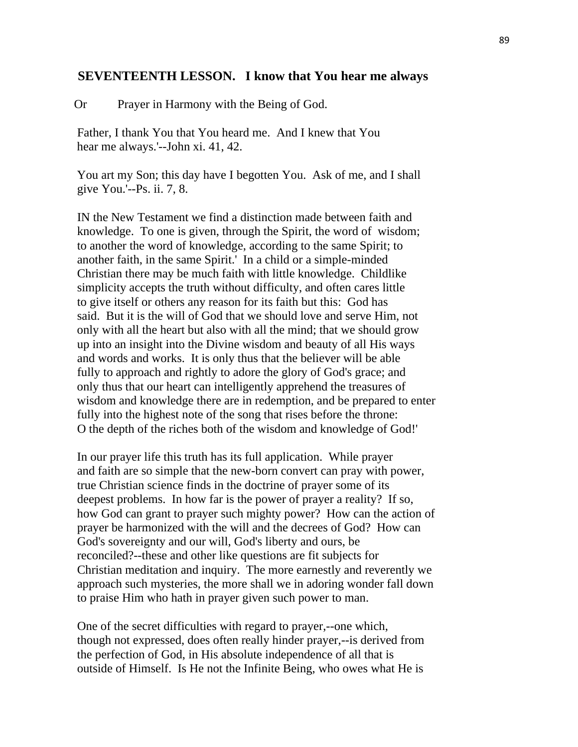#### **SEVENTEENTH LESSON. I know that You hear me always**

Or Prayer in Harmony with the Being of God.

 Father, I thank You that You heard me. And I knew that You hear me always.'--John xi. 41, 42.

 You art my Son; this day have I begotten You. Ask of me, and I shall give You.'--Ps. ii. 7, 8.

 IN the New Testament we find a distinction made between faith and knowledge. To one is given, through the Spirit, the word of wisdom; to another the word of knowledge, according to the same Spirit; to another faith, in the same Spirit.' In a child or a simple-minded Christian there may be much faith with little knowledge. Childlike simplicity accepts the truth without difficulty, and often cares little to give itself or others any reason for its faith but this: God has said. But it is the will of God that we should love and serve Him, not only with all the heart but also with all the mind; that we should grow up into an insight into the Divine wisdom and beauty of all His ways and words and works. It is only thus that the believer will be able fully to approach and rightly to adore the glory of God's grace; and only thus that our heart can intelligently apprehend the treasures of wisdom and knowledge there are in redemption, and be prepared to enter fully into the highest note of the song that rises before the throne: O the depth of the riches both of the wisdom and knowledge of God!'

 In our prayer life this truth has its full application. While prayer and faith are so simple that the new-born convert can pray with power, true Christian science finds in the doctrine of prayer some of its deepest problems. In how far is the power of prayer a reality? If so, how God can grant to prayer such mighty power? How can the action of prayer be harmonized with the will and the decrees of God? How can God's sovereignty and our will, God's liberty and ours, be reconciled?--these and other like questions are fit subjects for Christian meditation and inquiry. The more earnestly and reverently we approach such mysteries, the more shall we in adoring wonder fall down to praise Him who hath in prayer given such power to man.

 One of the secret difficulties with regard to prayer,--one which, though not expressed, does often really hinder prayer,--is derived from the perfection of God, in His absolute independence of all that is outside of Himself. Is He not the Infinite Being, who owes what He is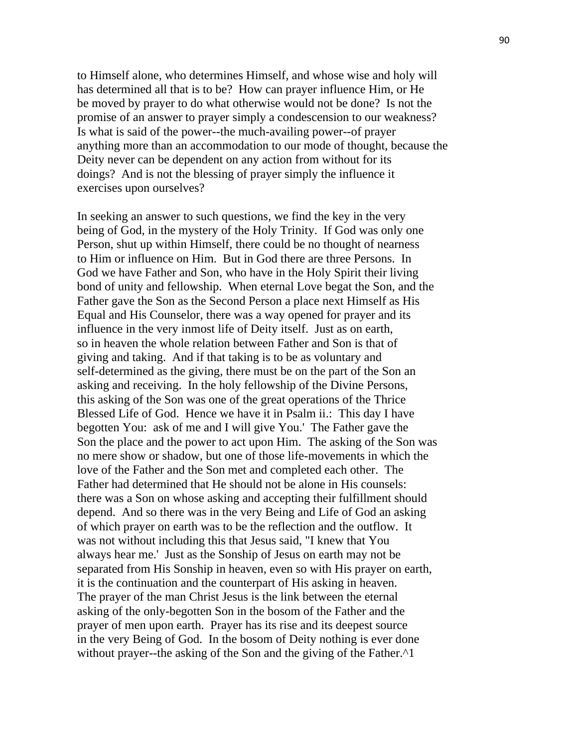to Himself alone, who determines Himself, and whose wise and holy will has determined all that is to be? How can prayer influence Him, or He be moved by prayer to do what otherwise would not be done? Is not the promise of an answer to prayer simply a condescension to our weakness? Is what is said of the power--the much-availing power--of prayer anything more than an accommodation to our mode of thought, because the Deity never can be dependent on any action from without for its doings? And is not the blessing of prayer simply the influence it exercises upon ourselves?

 In seeking an answer to such questions, we find the key in the very being of God, in the mystery of the Holy Trinity. If God was only one Person, shut up within Himself, there could be no thought of nearness to Him or influence on Him. But in God there are three Persons. In God we have Father and Son, who have in the Holy Spirit their living bond of unity and fellowship. When eternal Love begat the Son, and the Father gave the Son as the Second Person a place next Himself as His Equal and His Counselor, there was a way opened for prayer and its influence in the very inmost life of Deity itself. Just as on earth, so in heaven the whole relation between Father and Son is that of giving and taking. And if that taking is to be as voluntary and self-determined as the giving, there must be on the part of the Son an asking and receiving. In the holy fellowship of the Divine Persons, this asking of the Son was one of the great operations of the Thrice Blessed Life of God. Hence we have it in Psalm ii.: This day I have begotten You: ask of me and I will give You.' The Father gave the Son the place and the power to act upon Him. The asking of the Son was no mere show or shadow, but one of those life-movements in which the love of the Father and the Son met and completed each other. The Father had determined that He should not be alone in His counsels: there was a Son on whose asking and accepting their fulfillment should depend. And so there was in the very Being and Life of God an asking of which prayer on earth was to be the reflection and the outflow. It was not without including this that Jesus said, "I knew that You always hear me.' Just as the Sonship of Jesus on earth may not be separated from His Sonship in heaven, even so with His prayer on earth, it is the continuation and the counterpart of His asking in heaven. The prayer of the man Christ Jesus is the link between the eternal asking of the only-begotten Son in the bosom of the Father and the prayer of men upon earth. Prayer has its rise and its deepest source in the very Being of God. In the bosom of Deity nothing is ever done without prayer--the asking of the Son and the giving of the Father.<sup>^1</sup>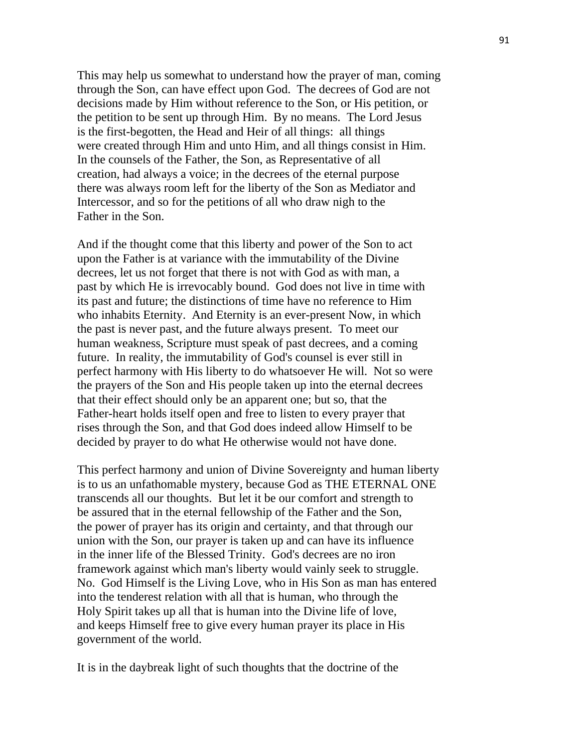This may help us somewhat to understand how the prayer of man, coming through the Son, can have effect upon God. The decrees of God are not decisions made by Him without reference to the Son, or His petition, or the petition to be sent up through Him. By no means. The Lord Jesus is the first-begotten, the Head and Heir of all things: all things were created through Him and unto Him, and all things consist in Him. In the counsels of the Father, the Son, as Representative of all creation, had always a voice; in the decrees of the eternal purpose there was always room left for the liberty of the Son as Mediator and Intercessor, and so for the petitions of all who draw nigh to the Father in the Son.

 And if the thought come that this liberty and power of the Son to act upon the Father is at variance with the immutability of the Divine decrees, let us not forget that there is not with God as with man, a past by which He is irrevocably bound. God does not live in time with its past and future; the distinctions of time have no reference to Him who inhabits Eternity. And Eternity is an ever-present Now, in which the past is never past, and the future always present. To meet our human weakness, Scripture must speak of past decrees, and a coming future. In reality, the immutability of God's counsel is ever still in perfect harmony with His liberty to do whatsoever He will. Not so were the prayers of the Son and His people taken up into the eternal decrees that their effect should only be an apparent one; but so, that the Father-heart holds itself open and free to listen to every prayer that rises through the Son, and that God does indeed allow Himself to be decided by prayer to do what He otherwise would not have done.

 This perfect harmony and union of Divine Sovereignty and human liberty is to us an unfathomable mystery, because God as THE ETERNAL ONE transcends all our thoughts. But let it be our comfort and strength to be assured that in the eternal fellowship of the Father and the Son, the power of prayer has its origin and certainty, and that through our union with the Son, our prayer is taken up and can have its influence in the inner life of the Blessed Trinity. God's decrees are no iron framework against which man's liberty would vainly seek to struggle. No. God Himself is the Living Love, who in His Son as man has entered into the tenderest relation with all that is human, who through the Holy Spirit takes up all that is human into the Divine life of love, and keeps Himself free to give every human prayer its place in His government of the world.

It is in the daybreak light of such thoughts that the doctrine of the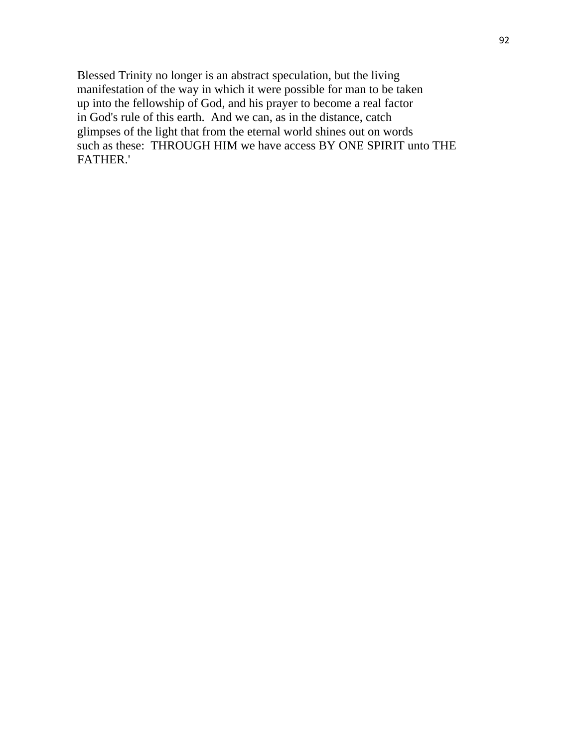Blessed Trinity no longer is an abstract speculation, but the living manifestation of the way in which it were possible for man to be taken up into the fellowship of God, and his prayer to become a real factor in God's rule of this earth. And we can, as in the distance, catch glimpses of the light that from the eternal world shines out on words such as these: THROUGH HIM we have access BY ONE SPIRIT unto THE FATHER.'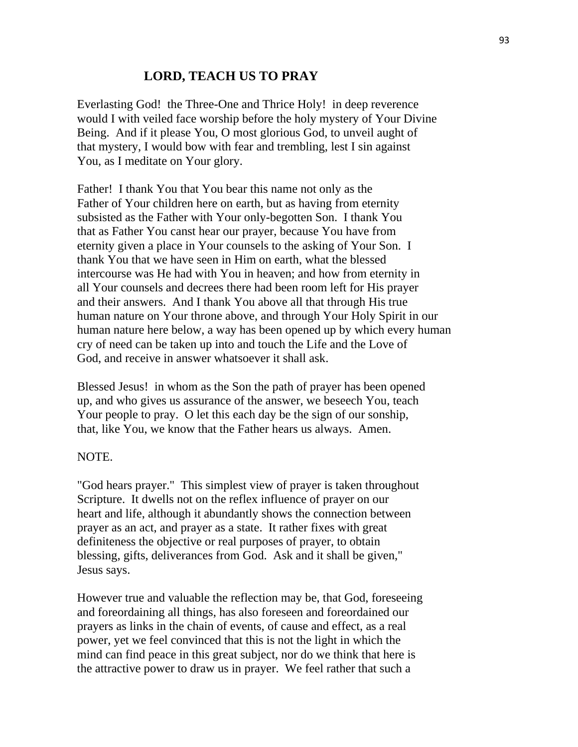# **LORD, TEACH US TO PRAY**

 Everlasting God! the Three-One and Thrice Holy! in deep reverence would I with veiled face worship before the holy mystery of Your Divine Being. And if it please You, O most glorious God, to unveil aught of that mystery, I would bow with fear and trembling, lest I sin against You, as I meditate on Your glory.

 Father! I thank You that You bear this name not only as the Father of Your children here on earth, but as having from eternity subsisted as the Father with Your only-begotten Son. I thank You that as Father You canst hear our prayer, because You have from eternity given a place in Your counsels to the asking of Your Son. I thank You that we have seen in Him on earth, what the blessed intercourse was He had with You in heaven; and how from eternity in all Your counsels and decrees there had been room left for His prayer and their answers. And I thank You above all that through His true human nature on Your throne above, and through Your Holy Spirit in our human nature here below, a way has been opened up by which every human cry of need can be taken up into and touch the Life and the Love of God, and receive in answer whatsoever it shall ask.

 Blessed Jesus! in whom as the Son the path of prayer has been opened up, and who gives us assurance of the answer, we beseech You, teach Your people to pray. O let this each day be the sign of our sonship, that, like You, we know that the Father hears us always. Amen.

#### NOTE.

 "God hears prayer." This simplest view of prayer is taken throughout Scripture. It dwells not on the reflex influence of prayer on our heart and life, although it abundantly shows the connection between prayer as an act, and prayer as a state. It rather fixes with great definiteness the objective or real purposes of prayer, to obtain blessing, gifts, deliverances from God. Ask and it shall be given," Jesus says.

 However true and valuable the reflection may be, that God, foreseeing and foreordaining all things, has also foreseen and foreordained our prayers as links in the chain of events, of cause and effect, as a real power, yet we feel convinced that this is not the light in which the mind can find peace in this great subject, nor do we think that here is the attractive power to draw us in prayer. We feel rather that such a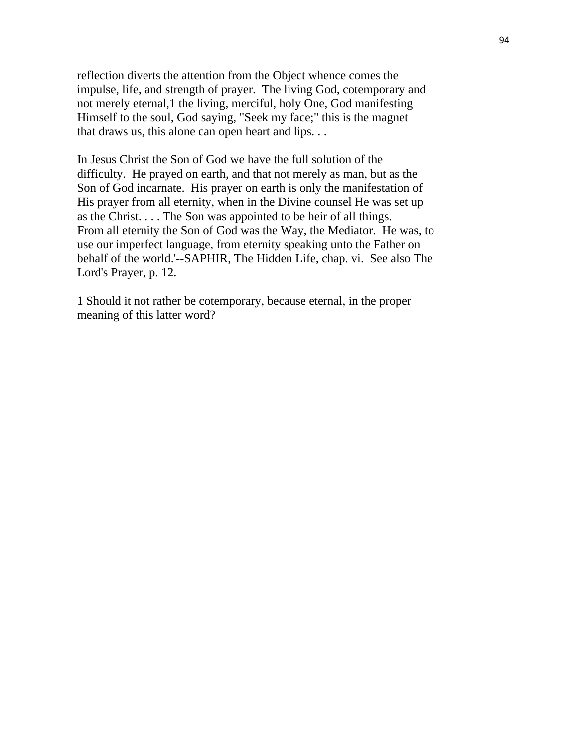reflection diverts the attention from the Object whence comes the impulse, life, and strength of prayer. The living God, cotemporary and not merely eternal,1 the living, merciful, holy One, God manifesting Himself to the soul, God saying, "Seek my face;" this is the magnet that draws us, this alone can open heart and lips. . .

 In Jesus Christ the Son of God we have the full solution of the difficulty. He prayed on earth, and that not merely as man, but as the Son of God incarnate. His prayer on earth is only the manifestation of His prayer from all eternity, when in the Divine counsel He was set up as the Christ. . . . The Son was appointed to be heir of all things. From all eternity the Son of God was the Way, the Mediator. He was, to use our imperfect language, from eternity speaking unto the Father on behalf of the world.'--SAPHIR, The Hidden Life, chap. vi. See also The Lord's Prayer, p. 12.

 1 Should it not rather be cotemporary, because eternal, in the proper meaning of this latter word?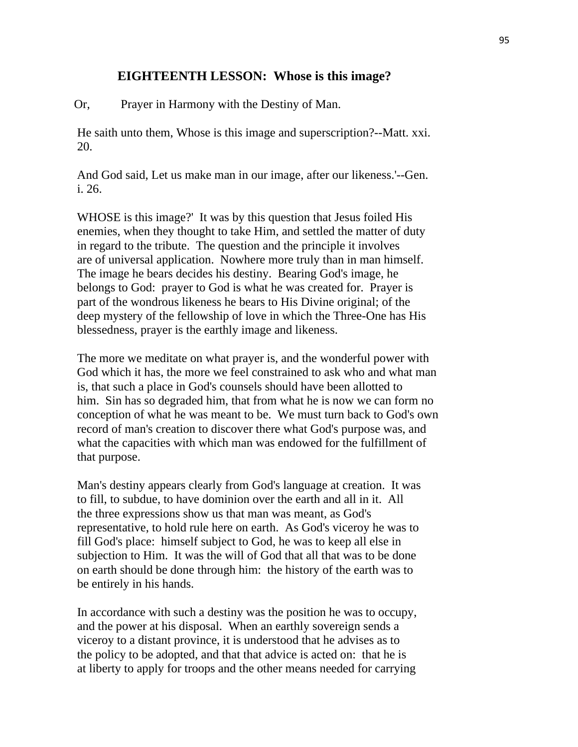### **EIGHTEENTH LESSON: Whose is this image?**

Or, Prayer in Harmony with the Destiny of Man.

 He saith unto them, Whose is this image and superscription?--Matt. xxi. 20.

 And God said, Let us make man in our image, after our likeness.'--Gen. i. 26.

 WHOSE is this image?' It was by this question that Jesus foiled His enemies, when they thought to take Him, and settled the matter of duty in regard to the tribute. The question and the principle it involves are of universal application. Nowhere more truly than in man himself. The image he bears decides his destiny. Bearing God's image, he belongs to God: prayer to God is what he was created for. Prayer is part of the wondrous likeness he bears to His Divine original; of the deep mystery of the fellowship of love in which the Three-One has His blessedness, prayer is the earthly image and likeness.

 The more we meditate on what prayer is, and the wonderful power with God which it has, the more we feel constrained to ask who and what man is, that such a place in God's counsels should have been allotted to him. Sin has so degraded him, that from what he is now we can form no conception of what he was meant to be. We must turn back to God's own record of man's creation to discover there what God's purpose was, and what the capacities with which man was endowed for the fulfillment of that purpose.

 Man's destiny appears clearly from God's language at creation. It was to fill, to subdue, to have dominion over the earth and all in it. All the three expressions show us that man was meant, as God's representative, to hold rule here on earth. As God's viceroy he was to fill God's place: himself subject to God, he was to keep all else in subjection to Him. It was the will of God that all that was to be done on earth should be done through him: the history of the earth was to be entirely in his hands.

 In accordance with such a destiny was the position he was to occupy, and the power at his disposal. When an earthly sovereign sends a viceroy to a distant province, it is understood that he advises as to the policy to be adopted, and that that advice is acted on: that he is at liberty to apply for troops and the other means needed for carrying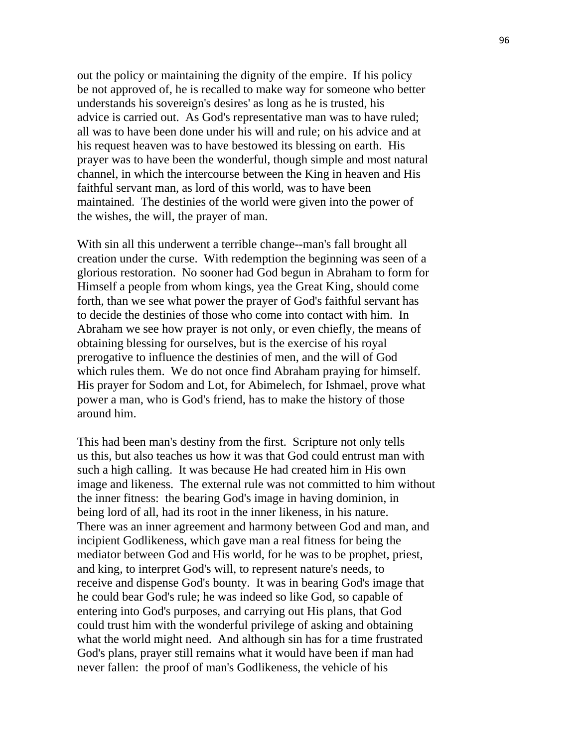out the policy or maintaining the dignity of the empire. If his policy be not approved of, he is recalled to make way for someone who better understands his sovereign's desires' as long as he is trusted, his advice is carried out. As God's representative man was to have ruled; all was to have been done under his will and rule; on his advice and at his request heaven was to have bestowed its blessing on earth. His prayer was to have been the wonderful, though simple and most natural channel, in which the intercourse between the King in heaven and His faithful servant man, as lord of this world, was to have been maintained. The destinies of the world were given into the power of the wishes, the will, the prayer of man.

 With sin all this underwent a terrible change--man's fall brought all creation under the curse. With redemption the beginning was seen of a glorious restoration. No sooner had God begun in Abraham to form for Himself a people from whom kings, yea the Great King, should come forth, than we see what power the prayer of God's faithful servant has to decide the destinies of those who come into contact with him. In Abraham we see how prayer is not only, or even chiefly, the means of obtaining blessing for ourselves, but is the exercise of his royal prerogative to influence the destinies of men, and the will of God which rules them. We do not once find Abraham praying for himself. His prayer for Sodom and Lot, for Abimelech, for Ishmael, prove what power a man, who is God's friend, has to make the history of those around him.

 This had been man's destiny from the first. Scripture not only tells us this, but also teaches us how it was that God could entrust man with such a high calling. It was because He had created him in His own image and likeness. The external rule was not committed to him without the inner fitness: the bearing God's image in having dominion, in being lord of all, had its root in the inner likeness, in his nature. There was an inner agreement and harmony between God and man, and incipient Godlikeness, which gave man a real fitness for being the mediator between God and His world, for he was to be prophet, priest, and king, to interpret God's will, to represent nature's needs, to receive and dispense God's bounty. It was in bearing God's image that he could bear God's rule; he was indeed so like God, so capable of entering into God's purposes, and carrying out His plans, that God could trust him with the wonderful privilege of asking and obtaining what the world might need. And although sin has for a time frustrated God's plans, prayer still remains what it would have been if man had never fallen: the proof of man's Godlikeness, the vehicle of his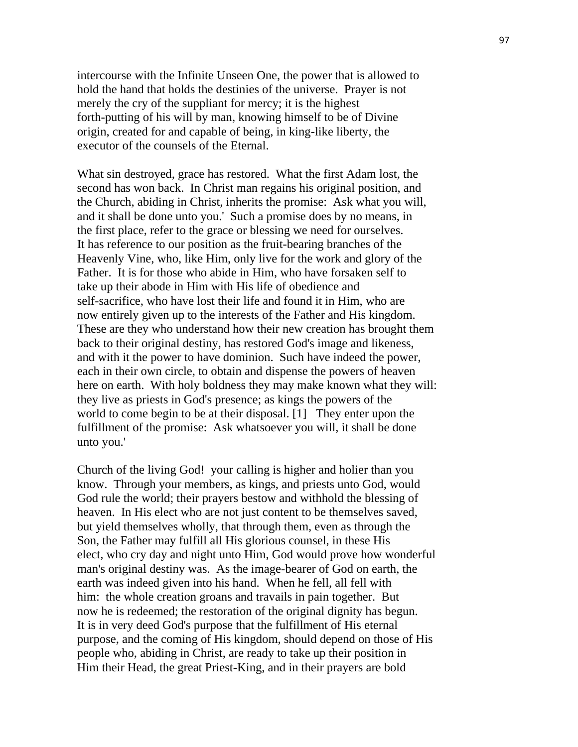intercourse with the Infinite Unseen One, the power that is allowed to hold the hand that holds the destinies of the universe. Prayer is not merely the cry of the suppliant for mercy; it is the highest forth-putting of his will by man, knowing himself to be of Divine origin, created for and capable of being, in king-like liberty, the executor of the counsels of the Eternal.

 What sin destroyed, grace has restored. What the first Adam lost, the second has won back. In Christ man regains his original position, and the Church, abiding in Christ, inherits the promise: Ask what you will, and it shall be done unto you.' Such a promise does by no means, in the first place, refer to the grace or blessing we need for ourselves. It has reference to our position as the fruit-bearing branches of the Heavenly Vine, who, like Him, only live for the work and glory of the Father. It is for those who abide in Him, who have forsaken self to take up their abode in Him with His life of obedience and self-sacrifice, who have lost their life and found it in Him, who are now entirely given up to the interests of the Father and His kingdom. These are they who understand how their new creation has brought them back to their original destiny, has restored God's image and likeness, and with it the power to have dominion. Such have indeed the power, each in their own circle, to obtain and dispense the powers of heaven here on earth. With holy boldness they may make known what they will: they live as priests in God's presence; as kings the powers of the world to come begin to be at their disposal. [1] They enter upon the fulfillment of the promise: Ask whatsoever you will, it shall be done unto you.'

 Church of the living God! your calling is higher and holier than you know. Through your members, as kings, and priests unto God, would God rule the world; their prayers bestow and withhold the blessing of heaven. In His elect who are not just content to be themselves saved, but yield themselves wholly, that through them, even as through the Son, the Father may fulfill all His glorious counsel, in these His elect, who cry day and night unto Him, God would prove how wonderful man's original destiny was. As the image-bearer of God on earth, the earth was indeed given into his hand. When he fell, all fell with him: the whole creation groans and travails in pain together. But now he is redeemed; the restoration of the original dignity has begun. It is in very deed God's purpose that the fulfillment of His eternal purpose, and the coming of His kingdom, should depend on those of His people who, abiding in Christ, are ready to take up their position in Him their Head, the great Priest-King, and in their prayers are bold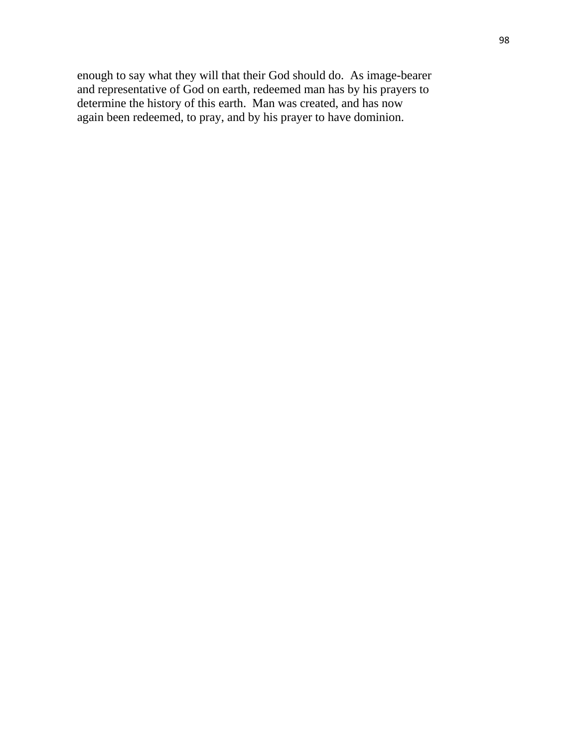enough to say what they will that their God should do. As image-bearer and representative of God on earth, redeemed man has by his prayers to determine the history of this earth. Man was created, and has now again been redeemed, to pray, and by his prayer to have dominion.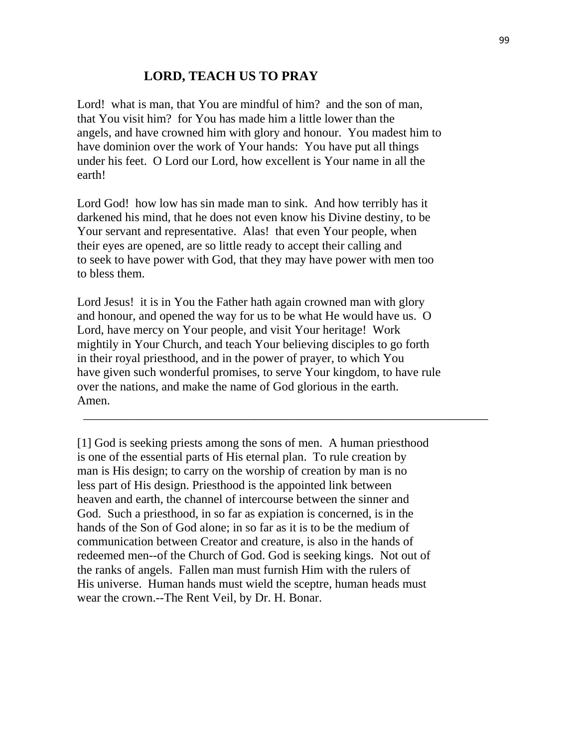## **LORD, TEACH US TO PRAY**

Lord! what is man, that You are mindful of him? and the son of man, that You visit him? for You has made him a little lower than the angels, and have crowned him with glory and honour. You madest him to have dominion over the work of Your hands: You have put all things under his feet. O Lord our Lord, how excellent is Your name in all the earth!

Lord God! how low has sin made man to sink. And how terribly has it darkened his mind, that he does not even know his Divine destiny, to be Your servant and representative. Alas! that even Your people, when their eyes are opened, are so little ready to accept their calling and to seek to have power with God, that they may have power with men too to bless them.

Lord Jesus! it is in You the Father hath again crowned man with glory and honour, and opened the way for us to be what He would have us. O Lord, have mercy on Your people, and visit Your heritage! Work mightily in Your Church, and teach Your believing disciples to go forth in their royal priesthood, and in the power of prayer, to which You have given such wonderful promises, to serve Your kingdom, to have rule over the nations, and make the name of God glorious in the earth. Amen.

 $\overline{\phantom{a}}$  ,  $\overline{\phantom{a}}$  ,  $\overline{\phantom{a}}$  ,  $\overline{\phantom{a}}$  ,  $\overline{\phantom{a}}$  ,  $\overline{\phantom{a}}$  ,  $\overline{\phantom{a}}$  ,  $\overline{\phantom{a}}$  ,  $\overline{\phantom{a}}$  ,  $\overline{\phantom{a}}$  ,  $\overline{\phantom{a}}$  ,  $\overline{\phantom{a}}$  ,  $\overline{\phantom{a}}$  ,  $\overline{\phantom{a}}$  ,  $\overline{\phantom{a}}$  ,  $\overline{\phantom{a}}$ 

 [1] God is seeking priests among the sons of men. A human priesthood is one of the essential parts of His eternal plan. To rule creation by man is His design; to carry on the worship of creation by man is no less part of His design. Priesthood is the appointed link between heaven and earth, the channel of intercourse between the sinner and God. Such a priesthood, in so far as expiation is concerned, is in the hands of the Son of God alone; in so far as it is to be the medium of communication between Creator and creature, is also in the hands of redeemed men--of the Church of God. God is seeking kings. Not out of the ranks of angels. Fallen man must furnish Him with the rulers of His universe. Human hands must wield the sceptre, human heads must wear the crown.--The Rent Veil, by Dr. H. Bonar.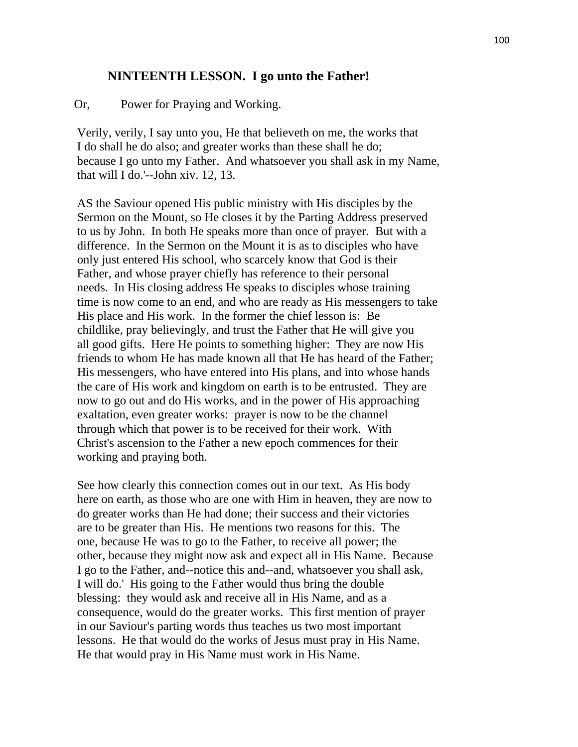### **NINTEENTH LESSON. I go unto the Father!**

Or, Power for Praying and Working.

 Verily, verily, I say unto you, He that believeth on me, the works that I do shall he do also; and greater works than these shall he do; because I go unto my Father. And whatsoever you shall ask in my Name, that will I do.'--John xiv. 12, 13.

 AS the Saviour opened His public ministry with His disciples by the Sermon on the Mount, so He closes it by the Parting Address preserved to us by John. In both He speaks more than once of prayer. But with a difference. In the Sermon on the Mount it is as to disciples who have only just entered His school, who scarcely know that God is their Father, and whose prayer chiefly has reference to their personal needs. In His closing address He speaks to disciples whose training time is now come to an end, and who are ready as His messengers to take His place and His work. In the former the chief lesson is: Be childlike, pray believingly, and trust the Father that He will give you all good gifts. Here He points to something higher: They are now His friends to whom He has made known all that He has heard of the Father; His messengers, who have entered into His plans, and into whose hands the care of His work and kingdom on earth is to be entrusted. They are now to go out and do His works, and in the power of His approaching exaltation, even greater works: prayer is now to be the channel through which that power is to be received for their work. With Christ's ascension to the Father a new epoch commences for their working and praying both.

 See how clearly this connection comes out in our text. As His body here on earth, as those who are one with Him in heaven, they are now to do greater works than He had done; their success and their victories are to be greater than His. He mentions two reasons for this. The one, because He was to go to the Father, to receive all power; the other, because they might now ask and expect all in His Name. Because I go to the Father, and--notice this and--and, whatsoever you shall ask, I will do.' His going to the Father would thus bring the double blessing: they would ask and receive all in His Name, and as a consequence, would do the greater works. This first mention of prayer in our Saviour's parting words thus teaches us two most important lessons. He that would do the works of Jesus must pray in His Name. He that would pray in His Name must work in His Name.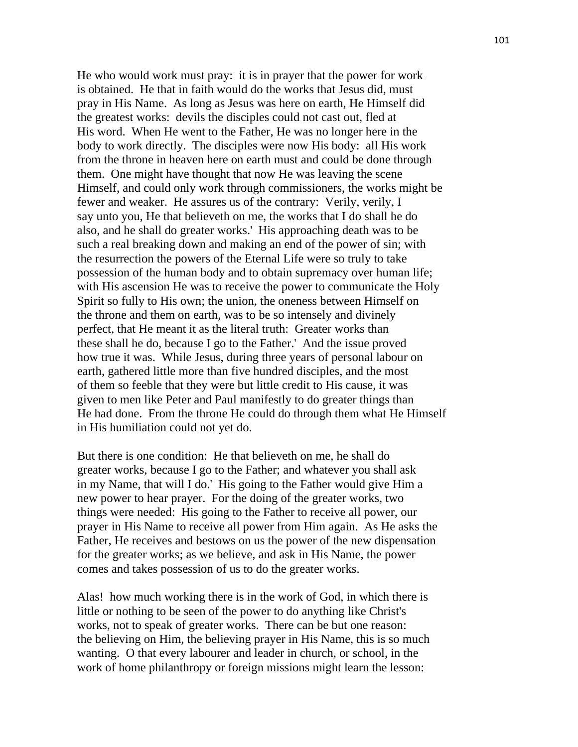He who would work must pray: it is in prayer that the power for work is obtained. He that in faith would do the works that Jesus did, must pray in His Name. As long as Jesus was here on earth, He Himself did the greatest works: devils the disciples could not cast out, fled at His word. When He went to the Father, He was no longer here in the body to work directly. The disciples were now His body: all His work from the throne in heaven here on earth must and could be done through them. One might have thought that now He was leaving the scene Himself, and could only work through commissioners, the works might be fewer and weaker. He assures us of the contrary: Verily, verily, I say unto you, He that believeth on me, the works that I do shall he do also, and he shall do greater works.' His approaching death was to be such a real breaking down and making an end of the power of sin; with the resurrection the powers of the Eternal Life were so truly to take possession of the human body and to obtain supremacy over human life; with His ascension He was to receive the power to communicate the Holy Spirit so fully to His own; the union, the oneness between Himself on the throne and them on earth, was to be so intensely and divinely perfect, that He meant it as the literal truth: Greater works than these shall he do, because I go to the Father.' And the issue proved how true it was. While Jesus, during three years of personal labour on earth, gathered little more than five hundred disciples, and the most of them so feeble that they were but little credit to His cause, it was given to men like Peter and Paul manifestly to do greater things than He had done. From the throne He could do through them what He Himself in His humiliation could not yet do.

 But there is one condition: He that believeth on me, he shall do greater works, because I go to the Father; and whatever you shall ask in my Name, that will I do.' His going to the Father would give Him a new power to hear prayer. For the doing of the greater works, two things were needed: His going to the Father to receive all power, our prayer in His Name to receive all power from Him again. As He asks the Father, He receives and bestows on us the power of the new dispensation for the greater works; as we believe, and ask in His Name, the power comes and takes possession of us to do the greater works.

 Alas! how much working there is in the work of God, in which there is little or nothing to be seen of the power to do anything like Christ's works, not to speak of greater works. There can be but one reason: the believing on Him, the believing prayer in His Name, this is so much wanting. O that every labourer and leader in church, or school, in the work of home philanthropy or foreign missions might learn the lesson: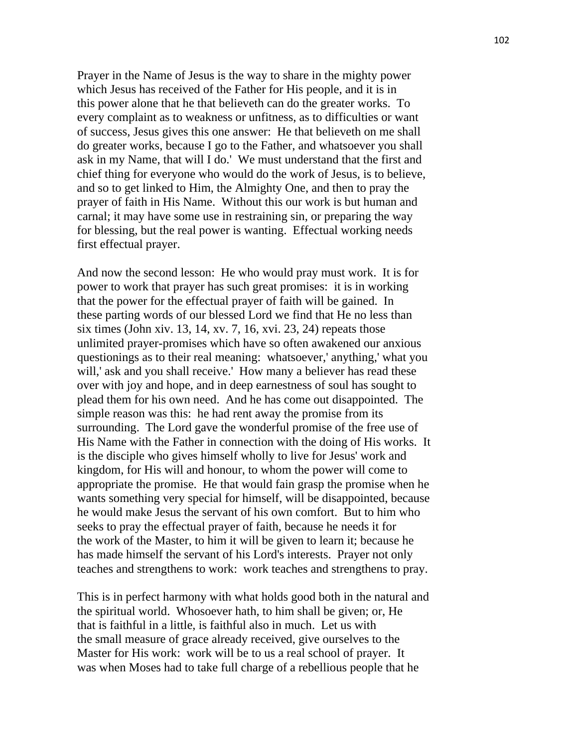Prayer in the Name of Jesus is the way to share in the mighty power which Jesus has received of the Father for His people, and it is in this power alone that he that believeth can do the greater works. To every complaint as to weakness or unfitness, as to difficulties or want of success, Jesus gives this one answer: He that believeth on me shall do greater works, because I go to the Father, and whatsoever you shall ask in my Name, that will I do.' We must understand that the first and chief thing for everyone who would do the work of Jesus, is to believe, and so to get linked to Him, the Almighty One, and then to pray the prayer of faith in His Name. Without this our work is but human and carnal; it may have some use in restraining sin, or preparing the way for blessing, but the real power is wanting. Effectual working needs first effectual prayer.

 And now the second lesson: He who would pray must work. It is for power to work that prayer has such great promises: it is in working that the power for the effectual prayer of faith will be gained. In these parting words of our blessed Lord we find that He no less than six times (John xiv. 13, 14, xv. 7, 16, xvi. 23, 24) repeats those unlimited prayer-promises which have so often awakened our anxious questionings as to their real meaning: whatsoever,' anything,' what you will,' ask and you shall receive.' How many a believer has read these over with joy and hope, and in deep earnestness of soul has sought to plead them for his own need. And he has come out disappointed. The simple reason was this: he had rent away the promise from its surrounding. The Lord gave the wonderful promise of the free use of His Name with the Father in connection with the doing of His works. It is the disciple who gives himself wholly to live for Jesus' work and kingdom, for His will and honour, to whom the power will come to appropriate the promise. He that would fain grasp the promise when he wants something very special for himself, will be disappointed, because he would make Jesus the servant of his own comfort. But to him who seeks to pray the effectual prayer of faith, because he needs it for the work of the Master, to him it will be given to learn it; because he has made himself the servant of his Lord's interests. Prayer not only teaches and strengthens to work: work teaches and strengthens to pray.

 This is in perfect harmony with what holds good both in the natural and the spiritual world. Whosoever hath, to him shall be given; or, He that is faithful in a little, is faithful also in much. Let us with the small measure of grace already received, give ourselves to the Master for His work: work will be to us a real school of prayer. It was when Moses had to take full charge of a rebellious people that he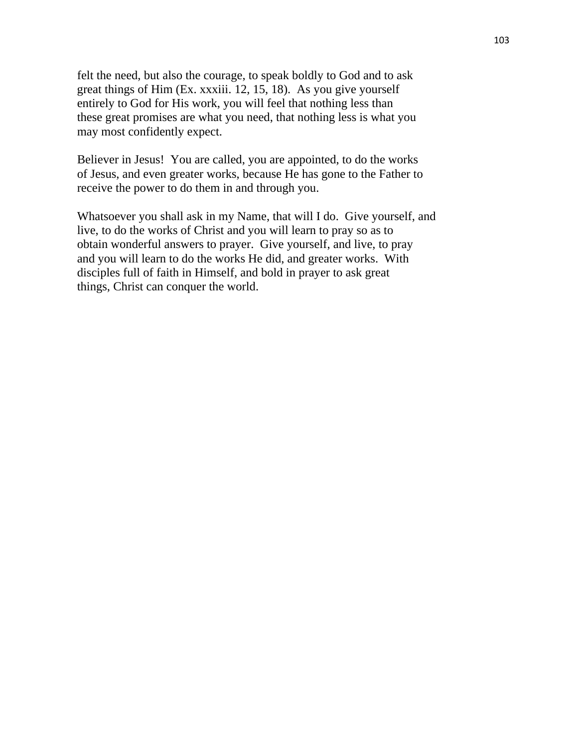felt the need, but also the courage, to speak boldly to God and to ask great things of Him (Ex. xxxiii. 12, 15, 18). As you give yourself entirely to God for His work, you will feel that nothing less than these great promises are what you need, that nothing less is what you may most confidently expect.

 Believer in Jesus! You are called, you are appointed, to do the works of Jesus, and even greater works, because He has gone to the Father to receive the power to do them in and through you.

 Whatsoever you shall ask in my Name, that will I do. Give yourself, and live, to do the works of Christ and you will learn to pray so as to obtain wonderful answers to prayer. Give yourself, and live, to pray and you will learn to do the works He did, and greater works. With disciples full of faith in Himself, and bold in prayer to ask great things, Christ can conquer the world.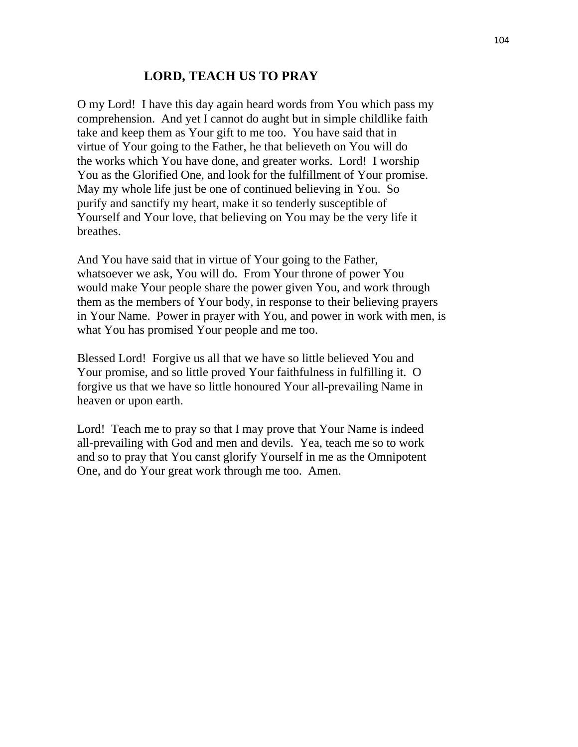## **LORD, TEACH US TO PRAY**

 O my Lord! I have this day again heard words from You which pass my comprehension. And yet I cannot do aught but in simple childlike faith take and keep them as Your gift to me too. You have said that in virtue of Your going to the Father, he that believeth on You will do the works which You have done, and greater works. Lord! I worship You as the Glorified One, and look for the fulfillment of Your promise. May my whole life just be one of continued believing in You. So purify and sanctify my heart, make it so tenderly susceptible of Yourself and Your love, that believing on You may be the very life it breathes.

 And You have said that in virtue of Your going to the Father, whatsoever we ask, You will do. From Your throne of power You would make Your people share the power given You, and work through them as the members of Your body, in response to their believing prayers in Your Name. Power in prayer with You, and power in work with men, is what You has promised Your people and me too.

 Blessed Lord! Forgive us all that we have so little believed You and Your promise, and so little proved Your faithfulness in fulfilling it. O forgive us that we have so little honoured Your all-prevailing Name in heaven or upon earth.

 Lord! Teach me to pray so that I may prove that Your Name is indeed all-prevailing with God and men and devils. Yea, teach me so to work and so to pray that You canst glorify Yourself in me as the Omnipotent One, and do Your great work through me too. Amen.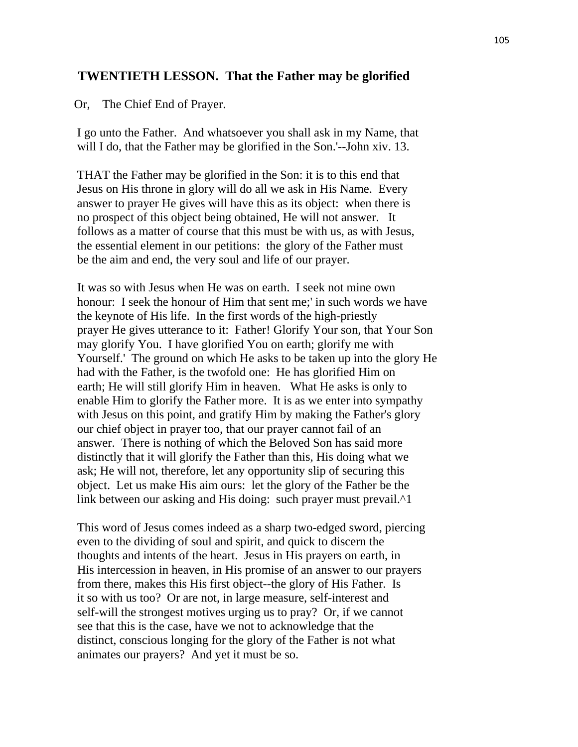## **TWENTIETH LESSON. That the Father may be glorified**

Or, The Chief End of Prayer.

 I go unto the Father. And whatsoever you shall ask in my Name, that will I do, that the Father may be glorified in the Son.'--John xiv. 13.

 THAT the Father may be glorified in the Son: it is to this end that Jesus on His throne in glory will do all we ask in His Name. Every answer to prayer He gives will have this as its object: when there is no prospect of this object being obtained, He will not answer. It follows as a matter of course that this must be with us, as with Jesus, the essential element in our petitions: the glory of the Father must be the aim and end, the very soul and life of our prayer.

 It was so with Jesus when He was on earth. I seek not mine own honour: I seek the honour of Him that sent me;' in such words we have the keynote of His life. In the first words of the high-priestly prayer He gives utterance to it: Father! Glorify Your son, that Your Son may glorify You. I have glorified You on earth; glorify me with Yourself.' The ground on which He asks to be taken up into the glory He had with the Father, is the twofold one: He has glorified Him on earth; He will still glorify Him in heaven. What He asks is only to enable Him to glorify the Father more. It is as we enter into sympathy with Jesus on this point, and gratify Him by making the Father's glory our chief object in prayer too, that our prayer cannot fail of an answer. There is nothing of which the Beloved Son has said more distinctly that it will glorify the Father than this, His doing what we ask; He will not, therefore, let any opportunity slip of securing this object. Let us make His aim ours: let the glory of the Father be the link between our asking and His doing: such prayer must prevail.<sup>^1</sup>

 This word of Jesus comes indeed as a sharp two-edged sword, piercing even to the dividing of soul and spirit, and quick to discern the thoughts and intents of the heart. Jesus in His prayers on earth, in His intercession in heaven, in His promise of an answer to our prayers from there, makes this His first object--the glory of His Father. Is it so with us too? Or are not, in large measure, self-interest and self-will the strongest motives urging us to pray? Or, if we cannot see that this is the case, have we not to acknowledge that the distinct, conscious longing for the glory of the Father is not what animates our prayers? And yet it must be so.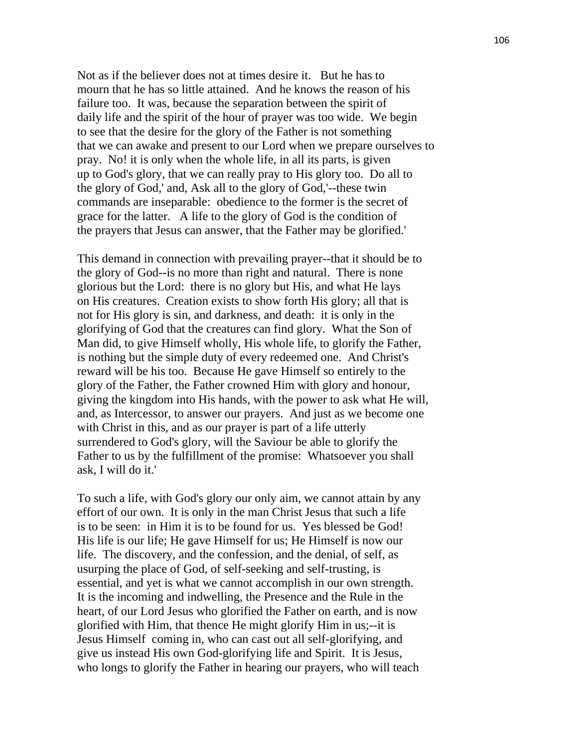Not as if the believer does not at times desire it. But he has to mourn that he has so little attained. And he knows the reason of his failure too. It was, because the separation between the spirit of daily life and the spirit of the hour of prayer was too wide. We begin to see that the desire for the glory of the Father is not something that we can awake and present to our Lord when we prepare ourselves to pray. No! it is only when the whole life, in all its parts, is given up to God's glory, that we can really pray to His glory too. Do all to the glory of God,' and, Ask all to the glory of God,'--these twin commands are inseparable: obedience to the former is the secret of grace for the latter. A life to the glory of God is the condition of the prayers that Jesus can answer, that the Father may be glorified.'

 This demand in connection with prevailing prayer--that it should be to the glory of God--is no more than right and natural. There is none glorious but the Lord: there is no glory but His, and what He lays on His creatures. Creation exists to show forth His glory; all that is not for His glory is sin, and darkness, and death: it is only in the glorifying of God that the creatures can find glory. What the Son of Man did, to give Himself wholly, His whole life, to glorify the Father, is nothing but the simple duty of every redeemed one. And Christ's reward will be his too. Because He gave Himself so entirely to the glory of the Father, the Father crowned Him with glory and honour, giving the kingdom into His hands, with the power to ask what He will, and, as Intercessor, to answer our prayers. And just as we become one with Christ in this, and as our prayer is part of a life utterly surrendered to God's glory, will the Saviour be able to glorify the Father to us by the fulfillment of the promise: Whatsoever you shall ask, I will do it.'

 To such a life, with God's glory our only aim, we cannot attain by any effort of our own. It is only in the man Christ Jesus that such a life is to be seen: in Him it is to be found for us. Yes blessed be God! His life is our life; He gave Himself for us; He Himself is now our life. The discovery, and the confession, and the denial, of self, as usurping the place of God, of self-seeking and self-trusting, is essential, and yet is what we cannot accomplish in our own strength. It is the incoming and indwelling, the Presence and the Rule in the heart, of our Lord Jesus who glorified the Father on earth, and is now glorified with Him, that thence He might glorify Him in us;--it is Jesus Himself coming in, who can cast out all self-glorifying, and give us instead His own God-glorifying life and Spirit. It is Jesus, who longs to glorify the Father in hearing our prayers, who will teach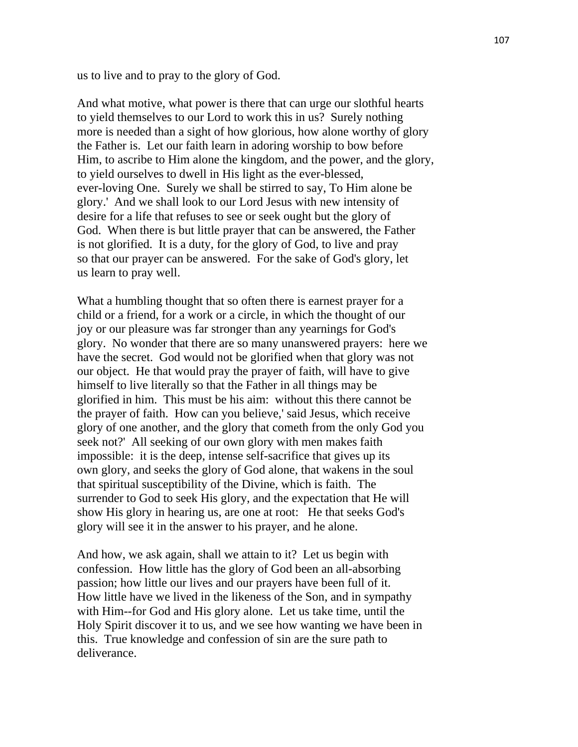us to live and to pray to the glory of God.

 And what motive, what power is there that can urge our slothful hearts to yield themselves to our Lord to work this in us? Surely nothing more is needed than a sight of how glorious, how alone worthy of glory the Father is. Let our faith learn in adoring worship to bow before Him, to ascribe to Him alone the kingdom, and the power, and the glory, to yield ourselves to dwell in His light as the ever-blessed, ever-loving One. Surely we shall be stirred to say, To Him alone be glory.' And we shall look to our Lord Jesus with new intensity of desire for a life that refuses to see or seek ought but the glory of God. When there is but little prayer that can be answered, the Father is not glorified. It is a duty, for the glory of God, to live and pray so that our prayer can be answered. For the sake of God's glory, let us learn to pray well.

 What a humbling thought that so often there is earnest prayer for a child or a friend, for a work or a circle, in which the thought of our joy or our pleasure was far stronger than any yearnings for God's glory. No wonder that there are so many unanswered prayers: here we have the secret. God would not be glorified when that glory was not our object. He that would pray the prayer of faith, will have to give himself to live literally so that the Father in all things may be glorified in him. This must be his aim: without this there cannot be the prayer of faith. How can you believe,' said Jesus, which receive glory of one another, and the glory that cometh from the only God you seek not?' All seeking of our own glory with men makes faith impossible: it is the deep, intense self-sacrifice that gives up its own glory, and seeks the glory of God alone, that wakens in the soul that spiritual susceptibility of the Divine, which is faith. The surrender to God to seek His glory, and the expectation that He will show His glory in hearing us, are one at root: He that seeks God's glory will see it in the answer to his prayer, and he alone.

 And how, we ask again, shall we attain to it? Let us begin with confession. How little has the glory of God been an all-absorbing passion; how little our lives and our prayers have been full of it. How little have we lived in the likeness of the Son, and in sympathy with Him--for God and His glory alone. Let us take time, until the Holy Spirit discover it to us, and we see how wanting we have been in this. True knowledge and confession of sin are the sure path to deliverance.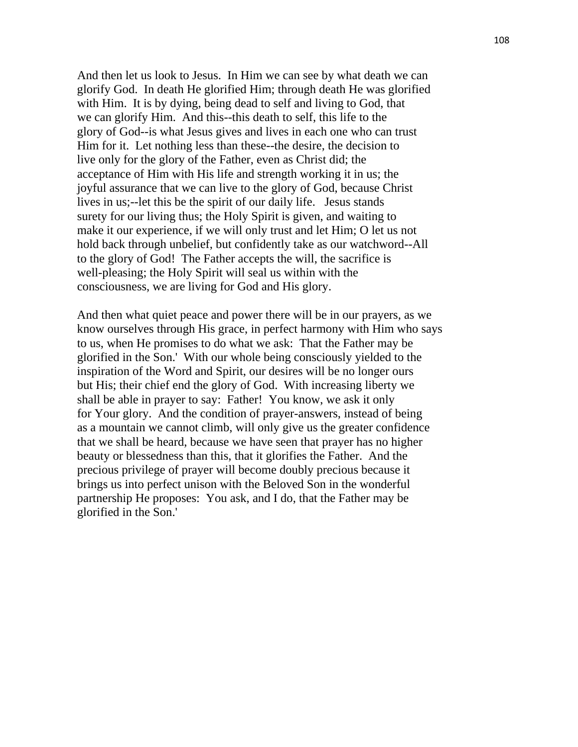And then let us look to Jesus. In Him we can see by what death we can glorify God. In death He glorified Him; through death He was glorified with Him. It is by dying, being dead to self and living to God, that we can glorify Him. And this--this death to self, this life to the glory of God--is what Jesus gives and lives in each one who can trust Him for it. Let nothing less than these--the desire, the decision to live only for the glory of the Father, even as Christ did; the acceptance of Him with His life and strength working it in us; the joyful assurance that we can live to the glory of God, because Christ lives in us;--let this be the spirit of our daily life. Jesus stands surety for our living thus; the Holy Spirit is given, and waiting to make it our experience, if we will only trust and let Him; O let us not hold back through unbelief, but confidently take as our watchword--All to the glory of God! The Father accepts the will, the sacrifice is well-pleasing; the Holy Spirit will seal us within with the consciousness, we are living for God and His glory.

 And then what quiet peace and power there will be in our prayers, as we know ourselves through His grace, in perfect harmony with Him who says to us, when He promises to do what we ask: That the Father may be glorified in the Son.' With our whole being consciously yielded to the inspiration of the Word and Spirit, our desires will be no longer ours but His; their chief end the glory of God. With increasing liberty we shall be able in prayer to say: Father! You know, we ask it only for Your glory. And the condition of prayer-answers, instead of being as a mountain we cannot climb, will only give us the greater confidence that we shall be heard, because we have seen that prayer has no higher beauty or blessedness than this, that it glorifies the Father. And the precious privilege of prayer will become doubly precious because it brings us into perfect unison with the Beloved Son in the wonderful partnership He proposes: You ask, and I do, that the Father may be glorified in the Son.'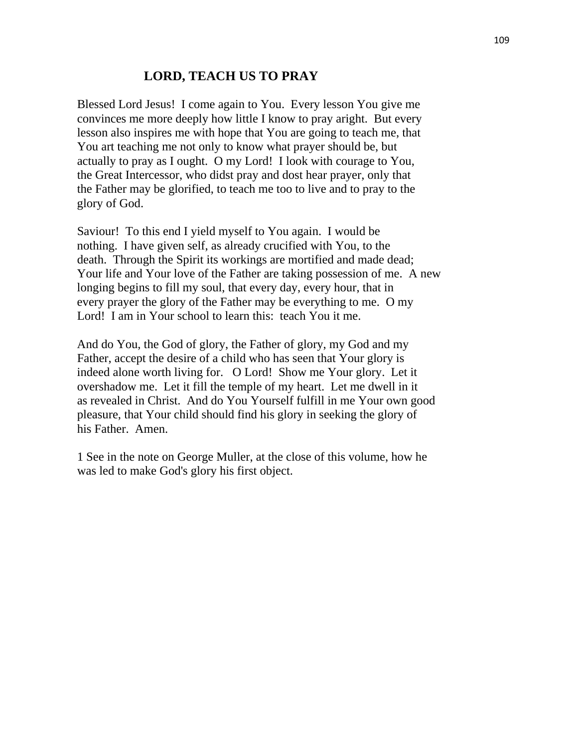# **LORD, TEACH US TO PRAY**

 Blessed Lord Jesus! I come again to You. Every lesson You give me convinces me more deeply how little I know to pray aright. But every lesson also inspires me with hope that You are going to teach me, that You art teaching me not only to know what prayer should be, but actually to pray as I ought. O my Lord! I look with courage to You, the Great Intercessor, who didst pray and dost hear prayer, only that the Father may be glorified, to teach me too to live and to pray to the glory of God.

 Saviour! To this end I yield myself to You again. I would be nothing. I have given self, as already crucified with You, to the death. Through the Spirit its workings are mortified and made dead; Your life and Your love of the Father are taking possession of me. A new longing begins to fill my soul, that every day, every hour, that in every prayer the glory of the Father may be everything to me. O my Lord! I am in Your school to learn this: teach You it me.

 And do You, the God of glory, the Father of glory, my God and my Father, accept the desire of a child who has seen that Your glory is indeed alone worth living for. O Lord! Show me Your glory. Let it overshadow me. Let it fill the temple of my heart. Let me dwell in it as revealed in Christ. And do You Yourself fulfill in me Your own good pleasure, that Your child should find his glory in seeking the glory of his Father. Amen.

 1 See in the note on George Muller, at the close of this volume, how he was led to make God's glory his first object.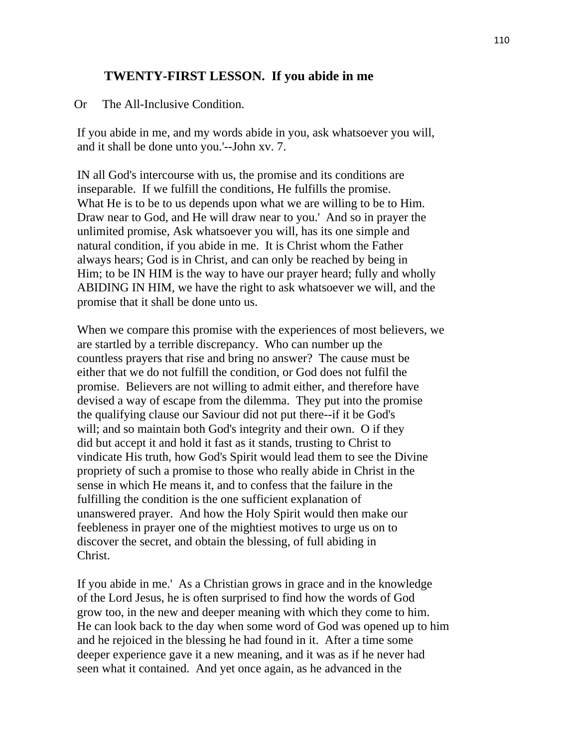## **TWENTY-FIRST LESSON. If you abide in me**

Or The All-Inclusive Condition.

 If you abide in me, and my words abide in you, ask whatsoever you will, and it shall be done unto you.'--John xv. 7.

 IN all God's intercourse with us, the promise and its conditions are inseparable. If we fulfill the conditions, He fulfills the promise. What He is to be to us depends upon what we are willing to be to Him. Draw near to God, and He will draw near to you.' And so in prayer the unlimited promise, Ask whatsoever you will, has its one simple and natural condition, if you abide in me. It is Christ whom the Father always hears; God is in Christ, and can only be reached by being in Him; to be IN HIM is the way to have our prayer heard; fully and wholly ABIDING IN HIM, we have the right to ask whatsoever we will, and the promise that it shall be done unto us.

 When we compare this promise with the experiences of most believers, we are startled by a terrible discrepancy. Who can number up the countless prayers that rise and bring no answer? The cause must be either that we do not fulfill the condition, or God does not fulfil the promise. Believers are not willing to admit either, and therefore have devised a way of escape from the dilemma. They put into the promise the qualifying clause our Saviour did not put there--if it be God's will; and so maintain both God's integrity and their own. O if they did but accept it and hold it fast as it stands, trusting to Christ to vindicate His truth, how God's Spirit would lead them to see the Divine propriety of such a promise to those who really abide in Christ in the sense in which He means it, and to confess that the failure in the fulfilling the condition is the one sufficient explanation of unanswered prayer. And how the Holy Spirit would then make our feebleness in prayer one of the mightiest motives to urge us on to discover the secret, and obtain the blessing, of full abiding in Christ.

 If you abide in me.' As a Christian grows in grace and in the knowledge of the Lord Jesus, he is often surprised to find how the words of God grow too, in the new and deeper meaning with which they come to him. He can look back to the day when some word of God was opened up to him and he rejoiced in the blessing he had found in it. After a time some deeper experience gave it a new meaning, and it was as if he never had seen what it contained. And yet once again, as he advanced in the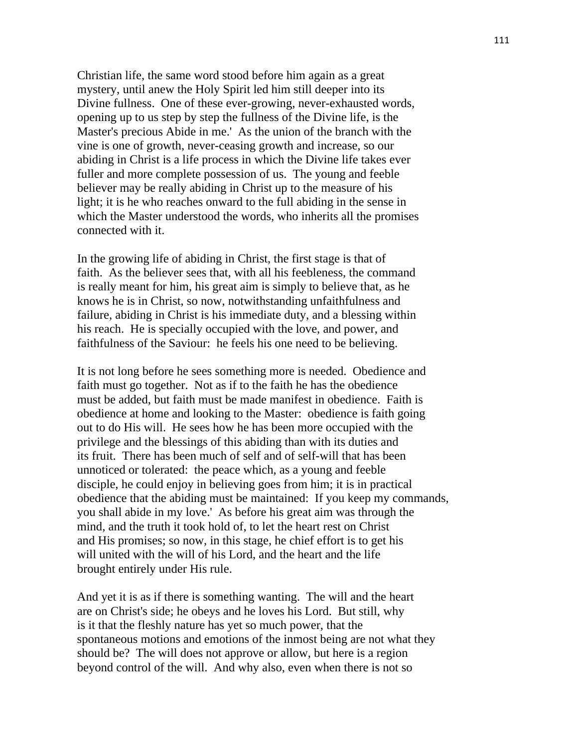Christian life, the same word stood before him again as a great mystery, until anew the Holy Spirit led him still deeper into its Divine fullness. One of these ever-growing, never-exhausted words, opening up to us step by step the fullness of the Divine life, is the Master's precious Abide in me.' As the union of the branch with the vine is one of growth, never-ceasing growth and increase, so our abiding in Christ is a life process in which the Divine life takes ever fuller and more complete possession of us. The young and feeble believer may be really abiding in Christ up to the measure of his light; it is he who reaches onward to the full abiding in the sense in which the Master understood the words, who inherits all the promises connected with it.

 In the growing life of abiding in Christ, the first stage is that of faith. As the believer sees that, with all his feebleness, the command is really meant for him, his great aim is simply to believe that, as he knows he is in Christ, so now, notwithstanding unfaithfulness and failure, abiding in Christ is his immediate duty, and a blessing within his reach. He is specially occupied with the love, and power, and faithfulness of the Saviour: he feels his one need to be believing.

 It is not long before he sees something more is needed. Obedience and faith must go together. Not as if to the faith he has the obedience must be added, but faith must be made manifest in obedience. Faith is obedience at home and looking to the Master: obedience is faith going out to do His will. He sees how he has been more occupied with the privilege and the blessings of this abiding than with its duties and its fruit. There has been much of self and of self-will that has been unnoticed or tolerated: the peace which, as a young and feeble disciple, he could enjoy in believing goes from him; it is in practical obedience that the abiding must be maintained: If you keep my commands, you shall abide in my love.' As before his great aim was through the mind, and the truth it took hold of, to let the heart rest on Christ and His promises; so now, in this stage, he chief effort is to get his will united with the will of his Lord, and the heart and the life brought entirely under His rule.

 And yet it is as if there is something wanting. The will and the heart are on Christ's side; he obeys and he loves his Lord. But still, why is it that the fleshly nature has yet so much power, that the spontaneous motions and emotions of the inmost being are not what they should be? The will does not approve or allow, but here is a region beyond control of the will. And why also, even when there is not so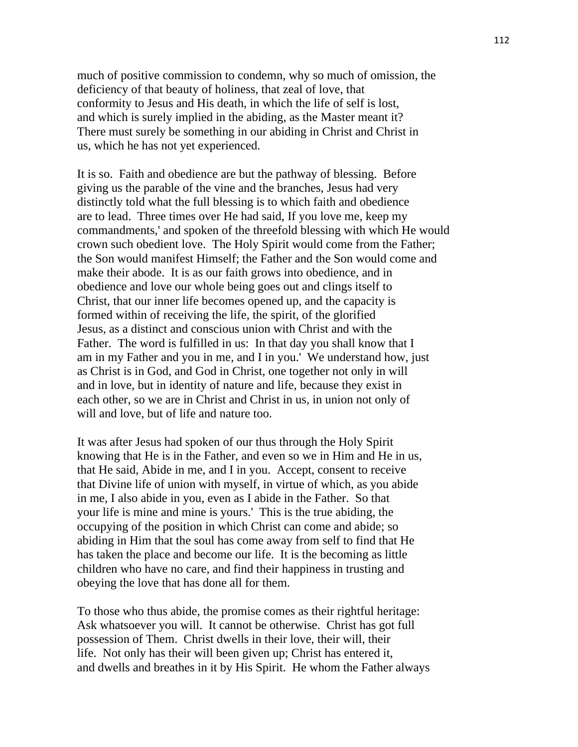much of positive commission to condemn, why so much of omission, the deficiency of that beauty of holiness, that zeal of love, that conformity to Jesus and His death, in which the life of self is lost, and which is surely implied in the abiding, as the Master meant it? There must surely be something in our abiding in Christ and Christ in us, which he has not yet experienced.

 It is so. Faith and obedience are but the pathway of blessing. Before giving us the parable of the vine and the branches, Jesus had very distinctly told what the full blessing is to which faith and obedience are to lead. Three times over He had said, If you love me, keep my commandments,' and spoken of the threefold blessing with which He would crown such obedient love. The Holy Spirit would come from the Father; the Son would manifest Himself; the Father and the Son would come and make their abode. It is as our faith grows into obedience, and in obedience and love our whole being goes out and clings itself to Christ, that our inner life becomes opened up, and the capacity is formed within of receiving the life, the spirit, of the glorified Jesus, as a distinct and conscious union with Christ and with the Father. The word is fulfilled in us: In that day you shall know that I am in my Father and you in me, and I in you.' We understand how, just as Christ is in God, and God in Christ, one together not only in will and in love, but in identity of nature and life, because they exist in each other, so we are in Christ and Christ in us, in union not only of will and love, but of life and nature too.

 It was after Jesus had spoken of our thus through the Holy Spirit knowing that He is in the Father, and even so we in Him and He in us, that He said, Abide in me, and I in you. Accept, consent to receive that Divine life of union with myself, in virtue of which, as you abide in me, I also abide in you, even as I abide in the Father. So that your life is mine and mine is yours.' This is the true abiding, the occupying of the position in which Christ can come and abide; so abiding in Him that the soul has come away from self to find that He has taken the place and become our life. It is the becoming as little children who have no care, and find their happiness in trusting and obeying the love that has done all for them.

 To those who thus abide, the promise comes as their rightful heritage: Ask whatsoever you will. It cannot be otherwise. Christ has got full possession of Them. Christ dwells in their love, their will, their life. Not only has their will been given up; Christ has entered it, and dwells and breathes in it by His Spirit. He whom the Father always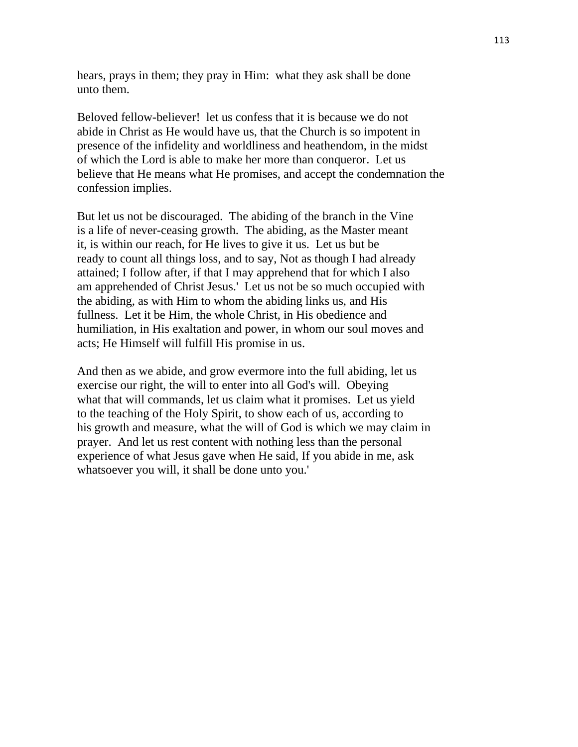hears, prays in them; they pray in Him: what they ask shall be done unto them.

 Beloved fellow-believer! let us confess that it is because we do not abide in Christ as He would have us, that the Church is so impotent in presence of the infidelity and worldliness and heathendom, in the midst of which the Lord is able to make her more than conqueror. Let us believe that He means what He promises, and accept the condemnation the confession implies.

 But let us not be discouraged. The abiding of the branch in the Vine is a life of never-ceasing growth. The abiding, as the Master meant it, is within our reach, for He lives to give it us. Let us but be ready to count all things loss, and to say, Not as though I had already attained; I follow after, if that I may apprehend that for which I also am apprehended of Christ Jesus.' Let us not be so much occupied with the abiding, as with Him to whom the abiding links us, and His fullness. Let it be Him, the whole Christ, in His obedience and humiliation, in His exaltation and power, in whom our soul moves and acts; He Himself will fulfill His promise in us.

 And then as we abide, and grow evermore into the full abiding, let us exercise our right, the will to enter into all God's will. Obeying what that will commands, let us claim what it promises. Let us yield to the teaching of the Holy Spirit, to show each of us, according to his growth and measure, what the will of God is which we may claim in prayer. And let us rest content with nothing less than the personal experience of what Jesus gave when He said, If you abide in me, ask whatsoever you will, it shall be done unto you.'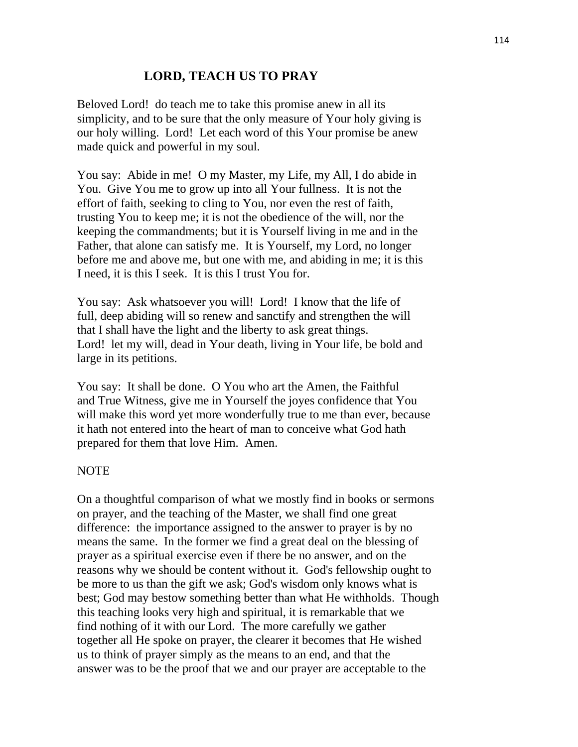# **LORD, TEACH US TO PRAY**

 Beloved Lord! do teach me to take this promise anew in all its simplicity, and to be sure that the only measure of Your holy giving is our holy willing. Lord! Let each word of this Your promise be anew made quick and powerful in my soul.

 You say: Abide in me! O my Master, my Life, my All, I do abide in You. Give You me to grow up into all Your fullness. It is not the effort of faith, seeking to cling to You, nor even the rest of faith, trusting You to keep me; it is not the obedience of the will, nor the keeping the commandments; but it is Yourself living in me and in the Father, that alone can satisfy me. It is Yourself, my Lord, no longer before me and above me, but one with me, and abiding in me; it is this I need, it is this I seek. It is this I trust You for.

 You say: Ask whatsoever you will! Lord! I know that the life of full, deep abiding will so renew and sanctify and strengthen the will that I shall have the light and the liberty to ask great things. Lord! let my will, dead in Your death, living in Your life, be bold and large in its petitions.

 You say: It shall be done. O You who art the Amen, the Faithful and True Witness, give me in Yourself the joyes confidence that You will make this word yet more wonderfully true to me than ever, because it hath not entered into the heart of man to conceive what God hath prepared for them that love Him. Amen.

#### **NOTE**

 On a thoughtful comparison of what we mostly find in books or sermons on prayer, and the teaching of the Master, we shall find one great difference: the importance assigned to the answer to prayer is by no means the same. In the former we find a great deal on the blessing of prayer as a spiritual exercise even if there be no answer, and on the reasons why we should be content without it. God's fellowship ought to be more to us than the gift we ask; God's wisdom only knows what is best; God may bestow something better than what He withholds. Though this teaching looks very high and spiritual, it is remarkable that we find nothing of it with our Lord. The more carefully we gather together all He spoke on prayer, the clearer it becomes that He wished us to think of prayer simply as the means to an end, and that the answer was to be the proof that we and our prayer are acceptable to the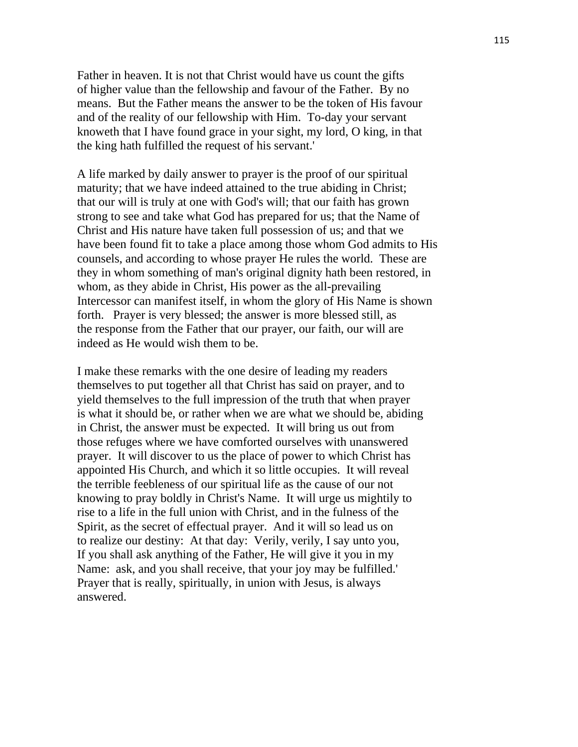Father in heaven. It is not that Christ would have us count the gifts of higher value than the fellowship and favour of the Father. By no means. But the Father means the answer to be the token of His favour and of the reality of our fellowship with Him. To-day your servant knoweth that I have found grace in your sight, my lord, O king, in that the king hath fulfilled the request of his servant.'

 A life marked by daily answer to prayer is the proof of our spiritual maturity; that we have indeed attained to the true abiding in Christ; that our will is truly at one with God's will; that our faith has grown strong to see and take what God has prepared for us; that the Name of Christ and His nature have taken full possession of us; and that we have been found fit to take a place among those whom God admits to His counsels, and according to whose prayer He rules the world. These are they in whom something of man's original dignity hath been restored, in whom, as they abide in Christ, His power as the all-prevailing Intercessor can manifest itself, in whom the glory of His Name is shown forth. Prayer is very blessed; the answer is more blessed still, as the response from the Father that our prayer, our faith, our will are indeed as He would wish them to be.

 I make these remarks with the one desire of leading my readers themselves to put together all that Christ has said on prayer, and to yield themselves to the full impression of the truth that when prayer is what it should be, or rather when we are what we should be, abiding in Christ, the answer must be expected. It will bring us out from those refuges where we have comforted ourselves with unanswered prayer. It will discover to us the place of power to which Christ has appointed His Church, and which it so little occupies. It will reveal the terrible feebleness of our spiritual life as the cause of our not knowing to pray boldly in Christ's Name. It will urge us mightily to rise to a life in the full union with Christ, and in the fulness of the Spirit, as the secret of effectual prayer. And it will so lead us on to realize our destiny: At that day: Verily, verily, I say unto you, If you shall ask anything of the Father, He will give it you in my Name: ask, and you shall receive, that your joy may be fulfilled.' Prayer that is really, spiritually, in union with Jesus, is always answered.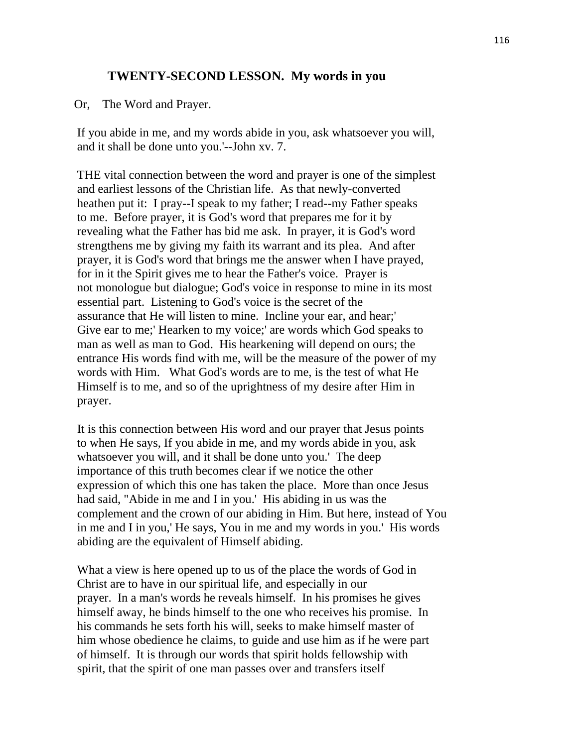## **TWENTY-SECOND LESSON. My words in you**

Or, The Word and Prayer.

 If you abide in me, and my words abide in you, ask whatsoever you will, and it shall be done unto you.'--John xv. 7.

 THE vital connection between the word and prayer is one of the simplest and earliest lessons of the Christian life. As that newly-converted heathen put it: I pray--I speak to my father; I read--my Father speaks to me. Before prayer, it is God's word that prepares me for it by revealing what the Father has bid me ask. In prayer, it is God's word strengthens me by giving my faith its warrant and its plea. And after prayer, it is God's word that brings me the answer when I have prayed, for in it the Spirit gives me to hear the Father's voice. Prayer is not monologue but dialogue; God's voice in response to mine in its most essential part. Listening to God's voice is the secret of the assurance that He will listen to mine. Incline your ear, and hear;' Give ear to me;' Hearken to my voice;' are words which God speaks to man as well as man to God. His hearkening will depend on ours; the entrance His words find with me, will be the measure of the power of my words with Him. What God's words are to me, is the test of what He Himself is to me, and so of the uprightness of my desire after Him in prayer.

 It is this connection between His word and our prayer that Jesus points to when He says, If you abide in me, and my words abide in you, ask whatsoever you will, and it shall be done unto you.' The deep importance of this truth becomes clear if we notice the other expression of which this one has taken the place. More than once Jesus had said, "Abide in me and I in you.' His abiding in us was the complement and the crown of our abiding in Him. But here, instead of You in me and I in you,' He says, You in me and my words in you.' His words abiding are the equivalent of Himself abiding.

 What a view is here opened up to us of the place the words of God in Christ are to have in our spiritual life, and especially in our prayer. In a man's words he reveals himself. In his promises he gives himself away, he binds himself to the one who receives his promise. In his commands he sets forth his will, seeks to make himself master of him whose obedience he claims, to guide and use him as if he were part of himself. It is through our words that spirit holds fellowship with spirit, that the spirit of one man passes over and transfers itself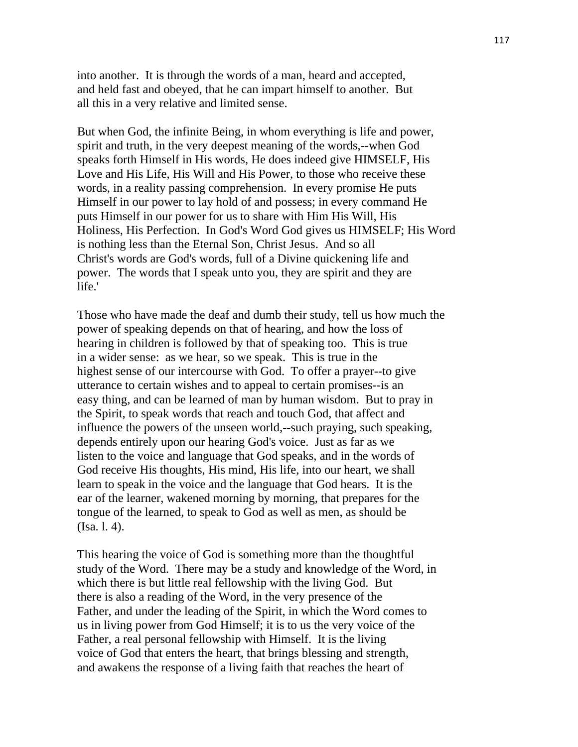into another. It is through the words of a man, heard and accepted, and held fast and obeyed, that he can impart himself to another. But all this in a very relative and limited sense.

 But when God, the infinite Being, in whom everything is life and power, spirit and truth, in the very deepest meaning of the words,--when God speaks forth Himself in His words, He does indeed give HIMSELF, His Love and His Life, His Will and His Power, to those who receive these words, in a reality passing comprehension. In every promise He puts Himself in our power to lay hold of and possess; in every command He puts Himself in our power for us to share with Him His Will, His Holiness, His Perfection. In God's Word God gives us HIMSELF; His Word is nothing less than the Eternal Son, Christ Jesus. And so all Christ's words are God's words, full of a Divine quickening life and power. The words that I speak unto you, they are spirit and they are life.'

 Those who have made the deaf and dumb their study, tell us how much the power of speaking depends on that of hearing, and how the loss of hearing in children is followed by that of speaking too. This is true in a wider sense: as we hear, so we speak. This is true in the highest sense of our intercourse with God. To offer a prayer--to give utterance to certain wishes and to appeal to certain promises--is an easy thing, and can be learned of man by human wisdom. But to pray in the Spirit, to speak words that reach and touch God, that affect and influence the powers of the unseen world,--such praying, such speaking, depends entirely upon our hearing God's voice. Just as far as we listen to the voice and language that God speaks, and in the words of God receive His thoughts, His mind, His life, into our heart, we shall learn to speak in the voice and the language that God hears. It is the ear of the learner, wakened morning by morning, that prepares for the tongue of the learned, to speak to God as well as men, as should be (Isa. l. 4).

 This hearing the voice of God is something more than the thoughtful study of the Word. There may be a study and knowledge of the Word, in which there is but little real fellowship with the living God. But there is also a reading of the Word, in the very presence of the Father, and under the leading of the Spirit, in which the Word comes to us in living power from God Himself; it is to us the very voice of the Father, a real personal fellowship with Himself. It is the living voice of God that enters the heart, that brings blessing and strength, and awakens the response of a living faith that reaches the heart of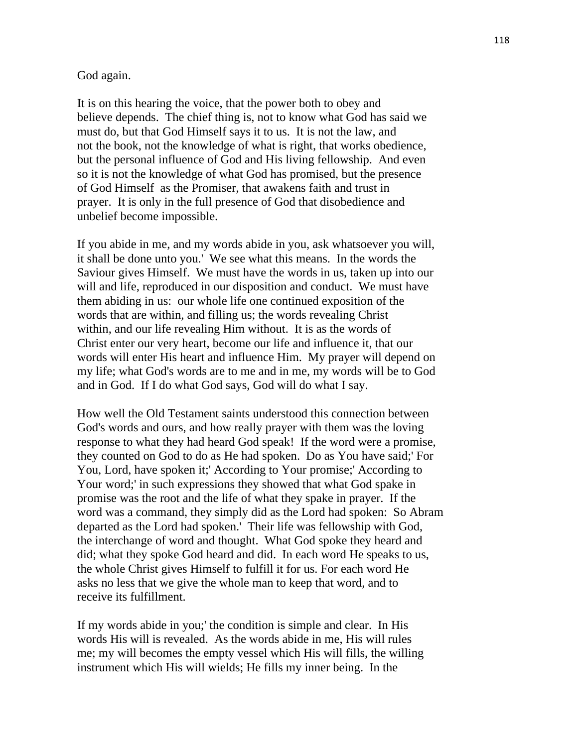#### God again.

 It is on this hearing the voice, that the power both to obey and believe depends. The chief thing is, not to know what God has said we must do, but that God Himself says it to us. It is not the law, and not the book, not the knowledge of what is right, that works obedience, but the personal influence of God and His living fellowship. And even so it is not the knowledge of what God has promised, but the presence of God Himself as the Promiser, that awakens faith and trust in prayer. It is only in the full presence of God that disobedience and unbelief become impossible.

 If you abide in me, and my words abide in you, ask whatsoever you will, it shall be done unto you.' We see what this means. In the words the Saviour gives Himself. We must have the words in us, taken up into our will and life, reproduced in our disposition and conduct. We must have them abiding in us: our whole life one continued exposition of the words that are within, and filling us; the words revealing Christ within, and our life revealing Him without. It is as the words of Christ enter our very heart, become our life and influence it, that our words will enter His heart and influence Him. My prayer will depend on my life; what God's words are to me and in me, my words will be to God and in God. If I do what God says, God will do what I say.

 How well the Old Testament saints understood this connection between God's words and ours, and how really prayer with them was the loving response to what they had heard God speak! If the word were a promise, they counted on God to do as He had spoken. Do as You have said;' For You, Lord, have spoken it;' According to Your promise;' According to Your word;' in such expressions they showed that what God spake in promise was the root and the life of what they spake in prayer. If the word was a command, they simply did as the Lord had spoken: So Abram departed as the Lord had spoken.' Their life was fellowship with God, the interchange of word and thought. What God spoke they heard and did; what they spoke God heard and did. In each word He speaks to us, the whole Christ gives Himself to fulfill it for us. For each word He asks no less that we give the whole man to keep that word, and to receive its fulfillment.

 If my words abide in you;' the condition is simple and clear. In His words His will is revealed. As the words abide in me, His will rules me; my will becomes the empty vessel which His will fills, the willing instrument which His will wields; He fills my inner being. In the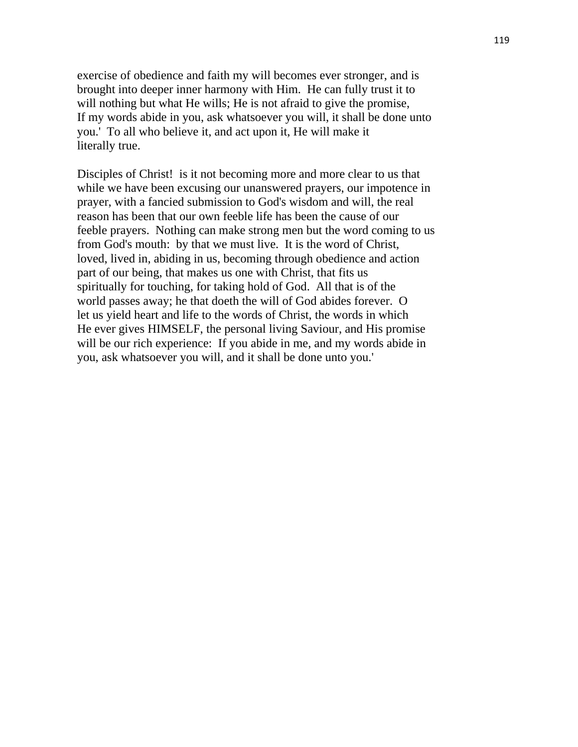exercise of obedience and faith my will becomes ever stronger, and is brought into deeper inner harmony with Him. He can fully trust it to will nothing but what He wills; He is not afraid to give the promise, If my words abide in you, ask whatsoever you will, it shall be done unto you.' To all who believe it, and act upon it, He will make it literally true.

 Disciples of Christ! is it not becoming more and more clear to us that while we have been excusing our unanswered prayers, our impotence in prayer, with a fancied submission to God's wisdom and will, the real reason has been that our own feeble life has been the cause of our feeble prayers. Nothing can make strong men but the word coming to us from God's mouth: by that we must live. It is the word of Christ, loved, lived in, abiding in us, becoming through obedience and action part of our being, that makes us one with Christ, that fits us spiritually for touching, for taking hold of God. All that is of the world passes away; he that doeth the will of God abides forever. O let us yield heart and life to the words of Christ, the words in which He ever gives HIMSELF, the personal living Saviour, and His promise will be our rich experience: If you abide in me, and my words abide in you, ask whatsoever you will, and it shall be done unto you.'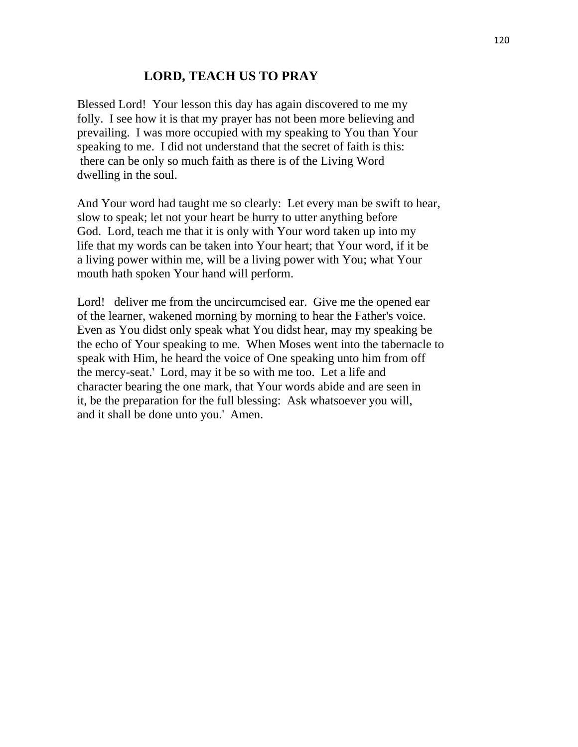# **LORD, TEACH US TO PRAY**

 Blessed Lord! Your lesson this day has again discovered to me my folly. I see how it is that my prayer has not been more believing and prevailing. I was more occupied with my speaking to You than Your speaking to me. I did not understand that the secret of faith is this: there can be only so much faith as there is of the Living Word dwelling in the soul.

 And Your word had taught me so clearly: Let every man be swift to hear, slow to speak; let not your heart be hurry to utter anything before God. Lord, teach me that it is only with Your word taken up into my life that my words can be taken into Your heart; that Your word, if it be a living power within me, will be a living power with You; what Your mouth hath spoken Your hand will perform.

Lord! deliver me from the uncircumcised ear. Give me the opened ear. of the learner, wakened morning by morning to hear the Father's voice. Even as You didst only speak what You didst hear, may my speaking be the echo of Your speaking to me. When Moses went into the tabernacle to speak with Him, he heard the voice of One speaking unto him from off the mercy-seat.' Lord, may it be so with me too. Let a life and character bearing the one mark, that Your words abide and are seen in it, be the preparation for the full blessing: Ask whatsoever you will, and it shall be done unto you.' Amen.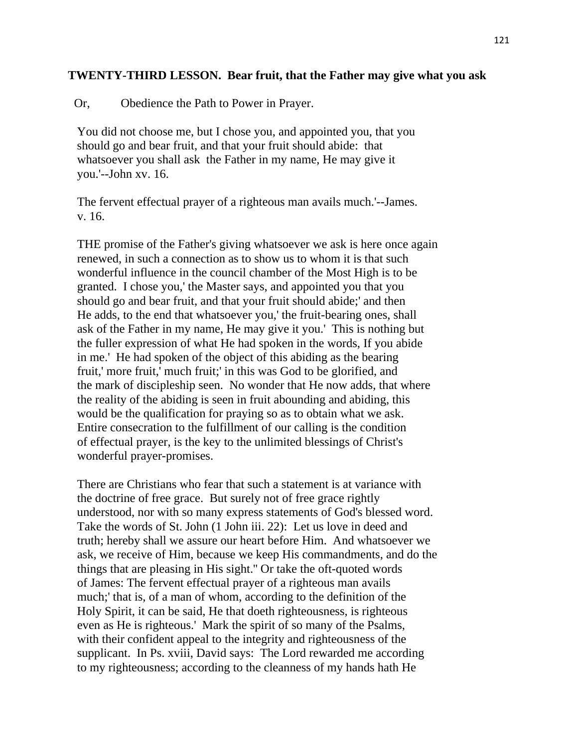### **TWENTY-THIRD LESSON. Bear fruit, that the Father may give what you ask**

Or, Obedience the Path to Power in Prayer.

 You did not choose me, but I chose you, and appointed you, that you should go and bear fruit, and that your fruit should abide: that whatsoever you shall ask the Father in my name, He may give it you.'--John xv. 16.

 The fervent effectual prayer of a righteous man avails much.'--James. v. 16.

 THE promise of the Father's giving whatsoever we ask is here once again renewed, in such a connection as to show us to whom it is that such wonderful influence in the council chamber of the Most High is to be granted. I chose you,' the Master says, and appointed you that you should go and bear fruit, and that your fruit should abide;' and then He adds, to the end that whatsoever you,' the fruit-bearing ones, shall ask of the Father in my name, He may give it you.' This is nothing but the fuller expression of what He had spoken in the words, If you abide in me.' He had spoken of the object of this abiding as the bearing fruit,' more fruit,' much fruit;' in this was God to be glorified, and the mark of discipleship seen. No wonder that He now adds, that where the reality of the abiding is seen in fruit abounding and abiding, this would be the qualification for praying so as to obtain what we ask. Entire consecration to the fulfillment of our calling is the condition of effectual prayer, is the key to the unlimited blessings of Christ's wonderful prayer-promises.

 There are Christians who fear that such a statement is at variance with the doctrine of free grace. But surely not of free grace rightly understood, nor with so many express statements of God's blessed word. Take the words of St. John (1 John iii. 22): Let us love in deed and truth; hereby shall we assure our heart before Him. And whatsoever we ask, we receive of Him, because we keep His commandments, and do the things that are pleasing in His sight.'' Or take the oft-quoted words of James: The fervent effectual prayer of a righteous man avails much;' that is, of a man of whom, according to the definition of the Holy Spirit, it can be said, He that doeth righteousness, is righteous even as He is righteous.' Mark the spirit of so many of the Psalms, with their confident appeal to the integrity and righteousness of the supplicant. In Ps. xviii, David says: The Lord rewarded me according to my righteousness; according to the cleanness of my hands hath He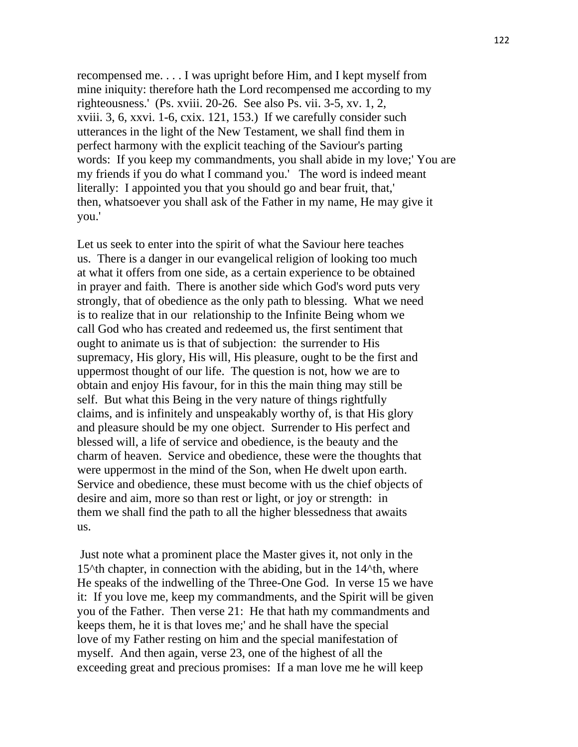recompensed me. . . . I was upright before Him, and I kept myself from mine iniquity: therefore hath the Lord recompensed me according to my righteousness.' (Ps. xviii. 20-26. See also Ps. vii. 3-5, xv. 1, 2, xviii. 3, 6, xxvi. 1-6, cxix. 121, 153.) If we carefully consider such utterances in the light of the New Testament, we shall find them in perfect harmony with the explicit teaching of the Saviour's parting words: If you keep my commandments, you shall abide in my love;' You are my friends if you do what I command you.' The word is indeed meant literally: I appointed you that you should go and bear fruit, that,' then, whatsoever you shall ask of the Father in my name, He may give it you.'

 Let us seek to enter into the spirit of what the Saviour here teaches us. There is a danger in our evangelical religion of looking too much at what it offers from one side, as a certain experience to be obtained in prayer and faith. There is another side which God's word puts very strongly, that of obedience as the only path to blessing. What we need is to realize that in our relationship to the Infinite Being whom we call God who has created and redeemed us, the first sentiment that ought to animate us is that of subjection: the surrender to His supremacy, His glory, His will, His pleasure, ought to be the first and uppermost thought of our life. The question is not, how we are to obtain and enjoy His favour, for in this the main thing may still be self. But what this Being in the very nature of things rightfully claims, and is infinitely and unspeakably worthy of, is that His glory and pleasure should be my one object. Surrender to His perfect and blessed will, a life of service and obedience, is the beauty and the charm of heaven. Service and obedience, these were the thoughts that were uppermost in the mind of the Son, when He dwelt upon earth. Service and obedience, these must become with us the chief objects of desire and aim, more so than rest or light, or joy or strength: in them we shall find the path to all the higher blessedness that awaits us.

 Just note what a prominent place the Master gives it, not only in the 15^th chapter, in connection with the abiding, but in the 14^th, where He speaks of the indwelling of the Three-One God. In verse 15 we have it: If you love me, keep my commandments, and the Spirit will be given you of the Father. Then verse 21: He that hath my commandments and keeps them, he it is that loves me;' and he shall have the special love of my Father resting on him and the special manifestation of myself. And then again, verse 23, one of the highest of all the exceeding great and precious promises: If a man love me he will keep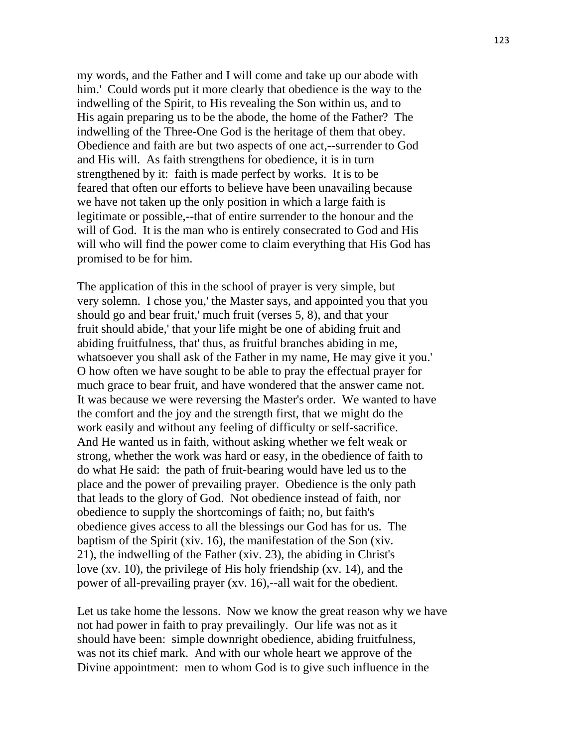my words, and the Father and I will come and take up our abode with him.' Could words put it more clearly that obedience is the way to the indwelling of the Spirit, to His revealing the Son within us, and to His again preparing us to be the abode, the home of the Father? The indwelling of the Three-One God is the heritage of them that obey. Obedience and faith are but two aspects of one act,--surrender to God and His will. As faith strengthens for obedience, it is in turn strengthened by it: faith is made perfect by works. It is to be feared that often our efforts to believe have been unavailing because we have not taken up the only position in which a large faith is legitimate or possible,--that of entire surrender to the honour and the will of God. It is the man who is entirely consecrated to God and His will who will find the power come to claim everything that His God has promised to be for him.

 The application of this in the school of prayer is very simple, but very solemn. I chose you,' the Master says, and appointed you that you should go and bear fruit,' much fruit (verses 5, 8), and that your fruit should abide,' that your life might be one of abiding fruit and abiding fruitfulness, that' thus, as fruitful branches abiding in me, whatsoever you shall ask of the Father in my name, He may give it you.' O how often we have sought to be able to pray the effectual prayer for much grace to bear fruit, and have wondered that the answer came not. It was because we were reversing the Master's order. We wanted to have the comfort and the joy and the strength first, that we might do the work easily and without any feeling of difficulty or self-sacrifice. And He wanted us in faith, without asking whether we felt weak or strong, whether the work was hard or easy, in the obedience of faith to do what He said: the path of fruit-bearing would have led us to the place and the power of prevailing prayer. Obedience is the only path that leads to the glory of God. Not obedience instead of faith, nor obedience to supply the shortcomings of faith; no, but faith's obedience gives access to all the blessings our God has for us. The baptism of the Spirit (xiv. 16), the manifestation of the Son (xiv. 21), the indwelling of the Father (xiv. 23), the abiding in Christ's love (xv. 10), the privilege of His holy friendship (xv. 14), and the power of all-prevailing prayer (xv. 16),--all wait for the obedient.

 Let us take home the lessons. Now we know the great reason why we have not had power in faith to pray prevailingly. Our life was not as it should have been: simple downright obedience, abiding fruitfulness, was not its chief mark. And with our whole heart we approve of the Divine appointment: men to whom God is to give such influence in the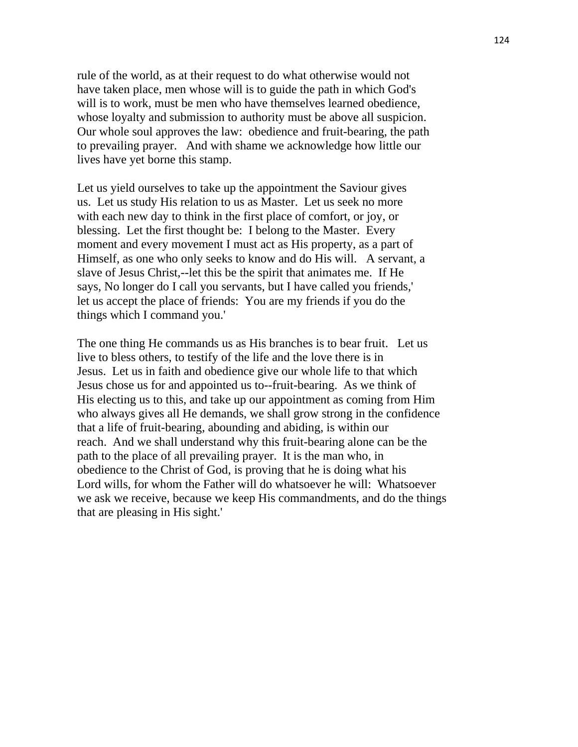rule of the world, as at their request to do what otherwise would not have taken place, men whose will is to guide the path in which God's will is to work, must be men who have themselves learned obedience, whose loyalty and submission to authority must be above all suspicion. Our whole soul approves the law: obedience and fruit-bearing, the path to prevailing prayer. And with shame we acknowledge how little our lives have yet borne this stamp.

 Let us yield ourselves to take up the appointment the Saviour gives us. Let us study His relation to us as Master. Let us seek no more with each new day to think in the first place of comfort, or joy, or blessing. Let the first thought be: I belong to the Master. Every moment and every movement I must act as His property, as a part of Himself, as one who only seeks to know and do His will. A servant, a slave of Jesus Christ,--let this be the spirit that animates me. If He says, No longer do I call you servants, but I have called you friends,' let us accept the place of friends: You are my friends if you do the things which I command you.'

 The one thing He commands us as His branches is to bear fruit. Let us live to bless others, to testify of the life and the love there is in Jesus. Let us in faith and obedience give our whole life to that which Jesus chose us for and appointed us to--fruit-bearing. As we think of His electing us to this, and take up our appointment as coming from Him who always gives all He demands, we shall grow strong in the confidence that a life of fruit-bearing, abounding and abiding, is within our reach. And we shall understand why this fruit-bearing alone can be the path to the place of all prevailing prayer. It is the man who, in obedience to the Christ of God, is proving that he is doing what his Lord wills, for whom the Father will do whatsoever he will: Whatsoever we ask we receive, because we keep His commandments, and do the things that are pleasing in His sight.'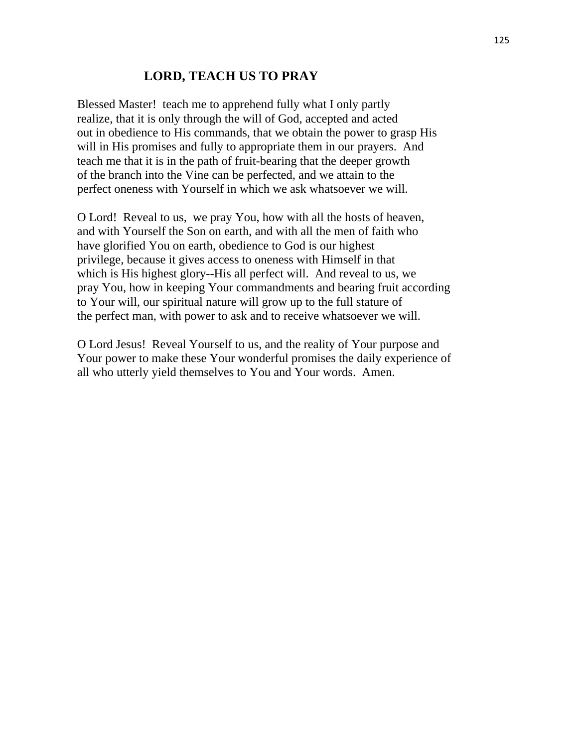## **LORD, TEACH US TO PRAY**

 Blessed Master! teach me to apprehend fully what I only partly realize, that it is only through the will of God, accepted and acted out in obedience to His commands, that we obtain the power to grasp His will in His promises and fully to appropriate them in our prayers. And teach me that it is in the path of fruit-bearing that the deeper growth of the branch into the Vine can be perfected, and we attain to the perfect oneness with Yourself in which we ask whatsoever we will.

 O Lord! Reveal to us, we pray You, how with all the hosts of heaven, and with Yourself the Son on earth, and with all the men of faith who have glorified You on earth, obedience to God is our highest privilege, because it gives access to oneness with Himself in that which is His highest glory--His all perfect will. And reveal to us, we pray You, how in keeping Your commandments and bearing fruit according to Your will, our spiritual nature will grow up to the full stature of the perfect man, with power to ask and to receive whatsoever we will.

 O Lord Jesus! Reveal Yourself to us, and the reality of Your purpose and Your power to make these Your wonderful promises the daily experience of all who utterly yield themselves to You and Your words. Amen.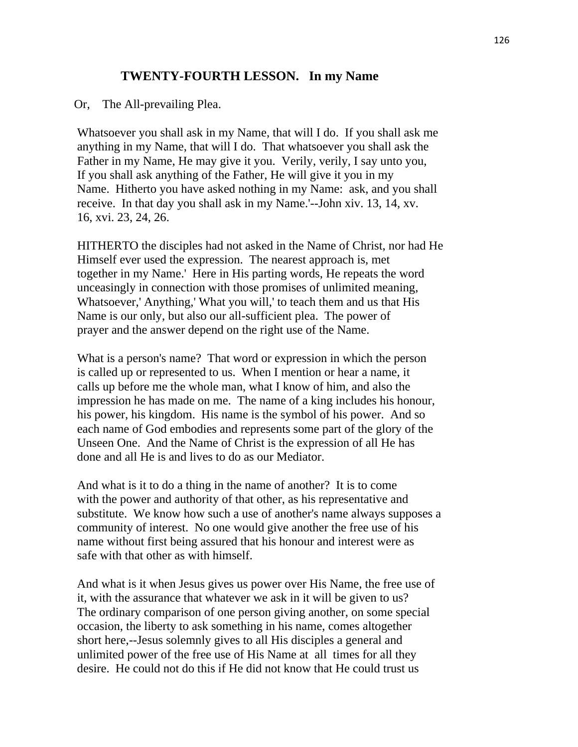### **TWENTY-FOURTH LESSON. In my Name**

Or, The All-prevailing Plea.

 Whatsoever you shall ask in my Name, that will I do. If you shall ask me anything in my Name, that will I do. That whatsoever you shall ask the Father in my Name, He may give it you. Verily, verily, I say unto you, If you shall ask anything of the Father, He will give it you in my Name. Hitherto you have asked nothing in my Name: ask, and you shall receive. In that day you shall ask in my Name.'--John xiv. 13, 14, xv. 16, xvi. 23, 24, 26.

 HITHERTO the disciples had not asked in the Name of Christ, nor had He Himself ever used the expression. The nearest approach is, met together in my Name.' Here in His parting words, He repeats the word unceasingly in connection with those promises of unlimited meaning, Whatsoever,' Anything,' What you will,' to teach them and us that His Name is our only, but also our all-sufficient plea. The power of prayer and the answer depend on the right use of the Name.

 What is a person's name? That word or expression in which the person is called up or represented to us. When I mention or hear a name, it calls up before me the whole man, what I know of him, and also the impression he has made on me. The name of a king includes his honour, his power, his kingdom. His name is the symbol of his power. And so each name of God embodies and represents some part of the glory of the Unseen One. And the Name of Christ is the expression of all He has done and all He is and lives to do as our Mediator.

 And what is it to do a thing in the name of another? It is to come with the power and authority of that other, as his representative and substitute. We know how such a use of another's name always supposes a community of interest. No one would give another the free use of his name without first being assured that his honour and interest were as safe with that other as with himself.

 And what is it when Jesus gives us power over His Name, the free use of it, with the assurance that whatever we ask in it will be given to us? The ordinary comparison of one person giving another, on some special occasion, the liberty to ask something in his name, comes altogether short here,--Jesus solemnly gives to all His disciples a general and unlimited power of the free use of His Name at all times for all they desire. He could not do this if He did not know that He could trust us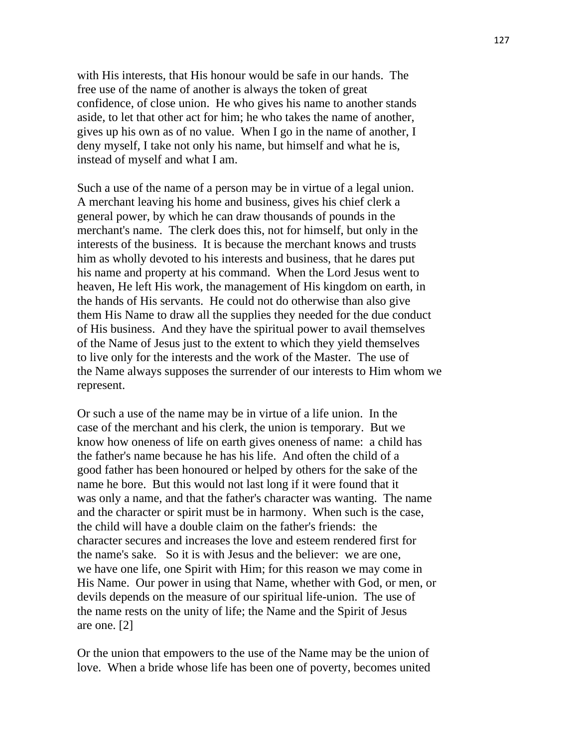with His interests, that His honour would be safe in our hands. The free use of the name of another is always the token of great confidence, of close union. He who gives his name to another stands aside, to let that other act for him; he who takes the name of another, gives up his own as of no value. When I go in the name of another, I deny myself, I take not only his name, but himself and what he is, instead of myself and what I am.

 Such a use of the name of a person may be in virtue of a legal union. A merchant leaving his home and business, gives his chief clerk a general power, by which he can draw thousands of pounds in the merchant's name. The clerk does this, not for himself, but only in the interests of the business. It is because the merchant knows and trusts him as wholly devoted to his interests and business, that he dares put his name and property at his command. When the Lord Jesus went to heaven, He left His work, the management of His kingdom on earth, in the hands of His servants. He could not do otherwise than also give them His Name to draw all the supplies they needed for the due conduct of His business. And they have the spiritual power to avail themselves of the Name of Jesus just to the extent to which they yield themselves to live only for the interests and the work of the Master. The use of the Name always supposes the surrender of our interests to Him whom we represent.

 Or such a use of the name may be in virtue of a life union. In the case of the merchant and his clerk, the union is temporary. But we know how oneness of life on earth gives oneness of name: a child has the father's name because he has his life. And often the child of a good father has been honoured or helped by others for the sake of the name he bore. But this would not last long if it were found that it was only a name, and that the father's character was wanting. The name and the character or spirit must be in harmony. When such is the case, the child will have a double claim on the father's friends: the character secures and increases the love and esteem rendered first for the name's sake. So it is with Jesus and the believer: we are one, we have one life, one Spirit with Him; for this reason we may come in His Name. Our power in using that Name, whether with God, or men, or devils depends on the measure of our spiritual life-union. The use of the name rests on the unity of life; the Name and the Spirit of Jesus are one. [2]

 Or the union that empowers to the use of the Name may be the union of love. When a bride whose life has been one of poverty, becomes united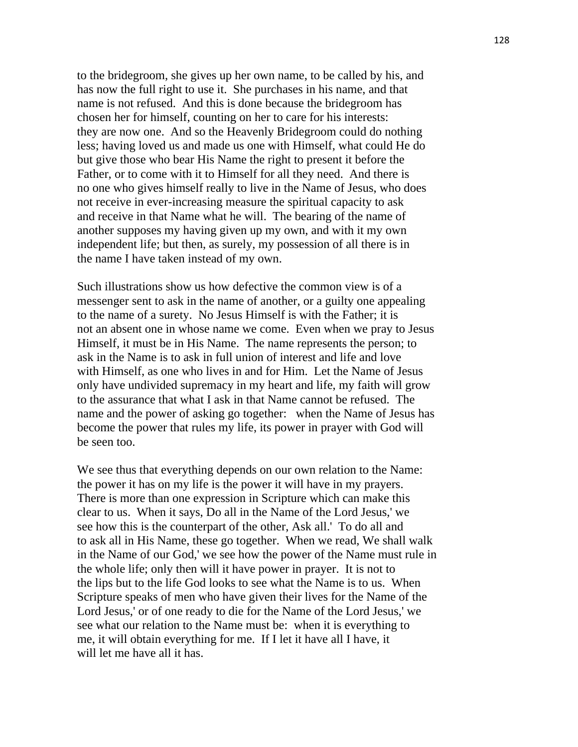to the bridegroom, she gives up her own name, to be called by his, and has now the full right to use it. She purchases in his name, and that name is not refused. And this is done because the bridegroom has chosen her for himself, counting on her to care for his interests: they are now one. And so the Heavenly Bridegroom could do nothing less; having loved us and made us one with Himself, what could He do but give those who bear His Name the right to present it before the Father, or to come with it to Himself for all they need. And there is no one who gives himself really to live in the Name of Jesus, who does not receive in ever-increasing measure the spiritual capacity to ask and receive in that Name what he will. The bearing of the name of another supposes my having given up my own, and with it my own independent life; but then, as surely, my possession of all there is in the name I have taken instead of my own.

 Such illustrations show us how defective the common view is of a messenger sent to ask in the name of another, or a guilty one appealing to the name of a surety. No Jesus Himself is with the Father; it is not an absent one in whose name we come. Even when we pray to Jesus Himself, it must be in His Name. The name represents the person; to ask in the Name is to ask in full union of interest and life and love with Himself, as one who lives in and for Him. Let the Name of Jesus only have undivided supremacy in my heart and life, my faith will grow to the assurance that what I ask in that Name cannot be refused. The name and the power of asking go together: when the Name of Jesus has become the power that rules my life, its power in prayer with God will be seen too.

 We see thus that everything depends on our own relation to the Name: the power it has on my life is the power it will have in my prayers. There is more than one expression in Scripture which can make this clear to us. When it says, Do all in the Name of the Lord Jesus,' we see how this is the counterpart of the other, Ask all.' To do all and to ask all in His Name, these go together. When we read, We shall walk in the Name of our God,' we see how the power of the Name must rule in the whole life; only then will it have power in prayer. It is not to the lips but to the life God looks to see what the Name is to us. When Scripture speaks of men who have given their lives for the Name of the Lord Jesus,' or of one ready to die for the Name of the Lord Jesus,' we see what our relation to the Name must be: when it is everything to me, it will obtain everything for me. If I let it have all I have, it will let me have all it has.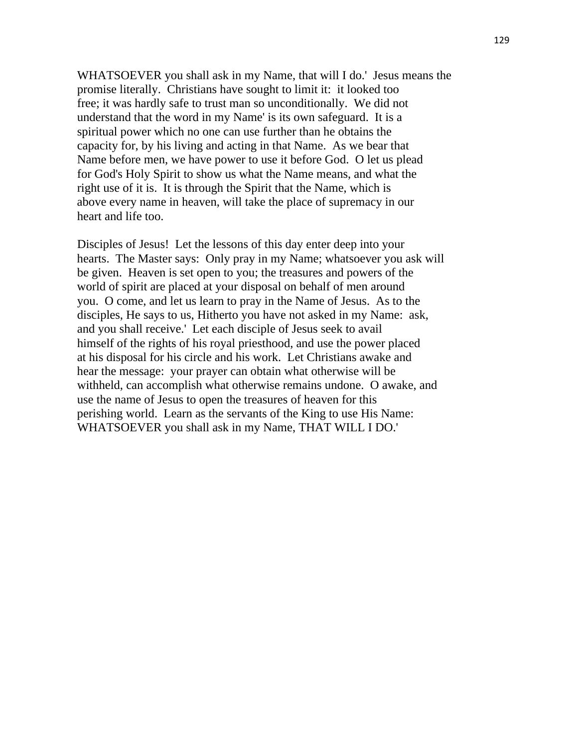WHATSOEVER you shall ask in my Name, that will I do.' Jesus means the promise literally. Christians have sought to limit it: it looked too free; it was hardly safe to trust man so unconditionally. We did not understand that the word in my Name' is its own safeguard. It is a spiritual power which no one can use further than he obtains the capacity for, by his living and acting in that Name. As we bear that Name before men, we have power to use it before God. O let us plead for God's Holy Spirit to show us what the Name means, and what the right use of it is. It is through the Spirit that the Name, which is above every name in heaven, will take the place of supremacy in our heart and life too.

 Disciples of Jesus! Let the lessons of this day enter deep into your hearts. The Master says: Only pray in my Name; whatsoever you ask will be given. Heaven is set open to you; the treasures and powers of the world of spirit are placed at your disposal on behalf of men around you. O come, and let us learn to pray in the Name of Jesus. As to the disciples, He says to us, Hitherto you have not asked in my Name: ask, and you shall receive.' Let each disciple of Jesus seek to avail himself of the rights of his royal priesthood, and use the power placed at his disposal for his circle and his work. Let Christians awake and hear the message: your prayer can obtain what otherwise will be withheld, can accomplish what otherwise remains undone. O awake, and use the name of Jesus to open the treasures of heaven for this perishing world. Learn as the servants of the King to use His Name: WHATSOEVER you shall ask in my Name, THAT WILL I DO.'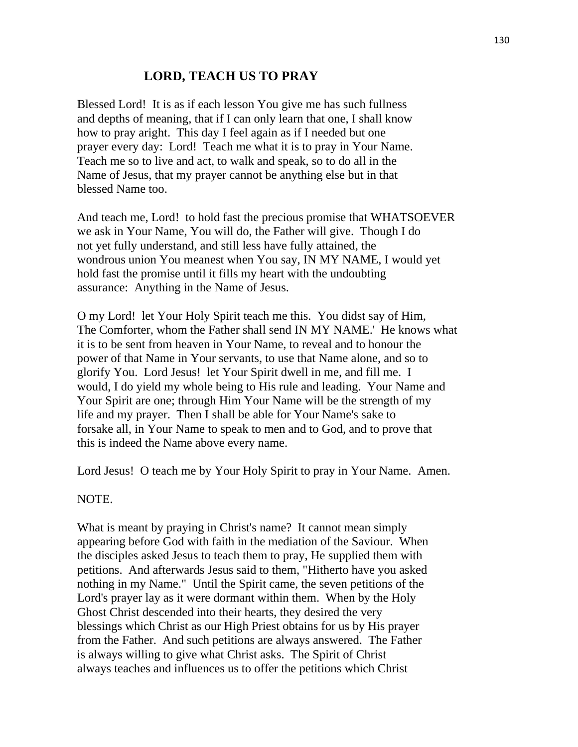# **LORD, TEACH US TO PRAY**

 Blessed Lord! It is as if each lesson You give me has such fullness and depths of meaning, that if I can only learn that one, I shall know how to pray aright. This day I feel again as if I needed but one prayer every day: Lord! Teach me what it is to pray in Your Name. Teach me so to live and act, to walk and speak, so to do all in the Name of Jesus, that my prayer cannot be anything else but in that blessed Name too.

 And teach me, Lord! to hold fast the precious promise that WHATSOEVER we ask in Your Name, You will do, the Father will give. Though I do not yet fully understand, and still less have fully attained, the wondrous union You meanest when You say, IN MY NAME, I would yet hold fast the promise until it fills my heart with the undoubting assurance: Anything in the Name of Jesus.

 O my Lord! let Your Holy Spirit teach me this. You didst say of Him, The Comforter, whom the Father shall send IN MY NAME.' He knows what it is to be sent from heaven in Your Name, to reveal and to honour the power of that Name in Your servants, to use that Name alone, and so to glorify You. Lord Jesus! let Your Spirit dwell in me, and fill me. I would, I do yield my whole being to His rule and leading. Your Name and Your Spirit are one; through Him Your Name will be the strength of my life and my prayer. Then I shall be able for Your Name's sake to forsake all, in Your Name to speak to men and to God, and to prove that this is indeed the Name above every name.

Lord Jesus! O teach me by Your Holy Spirit to pray in Your Name. Amen.

NOTE.

 What is meant by praying in Christ's name? It cannot mean simply appearing before God with faith in the mediation of the Saviour. When the disciples asked Jesus to teach them to pray, He supplied them with petitions. And afterwards Jesus said to them, "Hitherto have you asked nothing in my Name." Until the Spirit came, the seven petitions of the Lord's prayer lay as it were dormant within them. When by the Holy Ghost Christ descended into their hearts, they desired the very blessings which Christ as our High Priest obtains for us by His prayer from the Father. And such petitions are always answered. The Father is always willing to give what Christ asks. The Spirit of Christ always teaches and influences us to offer the petitions which Christ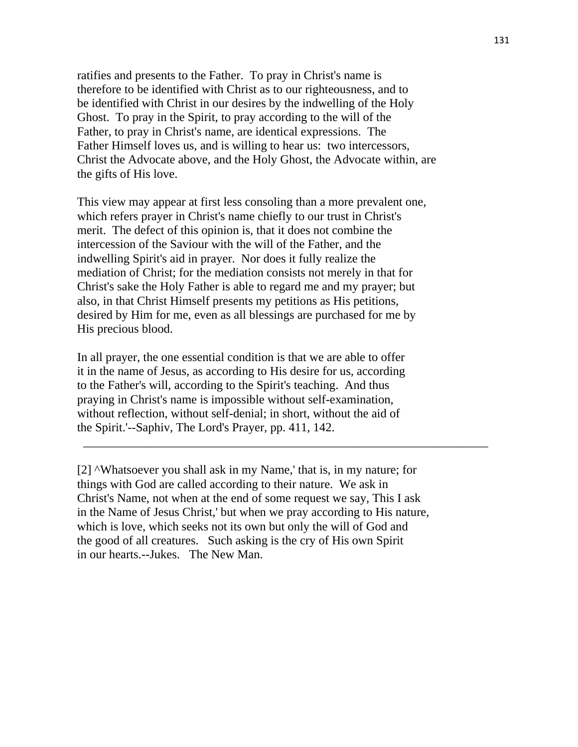ratifies and presents to the Father. To pray in Christ's name is therefore to be identified with Christ as to our righteousness, and to be identified with Christ in our desires by the indwelling of the Holy Ghost. To pray in the Spirit, to pray according to the will of the Father, to pray in Christ's name, are identical expressions. The Father Himself loves us, and is willing to hear us: two intercessors, Christ the Advocate above, and the Holy Ghost, the Advocate within, are the gifts of His love.

 This view may appear at first less consoling than a more prevalent one, which refers prayer in Christ's name chiefly to our trust in Christ's merit. The defect of this opinion is, that it does not combine the intercession of the Saviour with the will of the Father, and the indwelling Spirit's aid in prayer. Nor does it fully realize the mediation of Christ; for the mediation consists not merely in that for Christ's sake the Holy Father is able to regard me and my prayer; but also, in that Christ Himself presents my petitions as His petitions, desired by Him for me, even as all blessings are purchased for me by His precious blood.

 In all prayer, the one essential condition is that we are able to offer it in the name of Jesus, as according to His desire for us, according to the Father's will, according to the Spirit's teaching. And thus praying in Christ's name is impossible without self-examination, without reflection, without self-denial; in short, without the aid of the Spirit.'--Saphiv, The Lord's Prayer, pp. 411, 142.

 [2] ^Whatsoever you shall ask in my Name,' that is, in my nature; for things with God are called according to their nature. We ask in Christ's Name, not when at the end of some request we say, This I ask in the Name of Jesus Christ,' but when we pray according to His nature, which is love, which seeks not its own but only the will of God and the good of all creatures. Such asking is the cry of His own Spirit in our hearts.--Jukes. The New Man.

 $\overline{\phantom{a}}$  ,  $\overline{\phantom{a}}$  ,  $\overline{\phantom{a}}$  ,  $\overline{\phantom{a}}$  ,  $\overline{\phantom{a}}$  ,  $\overline{\phantom{a}}$  ,  $\overline{\phantom{a}}$  ,  $\overline{\phantom{a}}$  ,  $\overline{\phantom{a}}$  ,  $\overline{\phantom{a}}$  ,  $\overline{\phantom{a}}$  ,  $\overline{\phantom{a}}$  ,  $\overline{\phantom{a}}$  ,  $\overline{\phantom{a}}$  ,  $\overline{\phantom{a}}$  ,  $\overline{\phantom{a}}$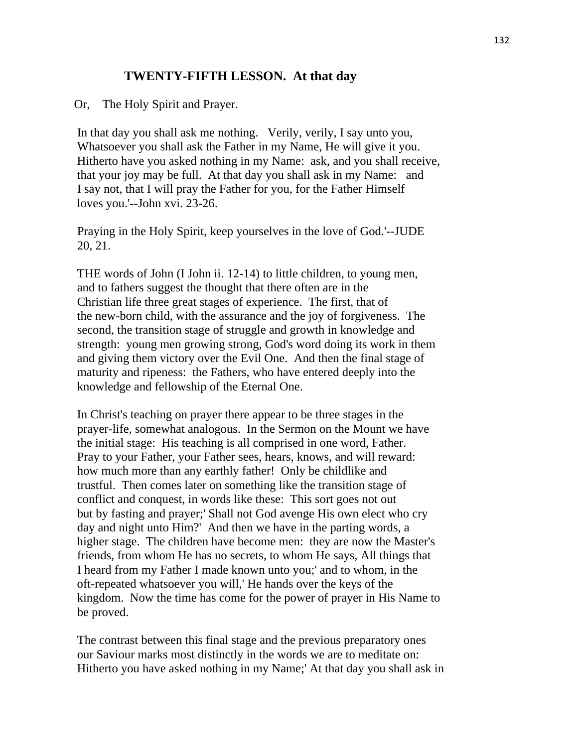### **TWENTY-FIFTH LESSON. At that day**

Or, The Holy Spirit and Prayer.

 In that day you shall ask me nothing. Verily, verily, I say unto you, Whatsoever you shall ask the Father in my Name, He will give it you. Hitherto have you asked nothing in my Name: ask, and you shall receive, that your joy may be full. At that day you shall ask in my Name: and I say not, that I will pray the Father for you, for the Father Himself loves you.'--John xvi. 23-26.

 Praying in the Holy Spirit, keep yourselves in the love of God.'--JUDE 20, 21.

 THE words of John (I John ii. 12-14) to little children, to young men, and to fathers suggest the thought that there often are in the Christian life three great stages of experience. The first, that of the new-born child, with the assurance and the joy of forgiveness. The second, the transition stage of struggle and growth in knowledge and strength: young men growing strong, God's word doing its work in them and giving them victory over the Evil One. And then the final stage of maturity and ripeness: the Fathers, who have entered deeply into the knowledge and fellowship of the Eternal One.

 In Christ's teaching on prayer there appear to be three stages in the prayer-life, somewhat analogous. In the Sermon on the Mount we have the initial stage: His teaching is all comprised in one word, Father. Pray to your Father, your Father sees, hears, knows, and will reward: how much more than any earthly father! Only be childlike and trustful. Then comes later on something like the transition stage of conflict and conquest, in words like these: This sort goes not out but by fasting and prayer;' Shall not God avenge His own elect who cry day and night unto Him?' And then we have in the parting words, a higher stage. The children have become men: they are now the Master's friends, from whom He has no secrets, to whom He says, All things that I heard from my Father I made known unto you;' and to whom, in the oft-repeated whatsoever you will,' He hands over the keys of the kingdom. Now the time has come for the power of prayer in His Name to be proved.

 The contrast between this final stage and the previous preparatory ones our Saviour marks most distinctly in the words we are to meditate on: Hitherto you have asked nothing in my Name;' At that day you shall ask in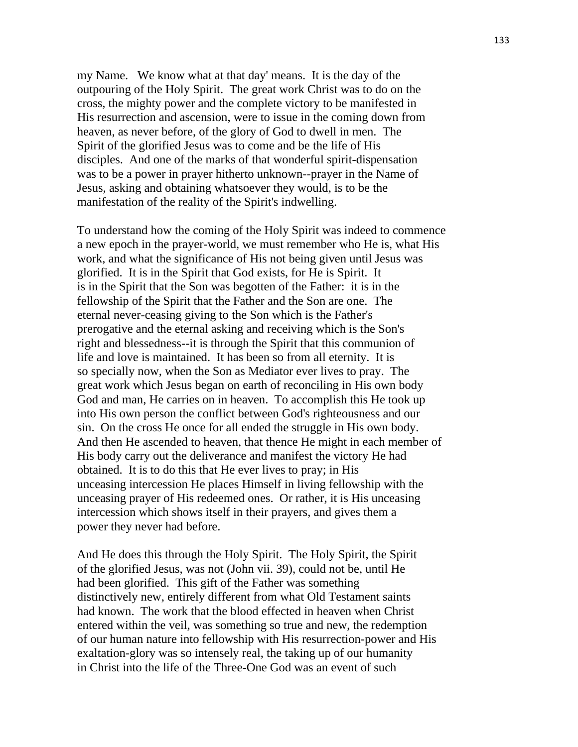my Name. We know what at that day' means. It is the day of the outpouring of the Holy Spirit. The great work Christ was to do on the cross, the mighty power and the complete victory to be manifested in His resurrection and ascension, were to issue in the coming down from heaven, as never before, of the glory of God to dwell in men. The Spirit of the glorified Jesus was to come and be the life of His disciples. And one of the marks of that wonderful spirit-dispensation was to be a power in prayer hitherto unknown--prayer in the Name of Jesus, asking and obtaining whatsoever they would, is to be the manifestation of the reality of the Spirit's indwelling.

 To understand how the coming of the Holy Spirit was indeed to commence a new epoch in the prayer-world, we must remember who He is, what His work, and what the significance of His not being given until Jesus was glorified. It is in the Spirit that God exists, for He is Spirit. It is in the Spirit that the Son was begotten of the Father: it is in the fellowship of the Spirit that the Father and the Son are one. The eternal never-ceasing giving to the Son which is the Father's prerogative and the eternal asking and receiving which is the Son's right and blessedness--it is through the Spirit that this communion of life and love is maintained. It has been so from all eternity. It is so specially now, when the Son as Mediator ever lives to pray. The great work which Jesus began on earth of reconciling in His own body God and man, He carries on in heaven. To accomplish this He took up into His own person the conflict between God's righteousness and our sin. On the cross He once for all ended the struggle in His own body. And then He ascended to heaven, that thence He might in each member of His body carry out the deliverance and manifest the victory He had obtained. It is to do this that He ever lives to pray; in His unceasing intercession He places Himself in living fellowship with the unceasing prayer of His redeemed ones. Or rather, it is His unceasing intercession which shows itself in their prayers, and gives them a power they never had before.

 And He does this through the Holy Spirit. The Holy Spirit, the Spirit of the glorified Jesus, was not (John vii. 39), could not be, until He had been glorified. This gift of the Father was something distinctively new, entirely different from what Old Testament saints had known. The work that the blood effected in heaven when Christ entered within the veil, was something so true and new, the redemption of our human nature into fellowship with His resurrection-power and His exaltation-glory was so intensely real, the taking up of our humanity in Christ into the life of the Three-One God was an event of such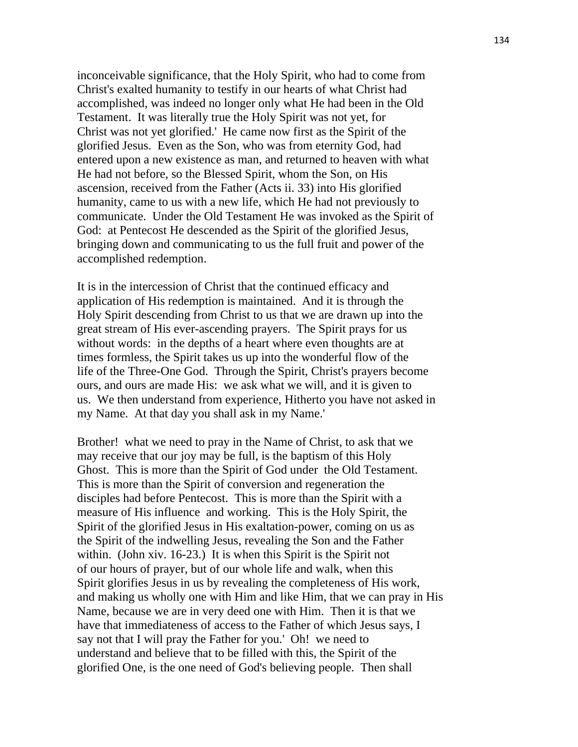inconceivable significance, that the Holy Spirit, who had to come from Christ's exalted humanity to testify in our hearts of what Christ had accomplished, was indeed no longer only what He had been in the Old Testament. It was literally true the Holy Spirit was not yet, for Christ was not yet glorified.' He came now first as the Spirit of the glorified Jesus. Even as the Son, who was from eternity God, had entered upon a new existence as man, and returned to heaven with what He had not before, so the Blessed Spirit, whom the Son, on His ascension, received from the Father (Acts ii. 33) into His glorified humanity, came to us with a new life, which He had not previously to communicate. Under the Old Testament He was invoked as the Spirit of God: at Pentecost He descended as the Spirit of the glorified Jesus, bringing down and communicating to us the full fruit and power of the accomplished redemption.

 It is in the intercession of Christ that the continued efficacy and application of His redemption is maintained. And it is through the Holy Spirit descending from Christ to us that we are drawn up into the great stream of His ever-ascending prayers. The Spirit prays for us without words: in the depths of a heart where even thoughts are at times formless, the Spirit takes us up into the wonderful flow of the life of the Three-One God. Through the Spirit, Christ's prayers become ours, and ours are made His: we ask what we will, and it is given to us. We then understand from experience, Hitherto you have not asked in my Name. At that day you shall ask in my Name.'

 Brother! what we need to pray in the Name of Christ, to ask that we may receive that our joy may be full, is the baptism of this Holy Ghost. This is more than the Spirit of God under the Old Testament. This is more than the Spirit of conversion and regeneration the disciples had before Pentecost. This is more than the Spirit with a measure of His influence and working. This is the Holy Spirit, the Spirit of the glorified Jesus in His exaltation-power, coming on us as the Spirit of the indwelling Jesus, revealing the Son and the Father within. (John xiv. 16-23.) It is when this Spirit is the Spirit not of our hours of prayer, but of our whole life and walk, when this Spirit glorifies Jesus in us by revealing the completeness of His work, and making us wholly one with Him and like Him, that we can pray in His Name, because we are in very deed one with Him. Then it is that we have that immediateness of access to the Father of which Jesus says, I say not that I will pray the Father for you.' Oh! we need to understand and believe that to be filled with this, the Spirit of the glorified One, is the one need of God's believing people. Then shall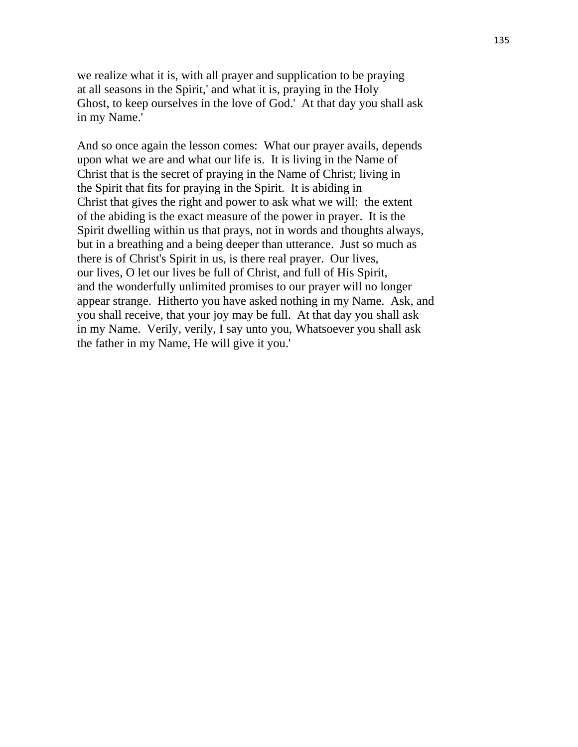we realize what it is, with all prayer and supplication to be praying at all seasons in the Spirit,' and what it is, praying in the Holy Ghost, to keep ourselves in the love of God.' At that day you shall ask in my Name.'

 And so once again the lesson comes: What our prayer avails, depends upon what we are and what our life is. It is living in the Name of Christ that is the secret of praying in the Name of Christ; living in the Spirit that fits for praying in the Spirit. It is abiding in Christ that gives the right and power to ask what we will: the extent of the abiding is the exact measure of the power in prayer. It is the Spirit dwelling within us that prays, not in words and thoughts always, but in a breathing and a being deeper than utterance. Just so much as there is of Christ's Spirit in us, is there real prayer. Our lives, our lives, O let our lives be full of Christ, and full of His Spirit, and the wonderfully unlimited promises to our prayer will no longer appear strange. Hitherto you have asked nothing in my Name. Ask, and you shall receive, that your joy may be full. At that day you shall ask in my Name. Verily, verily, I say unto you, Whatsoever you shall ask the father in my Name, He will give it you.'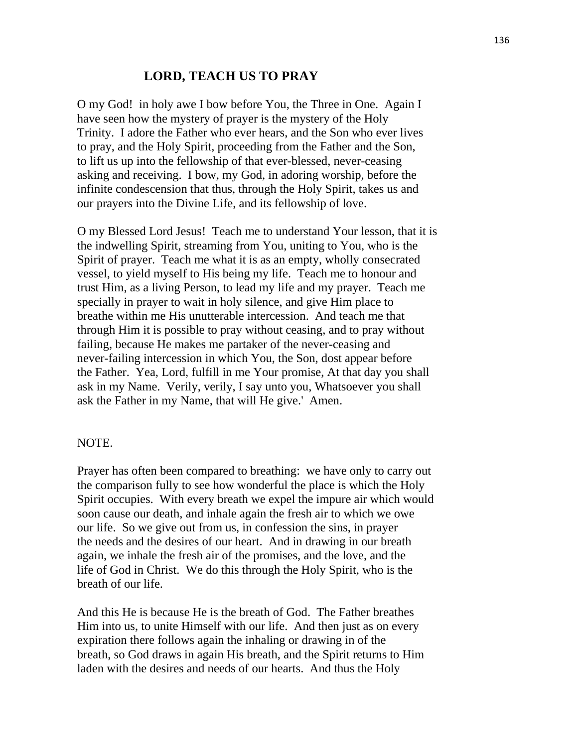### **LORD, TEACH US TO PRAY**

 O my God! in holy awe I bow before You, the Three in One. Again I have seen how the mystery of prayer is the mystery of the Holy Trinity. I adore the Father who ever hears, and the Son who ever lives to pray, and the Holy Spirit, proceeding from the Father and the Son, to lift us up into the fellowship of that ever-blessed, never-ceasing asking and receiving. I bow, my God, in adoring worship, before the infinite condescension that thus, through the Holy Spirit, takes us and our prayers into the Divine Life, and its fellowship of love.

 O my Blessed Lord Jesus! Teach me to understand Your lesson, that it is the indwelling Spirit, streaming from You, uniting to You, who is the Spirit of prayer. Teach me what it is as an empty, wholly consecrated vessel, to yield myself to His being my life. Teach me to honour and trust Him, as a living Person, to lead my life and my prayer. Teach me specially in prayer to wait in holy silence, and give Him place to breathe within me His unutterable intercession. And teach me that through Him it is possible to pray without ceasing, and to pray without failing, because He makes me partaker of the never-ceasing and never-failing intercession in which You, the Son, dost appear before the Father. Yea, Lord, fulfill in me Your promise, At that day you shall ask in my Name. Verily, verily, I say unto you, Whatsoever you shall ask the Father in my Name, that will He give.' Amen.

#### NOTE.

 Prayer has often been compared to breathing: we have only to carry out the comparison fully to see how wonderful the place is which the Holy Spirit occupies. With every breath we expel the impure air which would soon cause our death, and inhale again the fresh air to which we owe our life. So we give out from us, in confession the sins, in prayer the needs and the desires of our heart. And in drawing in our breath again, we inhale the fresh air of the promises, and the love, and the life of God in Christ. We do this through the Holy Spirit, who is the breath of our life.

 And this He is because He is the breath of God. The Father breathes Him into us, to unite Himself with our life. And then just as on every expiration there follows again the inhaling or drawing in of the breath, so God draws in again His breath, and the Spirit returns to Him laden with the desires and needs of our hearts. And thus the Holy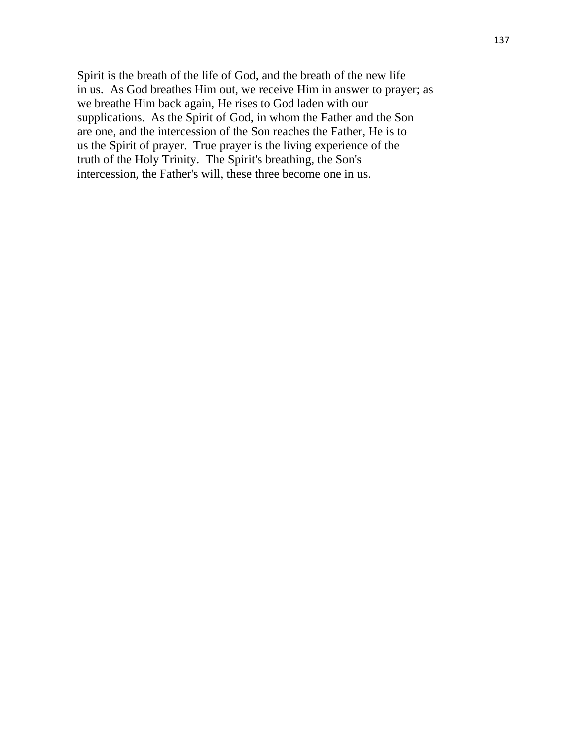Spirit is the breath of the life of God, and the breath of the new life in us. As God breathes Him out, we receive Him in answer to prayer; as we breathe Him back again, He rises to God laden with our supplications. As the Spirit of God, in whom the Father and the Son are one, and the intercession of the Son reaches the Father, He is to us the Spirit of prayer. True prayer is the living experience of the truth of the Holy Trinity. The Spirit's breathing, the Son's intercession, the Father's will, these three become one in us.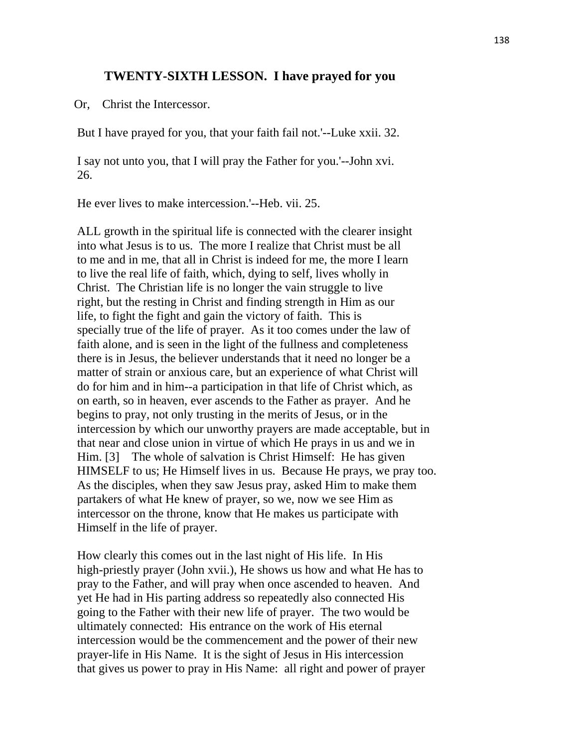### **TWENTY-SIXTH LESSON. I have prayed for you**

Or, Christ the Intercessor.

But I have prayed for you, that your faith fail not.'--Luke xxii. 32.

 I say not unto you, that I will pray the Father for you.'--John xvi. 26.

He ever lives to make intercession.'--Heb. vii. 25.

 ALL growth in the spiritual life is connected with the clearer insight into what Jesus is to us. The more I realize that Christ must be all to me and in me, that all in Christ is indeed for me, the more I learn to live the real life of faith, which, dying to self, lives wholly in Christ. The Christian life is no longer the vain struggle to live right, but the resting in Christ and finding strength in Him as our life, to fight the fight and gain the victory of faith. This is specially true of the life of prayer. As it too comes under the law of faith alone, and is seen in the light of the fullness and completeness there is in Jesus, the believer understands that it need no longer be a matter of strain or anxious care, but an experience of what Christ will do for him and in him--a participation in that life of Christ which, as on earth, so in heaven, ever ascends to the Father as prayer. And he begins to pray, not only trusting in the merits of Jesus, or in the intercession by which our unworthy prayers are made acceptable, but in that near and close union in virtue of which He prays in us and we in Him. [3] The whole of salvation is Christ Himself: He has given HIMSELF to us; He Himself lives in us. Because He prays, we pray too. As the disciples, when they saw Jesus pray, asked Him to make them partakers of what He knew of prayer, so we, now we see Him as intercessor on the throne, know that He makes us participate with Himself in the life of prayer.

 How clearly this comes out in the last night of His life. In His high-priestly prayer (John xvii.), He shows us how and what He has to pray to the Father, and will pray when once ascended to heaven. And yet He had in His parting address so repeatedly also connected His going to the Father with their new life of prayer. The two would be ultimately connected: His entrance on the work of His eternal intercession would be the commencement and the power of their new prayer-life in His Name. It is the sight of Jesus in His intercession that gives us power to pray in His Name: all right and power of prayer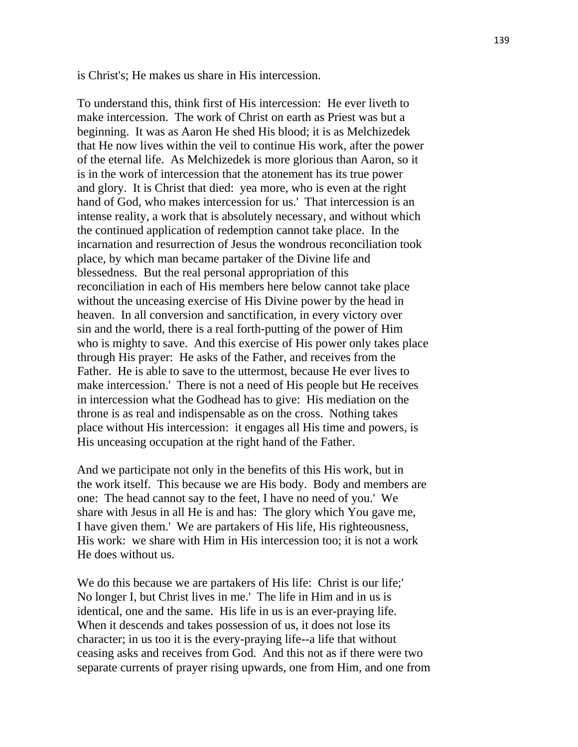is Christ's; He makes us share in His intercession.

 To understand this, think first of His intercession: He ever liveth to make intercession. The work of Christ on earth as Priest was but a beginning. It was as Aaron He shed His blood; it is as Melchizedek that He now lives within the veil to continue His work, after the power of the eternal life. As Melchizedek is more glorious than Aaron, so it is in the work of intercession that the atonement has its true power and glory. It is Christ that died: yea more, who is even at the right hand of God, who makes intercession for us.' That intercession is an intense reality, a work that is absolutely necessary, and without which the continued application of redemption cannot take place. In the incarnation and resurrection of Jesus the wondrous reconciliation took place, by which man became partaker of the Divine life and blessedness. But the real personal appropriation of this reconciliation in each of His members here below cannot take place without the unceasing exercise of His Divine power by the head in heaven. In all conversion and sanctification, in every victory over sin and the world, there is a real forth-putting of the power of Him who is mighty to save. And this exercise of His power only takes place through His prayer: He asks of the Father, and receives from the Father. He is able to save to the uttermost, because He ever lives to make intercession.' There is not a need of His people but He receives in intercession what the Godhead has to give: His mediation on the throne is as real and indispensable as on the cross. Nothing takes place without His intercession: it engages all His time and powers, is His unceasing occupation at the right hand of the Father.

 And we participate not only in the benefits of this His work, but in the work itself. This because we are His body. Body and members are one: The head cannot say to the feet, I have no need of you.' We share with Jesus in all He is and has: The glory which You gave me, I have given them.' We are partakers of His life, His righteousness, His work: we share with Him in His intercession too; it is not a work He does without us.

 We do this because we are partakers of His life: Christ is our life;' No longer I, but Christ lives in me.' The life in Him and in us is identical, one and the same. His life in us is an ever-praying life. When it descends and takes possession of us, it does not lose its character; in us too it is the every-praying life--a life that without ceasing asks and receives from God. And this not as if there were two separate currents of prayer rising upwards, one from Him, and one from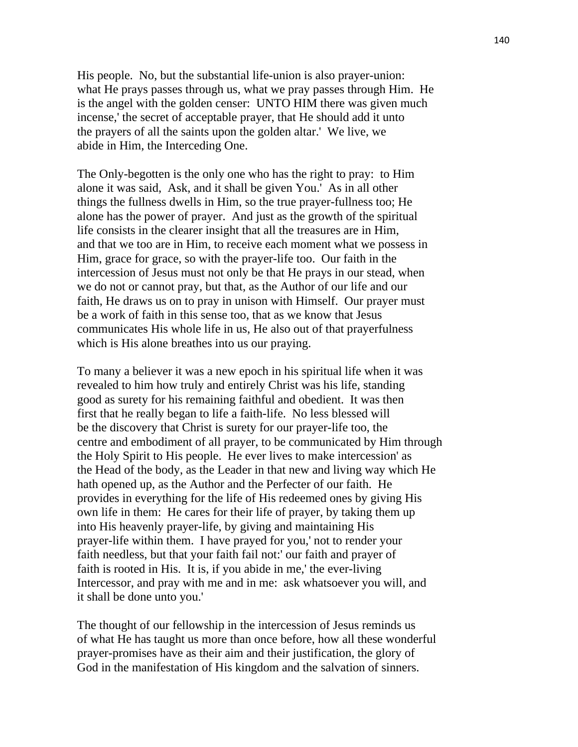His people. No, but the substantial life-union is also prayer-union: what He prays passes through us, what we pray passes through Him. He is the angel with the golden censer: UNTO HIM there was given much incense,' the secret of acceptable prayer, that He should add it unto the prayers of all the saints upon the golden altar.' We live, we abide in Him, the Interceding One.

 The Only-begotten is the only one who has the right to pray: to Him alone it was said, Ask, and it shall be given You.' As in all other things the fullness dwells in Him, so the true prayer-fullness too; He alone has the power of prayer. And just as the growth of the spiritual life consists in the clearer insight that all the treasures are in Him, and that we too are in Him, to receive each moment what we possess in Him, grace for grace, so with the prayer-life too. Our faith in the intercession of Jesus must not only be that He prays in our stead, when we do not or cannot pray, but that, as the Author of our life and our faith, He draws us on to pray in unison with Himself. Our prayer must be a work of faith in this sense too, that as we know that Jesus communicates His whole life in us, He also out of that prayerfulness which is His alone breathes into us our praying.

 To many a believer it was a new epoch in his spiritual life when it was revealed to him how truly and entirely Christ was his life, standing good as surety for his remaining faithful and obedient. It was then first that he really began to life a faith-life. No less blessed will be the discovery that Christ is surety for our prayer-life too, the centre and embodiment of all prayer, to be communicated by Him through the Holy Spirit to His people. He ever lives to make intercession' as the Head of the body, as the Leader in that new and living way which He hath opened up, as the Author and the Perfecter of our faith. He provides in everything for the life of His redeemed ones by giving His own life in them: He cares for their life of prayer, by taking them up into His heavenly prayer-life, by giving and maintaining His prayer-life within them. I have prayed for you,' not to render your faith needless, but that your faith fail not:' our faith and prayer of faith is rooted in His. It is, if you abide in me,' the ever-living Intercessor, and pray with me and in me: ask whatsoever you will, and it shall be done unto you.'

 The thought of our fellowship in the intercession of Jesus reminds us of what He has taught us more than once before, how all these wonderful prayer-promises have as their aim and their justification, the glory of God in the manifestation of His kingdom and the salvation of sinners.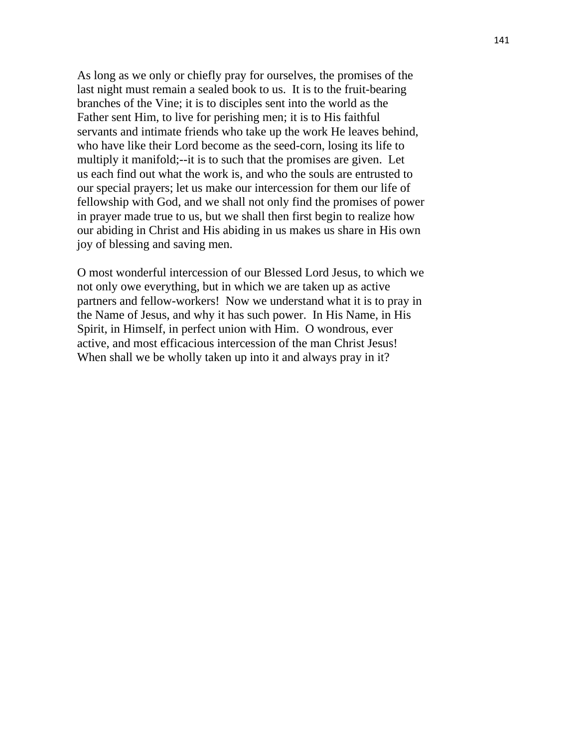As long as we only or chiefly pray for ourselves, the promises of the last night must remain a sealed book to us. It is to the fruit-bearing branches of the Vine; it is to disciples sent into the world as the Father sent Him, to live for perishing men; it is to His faithful servants and intimate friends who take up the work He leaves behind, who have like their Lord become as the seed-corn, losing its life to multiply it manifold;--it is to such that the promises are given. Let us each find out what the work is, and who the souls are entrusted to our special prayers; let us make our intercession for them our life of fellowship with God, and we shall not only find the promises of power in prayer made true to us, but we shall then first begin to realize how our abiding in Christ and His abiding in us makes us share in His own joy of blessing and saving men.

 O most wonderful intercession of our Blessed Lord Jesus, to which we not only owe everything, but in which we are taken up as active partners and fellow-workers! Now we understand what it is to pray in the Name of Jesus, and why it has such power. In His Name, in His Spirit, in Himself, in perfect union with Him. O wondrous, ever active, and most efficacious intercession of the man Christ Jesus! When shall we be wholly taken up into it and always pray in it?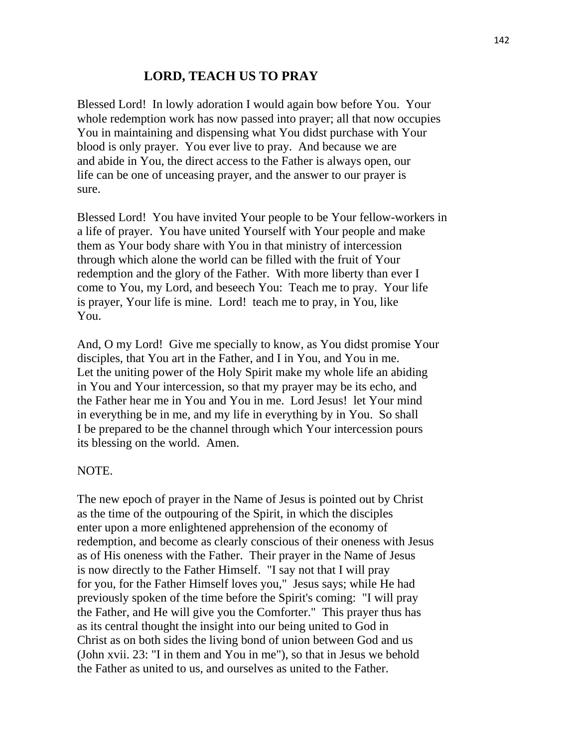# **LORD, TEACH US TO PRAY**

 Blessed Lord! In lowly adoration I would again bow before You. Your whole redemption work has now passed into prayer; all that now occupies You in maintaining and dispensing what You didst purchase with Your blood is only prayer. You ever live to pray. And because we are and abide in You, the direct access to the Father is always open, our life can be one of unceasing prayer, and the answer to our prayer is sure.

 Blessed Lord! You have invited Your people to be Your fellow-workers in a life of prayer. You have united Yourself with Your people and make them as Your body share with You in that ministry of intercession through which alone the world can be filled with the fruit of Your redemption and the glory of the Father. With more liberty than ever I come to You, my Lord, and beseech You: Teach me to pray. Your life is prayer, Your life is mine. Lord! teach me to pray, in You, like You.

 And, O my Lord! Give me specially to know, as You didst promise Your disciples, that You art in the Father, and I in You, and You in me. Let the uniting power of the Holy Spirit make my whole life an abiding in You and Your intercession, so that my prayer may be its echo, and the Father hear me in You and You in me. Lord Jesus! let Your mind in everything be in me, and my life in everything by in You. So shall I be prepared to be the channel through which Your intercession pours its blessing on the world. Amen.

#### NOTE.

 The new epoch of prayer in the Name of Jesus is pointed out by Christ as the time of the outpouring of the Spirit, in which the disciples enter upon a more enlightened apprehension of the economy of redemption, and become as clearly conscious of their oneness with Jesus as of His oneness with the Father. Their prayer in the Name of Jesus is now directly to the Father Himself. "I say not that I will pray for you, for the Father Himself loves you," Jesus says; while He had previously spoken of the time before the Spirit's coming: "I will pray the Father, and He will give you the Comforter." This prayer thus has as its central thought the insight into our being united to God in Christ as on both sides the living bond of union between God and us (John xvii. 23: "I in them and You in me"), so that in Jesus we behold the Father as united to us, and ourselves as united to the Father.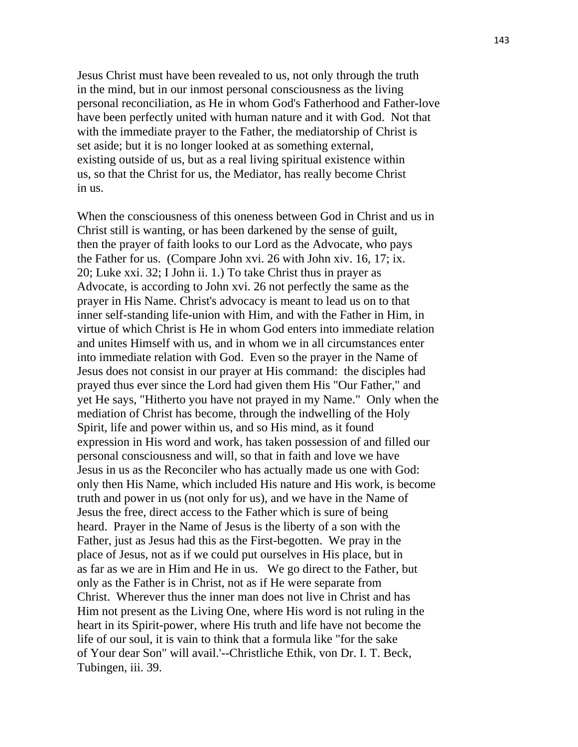Jesus Christ must have been revealed to us, not only through the truth in the mind, but in our inmost personal consciousness as the living personal reconciliation, as He in whom God's Fatherhood and Father-love have been perfectly united with human nature and it with God. Not that with the immediate prayer to the Father, the mediatorship of Christ is set aside; but it is no longer looked at as something external, existing outside of us, but as a real living spiritual existence within us, so that the Christ for us, the Mediator, has really become Christ in us.

 When the consciousness of this oneness between God in Christ and us in Christ still is wanting, or has been darkened by the sense of guilt, then the prayer of faith looks to our Lord as the Advocate, who pays the Father for us. (Compare John xvi. 26 with John xiv. 16, 17; ix. 20; Luke xxi. 32; I John ii. 1.) To take Christ thus in prayer as Advocate, is according to John xvi. 26 not perfectly the same as the prayer in His Name. Christ's advocacy is meant to lead us on to that inner self-standing life-union with Him, and with the Father in Him, in virtue of which Christ is He in whom God enters into immediate relation and unites Himself with us, and in whom we in all circumstances enter into immediate relation with God. Even so the prayer in the Name of Jesus does not consist in our prayer at His command: the disciples had prayed thus ever since the Lord had given them His "Our Father," and yet He says, "Hitherto you have not prayed in my Name." Only when the mediation of Christ has become, through the indwelling of the Holy Spirit, life and power within us, and so His mind, as it found expression in His word and work, has taken possession of and filled our personal consciousness and will, so that in faith and love we have Jesus in us as the Reconciler who has actually made us one with God: only then His Name, which included His nature and His work, is become truth and power in us (not only for us), and we have in the Name of Jesus the free, direct access to the Father which is sure of being heard. Prayer in the Name of Jesus is the liberty of a son with the Father, just as Jesus had this as the First-begotten. We pray in the place of Jesus, not as if we could put ourselves in His place, but in as far as we are in Him and He in us. We go direct to the Father, but only as the Father is in Christ, not as if He were separate from Christ. Wherever thus the inner man does not live in Christ and has Him not present as the Living One, where His word is not ruling in the heart in its Spirit-power, where His truth and life have not become the life of our soul, it is vain to think that a formula like "for the sake of Your dear Son" will avail.'--Christliche Ethik, von Dr. I. T. Beck, Tubingen, iii. 39.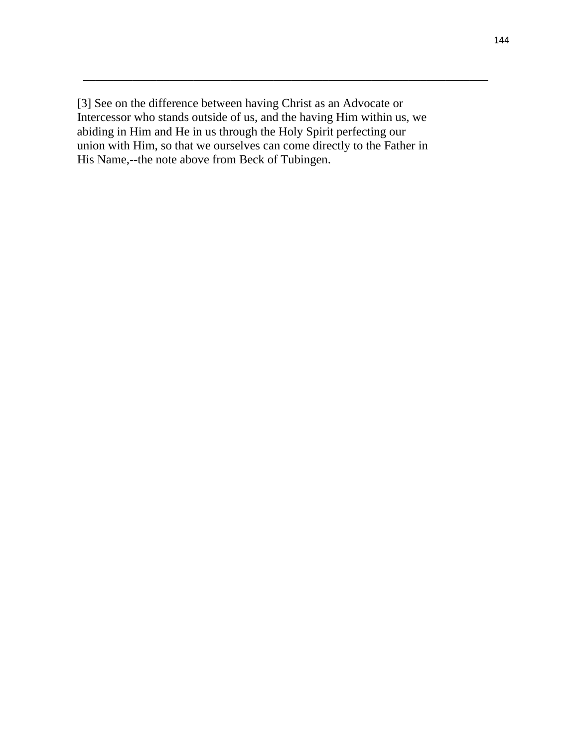[3] See on the difference between having Christ as an Advocate or Intercessor who stands outside of us, and the having Him within us, we abiding in Him and He in us through the Holy Spirit perfecting our union with Him, so that we ourselves can come directly to the Father in His Name,--the note above from Beck of Tubingen.

 $\overline{\phantom{a}}$  ,  $\overline{\phantom{a}}$  ,  $\overline{\phantom{a}}$  ,  $\overline{\phantom{a}}$  ,  $\overline{\phantom{a}}$  ,  $\overline{\phantom{a}}$  ,  $\overline{\phantom{a}}$  ,  $\overline{\phantom{a}}$  ,  $\overline{\phantom{a}}$  ,  $\overline{\phantom{a}}$  ,  $\overline{\phantom{a}}$  ,  $\overline{\phantom{a}}$  ,  $\overline{\phantom{a}}$  ,  $\overline{\phantom{a}}$  ,  $\overline{\phantom{a}}$  ,  $\overline{\phantom{a}}$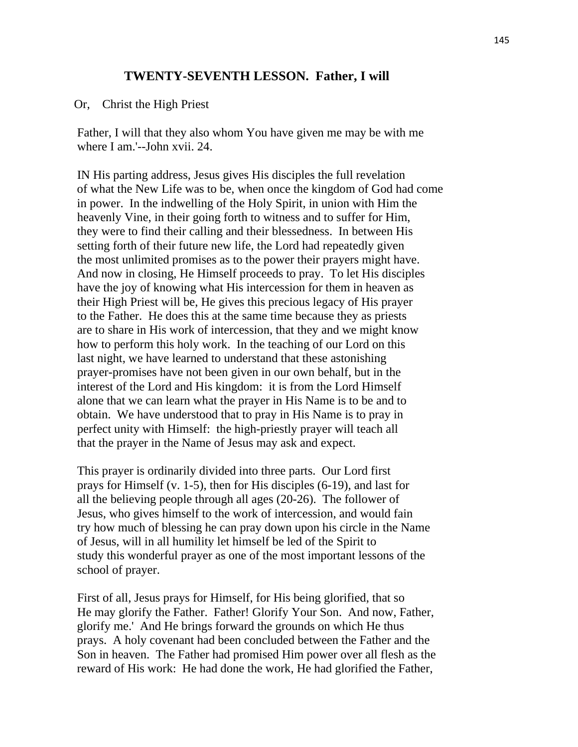## **TWENTY-SEVENTH LESSON. Father, I will**

Or, Christ the High Priest

 Father, I will that they also whom You have given me may be with me where I am.'--John xvii. 24.

 IN His parting address, Jesus gives His disciples the full revelation of what the New Life was to be, when once the kingdom of God had come in power. In the indwelling of the Holy Spirit, in union with Him the heavenly Vine, in their going forth to witness and to suffer for Him, they were to find their calling and their blessedness. In between His setting forth of their future new life, the Lord had repeatedly given the most unlimited promises as to the power their prayers might have. And now in closing, He Himself proceeds to pray. To let His disciples have the joy of knowing what His intercession for them in heaven as their High Priest will be, He gives this precious legacy of His prayer to the Father. He does this at the same time because they as priests are to share in His work of intercession, that they and we might know how to perform this holy work. In the teaching of our Lord on this last night, we have learned to understand that these astonishing prayer-promises have not been given in our own behalf, but in the interest of the Lord and His kingdom: it is from the Lord Himself alone that we can learn what the prayer in His Name is to be and to obtain. We have understood that to pray in His Name is to pray in perfect unity with Himself: the high-priestly prayer will teach all that the prayer in the Name of Jesus may ask and expect.

 This prayer is ordinarily divided into three parts. Our Lord first prays for Himself (v. 1-5), then for His disciples (6-19), and last for all the believing people through all ages (20-26). The follower of Jesus, who gives himself to the work of intercession, and would fain try how much of blessing he can pray down upon his circle in the Name of Jesus, will in all humility let himself be led of the Spirit to study this wonderful prayer as one of the most important lessons of the school of prayer.

 First of all, Jesus prays for Himself, for His being glorified, that so He may glorify the Father. Father! Glorify Your Son. And now, Father, glorify me.' And He brings forward the grounds on which He thus prays. A holy covenant had been concluded between the Father and the Son in heaven. The Father had promised Him power over all flesh as the reward of His work: He had done the work, He had glorified the Father,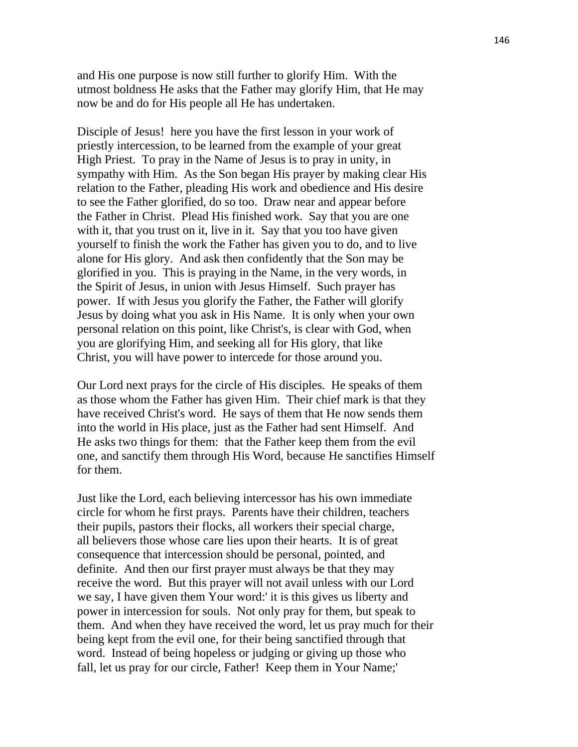and His one purpose is now still further to glorify Him. With the utmost boldness He asks that the Father may glorify Him, that He may now be and do for His people all He has undertaken.

 Disciple of Jesus! here you have the first lesson in your work of priestly intercession, to be learned from the example of your great High Priest. To pray in the Name of Jesus is to pray in unity, in sympathy with Him. As the Son began His prayer by making clear His relation to the Father, pleading His work and obedience and His desire to see the Father glorified, do so too. Draw near and appear before the Father in Christ. Plead His finished work. Say that you are one with it, that you trust on it, live in it. Say that you too have given yourself to finish the work the Father has given you to do, and to live alone for His glory. And ask then confidently that the Son may be glorified in you. This is praying in the Name, in the very words, in the Spirit of Jesus, in union with Jesus Himself. Such prayer has power. If with Jesus you glorify the Father, the Father will glorify Jesus by doing what you ask in His Name. It is only when your own personal relation on this point, like Christ's, is clear with God, when you are glorifying Him, and seeking all for His glory, that like Christ, you will have power to intercede for those around you.

 Our Lord next prays for the circle of His disciples. He speaks of them as those whom the Father has given Him. Their chief mark is that they have received Christ's word. He says of them that He now sends them into the world in His place, just as the Father had sent Himself. And He asks two things for them: that the Father keep them from the evil one, and sanctify them through His Word, because He sanctifies Himself for them.

 Just like the Lord, each believing intercessor has his own immediate circle for whom he first prays. Parents have their children, teachers their pupils, pastors their flocks, all workers their special charge, all believers those whose care lies upon their hearts. It is of great consequence that intercession should be personal, pointed, and definite. And then our first prayer must always be that they may receive the word. But this prayer will not avail unless with our Lord we say, I have given them Your word:' it is this gives us liberty and power in intercession for souls. Not only pray for them, but speak to them. And when they have received the word, let us pray much for their being kept from the evil one, for their being sanctified through that word. Instead of being hopeless or judging or giving up those who fall, let us pray for our circle, Father! Keep them in Your Name;'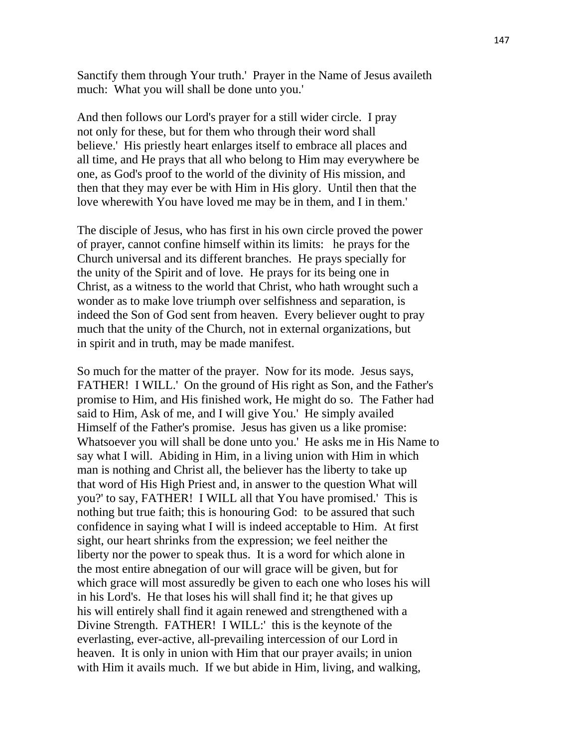Sanctify them through Your truth.' Prayer in the Name of Jesus availeth much: What you will shall be done unto you.'

 And then follows our Lord's prayer for a still wider circle. I pray not only for these, but for them who through their word shall believe.' His priestly heart enlarges itself to embrace all places and all time, and He prays that all who belong to Him may everywhere be one, as God's proof to the world of the divinity of His mission, and then that they may ever be with Him in His glory. Until then that the love wherewith You have loved me may be in them, and I in them.'

 The disciple of Jesus, who has first in his own circle proved the power of prayer, cannot confine himself within its limits: he prays for the Church universal and its different branches. He prays specially for the unity of the Spirit and of love. He prays for its being one in Christ, as a witness to the world that Christ, who hath wrought such a wonder as to make love triumph over selfishness and separation, is indeed the Son of God sent from heaven. Every believer ought to pray much that the unity of the Church, not in external organizations, but in spirit and in truth, may be made manifest.

 So much for the matter of the prayer. Now for its mode. Jesus says, FATHER! I WILL.' On the ground of His right as Son, and the Father's promise to Him, and His finished work, He might do so. The Father had said to Him, Ask of me, and I will give You.' He simply availed Himself of the Father's promise. Jesus has given us a like promise: Whatsoever you will shall be done unto you.' He asks me in His Name to say what I will. Abiding in Him, in a living union with Him in which man is nothing and Christ all, the believer has the liberty to take up that word of His High Priest and, in answer to the question What will you?' to say, FATHER! I WILL all that You have promised.' This is nothing but true faith; this is honouring God: to be assured that such confidence in saying what I will is indeed acceptable to Him. At first sight, our heart shrinks from the expression; we feel neither the liberty nor the power to speak thus. It is a word for which alone in the most entire abnegation of our will grace will be given, but for which grace will most assuredly be given to each one who loses his will in his Lord's. He that loses his will shall find it; he that gives up his will entirely shall find it again renewed and strengthened with a Divine Strength. FATHER! I WILL:' this is the keynote of the everlasting, ever-active, all-prevailing intercession of our Lord in heaven. It is only in union with Him that our prayer avails; in union with Him it avails much. If we but abide in Him, living, and walking,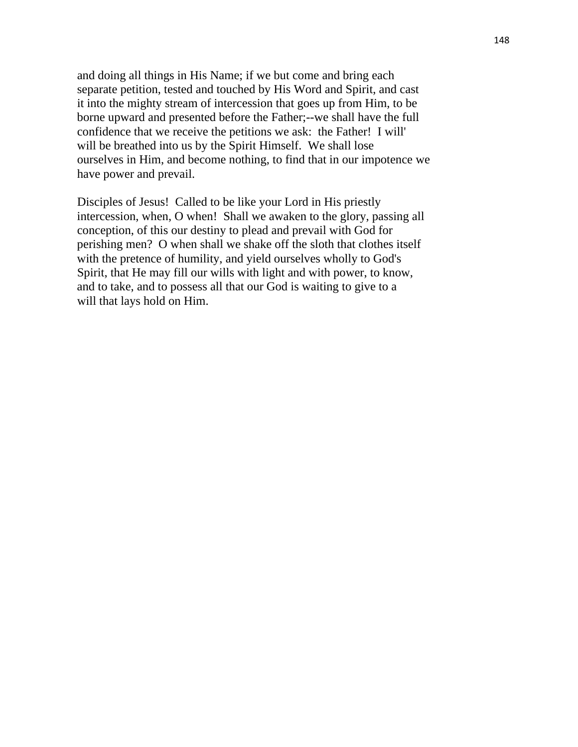and doing all things in His Name; if we but come and bring each separate petition, tested and touched by His Word and Spirit, and cast it into the mighty stream of intercession that goes up from Him, to be borne upward and presented before the Father;--we shall have the full confidence that we receive the petitions we ask: the Father! I will' will be breathed into us by the Spirit Himself. We shall lose ourselves in Him, and become nothing, to find that in our impotence we have power and prevail.

 Disciples of Jesus! Called to be like your Lord in His priestly intercession, when, O when! Shall we awaken to the glory, passing all conception, of this our destiny to plead and prevail with God for perishing men? O when shall we shake off the sloth that clothes itself with the pretence of humility, and yield ourselves wholly to God's Spirit, that He may fill our wills with light and with power, to know, and to take, and to possess all that our God is waiting to give to a will that lays hold on Him.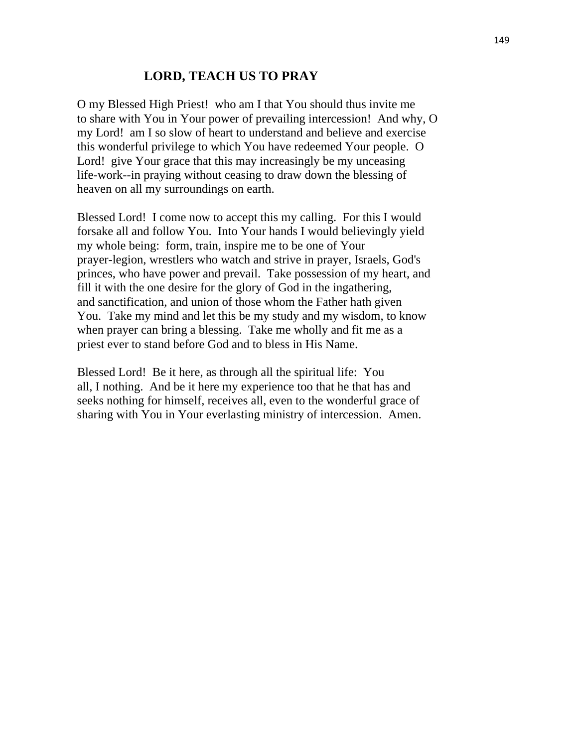## **LORD, TEACH US TO PRAY**

 O my Blessed High Priest! who am I that You should thus invite me to share with You in Your power of prevailing intercession! And why, O my Lord! am I so slow of heart to understand and believe and exercise this wonderful privilege to which You have redeemed Your people. O Lord! give Your grace that this may increasingly be my unceasing life-work--in praying without ceasing to draw down the blessing of heaven on all my surroundings on earth.

 Blessed Lord! I come now to accept this my calling. For this I would forsake all and follow You. Into Your hands I would believingly yield my whole being: form, train, inspire me to be one of Your prayer-legion, wrestlers who watch and strive in prayer, Israels, God's princes, who have power and prevail. Take possession of my heart, and fill it with the one desire for the glory of God in the ingathering, and sanctification, and union of those whom the Father hath given You. Take my mind and let this be my study and my wisdom, to know when prayer can bring a blessing. Take me wholly and fit me as a priest ever to stand before God and to bless in His Name.

 Blessed Lord! Be it here, as through all the spiritual life: You all, I nothing. And be it here my experience too that he that has and seeks nothing for himself, receives all, even to the wonderful grace of sharing with You in Your everlasting ministry of intercession. Amen.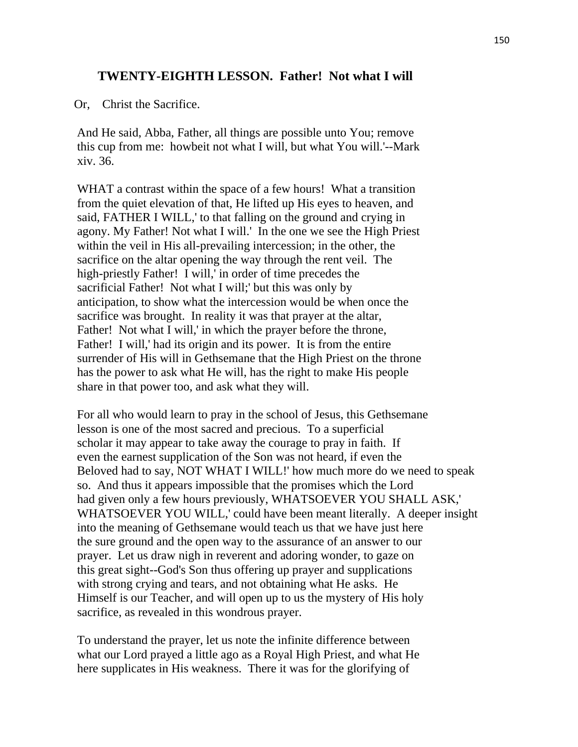## **TWENTY-EIGHTH LESSON. Father! Not what I will**

Or, Christ the Sacrifice.

 And He said, Abba, Father, all things are possible unto You; remove this cup from me: howbeit not what I will, but what You will.'--Mark xiv. 36.

 WHAT a contrast within the space of a few hours! What a transition from the quiet elevation of that, He lifted up His eyes to heaven, and said, FATHER I WILL,' to that falling on the ground and crying in agony. My Father! Not what I will.' In the one we see the High Priest within the veil in His all-prevailing intercession; in the other, the sacrifice on the altar opening the way through the rent veil. The high-priestly Father! I will,' in order of time precedes the sacrificial Father! Not what I will;' but this was only by anticipation, to show what the intercession would be when once the sacrifice was brought. In reality it was that prayer at the altar, Father! Not what I will,' in which the prayer before the throne, Father! I will,' had its origin and its power. It is from the entire surrender of His will in Gethsemane that the High Priest on the throne has the power to ask what He will, has the right to make His people share in that power too, and ask what they will.

 For all who would learn to pray in the school of Jesus, this Gethsemane lesson is one of the most sacred and precious. To a superficial scholar it may appear to take away the courage to pray in faith. If even the earnest supplication of the Son was not heard, if even the Beloved had to say, NOT WHAT I WILL!' how much more do we need to speak so. And thus it appears impossible that the promises which the Lord had given only a few hours previously, WHATSOEVER YOU SHALL ASK,' WHATSOEVER YOU WILL,' could have been meant literally. A deeper insight into the meaning of Gethsemane would teach us that we have just here the sure ground and the open way to the assurance of an answer to our prayer. Let us draw nigh in reverent and adoring wonder, to gaze on this great sight--God's Son thus offering up prayer and supplications with strong crying and tears, and not obtaining what He asks. He Himself is our Teacher, and will open up to us the mystery of His holy sacrifice, as revealed in this wondrous prayer.

 To understand the prayer, let us note the infinite difference between what our Lord prayed a little ago as a Royal High Priest, and what He here supplicates in His weakness. There it was for the glorifying of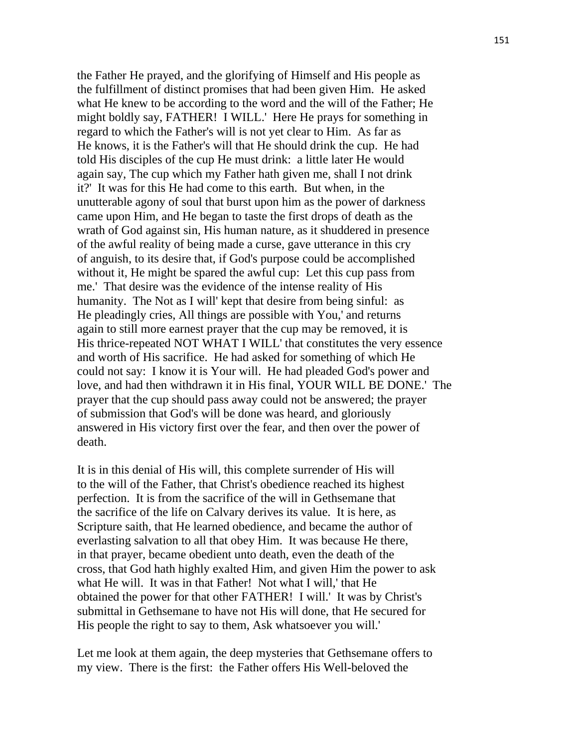the Father He prayed, and the glorifying of Himself and His people as the fulfillment of distinct promises that had been given Him. He asked what He knew to be according to the word and the will of the Father; He might boldly say, FATHER! I WILL.' Here He prays for something in regard to which the Father's will is not yet clear to Him. As far as He knows, it is the Father's will that He should drink the cup. He had told His disciples of the cup He must drink: a little later He would again say, The cup which my Father hath given me, shall I not drink it?' It was for this He had come to this earth. But when, in the unutterable agony of soul that burst upon him as the power of darkness came upon Him, and He began to taste the first drops of death as the wrath of God against sin, His human nature, as it shuddered in presence of the awful reality of being made a curse, gave utterance in this cry of anguish, to its desire that, if God's purpose could be accomplished without it, He might be spared the awful cup: Let this cup pass from me.' That desire was the evidence of the intense reality of His humanity. The Not as I will' kept that desire from being sinful: as He pleadingly cries, All things are possible with You,' and returns again to still more earnest prayer that the cup may be removed, it is His thrice-repeated NOT WHAT I WILL' that constitutes the very essence and worth of His sacrifice. He had asked for something of which He could not say: I know it is Your will. He had pleaded God's power and love, and had then withdrawn it in His final, YOUR WILL BE DONE.' The prayer that the cup should pass away could not be answered; the prayer of submission that God's will be done was heard, and gloriously answered in His victory first over the fear, and then over the power of death.

 It is in this denial of His will, this complete surrender of His will to the will of the Father, that Christ's obedience reached its highest perfection. It is from the sacrifice of the will in Gethsemane that the sacrifice of the life on Calvary derives its value. It is here, as Scripture saith, that He learned obedience, and became the author of everlasting salvation to all that obey Him. It was because He there, in that prayer, became obedient unto death, even the death of the cross, that God hath highly exalted Him, and given Him the power to ask what He will. It was in that Father! Not what I will,' that He obtained the power for that other FATHER! I will.' It was by Christ's submittal in Gethsemane to have not His will done, that He secured for His people the right to say to them, Ask whatsoever you will.'

 Let me look at them again, the deep mysteries that Gethsemane offers to my view. There is the first: the Father offers His Well-beloved the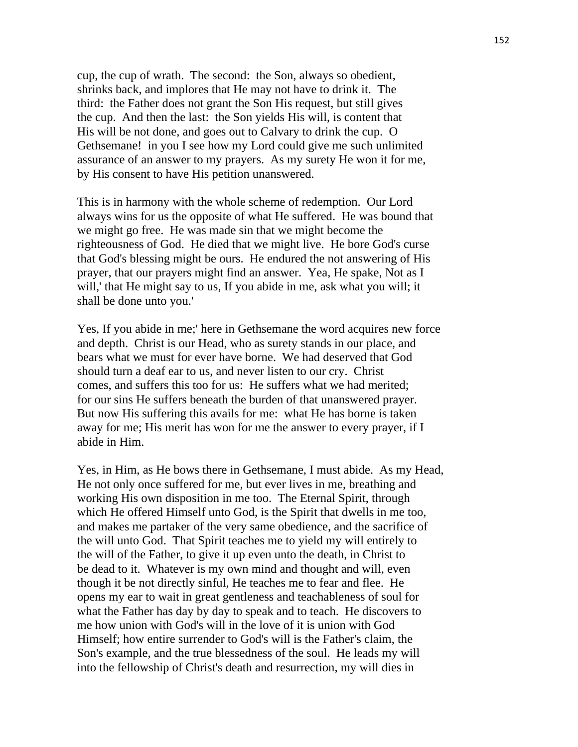cup, the cup of wrath. The second: the Son, always so obedient, shrinks back, and implores that He may not have to drink it. The third: the Father does not grant the Son His request, but still gives the cup. And then the last: the Son yields His will, is content that His will be not done, and goes out to Calvary to drink the cup. O Gethsemane! in you I see how my Lord could give me such unlimited assurance of an answer to my prayers. As my surety He won it for me, by His consent to have His petition unanswered.

 This is in harmony with the whole scheme of redemption. Our Lord always wins for us the opposite of what He suffered. He was bound that we might go free. He was made sin that we might become the righteousness of God. He died that we might live. He bore God's curse that God's blessing might be ours. He endured the not answering of His prayer, that our prayers might find an answer. Yea, He spake, Not as I will,' that He might say to us, If you abide in me, ask what you will; it shall be done unto you.'

 Yes, If you abide in me;' here in Gethsemane the word acquires new force and depth. Christ is our Head, who as surety stands in our place, and bears what we must for ever have borne. We had deserved that God should turn a deaf ear to us, and never listen to our cry. Christ comes, and suffers this too for us: He suffers what we had merited; for our sins He suffers beneath the burden of that unanswered prayer. But now His suffering this avails for me: what He has borne is taken away for me; His merit has won for me the answer to every prayer, if I abide in Him.

 Yes, in Him, as He bows there in Gethsemane, I must abide. As my Head, He not only once suffered for me, but ever lives in me, breathing and working His own disposition in me too. The Eternal Spirit, through which He offered Himself unto God, is the Spirit that dwells in me too, and makes me partaker of the very same obedience, and the sacrifice of the will unto God. That Spirit teaches me to yield my will entirely to the will of the Father, to give it up even unto the death, in Christ to be dead to it. Whatever is my own mind and thought and will, even though it be not directly sinful, He teaches me to fear and flee. He opens my ear to wait in great gentleness and teachableness of soul for what the Father has day by day to speak and to teach. He discovers to me how union with God's will in the love of it is union with God Himself; how entire surrender to God's will is the Father's claim, the Son's example, and the true blessedness of the soul. He leads my will into the fellowship of Christ's death and resurrection, my will dies in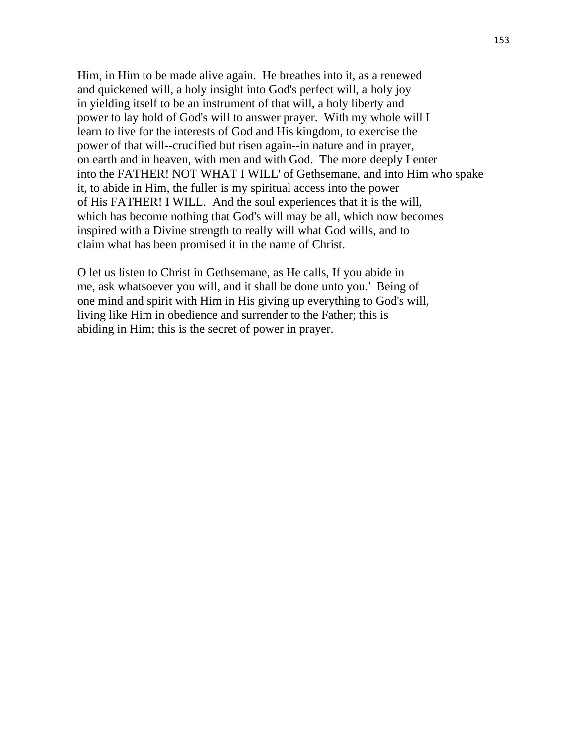Him, in Him to be made alive again. He breathes into it, as a renewed and quickened will, a holy insight into God's perfect will, a holy joy in yielding itself to be an instrument of that will, a holy liberty and power to lay hold of God's will to answer prayer. With my whole will I learn to live for the interests of God and His kingdom, to exercise the power of that will--crucified but risen again--in nature and in prayer, on earth and in heaven, with men and with God. The more deeply I enter into the FATHER! NOT WHAT I WILL' of Gethsemane, and into Him who spake it, to abide in Him, the fuller is my spiritual access into the power of His FATHER! I WILL. And the soul experiences that it is the will, which has become nothing that God's will may be all, which now becomes inspired with a Divine strength to really will what God wills, and to claim what has been promised it in the name of Christ.

 O let us listen to Christ in Gethsemane, as He calls, If you abide in me, ask whatsoever you will, and it shall be done unto you.' Being of one mind and spirit with Him in His giving up everything to God's will, living like Him in obedience and surrender to the Father; this is abiding in Him; this is the secret of power in prayer.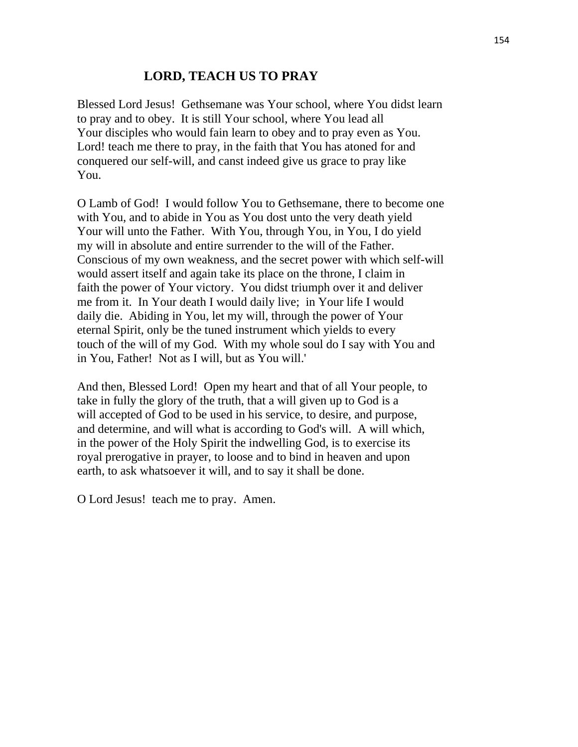# **LORD, TEACH US TO PRAY**

 Blessed Lord Jesus! Gethsemane was Your school, where You didst learn to pray and to obey. It is still Your school, where You lead all Your disciples who would fain learn to obey and to pray even as You. Lord! teach me there to pray, in the faith that You has atoned for and conquered our self-will, and canst indeed give us grace to pray like You.

 O Lamb of God! I would follow You to Gethsemane, there to become one with You, and to abide in You as You dost unto the very death yield Your will unto the Father. With You, through You, in You, I do yield my will in absolute and entire surrender to the will of the Father. Conscious of my own weakness, and the secret power with which self-will would assert itself and again take its place on the throne, I claim in faith the power of Your victory. You didst triumph over it and deliver me from it. In Your death I would daily live; in Your life I would daily die. Abiding in You, let my will, through the power of Your eternal Spirit, only be the tuned instrument which yields to every touch of the will of my God. With my whole soul do I say with You and in You, Father! Not as I will, but as You will.'

 And then, Blessed Lord! Open my heart and that of all Your people, to take in fully the glory of the truth, that a will given up to God is a will accepted of God to be used in his service, to desire, and purpose, and determine, and will what is according to God's will. A will which, in the power of the Holy Spirit the indwelling God, is to exercise its royal prerogative in prayer, to loose and to bind in heaven and upon earth, to ask whatsoever it will, and to say it shall be done.

O Lord Jesus! teach me to pray. Amen.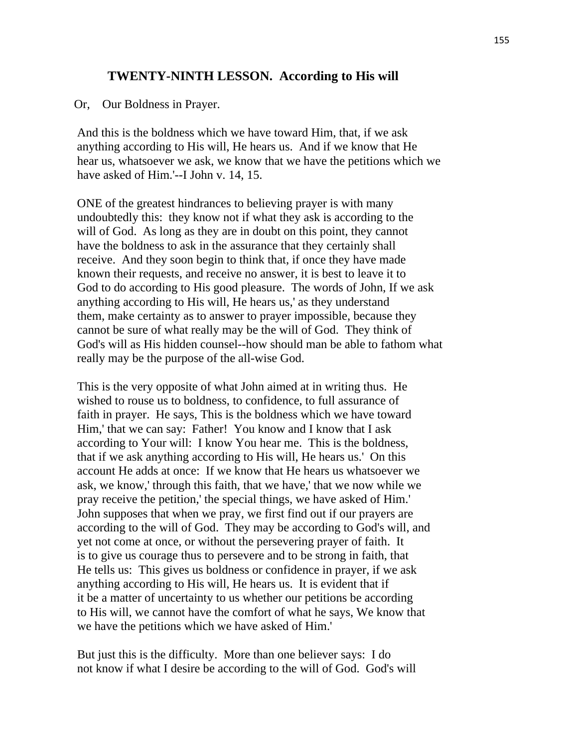## **TWENTY-NINTH LESSON. According to His will**

Or, Our Boldness in Prayer.

 And this is the boldness which we have toward Him, that, if we ask anything according to His will, He hears us. And if we know that He hear us, whatsoever we ask, we know that we have the petitions which we have asked of Him.'--I John v. 14, 15.

 ONE of the greatest hindrances to believing prayer is with many undoubtedly this: they know not if what they ask is according to the will of God. As long as they are in doubt on this point, they cannot have the boldness to ask in the assurance that they certainly shall receive. And they soon begin to think that, if once they have made known their requests, and receive no answer, it is best to leave it to God to do according to His good pleasure. The words of John, If we ask anything according to His will, He hears us,' as they understand them, make certainty as to answer to prayer impossible, because they cannot be sure of what really may be the will of God. They think of God's will as His hidden counsel--how should man be able to fathom what really may be the purpose of the all-wise God.

 This is the very opposite of what John aimed at in writing thus. He wished to rouse us to boldness, to confidence, to full assurance of faith in prayer. He says, This is the boldness which we have toward Him,' that we can say: Father! You know and I know that I ask according to Your will: I know You hear me. This is the boldness, that if we ask anything according to His will, He hears us.' On this account He adds at once: If we know that He hears us whatsoever we ask, we know,' through this faith, that we have,' that we now while we pray receive the petition,' the special things, we have asked of Him.' John supposes that when we pray, we first find out if our prayers are according to the will of God. They may be according to God's will, and yet not come at once, or without the persevering prayer of faith. It is to give us courage thus to persevere and to be strong in faith, that He tells us: This gives us boldness or confidence in prayer, if we ask anything according to His will, He hears us. It is evident that if it be a matter of uncertainty to us whether our petitions be according to His will, we cannot have the comfort of what he says, We know that we have the petitions which we have asked of Him.'

 But just this is the difficulty. More than one believer says: I do not know if what I desire be according to the will of God. God's will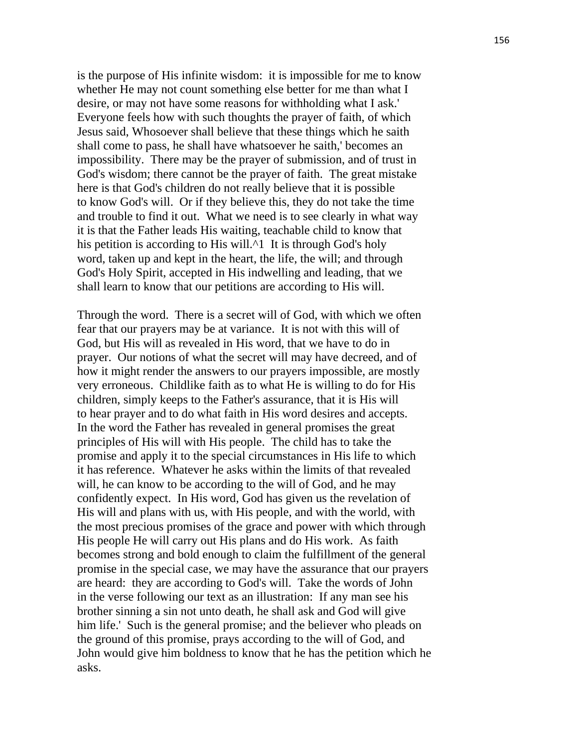is the purpose of His infinite wisdom: it is impossible for me to know whether He may not count something else better for me than what I desire, or may not have some reasons for withholding what I ask.' Everyone feels how with such thoughts the prayer of faith, of which Jesus said, Whosoever shall believe that these things which he saith shall come to pass, he shall have whatsoever he saith,' becomes an impossibility. There may be the prayer of submission, and of trust in God's wisdom; there cannot be the prayer of faith. The great mistake here is that God's children do not really believe that it is possible to know God's will. Or if they believe this, they do not take the time and trouble to find it out. What we need is to see clearly in what way it is that the Father leads His waiting, teachable child to know that his petition is according to His will.<sup>^1</sup> It is through God's holy word, taken up and kept in the heart, the life, the will; and through God's Holy Spirit, accepted in His indwelling and leading, that we shall learn to know that our petitions are according to His will.

 Through the word. There is a secret will of God, with which we often fear that our prayers may be at variance. It is not with this will of God, but His will as revealed in His word, that we have to do in prayer. Our notions of what the secret will may have decreed, and of how it might render the answers to our prayers impossible, are mostly very erroneous. Childlike faith as to what He is willing to do for His children, simply keeps to the Father's assurance, that it is His will to hear prayer and to do what faith in His word desires and accepts. In the word the Father has revealed in general promises the great principles of His will with His people. The child has to take the promise and apply it to the special circumstances in His life to which it has reference. Whatever he asks within the limits of that revealed will, he can know to be according to the will of God, and he may confidently expect. In His word, God has given us the revelation of His will and plans with us, with His people, and with the world, with the most precious promises of the grace and power with which through His people He will carry out His plans and do His work. As faith becomes strong and bold enough to claim the fulfillment of the general promise in the special case, we may have the assurance that our prayers are heard: they are according to God's will. Take the words of John in the verse following our text as an illustration: If any man see his brother sinning a sin not unto death, he shall ask and God will give him life.' Such is the general promise; and the believer who pleads on the ground of this promise, prays according to the will of God, and John would give him boldness to know that he has the petition which he asks.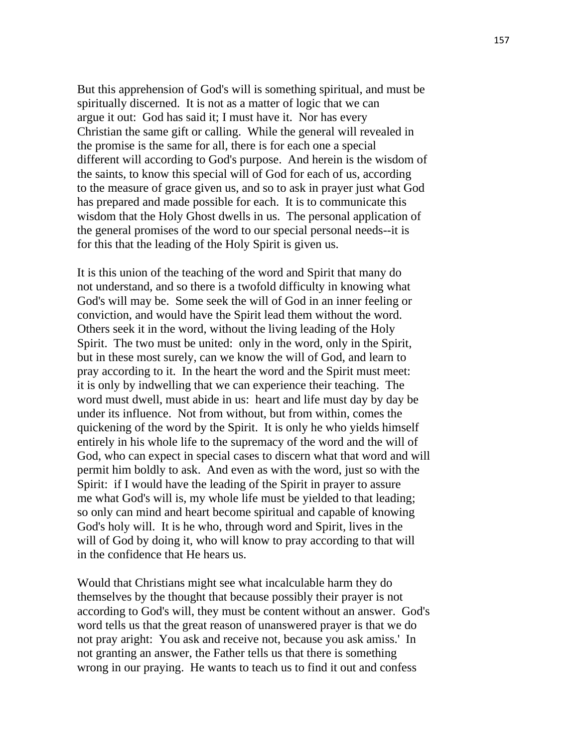But this apprehension of God's will is something spiritual, and must be spiritually discerned. It is not as a matter of logic that we can argue it out: God has said it; I must have it. Nor has every Christian the same gift or calling. While the general will revealed in the promise is the same for all, there is for each one a special different will according to God's purpose. And herein is the wisdom of the saints, to know this special will of God for each of us, according to the measure of grace given us, and so to ask in prayer just what God has prepared and made possible for each. It is to communicate this wisdom that the Holy Ghost dwells in us. The personal application of the general promises of the word to our special personal needs--it is for this that the leading of the Holy Spirit is given us.

 It is this union of the teaching of the word and Spirit that many do not understand, and so there is a twofold difficulty in knowing what God's will may be. Some seek the will of God in an inner feeling or conviction, and would have the Spirit lead them without the word. Others seek it in the word, without the living leading of the Holy Spirit. The two must be united: only in the word, only in the Spirit, but in these most surely, can we know the will of God, and learn to pray according to it. In the heart the word and the Spirit must meet: it is only by indwelling that we can experience their teaching. The word must dwell, must abide in us: heart and life must day by day be under its influence. Not from without, but from within, comes the quickening of the word by the Spirit. It is only he who yields himself entirely in his whole life to the supremacy of the word and the will of God, who can expect in special cases to discern what that word and will permit him boldly to ask. And even as with the word, just so with the Spirit: if I would have the leading of the Spirit in prayer to assure me what God's will is, my whole life must be yielded to that leading; so only can mind and heart become spiritual and capable of knowing God's holy will. It is he who, through word and Spirit, lives in the will of God by doing it, who will know to pray according to that will in the confidence that He hears us.

 Would that Christians might see what incalculable harm they do themselves by the thought that because possibly their prayer is not according to God's will, they must be content without an answer. God's word tells us that the great reason of unanswered prayer is that we do not pray aright: You ask and receive not, because you ask amiss.' In not granting an answer, the Father tells us that there is something wrong in our praying. He wants to teach us to find it out and confess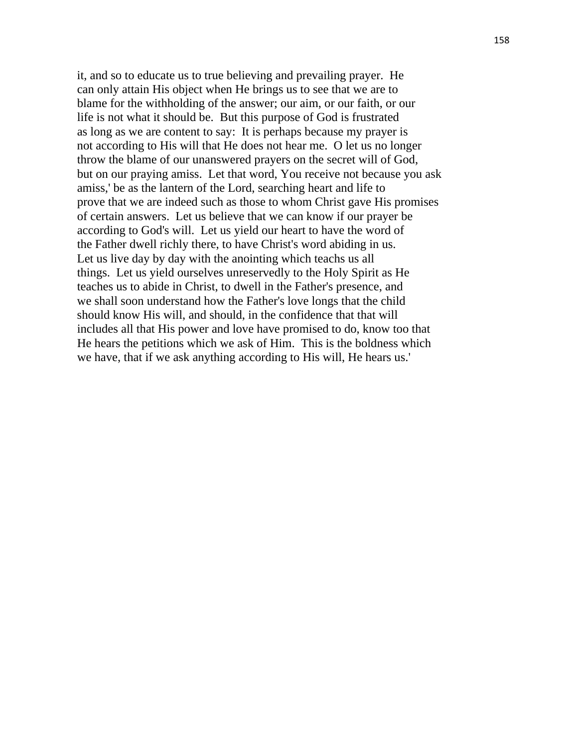it, and so to educate us to true believing and prevailing prayer. He can only attain His object when He brings us to see that we are to blame for the withholding of the answer; our aim, or our faith, or our life is not what it should be. But this purpose of God is frustrated as long as we are content to say: It is perhaps because my prayer is not according to His will that He does not hear me. O let us no longer throw the blame of our unanswered prayers on the secret will of God, but on our praying amiss. Let that word, You receive not because you ask amiss,' be as the lantern of the Lord, searching heart and life to prove that we are indeed such as those to whom Christ gave His promises of certain answers. Let us believe that we can know if our prayer be according to God's will. Let us yield our heart to have the word of the Father dwell richly there, to have Christ's word abiding in us. Let us live day by day with the anointing which teachs us all things. Let us yield ourselves unreservedly to the Holy Spirit as He teaches us to abide in Christ, to dwell in the Father's presence, and we shall soon understand how the Father's love longs that the child should know His will, and should, in the confidence that that will includes all that His power and love have promised to do, know too that He hears the petitions which we ask of Him. This is the boldness which we have, that if we ask anything according to His will, He hears us.'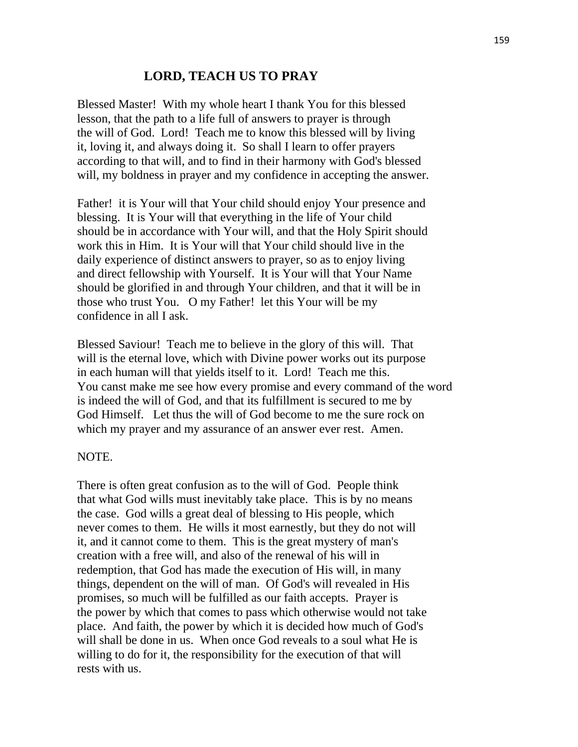# **LORD, TEACH US TO PRAY**

 Blessed Master! With my whole heart I thank You for this blessed lesson, that the path to a life full of answers to prayer is through the will of God. Lord! Teach me to know this blessed will by living it, loving it, and always doing it. So shall I learn to offer prayers according to that will, and to find in their harmony with God's blessed will, my boldness in prayer and my confidence in accepting the answer.

 Father! it is Your will that Your child should enjoy Your presence and blessing. It is Your will that everything in the life of Your child should be in accordance with Your will, and that the Holy Spirit should work this in Him. It is Your will that Your child should live in the daily experience of distinct answers to prayer, so as to enjoy living and direct fellowship with Yourself. It is Your will that Your Name should be glorified in and through Your children, and that it will be in those who trust You. O my Father! let this Your will be my confidence in all I ask.

 Blessed Saviour! Teach me to believe in the glory of this will. That will is the eternal love, which with Divine power works out its purpose in each human will that yields itself to it. Lord! Teach me this. You canst make me see how every promise and every command of the word is indeed the will of God, and that its fulfillment is secured to me by God Himself. Let thus the will of God become to me the sure rock on which my prayer and my assurance of an answer ever rest. Amen.

#### NOTE.

 There is often great confusion as to the will of God. People think that what God wills must inevitably take place. This is by no means the case. God wills a great deal of blessing to His people, which never comes to them. He wills it most earnestly, but they do not will it, and it cannot come to them. This is the great mystery of man's creation with a free will, and also of the renewal of his will in redemption, that God has made the execution of His will, in many things, dependent on the will of man. Of God's will revealed in His promises, so much will be fulfilled as our faith accepts. Prayer is the power by which that comes to pass which otherwise would not take place. And faith, the power by which it is decided how much of God's will shall be done in us. When once God reveals to a soul what He is willing to do for it, the responsibility for the execution of that will rests with us.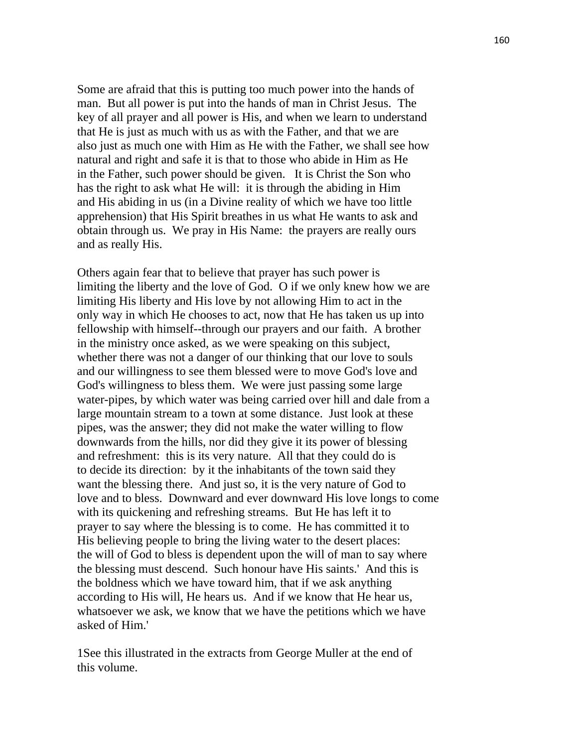Some are afraid that this is putting too much power into the hands of man. But all power is put into the hands of man in Christ Jesus. The key of all prayer and all power is His, and when we learn to understand that He is just as much with us as with the Father, and that we are also just as much one with Him as He with the Father, we shall see how natural and right and safe it is that to those who abide in Him as He in the Father, such power should be given. It is Christ the Son who has the right to ask what He will: it is through the abiding in Him and His abiding in us (in a Divine reality of which we have too little apprehension) that His Spirit breathes in us what He wants to ask and obtain through us. We pray in His Name: the prayers are really ours and as really His.

 Others again fear that to believe that prayer has such power is limiting the liberty and the love of God. O if we only knew how we are limiting His liberty and His love by not allowing Him to act in the only way in which He chooses to act, now that He has taken us up into fellowship with himself--through our prayers and our faith. A brother in the ministry once asked, as we were speaking on this subject, whether there was not a danger of our thinking that our love to souls and our willingness to see them blessed were to move God's love and God's willingness to bless them. We were just passing some large water-pipes, by which water was being carried over hill and dale from a large mountain stream to a town at some distance. Just look at these pipes, was the answer; they did not make the water willing to flow downwards from the hills, nor did they give it its power of blessing and refreshment: this is its very nature. All that they could do is to decide its direction: by it the inhabitants of the town said they want the blessing there. And just so, it is the very nature of God to love and to bless. Downward and ever downward His love longs to come with its quickening and refreshing streams. But He has left it to prayer to say where the blessing is to come. He has committed it to His believing people to bring the living water to the desert places: the will of God to bless is dependent upon the will of man to say where the blessing must descend. Such honour have His saints.' And this is the boldness which we have toward him, that if we ask anything according to His will, He hears us. And if we know that He hear us, whatsoever we ask, we know that we have the petitions which we have asked of Him.'

 1See this illustrated in the extracts from George Muller at the end of this volume.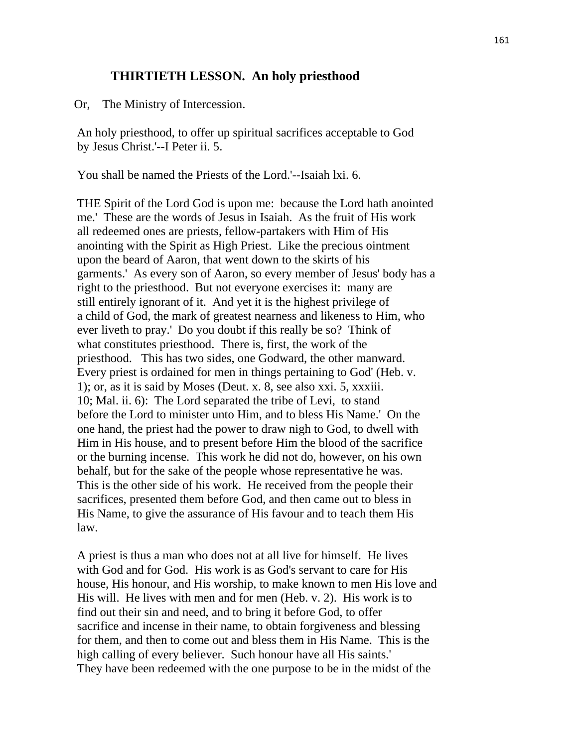## **THIRTIETH LESSON. An holy priesthood**

Or, The Ministry of Intercession.

 An holy priesthood, to offer up spiritual sacrifices acceptable to God by Jesus Christ.'--I Peter ii. 5.

You shall be named the Priests of the Lord.'--Isaiah lxi. 6.

 THE Spirit of the Lord God is upon me: because the Lord hath anointed me.' These are the words of Jesus in Isaiah. As the fruit of His work all redeemed ones are priests, fellow-partakers with Him of His anointing with the Spirit as High Priest. Like the precious ointment upon the beard of Aaron, that went down to the skirts of his garments.' As every son of Aaron, so every member of Jesus' body has a right to the priesthood. But not everyone exercises it: many are still entirely ignorant of it. And yet it is the highest privilege of a child of God, the mark of greatest nearness and likeness to Him, who ever liveth to pray.' Do you doubt if this really be so? Think of what constitutes priesthood. There is, first, the work of the priesthood. This has two sides, one Godward, the other manward. Every priest is ordained for men in things pertaining to God' (Heb. v. 1); or, as it is said by Moses (Deut. x. 8, see also xxi. 5, xxxiii. 10; Mal. ii. 6): The Lord separated the tribe of Levi, to stand before the Lord to minister unto Him, and to bless His Name.' On the one hand, the priest had the power to draw nigh to God, to dwell with Him in His house, and to present before Him the blood of the sacrifice or the burning incense. This work he did not do, however, on his own behalf, but for the sake of the people whose representative he was. This is the other side of his work. He received from the people their sacrifices, presented them before God, and then came out to bless in His Name, to give the assurance of His favour and to teach them His law.

 A priest is thus a man who does not at all live for himself. He lives with God and for God. His work is as God's servant to care for His house, His honour, and His worship, to make known to men His love and His will. He lives with men and for men (Heb. v. 2). His work is to find out their sin and need, and to bring it before God, to offer sacrifice and incense in their name, to obtain forgiveness and blessing for them, and then to come out and bless them in His Name. This is the high calling of every believer. Such honour have all His saints.' They have been redeemed with the one purpose to be in the midst of the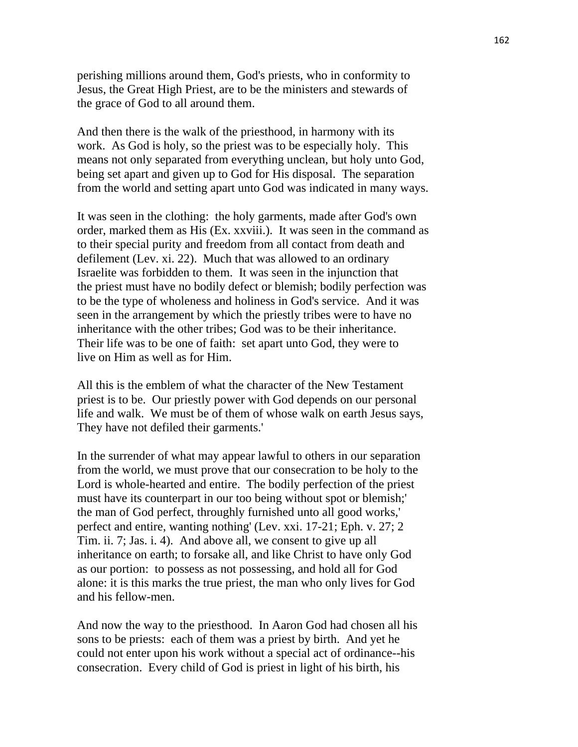perishing millions around them, God's priests, who in conformity to Jesus, the Great High Priest, are to be the ministers and stewards of the grace of God to all around them.

 And then there is the walk of the priesthood, in harmony with its work. As God is holy, so the priest was to be especially holy. This means not only separated from everything unclean, but holy unto God, being set apart and given up to God for His disposal. The separation from the world and setting apart unto God was indicated in many ways.

 It was seen in the clothing: the holy garments, made after God's own order, marked them as His (Ex. xxviii.). It was seen in the command as to their special purity and freedom from all contact from death and defilement (Lev. xi. 22). Much that was allowed to an ordinary Israelite was forbidden to them. It was seen in the injunction that the priest must have no bodily defect or blemish; bodily perfection was to be the type of wholeness and holiness in God's service. And it was seen in the arrangement by which the priestly tribes were to have no inheritance with the other tribes; God was to be their inheritance. Their life was to be one of faith: set apart unto God, they were to live on Him as well as for Him.

 All this is the emblem of what the character of the New Testament priest is to be. Our priestly power with God depends on our personal life and walk. We must be of them of whose walk on earth Jesus says, They have not defiled their garments.'

 In the surrender of what may appear lawful to others in our separation from the world, we must prove that our consecration to be holy to the Lord is whole-hearted and entire. The bodily perfection of the priest must have its counterpart in our too being without spot or blemish;' the man of God perfect, throughly furnished unto all good works,' perfect and entire, wanting nothing' (Lev. xxi. 17-21; Eph. v. 27; 2 Tim. ii. 7; Jas. i. 4). And above all, we consent to give up all inheritance on earth; to forsake all, and like Christ to have only God as our portion: to possess as not possessing, and hold all for God alone: it is this marks the true priest, the man who only lives for God and his fellow-men.

 And now the way to the priesthood. In Aaron God had chosen all his sons to be priests: each of them was a priest by birth. And yet he could not enter upon his work without a special act of ordinance--his consecration. Every child of God is priest in light of his birth, his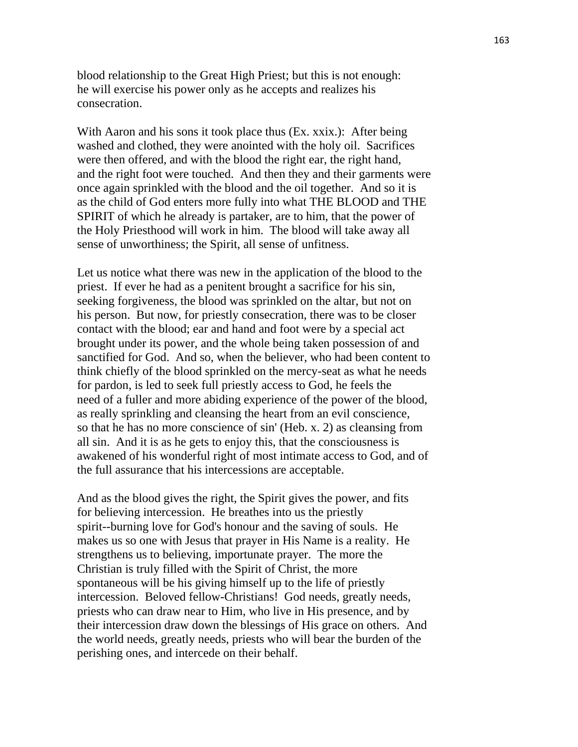blood relationship to the Great High Priest; but this is not enough: he will exercise his power only as he accepts and realizes his consecration.

 With Aaron and his sons it took place thus (Ex. xxix.): After being washed and clothed, they were anointed with the holy oil. Sacrifices were then offered, and with the blood the right ear, the right hand, and the right foot were touched. And then they and their garments were once again sprinkled with the blood and the oil together. And so it is as the child of God enters more fully into what THE BLOOD and THE SPIRIT of which he already is partaker, are to him, that the power of the Holy Priesthood will work in him. The blood will take away all sense of unworthiness; the Spirit, all sense of unfitness.

 Let us notice what there was new in the application of the blood to the priest. If ever he had as a penitent brought a sacrifice for his sin, seeking forgiveness, the blood was sprinkled on the altar, but not on his person. But now, for priestly consecration, there was to be closer contact with the blood; ear and hand and foot were by a special act brought under its power, and the whole being taken possession of and sanctified for God. And so, when the believer, who had been content to think chiefly of the blood sprinkled on the mercy-seat as what he needs for pardon, is led to seek full priestly access to God, he feels the need of a fuller and more abiding experience of the power of the blood, as really sprinkling and cleansing the heart from an evil conscience, so that he has no more conscience of sin' (Heb. x. 2) as cleansing from all sin. And it is as he gets to enjoy this, that the consciousness is awakened of his wonderful right of most intimate access to God, and of the full assurance that his intercessions are acceptable.

 And as the blood gives the right, the Spirit gives the power, and fits for believing intercession. He breathes into us the priestly spirit--burning love for God's honour and the saving of souls. He makes us so one with Jesus that prayer in His Name is a reality. He strengthens us to believing, importunate prayer. The more the Christian is truly filled with the Spirit of Christ, the more spontaneous will be his giving himself up to the life of priestly intercession. Beloved fellow-Christians! God needs, greatly needs, priests who can draw near to Him, who live in His presence, and by their intercession draw down the blessings of His grace on others. And the world needs, greatly needs, priests who will bear the burden of the perishing ones, and intercede on their behalf.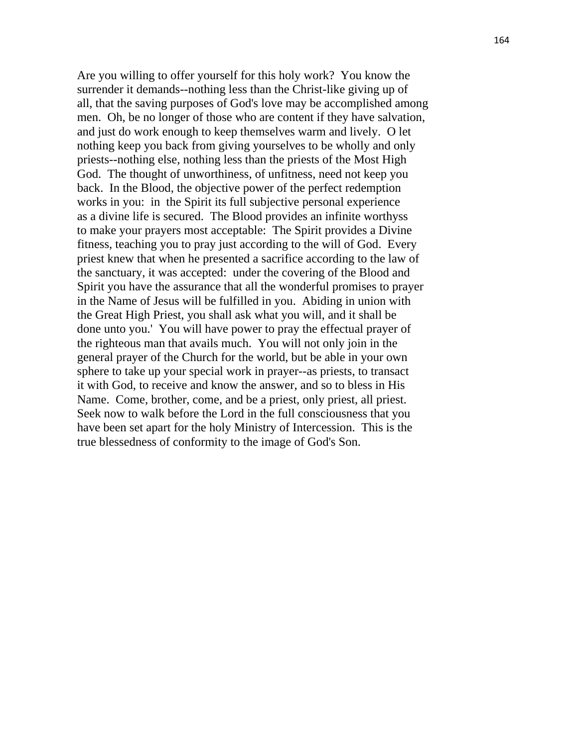Are you willing to offer yourself for this holy work? You know the surrender it demands--nothing less than the Christ-like giving up of all, that the saving purposes of God's love may be accomplished among men. Oh, be no longer of those who are content if they have salvation, and just do work enough to keep themselves warm and lively. O let nothing keep you back from giving yourselves to be wholly and only priests--nothing else, nothing less than the priests of the Most High God. The thought of unworthiness, of unfitness, need not keep you back. In the Blood, the objective power of the perfect redemption works in you: in the Spirit its full subjective personal experience as a divine life is secured. The Blood provides an infinite worthyss to make your prayers most acceptable: The Spirit provides a Divine fitness, teaching you to pray just according to the will of God. Every priest knew that when he presented a sacrifice according to the law of the sanctuary, it was accepted: under the covering of the Blood and Spirit you have the assurance that all the wonderful promises to prayer in the Name of Jesus will be fulfilled in you. Abiding in union with the Great High Priest, you shall ask what you will, and it shall be done unto you.' You will have power to pray the effectual prayer of the righteous man that avails much. You will not only join in the general prayer of the Church for the world, but be able in your own sphere to take up your special work in prayer--as priests, to transact it with God, to receive and know the answer, and so to bless in His Name. Come, brother, come, and be a priest, only priest, all priest. Seek now to walk before the Lord in the full consciousness that you have been set apart for the holy Ministry of Intercession. This is the true blessedness of conformity to the image of God's Son.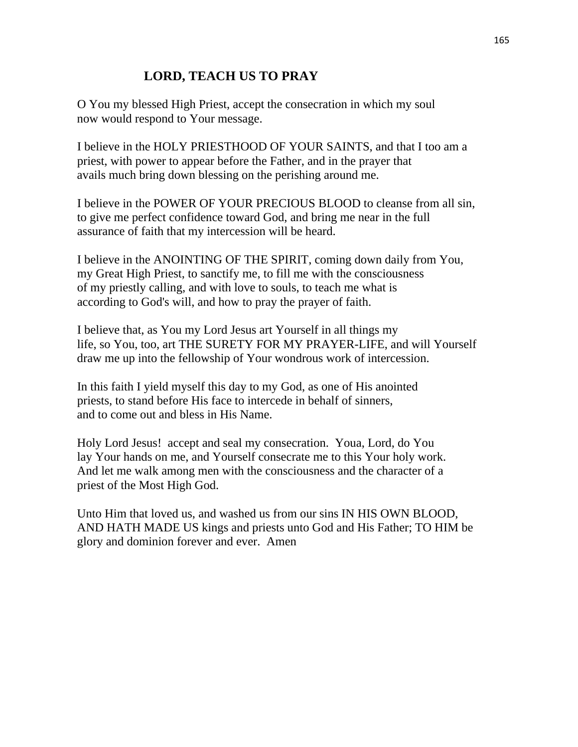# **LORD, TEACH US TO PRAY**

 O You my blessed High Priest, accept the consecration in which my soul now would respond to Your message.

 I believe in the HOLY PRIESTHOOD OF YOUR SAINTS, and that I too am a priest, with power to appear before the Father, and in the prayer that avails much bring down blessing on the perishing around me.

 I believe in the POWER OF YOUR PRECIOUS BLOOD to cleanse from all sin, to give me perfect confidence toward God, and bring me near in the full assurance of faith that my intercession will be heard.

 I believe in the ANOINTING OF THE SPIRIT, coming down daily from You, my Great High Priest, to sanctify me, to fill me with the consciousness of my priestly calling, and with love to souls, to teach me what is according to God's will, and how to pray the prayer of faith.

 I believe that, as You my Lord Jesus art Yourself in all things my life, so You, too, art THE SURETY FOR MY PRAYER-LIFE, and will Yourself draw me up into the fellowship of Your wondrous work of intercession.

 In this faith I yield myself this day to my God, as one of His anointed priests, to stand before His face to intercede in behalf of sinners, and to come out and bless in His Name.

 Holy Lord Jesus! accept and seal my consecration. Youa, Lord, do You lay Your hands on me, and Yourself consecrate me to this Your holy work. And let me walk among men with the consciousness and the character of a priest of the Most High God.

 Unto Him that loved us, and washed us from our sins IN HIS OWN BLOOD, AND HATH MADE US kings and priests unto God and His Father; TO HIM be glory and dominion forever and ever. Amen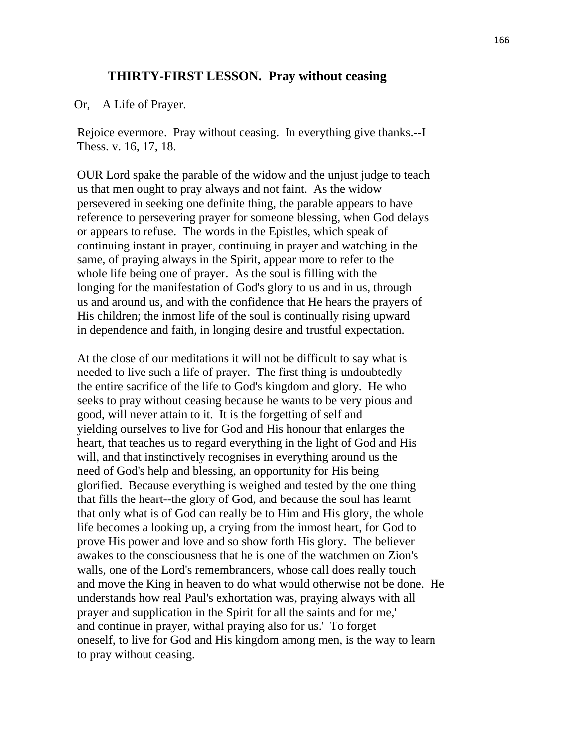## **THIRTY-FIRST LESSON. Pray without ceasing**

Or, A Life of Prayer.

 Rejoice evermore. Pray without ceasing. In everything give thanks.--I Thess. v. 16, 17, 18.

 OUR Lord spake the parable of the widow and the unjust judge to teach us that men ought to pray always and not faint. As the widow persevered in seeking one definite thing, the parable appears to have reference to persevering prayer for someone blessing, when God delays or appears to refuse. The words in the Epistles, which speak of continuing instant in prayer, continuing in prayer and watching in the same, of praying always in the Spirit, appear more to refer to the whole life being one of prayer. As the soul is filling with the longing for the manifestation of God's glory to us and in us, through us and around us, and with the confidence that He hears the prayers of His children; the inmost life of the soul is continually rising upward in dependence and faith, in longing desire and trustful expectation.

 At the close of our meditations it will not be difficult to say what is needed to live such a life of prayer. The first thing is undoubtedly the entire sacrifice of the life to God's kingdom and glory. He who seeks to pray without ceasing because he wants to be very pious and good, will never attain to it. It is the forgetting of self and yielding ourselves to live for God and His honour that enlarges the heart, that teaches us to regard everything in the light of God and His will, and that instinctively recognises in everything around us the need of God's help and blessing, an opportunity for His being glorified. Because everything is weighed and tested by the one thing that fills the heart--the glory of God, and because the soul has learnt that only what is of God can really be to Him and His glory, the whole life becomes a looking up, a crying from the inmost heart, for God to prove His power and love and so show forth His glory. The believer awakes to the consciousness that he is one of the watchmen on Zion's walls, one of the Lord's remembrancers, whose call does really touch and move the King in heaven to do what would otherwise not be done. He understands how real Paul's exhortation was, praying always with all prayer and supplication in the Spirit for all the saints and for me,' and continue in prayer, withal praying also for us.' To forget oneself, to live for God and His kingdom among men, is the way to learn to pray without ceasing.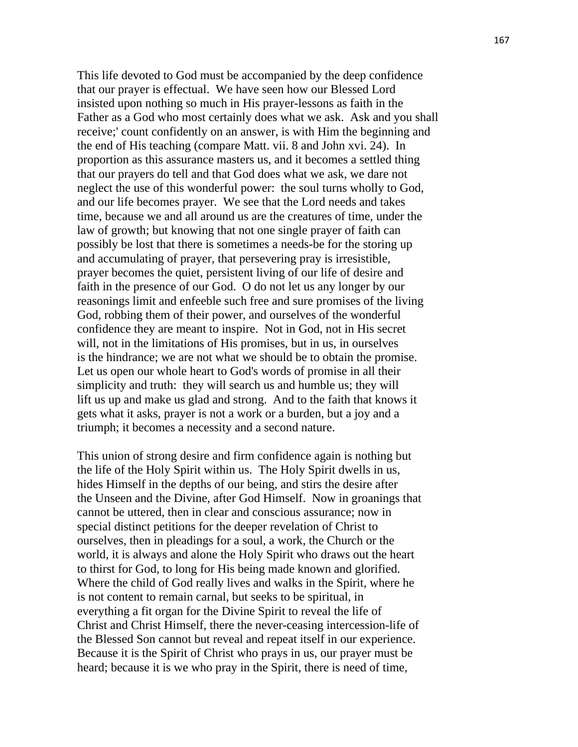This life devoted to God must be accompanied by the deep confidence that our prayer is effectual. We have seen how our Blessed Lord insisted upon nothing so much in His prayer-lessons as faith in the Father as a God who most certainly does what we ask. Ask and you shall receive;' count confidently on an answer, is with Him the beginning and the end of His teaching (compare Matt. vii. 8 and John xvi. 24). In proportion as this assurance masters us, and it becomes a settled thing that our prayers do tell and that God does what we ask, we dare not neglect the use of this wonderful power: the soul turns wholly to God, and our life becomes prayer. We see that the Lord needs and takes time, because we and all around us are the creatures of time, under the law of growth; but knowing that not one single prayer of faith can possibly be lost that there is sometimes a needs-be for the storing up and accumulating of prayer, that persevering pray is irresistible, prayer becomes the quiet, persistent living of our life of desire and faith in the presence of our God. O do not let us any longer by our reasonings limit and enfeeble such free and sure promises of the living God, robbing them of their power, and ourselves of the wonderful confidence they are meant to inspire. Not in God, not in His secret will, not in the limitations of His promises, but in us, in ourselves is the hindrance; we are not what we should be to obtain the promise. Let us open our whole heart to God's words of promise in all their simplicity and truth: they will search us and humble us; they will lift us up and make us glad and strong. And to the faith that knows it gets what it asks, prayer is not a work or a burden, but a joy and a triumph; it becomes a necessity and a second nature.

 This union of strong desire and firm confidence again is nothing but the life of the Holy Spirit within us. The Holy Spirit dwells in us, hides Himself in the depths of our being, and stirs the desire after the Unseen and the Divine, after God Himself. Now in groanings that cannot be uttered, then in clear and conscious assurance; now in special distinct petitions for the deeper revelation of Christ to ourselves, then in pleadings for a soul, a work, the Church or the world, it is always and alone the Holy Spirit who draws out the heart to thirst for God, to long for His being made known and glorified. Where the child of God really lives and walks in the Spirit, where he is not content to remain carnal, but seeks to be spiritual, in everything a fit organ for the Divine Spirit to reveal the life of Christ and Christ Himself, there the never-ceasing intercession-life of the Blessed Son cannot but reveal and repeat itself in our experience. Because it is the Spirit of Christ who prays in us, our prayer must be heard; because it is we who pray in the Spirit, there is need of time,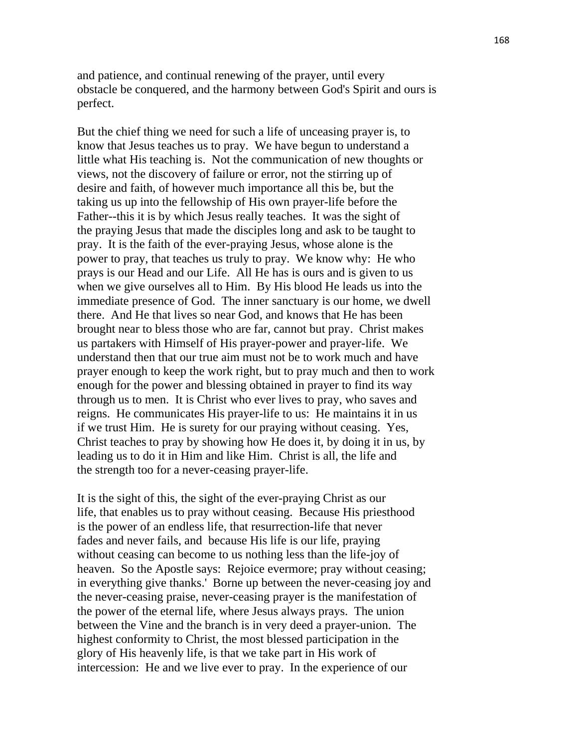and patience, and continual renewing of the prayer, until every obstacle be conquered, and the harmony between God's Spirit and ours is perfect.

 But the chief thing we need for such a life of unceasing prayer is, to know that Jesus teaches us to pray. We have begun to understand a little what His teaching is. Not the communication of new thoughts or views, not the discovery of failure or error, not the stirring up of desire and faith, of however much importance all this be, but the taking us up into the fellowship of His own prayer-life before the Father--this it is by which Jesus really teaches. It was the sight of the praying Jesus that made the disciples long and ask to be taught to pray. It is the faith of the ever-praying Jesus, whose alone is the power to pray, that teaches us truly to pray. We know why: He who prays is our Head and our Life. All He has is ours and is given to us when we give ourselves all to Him. By His blood He leads us into the immediate presence of God. The inner sanctuary is our home, we dwell there. And He that lives so near God, and knows that He has been brought near to bless those who are far, cannot but pray. Christ makes us partakers with Himself of His prayer-power and prayer-life. We understand then that our true aim must not be to work much and have prayer enough to keep the work right, but to pray much and then to work enough for the power and blessing obtained in prayer to find its way through us to men. It is Christ who ever lives to pray, who saves and reigns. He communicates His prayer-life to us: He maintains it in us if we trust Him. He is surety for our praying without ceasing. Yes, Christ teaches to pray by showing how He does it, by doing it in us, by leading us to do it in Him and like Him. Christ is all, the life and the strength too for a never-ceasing prayer-life.

 It is the sight of this, the sight of the ever-praying Christ as our life, that enables us to pray without ceasing. Because His priesthood is the power of an endless life, that resurrection-life that never fades and never fails, and because His life is our life, praying without ceasing can become to us nothing less than the life-joy of heaven. So the Apostle says: Rejoice evermore; pray without ceasing; in everything give thanks.' Borne up between the never-ceasing joy and the never-ceasing praise, never-ceasing prayer is the manifestation of the power of the eternal life, where Jesus always prays. The union between the Vine and the branch is in very deed a prayer-union. The highest conformity to Christ, the most blessed participation in the glory of His heavenly life, is that we take part in His work of intercession: He and we live ever to pray. In the experience of our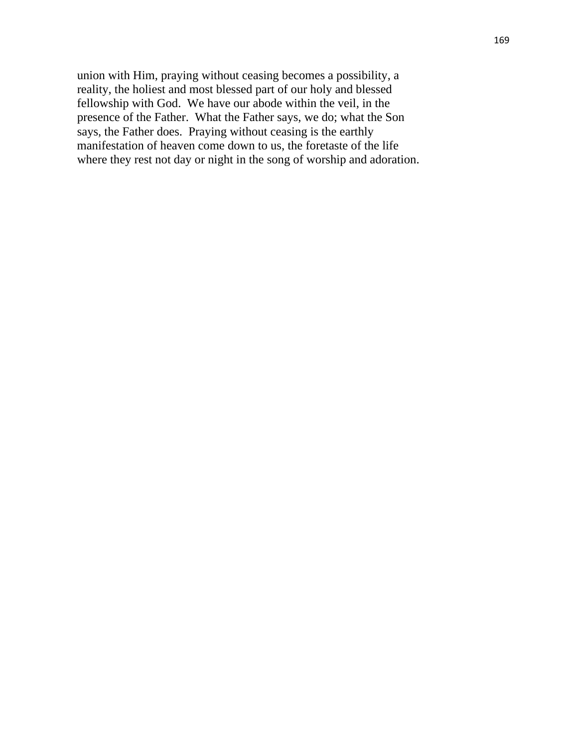union with Him, praying without ceasing becomes a possibility, a reality, the holiest and most blessed part of our holy and blessed fellowship with God. We have our abode within the veil, in the presence of the Father. What the Father says, we do; what the Son says, the Father does. Praying without ceasing is the earthly manifestation of heaven come down to us, the foretaste of the life where they rest not day or night in the song of worship and adoration.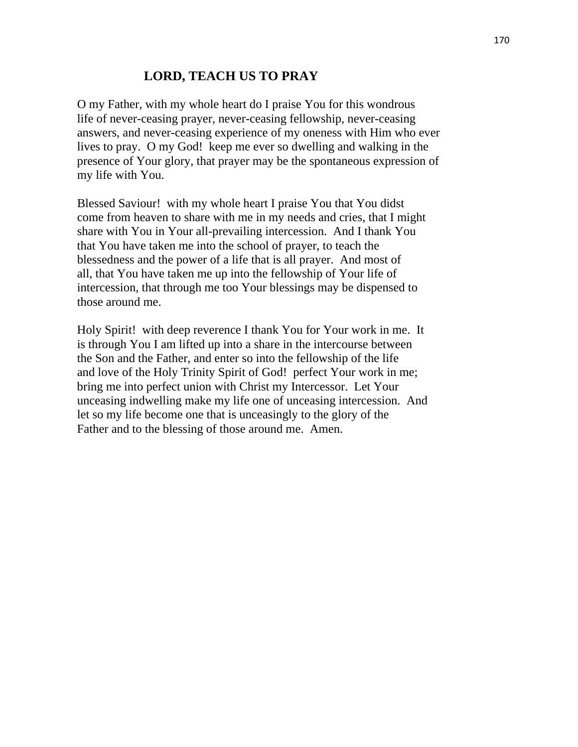# **LORD, TEACH US TO PRAY**

 O my Father, with my whole heart do I praise You for this wondrous life of never-ceasing prayer, never-ceasing fellowship, never-ceasing answers, and never-ceasing experience of my oneness with Him who ever lives to pray. O my God! keep me ever so dwelling and walking in the presence of Your glory, that prayer may be the spontaneous expression of my life with You.

 Blessed Saviour! with my whole heart I praise You that You didst come from heaven to share with me in my needs and cries, that I might share with You in Your all-prevailing intercession. And I thank You that You have taken me into the school of prayer, to teach the blessedness and the power of a life that is all prayer. And most of all, that You have taken me up into the fellowship of Your life of intercession, that through me too Your blessings may be dispensed to those around me.

 Holy Spirit! with deep reverence I thank You for Your work in me. It is through You I am lifted up into a share in the intercourse between the Son and the Father, and enter so into the fellowship of the life and love of the Holy Trinity Spirit of God! perfect Your work in me; bring me into perfect union with Christ my Intercessor. Let Your unceasing indwelling make my life one of unceasing intercession. And let so my life become one that is unceasingly to the glory of the Father and to the blessing of those around me. Amen.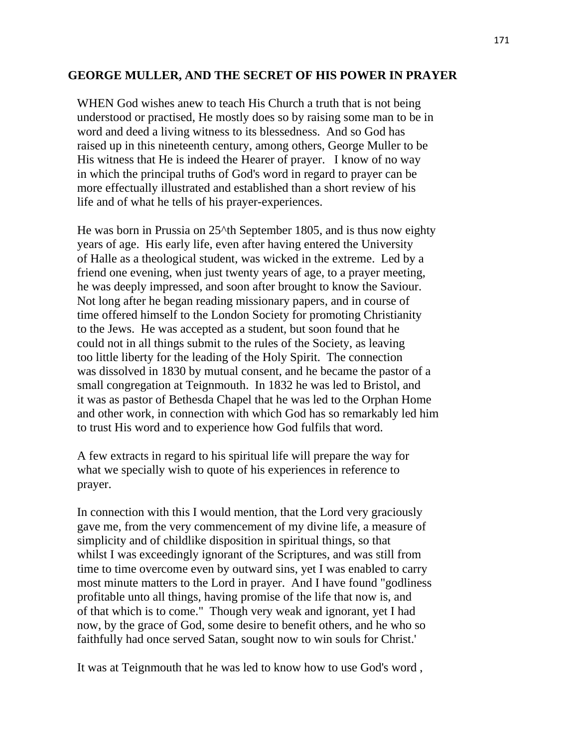#### **GEORGE MULLER, AND THE SECRET OF HIS POWER IN PRAYER**

 WHEN God wishes anew to teach His Church a truth that is not being understood or practised, He mostly does so by raising some man to be in word and deed a living witness to its blessedness. And so God has raised up in this nineteenth century, among others, George Muller to be His witness that He is indeed the Hearer of prayer. I know of no way in which the principal truths of God's word in regard to prayer can be more effectually illustrated and established than a short review of his life and of what he tells of his prayer-experiences.

 He was born in Prussia on 25^th September 1805, and is thus now eighty years of age. His early life, even after having entered the University of Halle as a theological student, was wicked in the extreme. Led by a friend one evening, when just twenty years of age, to a prayer meeting, he was deeply impressed, and soon after brought to know the Saviour. Not long after he began reading missionary papers, and in course of time offered himself to the London Society for promoting Christianity to the Jews. He was accepted as a student, but soon found that he could not in all things submit to the rules of the Society, as leaving too little liberty for the leading of the Holy Spirit. The connection was dissolved in 1830 by mutual consent, and he became the pastor of a small congregation at Teignmouth. In 1832 he was led to Bristol, and it was as pastor of Bethesda Chapel that he was led to the Orphan Home and other work, in connection with which God has so remarkably led him to trust His word and to experience how God fulfils that word.

 A few extracts in regard to his spiritual life will prepare the way for what we specially wish to quote of his experiences in reference to prayer.

 In connection with this I would mention, that the Lord very graciously gave me, from the very commencement of my divine life, a measure of simplicity and of childlike disposition in spiritual things, so that whilst I was exceedingly ignorant of the Scriptures, and was still from time to time overcome even by outward sins, yet I was enabled to carry most minute matters to the Lord in prayer. And I have found "godliness profitable unto all things, having promise of the life that now is, and of that which is to come." Though very weak and ignorant, yet I had now, by the grace of God, some desire to benefit others, and he who so faithfully had once served Satan, sought now to win souls for Christ.'

It was at Teignmouth that he was led to know how to use God's word ,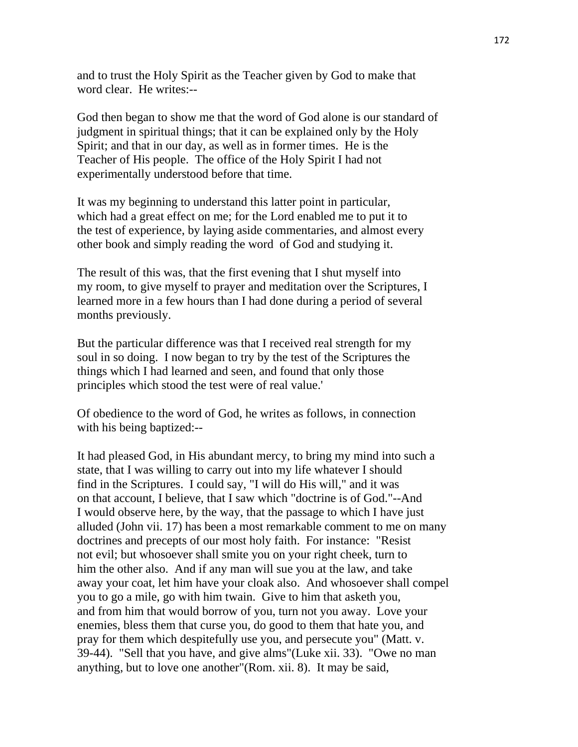and to trust the Holy Spirit as the Teacher given by God to make that word clear. He writes:--

 God then began to show me that the word of God alone is our standard of judgment in spiritual things; that it can be explained only by the Holy Spirit; and that in our day, as well as in former times. He is the Teacher of His people. The office of the Holy Spirit I had not experimentally understood before that time.

 It was my beginning to understand this latter point in particular, which had a great effect on me; for the Lord enabled me to put it to the test of experience, by laying aside commentaries, and almost every other book and simply reading the word of God and studying it.

 The result of this was, that the first evening that I shut myself into my room, to give myself to prayer and meditation over the Scriptures, I learned more in a few hours than I had done during a period of several months previously.

 But the particular difference was that I received real strength for my soul in so doing. I now began to try by the test of the Scriptures the things which I had learned and seen, and found that only those principles which stood the test were of real value.'

 Of obedience to the word of God, he writes as follows, in connection with his being baptized:--

 It had pleased God, in His abundant mercy, to bring my mind into such a state, that I was willing to carry out into my life whatever I should find in the Scriptures. I could say, "I will do His will," and it was on that account, I believe, that I saw which "doctrine is of God."--And I would observe here, by the way, that the passage to which I have just alluded (John vii. 17) has been a most remarkable comment to me on many doctrines and precepts of our most holy faith. For instance: "Resist not evil; but whosoever shall smite you on your right cheek, turn to him the other also. And if any man will sue you at the law, and take away your coat, let him have your cloak also. And whosoever shall compel you to go a mile, go with him twain. Give to him that asketh you, and from him that would borrow of you, turn not you away. Love your enemies, bless them that curse you, do good to them that hate you, and pray for them which despitefully use you, and persecute you" (Matt. v. 39-44). "Sell that you have, and give alms"(Luke xii. 33). "Owe no man anything, but to love one another"(Rom. xii. 8). It may be said,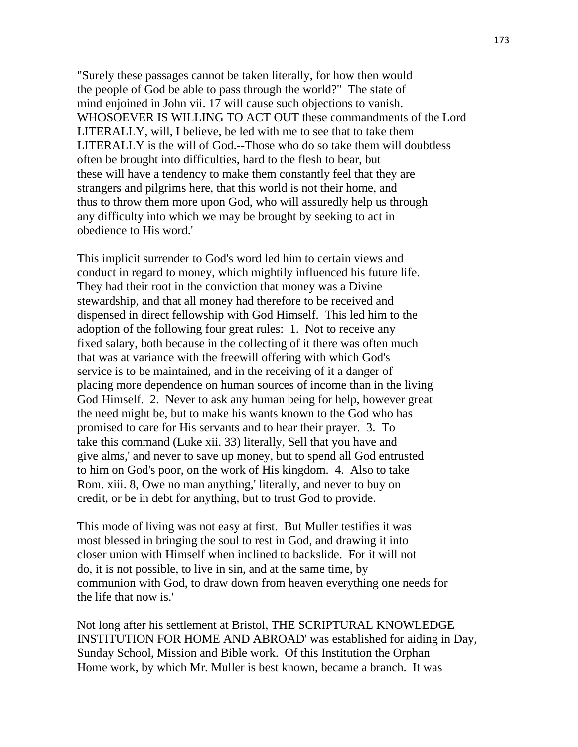"Surely these passages cannot be taken literally, for how then would the people of God be able to pass through the world?" The state of mind enjoined in John vii. 17 will cause such objections to vanish. WHOSOEVER IS WILLING TO ACT OUT these commandments of the Lord LITERALLY, will, I believe, be led with me to see that to take them LITERALLY is the will of God.--Those who do so take them will doubtless often be brought into difficulties, hard to the flesh to bear, but these will have a tendency to make them constantly feel that they are strangers and pilgrims here, that this world is not their home, and thus to throw them more upon God, who will assuredly help us through any difficulty into which we may be brought by seeking to act in obedience to His word.'

 This implicit surrender to God's word led him to certain views and conduct in regard to money, which mightily influenced his future life. They had their root in the conviction that money was a Divine stewardship, and that all money had therefore to be received and dispensed in direct fellowship with God Himself. This led him to the adoption of the following four great rules: 1. Not to receive any fixed salary, both because in the collecting of it there was often much that was at variance with the freewill offering with which God's service is to be maintained, and in the receiving of it a danger of placing more dependence on human sources of income than in the living God Himself. 2. Never to ask any human being for help, however great the need might be, but to make his wants known to the God who has promised to care for His servants and to hear their prayer. 3. To take this command (Luke xii. 33) literally, Sell that you have and give alms,' and never to save up money, but to spend all God entrusted to him on God's poor, on the work of His kingdom. 4. Also to take Rom. xiii. 8, Owe no man anything,' literally, and never to buy on credit, or be in debt for anything, but to trust God to provide.

 This mode of living was not easy at first. But Muller testifies it was most blessed in bringing the soul to rest in God, and drawing it into closer union with Himself when inclined to backslide. For it will not do, it is not possible, to live in sin, and at the same time, by communion with God, to draw down from heaven everything one needs for the life that now is.'

 Not long after his settlement at Bristol, THE SCRIPTURAL KNOWLEDGE INSTITUTION FOR HOME AND ABROAD' was established for aiding in Day, Sunday School, Mission and Bible work. Of this Institution the Orphan Home work, by which Mr. Muller is best known, became a branch. It was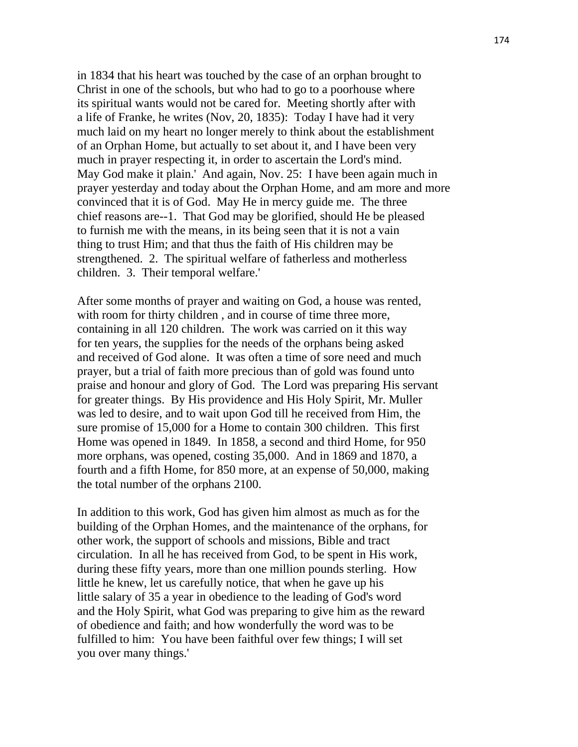in 1834 that his heart was touched by the case of an orphan brought to Christ in one of the schools, but who had to go to a poorhouse where its spiritual wants would not be cared for. Meeting shortly after with a life of Franke, he writes (Nov, 20, 1835): Today I have had it very much laid on my heart no longer merely to think about the establishment of an Orphan Home, but actually to set about it, and I have been very much in prayer respecting it, in order to ascertain the Lord's mind. May God make it plain.' And again, Nov. 25: I have been again much in prayer yesterday and today about the Orphan Home, and am more and more convinced that it is of God. May He in mercy guide me. The three chief reasons are--1. That God may be glorified, should He be pleased to furnish me with the means, in its being seen that it is not a vain thing to trust Him; and that thus the faith of His children may be strengthened. 2. The spiritual welfare of fatherless and motherless children. 3. Their temporal welfare.'

 After some months of prayer and waiting on God, a house was rented, with room for thirty children , and in course of time three more, containing in all 120 children. The work was carried on it this way for ten years, the supplies for the needs of the orphans being asked and received of God alone. It was often a time of sore need and much prayer, but a trial of faith more precious than of gold was found unto praise and honour and glory of God. The Lord was preparing His servant for greater things. By His providence and His Holy Spirit, Mr. Muller was led to desire, and to wait upon God till he received from Him, the sure promise of 15,000 for a Home to contain 300 children. This first Home was opened in 1849. In 1858, a second and third Home, for 950 more orphans, was opened, costing 35,000. And in 1869 and 1870, a fourth and a fifth Home, for 850 more, at an expense of 50,000, making the total number of the orphans 2100.

 In addition to this work, God has given him almost as much as for the building of the Orphan Homes, and the maintenance of the orphans, for other work, the support of schools and missions, Bible and tract circulation. In all he has received from God, to be spent in His work, during these fifty years, more than one million pounds sterling. How little he knew, let us carefully notice, that when he gave up his little salary of 35 a year in obedience to the leading of God's word and the Holy Spirit, what God was preparing to give him as the reward of obedience and faith; and how wonderfully the word was to be fulfilled to him: You have been faithful over few things; I will set you over many things.'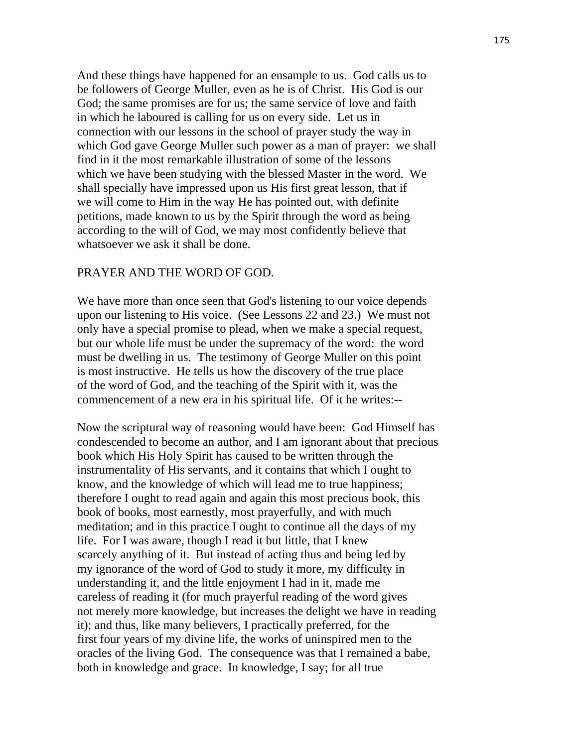And these things have happened for an ensample to us. God calls us to be followers of George Muller, even as he is of Christ. His God is our God; the same promises are for us; the same service of love and faith in which he laboured is calling for us on every side. Let us in connection with our lessons in the school of prayer study the way in which God gave George Muller such power as a man of prayer: we shall find in it the most remarkable illustration of some of the lessons which we have been studying with the blessed Master in the word. We shall specially have impressed upon us His first great lesson, that if we will come to Him in the way He has pointed out, with definite petitions, made known to us by the Spirit through the word as being according to the will of God, we may most confidently believe that whatsoever we ask it shall be done.

#### PRAYER AND THE WORD OF GOD.

 We have more than once seen that God's listening to our voice depends upon our listening to His voice. (See Lessons 22 and 23.) We must not only have a special promise to plead, when we make a special request, but our whole life must be under the supremacy of the word: the word must be dwelling in us. The testimony of George Muller on this point is most instructive. He tells us how the discovery of the true place of the word of God, and the teaching of the Spirit with it, was the commencement of a new era in his spiritual life. Of it he writes:--

 Now the scriptural way of reasoning would have been: God Himself has condescended to become an author, and I am ignorant about that precious book which His Holy Spirit has caused to be written through the instrumentality of His servants, and it contains that which I ought to know, and the knowledge of which will lead me to true happiness; therefore I ought to read again and again this most precious book, this book of books, most earnestly, most prayerfully, and with much meditation; and in this practice I ought to continue all the days of my life. For I was aware, though I read it but little, that I knew scarcely anything of it. But instead of acting thus and being led by my ignorance of the word of God to study it more, my difficulty in understanding it, and the little enjoyment I had in it, made me careless of reading it (for much prayerful reading of the word gives not merely more knowledge, but increases the delight we have in reading it); and thus, like many believers, I practically preferred, for the first four years of my divine life, the works of uninspired men to the oracles of the living God. The consequence was that I remained a babe, both in knowledge and grace. In knowledge, I say; for all true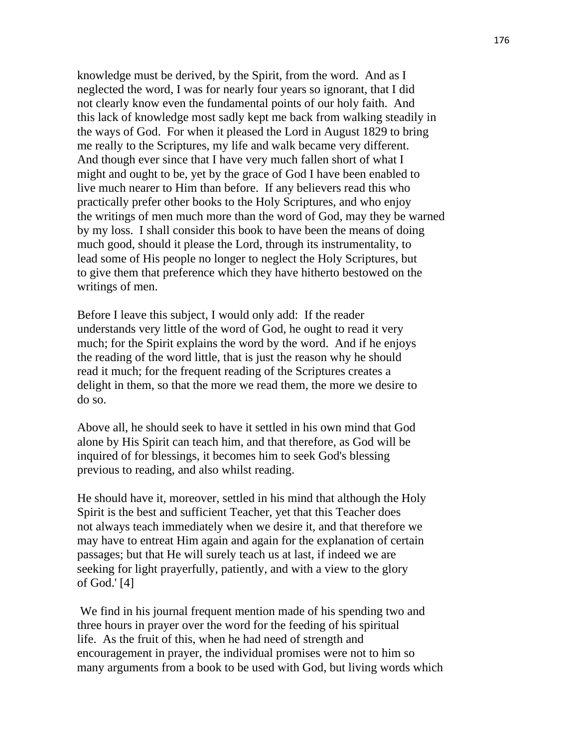knowledge must be derived, by the Spirit, from the word. And as I neglected the word, I was for nearly four years so ignorant, that I did not clearly know even the fundamental points of our holy faith. And this lack of knowledge most sadly kept me back from walking steadily in the ways of God. For when it pleased the Lord in August 1829 to bring me really to the Scriptures, my life and walk became very different. And though ever since that I have very much fallen short of what I might and ought to be, yet by the grace of God I have been enabled to live much nearer to Him than before. If any believers read this who practically prefer other books to the Holy Scriptures, and who enjoy the writings of men much more than the word of God, may they be warned by my loss. I shall consider this book to have been the means of doing much good, should it please the Lord, through its instrumentality, to lead some of His people no longer to neglect the Holy Scriptures, but to give them that preference which they have hitherto bestowed on the writings of men.

 Before I leave this subject, I would only add: If the reader understands very little of the word of God, he ought to read it very much; for the Spirit explains the word by the word. And if he enjoys the reading of the word little, that is just the reason why he should read it much; for the frequent reading of the Scriptures creates a delight in them, so that the more we read them, the more we desire to do so.

 Above all, he should seek to have it settled in his own mind that God alone by His Spirit can teach him, and that therefore, as God will be inquired of for blessings, it becomes him to seek God's blessing previous to reading, and also whilst reading.

 He should have it, moreover, settled in his mind that although the Holy Spirit is the best and sufficient Teacher, yet that this Teacher does not always teach immediately when we desire it, and that therefore we may have to entreat Him again and again for the explanation of certain passages; but that He will surely teach us at last, if indeed we are seeking for light prayerfully, patiently, and with a view to the glory of God.' [4]

 We find in his journal frequent mention made of his spending two and three hours in prayer over the word for the feeding of his spiritual life. As the fruit of this, when he had need of strength and encouragement in prayer, the individual promises were not to him so many arguments from a book to be used with God, but living words which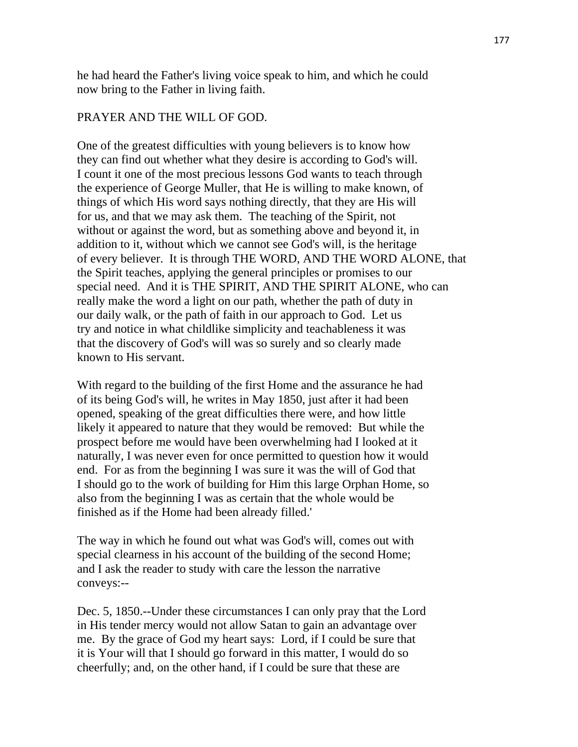he had heard the Father's living voice speak to him, and which he could now bring to the Father in living faith.

#### PRAYER AND THE WILL OF GOD.

 One of the greatest difficulties with young believers is to know how they can find out whether what they desire is according to God's will. I count it one of the most precious lessons God wants to teach through the experience of George Muller, that He is willing to make known, of things of which His word says nothing directly, that they are His will for us, and that we may ask them. The teaching of the Spirit, not without or against the word, but as something above and beyond it, in addition to it, without which we cannot see God's will, is the heritage of every believer. It is through THE WORD, AND THE WORD ALONE, that the Spirit teaches, applying the general principles or promises to our special need. And it is THE SPIRIT, AND THE SPIRIT ALONE, who can really make the word a light on our path, whether the path of duty in our daily walk, or the path of faith in our approach to God. Let us try and notice in what childlike simplicity and teachableness it was that the discovery of God's will was so surely and so clearly made known to His servant.

 With regard to the building of the first Home and the assurance he had of its being God's will, he writes in May 1850, just after it had been opened, speaking of the great difficulties there were, and how little likely it appeared to nature that they would be removed: But while the prospect before me would have been overwhelming had I looked at it naturally, I was never even for once permitted to question how it would end. For as from the beginning I was sure it was the will of God that I should go to the work of building for Him this large Orphan Home, so also from the beginning I was as certain that the whole would be finished as if the Home had been already filled.'

 The way in which he found out what was God's will, comes out with special clearness in his account of the building of the second Home; and I ask the reader to study with care the lesson the narrative conveys:--

 Dec. 5, 1850.--Under these circumstances I can only pray that the Lord in His tender mercy would not allow Satan to gain an advantage over me. By the grace of God my heart says: Lord, if I could be sure that it is Your will that I should go forward in this matter, I would do so cheerfully; and, on the other hand, if I could be sure that these are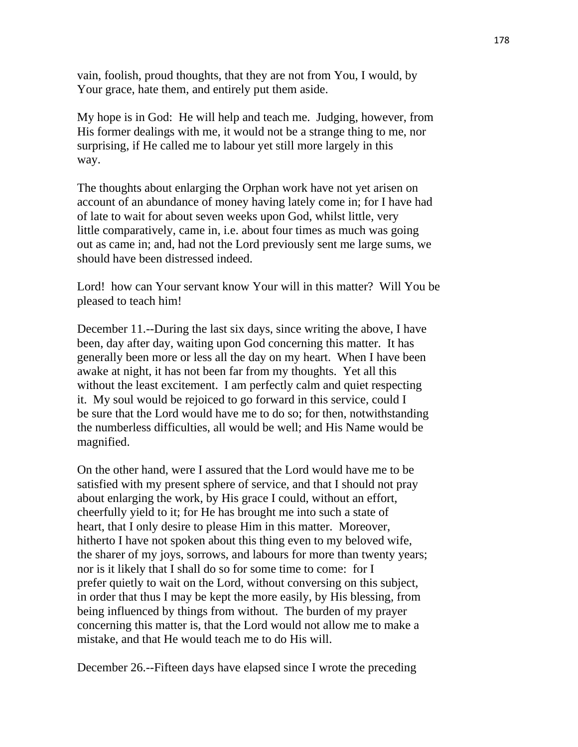vain, foolish, proud thoughts, that they are not from You, I would, by Your grace, hate them, and entirely put them aside.

 My hope is in God: He will help and teach me. Judging, however, from His former dealings with me, it would not be a strange thing to me, nor surprising, if He called me to labour yet still more largely in this way.

 The thoughts about enlarging the Orphan work have not yet arisen on account of an abundance of money having lately come in; for I have had of late to wait for about seven weeks upon God, whilst little, very little comparatively, came in, i.e. about four times as much was going out as came in; and, had not the Lord previously sent me large sums, we should have been distressed indeed.

 Lord! how can Your servant know Your will in this matter? Will You be pleased to teach him!

 December 11.--During the last six days, since writing the above, I have been, day after day, waiting upon God concerning this matter. It has generally been more or less all the day on my heart. When I have been awake at night, it has not been far from my thoughts. Yet all this without the least excitement. I am perfectly calm and quiet respecting it. My soul would be rejoiced to go forward in this service, could I be sure that the Lord would have me to do so; for then, notwithstanding the numberless difficulties, all would be well; and His Name would be magnified.

 On the other hand, were I assured that the Lord would have me to be satisfied with my present sphere of service, and that I should not pray about enlarging the work, by His grace I could, without an effort, cheerfully yield to it; for He has brought me into such a state of heart, that I only desire to please Him in this matter. Moreover, hitherto I have not spoken about this thing even to my beloved wife, the sharer of my joys, sorrows, and labours for more than twenty years; nor is it likely that I shall do so for some time to come: for I prefer quietly to wait on the Lord, without conversing on this subject, in order that thus I may be kept the more easily, by His blessing, from being influenced by things from without. The burden of my prayer concerning this matter is, that the Lord would not allow me to make a mistake, and that He would teach me to do His will.

December 26.--Fifteen days have elapsed since I wrote the preceding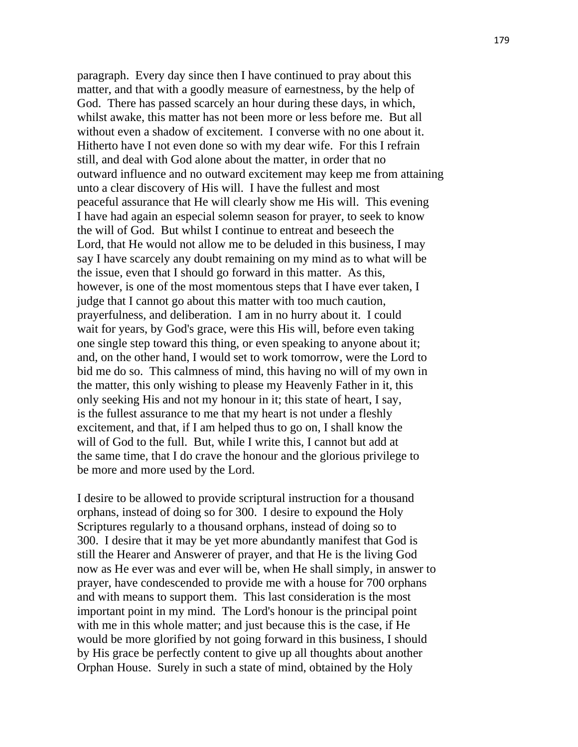paragraph. Every day since then I have continued to pray about this matter, and that with a goodly measure of earnestness, by the help of God. There has passed scarcely an hour during these days, in which, whilst awake, this matter has not been more or less before me. But all without even a shadow of excitement. I converse with no one about it. Hitherto have I not even done so with my dear wife. For this I refrain still, and deal with God alone about the matter, in order that no outward influence and no outward excitement may keep me from attaining unto a clear discovery of His will. I have the fullest and most peaceful assurance that He will clearly show me His will. This evening I have had again an especial solemn season for prayer, to seek to know the will of God. But whilst I continue to entreat and beseech the Lord, that He would not allow me to be deluded in this business, I may say I have scarcely any doubt remaining on my mind as to what will be the issue, even that I should go forward in this matter. As this, however, is one of the most momentous steps that I have ever taken, I judge that I cannot go about this matter with too much caution, prayerfulness, and deliberation. I am in no hurry about it. I could wait for years, by God's grace, were this His will, before even taking one single step toward this thing, or even speaking to anyone about it; and, on the other hand, I would set to work tomorrow, were the Lord to bid me do so. This calmness of mind, this having no will of my own in the matter, this only wishing to please my Heavenly Father in it, this only seeking His and not my honour in it; this state of heart, I say, is the fullest assurance to me that my heart is not under a fleshly excitement, and that, if I am helped thus to go on, I shall know the will of God to the full. But, while I write this, I cannot but add at the same time, that I do crave the honour and the glorious privilege to be more and more used by the Lord.

 I desire to be allowed to provide scriptural instruction for a thousand orphans, instead of doing so for 300. I desire to expound the Holy Scriptures regularly to a thousand orphans, instead of doing so to 300. I desire that it may be yet more abundantly manifest that God is still the Hearer and Answerer of prayer, and that He is the living God now as He ever was and ever will be, when He shall simply, in answer to prayer, have condescended to provide me with a house for 700 orphans and with means to support them. This last consideration is the most important point in my mind. The Lord's honour is the principal point with me in this whole matter; and just because this is the case, if He would be more glorified by not going forward in this business, I should by His grace be perfectly content to give up all thoughts about another Orphan House. Surely in such a state of mind, obtained by the Holy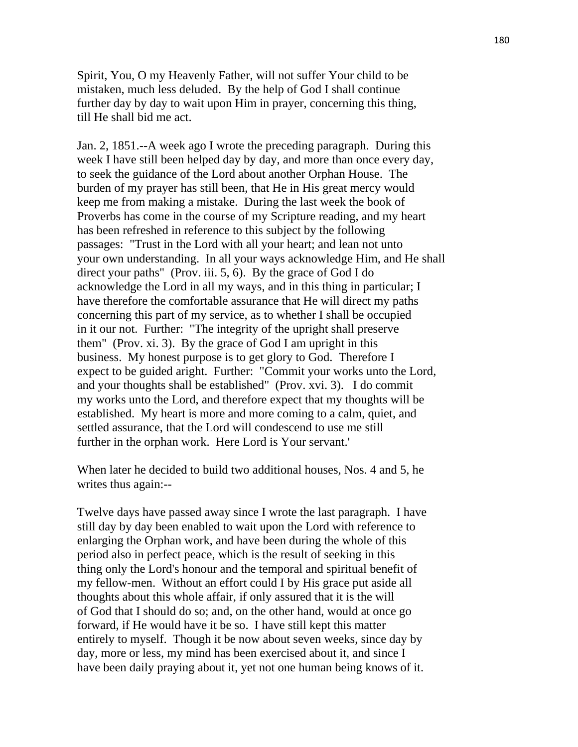Spirit, You, O my Heavenly Father, will not suffer Your child to be mistaken, much less deluded. By the help of God I shall continue further day by day to wait upon Him in prayer, concerning this thing, till He shall bid me act.

 Jan. 2, 1851.--A week ago I wrote the preceding paragraph. During this week I have still been helped day by day, and more than once every day, to seek the guidance of the Lord about another Orphan House. The burden of my prayer has still been, that He in His great mercy would keep me from making a mistake. During the last week the book of Proverbs has come in the course of my Scripture reading, and my heart has been refreshed in reference to this subject by the following passages: "Trust in the Lord with all your heart; and lean not unto your own understanding. In all your ways acknowledge Him, and He shall direct your paths" (Prov. iii. 5, 6). By the grace of God I do acknowledge the Lord in all my ways, and in this thing in particular; I have therefore the comfortable assurance that He will direct my paths concerning this part of my service, as to whether I shall be occupied in it our not. Further: "The integrity of the upright shall preserve them" (Prov. xi. 3). By the grace of God I am upright in this business. My honest purpose is to get glory to God. Therefore I expect to be guided aright. Further: "Commit your works unto the Lord, and your thoughts shall be established" (Prov. xvi. 3). I do commit my works unto the Lord, and therefore expect that my thoughts will be established. My heart is more and more coming to a calm, quiet, and settled assurance, that the Lord will condescend to use me still further in the orphan work. Here Lord is Your servant.'

 When later he decided to build two additional houses, Nos. 4 and 5, he writes thus again:--

 Twelve days have passed away since I wrote the last paragraph. I have still day by day been enabled to wait upon the Lord with reference to enlarging the Orphan work, and have been during the whole of this period also in perfect peace, which is the result of seeking in this thing only the Lord's honour and the temporal and spiritual benefit of my fellow-men. Without an effort could I by His grace put aside all thoughts about this whole affair, if only assured that it is the will of God that I should do so; and, on the other hand, would at once go forward, if He would have it be so. I have still kept this matter entirely to myself. Though it be now about seven weeks, since day by day, more or less, my mind has been exercised about it, and since I have been daily praying about it, yet not one human being knows of it.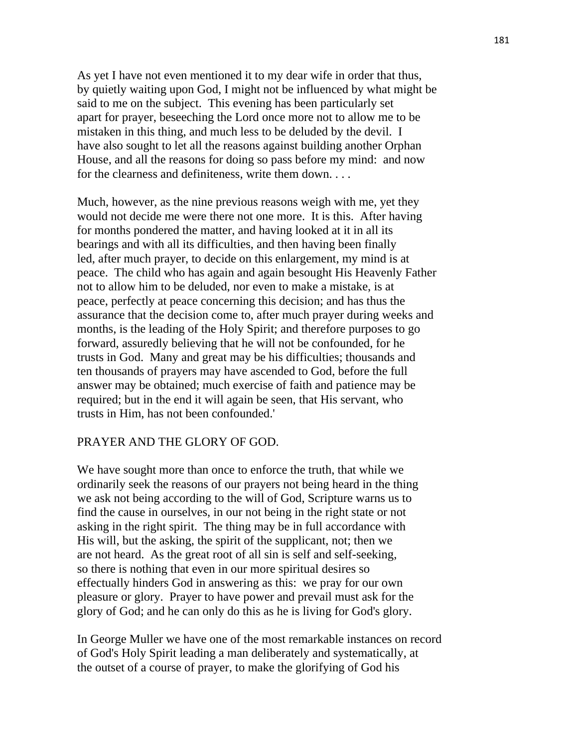As yet I have not even mentioned it to my dear wife in order that thus, by quietly waiting upon God, I might not be influenced by what might be said to me on the subject. This evening has been particularly set apart for prayer, beseeching the Lord once more not to allow me to be mistaken in this thing, and much less to be deluded by the devil. I have also sought to let all the reasons against building another Orphan House, and all the reasons for doing so pass before my mind: and now for the clearness and definiteness, write them down. . . .

 Much, however, as the nine previous reasons weigh with me, yet they would not decide me were there not one more. It is this. After having for months pondered the matter, and having looked at it in all its bearings and with all its difficulties, and then having been finally led, after much prayer, to decide on this enlargement, my mind is at peace. The child who has again and again besought His Heavenly Father not to allow him to be deluded, nor even to make a mistake, is at peace, perfectly at peace concerning this decision; and has thus the assurance that the decision come to, after much prayer during weeks and months, is the leading of the Holy Spirit; and therefore purposes to go forward, assuredly believing that he will not be confounded, for he trusts in God. Many and great may be his difficulties; thousands and ten thousands of prayers may have ascended to God, before the full answer may be obtained; much exercise of faith and patience may be required; but in the end it will again be seen, that His servant, who trusts in Him, has not been confounded.'

#### PRAYER AND THE GLORY OF GOD.

 We have sought more than once to enforce the truth, that while we ordinarily seek the reasons of our prayers not being heard in the thing we ask not being according to the will of God, Scripture warns us to find the cause in ourselves, in our not being in the right state or not asking in the right spirit. The thing may be in full accordance with His will, but the asking, the spirit of the supplicant, not; then we are not heard. As the great root of all sin is self and self-seeking, so there is nothing that even in our more spiritual desires so effectually hinders God in answering as this: we pray for our own pleasure or glory. Prayer to have power and prevail must ask for the glory of God; and he can only do this as he is living for God's glory.

 In George Muller we have one of the most remarkable instances on record of God's Holy Spirit leading a man deliberately and systematically, at the outset of a course of prayer, to make the glorifying of God his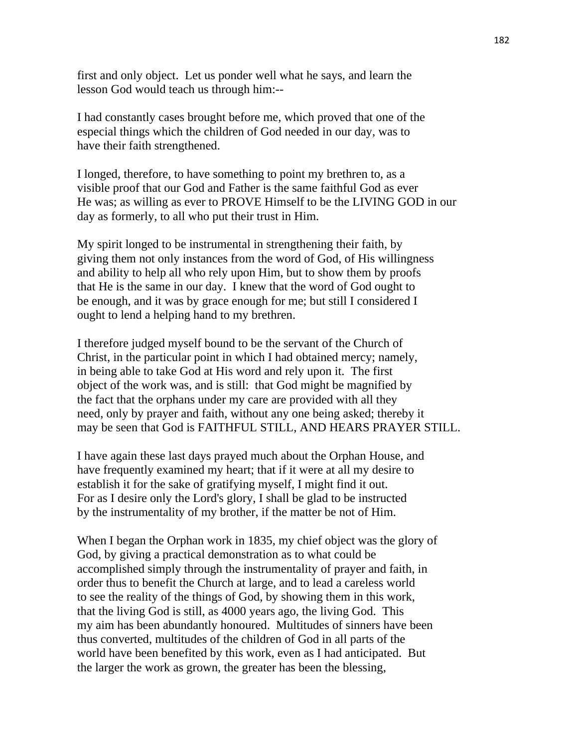first and only object. Let us ponder well what he says, and learn the lesson God would teach us through him:--

 I had constantly cases brought before me, which proved that one of the especial things which the children of God needed in our day, was to have their faith strengthened.

 I longed, therefore, to have something to point my brethren to, as a visible proof that our God and Father is the same faithful God as ever He was; as willing as ever to PROVE Himself to be the LIVING GOD in our day as formerly, to all who put their trust in Him.

 My spirit longed to be instrumental in strengthening their faith, by giving them not only instances from the word of God, of His willingness and ability to help all who rely upon Him, but to show them by proofs that He is the same in our day. I knew that the word of God ought to be enough, and it was by grace enough for me; but still I considered I ought to lend a helping hand to my brethren.

 I therefore judged myself bound to be the servant of the Church of Christ, in the particular point in which I had obtained mercy; namely, in being able to take God at His word and rely upon it. The first object of the work was, and is still: that God might be magnified by the fact that the orphans under my care are provided with all they need, only by prayer and faith, without any one being asked; thereby it may be seen that God is FAITHFUL STILL, AND HEARS PRAYER STILL.

 I have again these last days prayed much about the Orphan House, and have frequently examined my heart; that if it were at all my desire to establish it for the sake of gratifying myself, I might find it out. For as I desire only the Lord's glory, I shall be glad to be instructed by the instrumentality of my brother, if the matter be not of Him.

 When I began the Orphan work in 1835, my chief object was the glory of God, by giving a practical demonstration as to what could be accomplished simply through the instrumentality of prayer and faith, in order thus to benefit the Church at large, and to lead a careless world to see the reality of the things of God, by showing them in this work, that the living God is still, as 4000 years ago, the living God. This my aim has been abundantly honoured. Multitudes of sinners have been thus converted, multitudes of the children of God in all parts of the world have been benefited by this work, even as I had anticipated. But the larger the work as grown, the greater has been the blessing,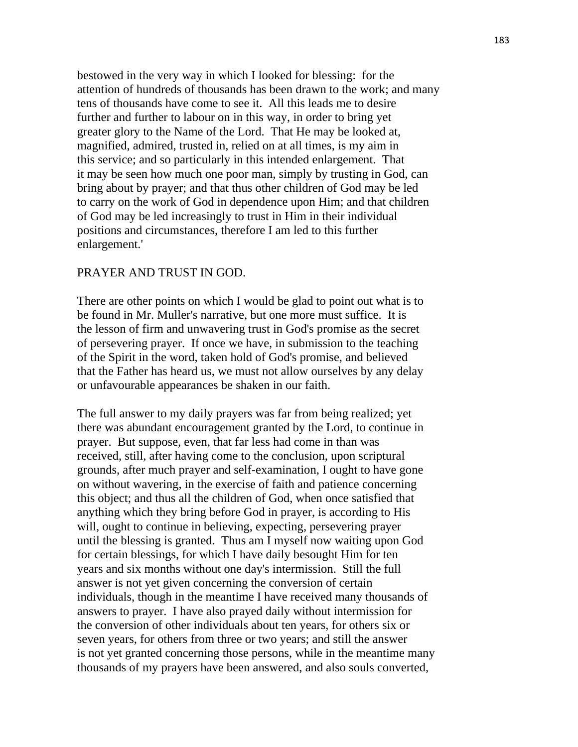bestowed in the very way in which I looked for blessing: for the attention of hundreds of thousands has been drawn to the work; and many tens of thousands have come to see it. All this leads me to desire further and further to labour on in this way, in order to bring yet greater glory to the Name of the Lord. That He may be looked at, magnified, admired, trusted in, relied on at all times, is my aim in this service; and so particularly in this intended enlargement. That it may be seen how much one poor man, simply by trusting in God, can bring about by prayer; and that thus other children of God may be led to carry on the work of God in dependence upon Him; and that children of God may be led increasingly to trust in Him in their individual positions and circumstances, therefore I am led to this further enlargement.'

#### PRAYER AND TRUST IN GOD.

 There are other points on which I would be glad to point out what is to be found in Mr. Muller's narrative, but one more must suffice. It is the lesson of firm and unwavering trust in God's promise as the secret of persevering prayer. If once we have, in submission to the teaching of the Spirit in the word, taken hold of God's promise, and believed that the Father has heard us, we must not allow ourselves by any delay or unfavourable appearances be shaken in our faith.

 The full answer to my daily prayers was far from being realized; yet there was abundant encouragement granted by the Lord, to continue in prayer. But suppose, even, that far less had come in than was received, still, after having come to the conclusion, upon scriptural grounds, after much prayer and self-examination, I ought to have gone on without wavering, in the exercise of faith and patience concerning this object; and thus all the children of God, when once satisfied that anything which they bring before God in prayer, is according to His will, ought to continue in believing, expecting, persevering prayer until the blessing is granted. Thus am I myself now waiting upon God for certain blessings, for which I have daily besought Him for ten years and six months without one day's intermission. Still the full answer is not yet given concerning the conversion of certain individuals, though in the meantime I have received many thousands of answers to prayer. I have also prayed daily without intermission for the conversion of other individuals about ten years, for others six or seven years, for others from three or two years; and still the answer is not yet granted concerning those persons, while in the meantime many thousands of my prayers have been answered, and also souls converted,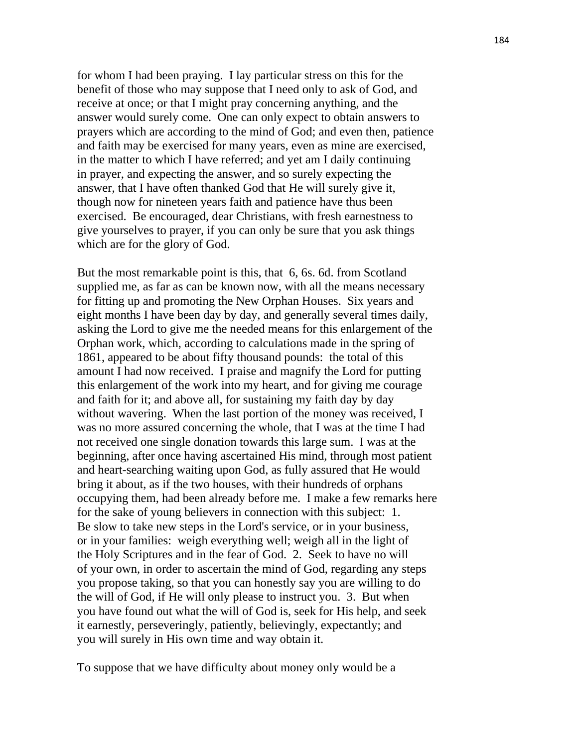for whom I had been praying. I lay particular stress on this for the benefit of those who may suppose that I need only to ask of God, and receive at once; or that I might pray concerning anything, and the answer would surely come. One can only expect to obtain answers to prayers which are according to the mind of God; and even then, patience and faith may be exercised for many years, even as mine are exercised, in the matter to which I have referred; and yet am I daily continuing in prayer, and expecting the answer, and so surely expecting the answer, that I have often thanked God that He will surely give it, though now for nineteen years faith and patience have thus been exercised. Be encouraged, dear Christians, with fresh earnestness to give yourselves to prayer, if you can only be sure that you ask things which are for the glory of God.

 But the most remarkable point is this, that 6, 6s. 6d. from Scotland supplied me, as far as can be known now, with all the means necessary for fitting up and promoting the New Orphan Houses. Six years and eight months I have been day by day, and generally several times daily, asking the Lord to give me the needed means for this enlargement of the Orphan work, which, according to calculations made in the spring of 1861, appeared to be about fifty thousand pounds: the total of this amount I had now received. I praise and magnify the Lord for putting this enlargement of the work into my heart, and for giving me courage and faith for it; and above all, for sustaining my faith day by day without wavering. When the last portion of the money was received, I was no more assured concerning the whole, that I was at the time I had not received one single donation towards this large sum. I was at the beginning, after once having ascertained His mind, through most patient and heart-searching waiting upon God, as fully assured that He would bring it about, as if the two houses, with their hundreds of orphans occupying them, had been already before me. I make a few remarks here for the sake of young believers in connection with this subject: 1. Be slow to take new steps in the Lord's service, or in your business, or in your families: weigh everything well; weigh all in the light of the Holy Scriptures and in the fear of God. 2. Seek to have no will of your own, in order to ascertain the mind of God, regarding any steps you propose taking, so that you can honestly say you are willing to do the will of God, if He will only please to instruct you. 3. But when you have found out what the will of God is, seek for His help, and seek it earnestly, perseveringly, patiently, believingly, expectantly; and you will surely in His own time and way obtain it.

To suppose that we have difficulty about money only would be a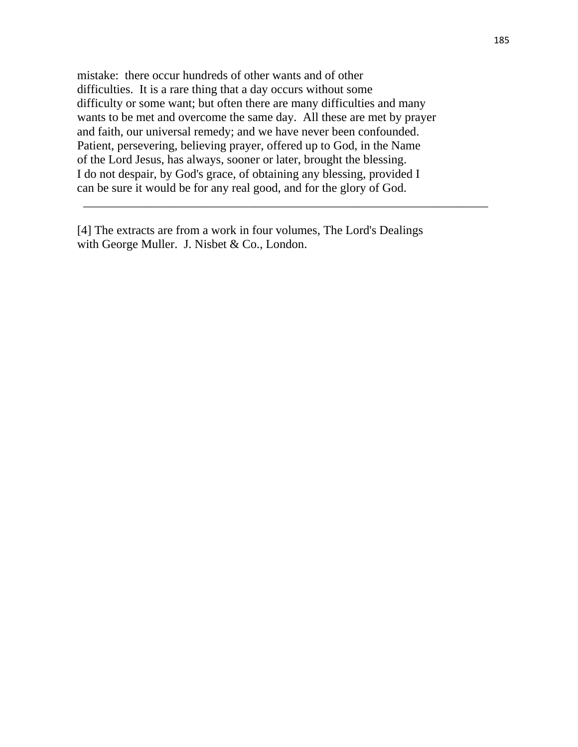mistake: there occur hundreds of other wants and of other difficulties. It is a rare thing that a day occurs without some difficulty or some want; but often there are many difficulties and many wants to be met and overcome the same day. All these are met by prayer and faith, our universal remedy; and we have never been confounded. Patient, persevering, believing prayer, offered up to God, in the Name of the Lord Jesus, has always, sooner or later, brought the blessing. I do not despair, by God's grace, of obtaining any blessing, provided I can be sure it would be for any real good, and for the glory of God.

 $\overline{\phantom{a}}$  ,  $\overline{\phantom{a}}$  ,  $\overline{\phantom{a}}$  ,  $\overline{\phantom{a}}$  ,  $\overline{\phantom{a}}$  ,  $\overline{\phantom{a}}$  ,  $\overline{\phantom{a}}$  ,  $\overline{\phantom{a}}$  ,  $\overline{\phantom{a}}$  ,  $\overline{\phantom{a}}$  ,  $\overline{\phantom{a}}$  ,  $\overline{\phantom{a}}$  ,  $\overline{\phantom{a}}$  ,  $\overline{\phantom{a}}$  ,  $\overline{\phantom{a}}$  ,  $\overline{\phantom{a}}$ 

 [4] The extracts are from a work in four volumes, The Lord's Dealings with George Muller. J. Nisbet & Co., London.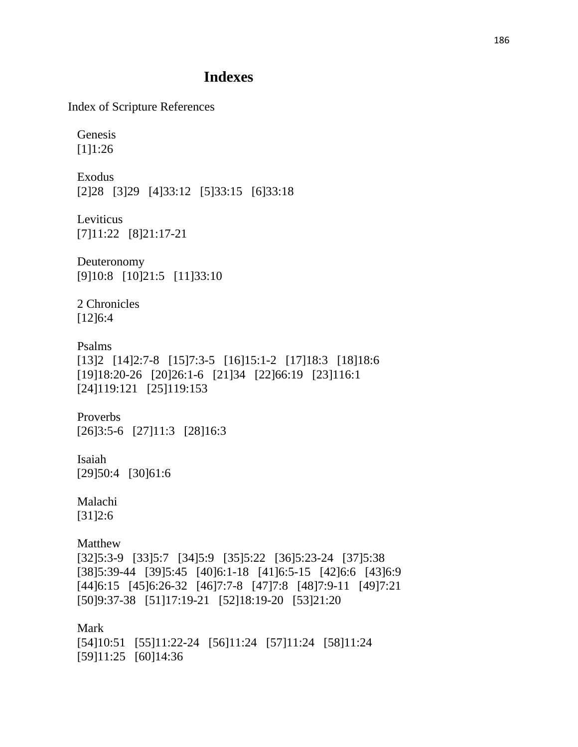## **Indexes**

Index of Scripture References

 Genesis [1]1:26

 Exodus [2]28 [3]29 [4]33:12 [5]33:15 [6]33:18

 Leviticus [7]11:22 [8]21:17-21

 Deuteronomy [9]10:8 [10]21:5 [11]33:10

 2 Chronicles [12]6:4

 Psalms [13]2 [14]2:7-8 [15]7:3-5 [16]15:1-2 [17]18:3 [18]18:6 [19]18:20-26 [20]26:1-6 [21]34 [22]66:19 [23]116:1 [24]119:121 [25]119:153

 Proverbs [26]3:5-6 [27]11:3 [28]16:3

 Isaiah [29]50:4 [30]61:6

# Malachi

[31]2:6

#### Matthew

 [32]5:3-9 [33]5:7 [34]5:9 [35]5:22 [36]5:23-24 [37]5:38 [38]5:39-44 [39]5:45 [40]6:1-18 [41]6:5-15 [42]6:6 [43]6:9 [44]6:15 [45]6:26-32 [46]7:7-8 [47]7:8 [48]7:9-11 [49]7:21 [50]9:37-38 [51]17:19-21 [52]18:19-20 [53]21:20

#### Mark

 [54]10:51 [55]11:22-24 [56]11:24 [57]11:24 [58]11:24 [59]11:25 [60]14:36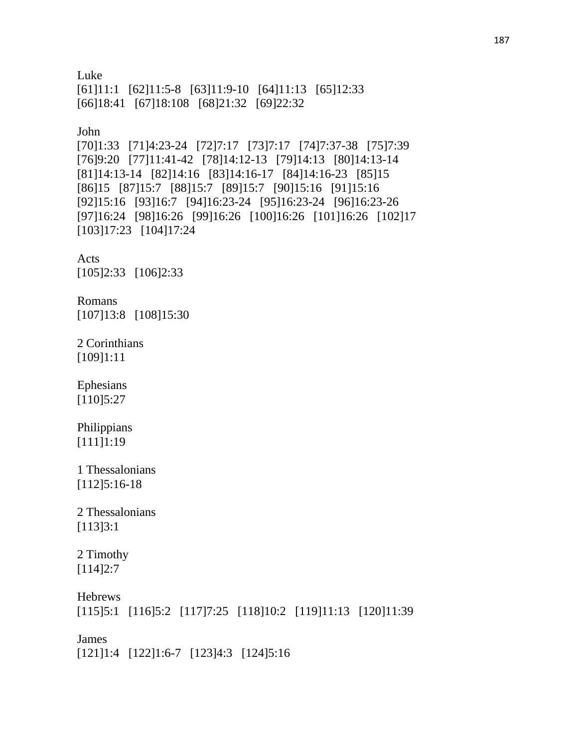# Luke [61]11:1 [62]11:5-8 [63]11:9-10 [64]11:13 [65]12:33 [66]18:41 [67]18:108 [68]21:32 [69]22:32 John [70]1:33 [71]4:23-24 [72]7:17 [73]7:17 [74]7:37-38 [75]7:39 [76]9:20 [77]11:41-42 [78]14:12-13 [79]14:13 [80]14:13-14 [81]14:13-14 [82]14:16 [83]14:16-17 [84]14:16-23 [85]15 [86]15 [87]15:7 [88]15:7 [89]15:7 [90]15:16 [91]15:16 [92]15:16 [93]16:7 [94]16:23-24 [95]16:23-24 [96]16:23-26 [97]16:24 [98]16:26 [99]16:26 [100]16:26 [101]16:26 [102]17 [103]17:23 [104]17:24 Acts [105]2:33 [106]2:33 Romans [107]13:8 [108]15:30 2 Corinthians [109]1:11 Ephesians [110]5:27 Philippians [111]1:19 1 Thessalonians [112]5:16-18 2 Thessalonians [113]3:1

 2 Timothy [114]2:7

 Hebrews [115]5:1 [116]5:2 [117]7:25 [118]10:2 [119]11:13 [120]11:39

 James [121]1:4 [122]1:6-7 [123]4:3 [124]5:16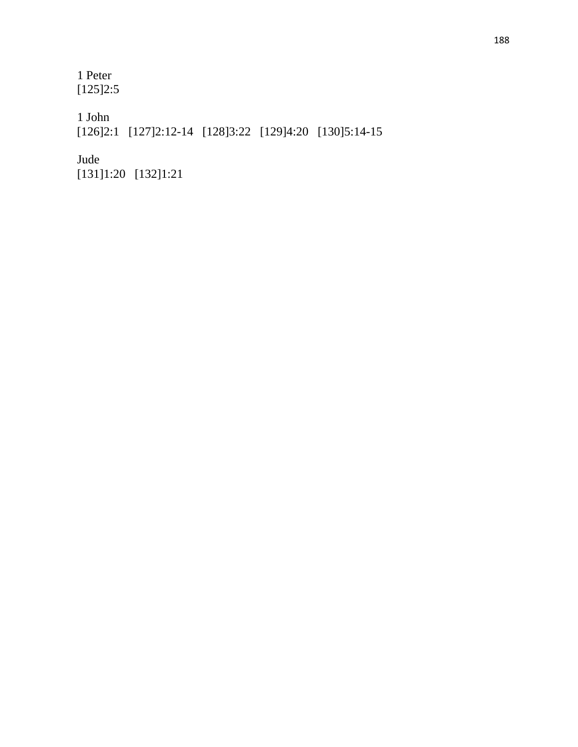1 Peter [125]2:5

 1 John [126]2:1 [127]2:12-14 [128]3:22 [129]4:20 [130]5:14-15

Jude

[131]1:20 [132]1:21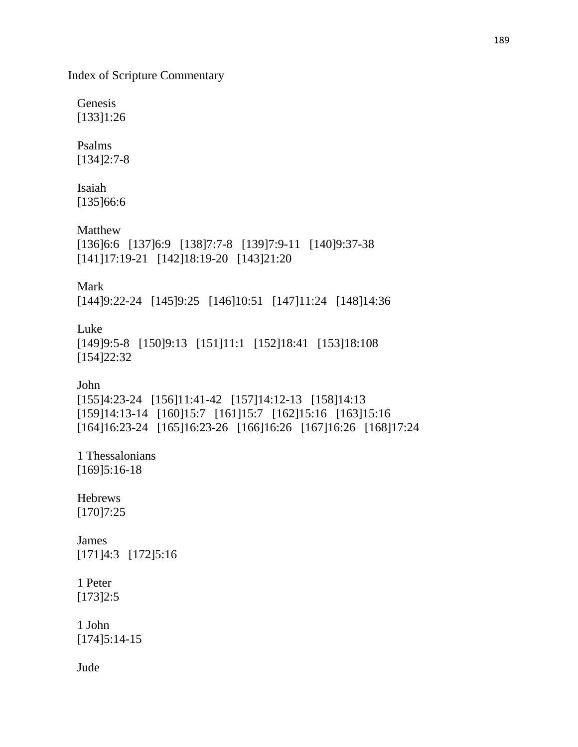Index of Scripture Commentary

 Genesis [133]1:26

 Psalms [134]2:7-8

 Isaiah [135]66:6

 Matthew [136]6:6 [137]6:9 [138]7:7-8 [139]7:9-11 [140]9:37-38 [141]17:19-21 [142]18:19-20 [143]21:20

Mark

[144]9:22-24 [145]9:25 [146]10:51 [147]11:24 [148]14:36

 Luke [149]9:5-8 [150]9:13 [151]11:1 [152]18:41 [153]18:108 [154]22:32

### John

 [155]4:23-24 [156]11:41-42 [157]14:12-13 [158]14:13 [159]14:13-14 [160]15:7 [161]15:7 [162]15:16 [163]15:16 [164]16:23-24 [165]16:23-26 [166]16:26 [167]16:26 [168]17:24

 1 Thessalonians [169]5:16-18

#### Hebrews [170]7:25

 James [171]4:3 [172]5:16

### 1 Peter [173]2:5

 1 John [174]5:14-15

Jude